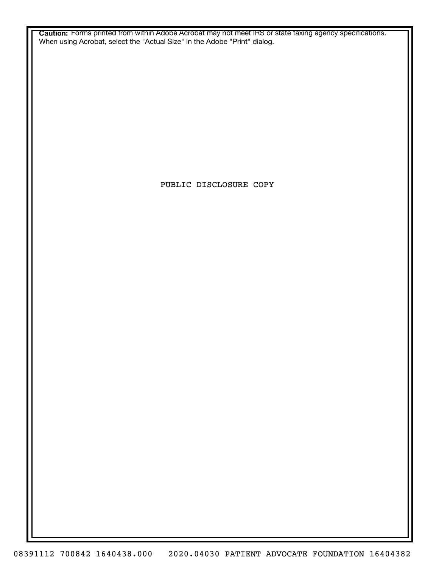**Caution:** Forms printed from within Adobe Acrobat may not meet IRS or state taxing agency specifications. When using Acrobat, select the "Actual Size" in the Adobe "Print" dialog.

PUBLIC DISCLOSURE COPY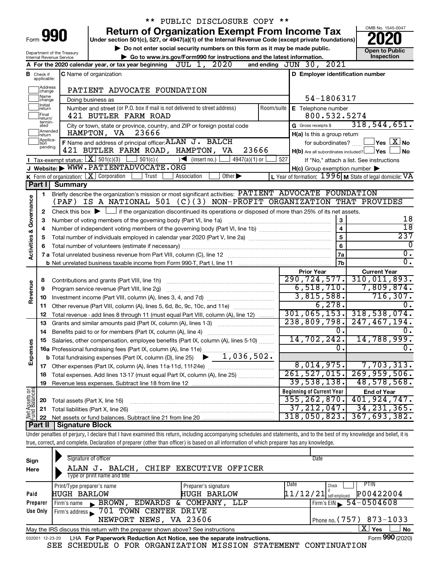|                                                                                                                |                               |                                         | ** PUBLIC DISCLOSURE COPY **                                                                                                                                               |                                                         |                                                         |
|----------------------------------------------------------------------------------------------------------------|-------------------------------|-----------------------------------------|----------------------------------------------------------------------------------------------------------------------------------------------------------------------------|---------------------------------------------------------|---------------------------------------------------------|
|                                                                                                                |                               |                                         | <b>Return of Organization Exempt From Income Tax</b>                                                                                                                       |                                                         | OMB No. 1545-0047                                       |
| Form 990<br>Under section 501(c), 527, or 4947(a)(1) of the Internal Revenue Code (except private foundations) |                               |                                         |                                                                                                                                                                            |                                                         |                                                         |
|                                                                                                                |                               | Department of the Treasury              | Do not enter social security numbers on this form as it may be made public.                                                                                                |                                                         | <b>Open to Public</b>                                   |
|                                                                                                                |                               | Internal Revenue Service                | ► Go to www.irs.gov/Form990 for instructions and the latest information.                                                                                                   |                                                         | Inspection                                              |
|                                                                                                                |                               |                                         | and ending JUN 30, 2021<br>A For the 2020 calendar year, or tax year beginning JUL 1, 2020                                                                                 |                                                         |                                                         |
|                                                                                                                | <b>B</b> Check if applicable: |                                         | <b>C</b> Name of organization                                                                                                                                              | D Employer identification number                        |                                                         |
|                                                                                                                | Address<br> change            |                                         | PATIENT ADVOCATE FOUNDATION                                                                                                                                                |                                                         |                                                         |
|                                                                                                                | Name<br>change                |                                         | Doing business as                                                                                                                                                          | 54-1806317                                              |                                                         |
|                                                                                                                | Initial<br>return             |                                         | Number and street (or P.O. box if mail is not delivered to street address)<br>Room/suite                                                                                   | E Telephone number                                      |                                                         |
|                                                                                                                | Final<br>return/<br>termin-   |                                         | 421 BUTLER FARM ROAD                                                                                                                                                       | 800.532.5274                                            |                                                         |
|                                                                                                                | ated<br>Amended               |                                         | City or town, state or province, country, and ZIP or foreign postal code<br>HAMPTON, VA<br>23666                                                                           | G Gross receipts \$                                     | 318, 544, 651.                                          |
|                                                                                                                | Ireturn<br>Applica-<br>Ition  |                                         | F Name and address of principal officer: ALAN J. BALCH                                                                                                                     | H(a) Is this a group return                             | $ {\mathsf Y}$ es $ \overline{{\mathsf X}} $ No         |
|                                                                                                                | pending                       |                                         | 421 BUTLER FARM ROAD, HAMPTON, VA<br>23666                                                                                                                                 | for subordinates?                                       | <b>No</b>                                               |
|                                                                                                                |                               |                                         | Tax-exempt status: $X \sim 501(c)(3)$ $501(c)(7)$ $\rightarrow$ (insert no.)<br>4947(a)(1) or<br>527                                                                       | $H(b)$ Are all subordinates included? $\Box$ Yes $\Box$ | If "No," attach a list. See instructions                |
|                                                                                                                |                               |                                         | J Website: WWW.PATIENTADVOCATE.ORG                                                                                                                                         | $H(c)$ Group exemption number $\blacktriangleright$     |                                                         |
|                                                                                                                |                               | K Form of organization: $X$ Corporation | Trust<br>Other $\blacktriangleright$<br>Association                                                                                                                        |                                                         | L Year of formation: 1996 M State of legal domicile: VA |
|                                                                                                                | Part I                        | <b>Summary</b>                          |                                                                                                                                                                            |                                                         |                                                         |
|                                                                                                                | 1.                            |                                         | Briefly describe the organization's mission or most significant activities: PATIENT ADVOCATE FOUNDATION                                                                    |                                                         |                                                         |
| Governance                                                                                                     |                               |                                         | (PAF) IS A NATIONAL 501 (C)(3) NON-PROFIT ORGANIZATION THAT PROVIDES                                                                                                       |                                                         |                                                         |
|                                                                                                                | 2                             |                                         | Check this box $\blacktriangleright$ $\Box$ if the organization discontinued its operations or disposed of more than 25% of its net assets.                                |                                                         |                                                         |
|                                                                                                                | з                             |                                         | Number of voting members of the governing body (Part VI, line 1a)                                                                                                          | 3                                                       | 18                                                      |
|                                                                                                                | 4                             | $\overline{\mathbf{4}}$                 |                                                                                                                                                                            |                                                         | $\overline{18}$                                         |
|                                                                                                                | 5                             |                                         |                                                                                                                                                                            | 5                                                       | 237                                                     |
| <b>Activities &amp;</b>                                                                                        | 6                             |                                         |                                                                                                                                                                            | 6                                                       | $\overline{0}$                                          |
|                                                                                                                |                               |                                         |                                                                                                                                                                            | 7a                                                      | $\overline{0}$ .                                        |
|                                                                                                                |                               |                                         |                                                                                                                                                                            | 7 <sub>b</sub>                                          | $\overline{0}$ .                                        |
|                                                                                                                |                               |                                         |                                                                                                                                                                            | <b>Prior Year</b>                                       | <b>Current Year</b>                                     |
|                                                                                                                | 8                             |                                         | Contributions and grants (Part VIII, line 1h)                                                                                                                              | 290, 724, 577.                                          | 310,011,893.                                            |
|                                                                                                                | 9                             |                                         | Program service revenue (Part VIII, line 2g)                                                                                                                               | 6,518,710.                                              | 7,809,874.                                              |
| Revenue                                                                                                        | 10                            |                                         |                                                                                                                                                                            | 3,815,588.                                              | 716, 307.                                               |
|                                                                                                                |                               |                                         | 11 Other revenue (Part VIII, column (A), lines 5, 6d, 8c, 9c, 10c, and 11e)                                                                                                | 6,278.                                                  | $\overline{0}$ .                                        |
|                                                                                                                | 12                            |                                         | Total revenue - add lines 8 through 11 (must equal Part VIII, column (A), line 12)                                                                                         | 301, 065, 153.                                          | 318,538,074.                                            |
|                                                                                                                | 13                            |                                         | Grants and similar amounts paid (Part IX, column (A), lines 1-3)                                                                                                           | 238,809,798.                                            | 247, 467, 194.                                          |
|                                                                                                                |                               |                                         |                                                                                                                                                                            | $\overline{0}$ .                                        | О.                                                      |
|                                                                                                                |                               |                                         | Salaries, other compensation, employee benefits (Part IX, column (A), lines 5-10)                                                                                          | 14, 702, 242.                                           | 14,788,999.                                             |
|                                                                                                                |                               |                                         | 16a Professional fundraising fees (Part IX, column (A), line 11e)                                                                                                          | $\overline{0}$                                          | $\overline{0}$ .                                        |
| Expenses                                                                                                       |                               |                                         | 1,036,502.<br><b>b</b> Total fundraising expenses (Part IX, column (D), line 25)                                                                                           |                                                         |                                                         |
|                                                                                                                |                               |                                         | 17 Other expenses (Part IX, column (A), lines 11a-11d, 11f-24e)                                                                                                            | 8,014,975.                                              | 7,703,313.                                              |
|                                                                                                                | 18                            |                                         | Total expenses. Add lines 13-17 (must equal Part IX, column (A), line 25)                                                                                                  | 261, 527, 015.                                          | 269,959,506.                                            |
|                                                                                                                | 19                            |                                         |                                                                                                                                                                            | 39,538,138.                                             | 48,578,568.                                             |
|                                                                                                                |                               |                                         |                                                                                                                                                                            | <b>Beginning of Current Year</b><br>355, 262, 870.      | <b>End of Year</b>                                      |
|                                                                                                                | 20                            | Total assets (Part X, line 16)          |                                                                                                                                                                            | 37, 212, 047.                                           | 401,924,747.<br>34, 231, 365.                           |
| Net Assets or<br>Fund Balances                                                                                 | 21                            |                                         | Total liabilities (Part X, line 26)                                                                                                                                        | 318,050,823.                                            | 367,693,382.                                            |
|                                                                                                                | 22<br>Part II                 | <b>Signature Block</b>                  |                                                                                                                                                                            |                                                         |                                                         |
|                                                                                                                |                               |                                         | Under penalties of perjury, I declare that I have examined this return, including accompanying schedules and statements, and to the best of my knowledge and belief, it is |                                                         |                                                         |
|                                                                                                                |                               |                                         | true, correct, and complete. Declaration of preparer (other than officer) is based on all information of which preparer has any knowledge.                                 |                                                         |                                                         |
|                                                                                                                |                               |                                         |                                                                                                                                                                            |                                                         |                                                         |
|                                                                                                                |                               |                                         |                                                                                                                                                                            |                                                         |                                                         |

| Sign<br>Here | Signature of officer<br>ALAN J.<br>Type or print name and title                                              | BALCH, CHIEF EXECUTIVE OFFICER             |      | Date                                |                          |  |  |  |  |  |
|--------------|--------------------------------------------------------------------------------------------------------------|--------------------------------------------|------|-------------------------------------|--------------------------|--|--|--|--|--|
| Paid         | Print/Type preparer's name<br><b>HUGH BARLOW</b>                                                             | Preparer's signature<br><b>HUGH BARLOW</b> | Date | Check<br>$11/12/21$ self-employed   | <b>PTIN</b><br>P00422004 |  |  |  |  |  |
| Preparer     | EDWARDS &<br>BROWN,<br>Firm's name                                                                           | COMPANY, LLP                               |      | Firm's EIN $\frac{54 - 0504608}{ }$ |                          |  |  |  |  |  |
| Use Only     | TOWN CENTER DRIVE<br>701<br>Firm's address                                                                   |                                            |      |                                     |                          |  |  |  |  |  |
|              | NEWPORT NEWS, VA 23606                                                                                       |                                            |      | Phone no. (757) 873-1033            |                          |  |  |  |  |  |
|              | x.<br>Yes<br><b>No</b><br>May the IRS discuss this return with the preparer shown above? See instructions    |                                            |      |                                     |                          |  |  |  |  |  |
|              | Form 990 (2020)<br>LHA For Paperwork Reduction Act Notice, see the separate instructions.<br>032001 12-23-20 |                                            |      |                                     |                          |  |  |  |  |  |

SEE SCHEDULE O FOR ORGANIZATION MISSION STATEMENT CONTINUATION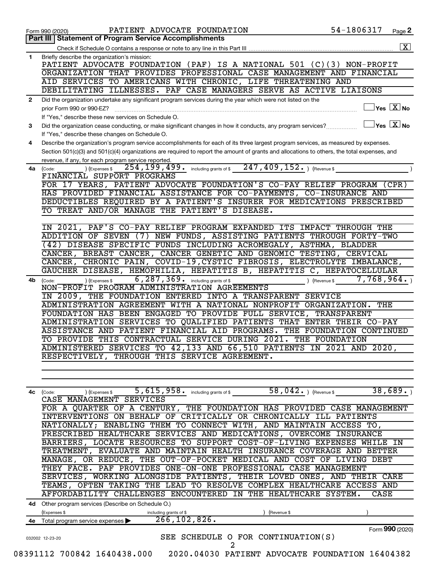| Part III I<br>Briefly describe the organization's mission:<br>PATIENT ADVOCATE FOUNDATION (PAF) IS A NATIONAL 501 (C)(3) NON-PROFIT<br>ORGANIZATION THAT PROVIDES PROFESSIONAL CASE MANAGEMENT AND FINANCIAL<br>AID SERVICES TO AMERICANS WITH CHRONIC, LIFE THREATENING AND<br>DEBILITATING ILLNESSES. PAF CASE MANAGERS SERVE AS ACTIVE LIAISONS<br>Did the organization undertake any significant program services during the year which were not listed on the<br>$\overline{\ }$ Yes $\overline{\rm{X}}$ No<br>prior Form 990 or 990-EZ?<br>If "Yes," describe these new services on Schedule O.<br>$\Box$ Yes $~\boxed{\text{X}}$ No<br>Did the organization cease conducting, or make significant changes in how it conducts, any program services?<br>If "Yes," describe these changes on Schedule O.<br>Describe the organization's program service accomplishments for each of its three largest program services, as measured by expenses.<br>Section 501(c)(3) and 501(c)(4) organizations are required to report the amount of grants and allocations to others, the total expenses, and<br>revenue, if any, for each program service reported.<br>254, 199, 499. including grants of \$247, 409, 152. ) (Revenue \$<br>(Expenses \$<br>(Code:<br>FINANCIAL SUPPORT PROGRAMS<br>FOR 17 YEARS, PATIENT ADVOCATE FOUNDATION'S CO-PAY RELIEF PROGRAM (CPR)<br>HAS PROVIDED FINANCIAL ASSISTANCE FOR CO-PAYMENTS, CO-INSURANCE AND<br>DEDUCTIBLES REQUIRED BY A PATIENT'S INSURER FOR MEDICATIONS PRESCRIBED<br>TO TREAT AND/OR MANAGE THE PATIENT'S DISEASE.<br>IN 2021, PAF'S CO-PAY RELIEF PROGRAM EXPANDED ITS IMPACT THROUGH THE<br>ADDITION OF SEVEN (7) NEW FUNDS, ASSISTING PATIENTS THROUGH FORTY-TWO<br>(42) DISEASE SPECIFIC FUNDS INCLUDING ACROMEGALY, ASTHMA, BLADDER<br>CANCER, BREAST CANCER, CANCER GENETIC AND GENOMIC TESTING, CERVICAL<br>CANCER, CHRONIC PAIN, COVID-19, CYSTIC FIBROSIS, ELECTROLYTE IMBALANCE,<br>GAUCHER DISEASE, HEMOPHILIA, HEPATITIS B, HEPATITIS C, HEPATOCELLULAR<br>$6,287,369$ $\ldots$ including grants of \$<br>7,768,964.<br>) (Expenses \$<br>(Revenue \$<br>(Code:<br>NON-PROFIT PROGRAM ADMINISTRATION AGREEMENTS<br>IN 2009, THE FOUNDATION ENTERED INTO A TRANSPARENT SERVICE<br>ADMINISTRATION AGREEMENT WITH A NATIONAL NONPROFIT ORGANIZATION.<br>THE<br>FOUNDATION HAS BEEN ENGAGED TO PROVIDE FULL SERVICE, TRANSPARENT<br>ADMINISTRATION SERVICES TO QUALIFIED PATIENTS THAT ENTER THEIR CO-PAY<br>ASSISTANCE AND PATIENT FINANCIAL AID PROGRAMS.<br>THE FOUNDATION CONTINUED<br>TO PROVIDE THIS CONTRACTUAL SERVICE DURING 2021. THE FOUNDATION<br>ADMINISTERED SERVICES TO 42,133 AND 66,510 PATIENTS IN 2021 AND 2020,<br>RESPECTIVELY, THROUGH THIS SERVICE AGREEMENT.<br>38,689.<br>58, $042.$ ) (Revenue \$<br>$5,615,958$ $\cdot$ including grants of \$<br>4c (Code:<br>(Expenses \$<br>CASE MANAGEMENT SERVICES<br>FOR A QUARTER OF A CENTURY, THE FOUNDATION HAS PROVIDED CASE MANAGEMENT<br>INTERVENTIONS ON BEHALF OF CRITICALLY OR CHRONICALLY ILL PATIENTS<br>NATIONALLY; ENABLING THEM TO CONNECT WITH, AND MAINTAIN ACCESS TO,<br>PRESCRIBED HEALTHCARE SERVICES AND MEDICATIONS, OVERCOME INSURANCE<br>BARRIERS, LOCATE RESOURCES TO SUPPORT COST-OF-LIVING EXPENSES WHILE IN<br>TREATMENT, EVALUATE AND MAINTAIN HEALTH INSURANCE COVERAGE AND BETTER<br>MANAGE, OR REDUCE, THE OUT-OF-POCKET MEDICAL AND COST OF LIVING DEBT<br>THEY FACE. PAF PROVIDES ONE-ON-ONE PROFESSIONAL CASE MANAGEMENT<br>SERVICES, WORKING ALONGSIDE PATIENTS, THEIR LOVED ONES, AND THEIR CARE<br>TEAMS, OFTEN TAKING THE LEAD TO RESOLVE COMPLEX HEALTHCARE ACCESS AND<br>AFFORDABILITY CHALLENGES ENCOUNTERED IN THE HEALTHCARE SYSTEM.<br>CASE<br>4d Other program services (Describe on Schedule O.)<br>(Expenses \$<br>(Revenue \$<br>including grants of \$<br>266, 102, 826.<br>Total program service expenses<br>Form 990 (2020)<br>SEE SCHEDULE O FOR CONTINUATION(S)<br>032002 12-23-20<br>2<br>08391112 700842 1640438.000 2020.04030 PATIENT ADVOCATE FOUNDATION 16404382 |              | PATIENT ADVOCATE FOUNDATION<br>Form 990 (2020)      | 54-1806317 | Page 2               |
|-----------------------------------------------------------------------------------------------------------------------------------------------------------------------------------------------------------------------------------------------------------------------------------------------------------------------------------------------------------------------------------------------------------------------------------------------------------------------------------------------------------------------------------------------------------------------------------------------------------------------------------------------------------------------------------------------------------------------------------------------------------------------------------------------------------------------------------------------------------------------------------------------------------------------------------------------------------------------------------------------------------------------------------------------------------------------------------------------------------------------------------------------------------------------------------------------------------------------------------------------------------------------------------------------------------------------------------------------------------------------------------------------------------------------------------------------------------------------------------------------------------------------------------------------------------------------------------------------------------------------------------------------------------------------------------------------------------------------------------------------------------------------------------------------------------------------------------------------------------------------------------------------------------------------------------------------------------------------------------------------------------------------------------------------------------------------------------------------------------------------------------------------------------------------------------------------------------------------------------------------------------------------------------------------------------------------------------------------------------------------------------------------------------------------------------------------------------------------------------------------------------------------------------------------------------------------------------------------------------------------------------------------------------------------------------------------------------------------------------------------------------------------------------------------------------------------------------------------------------------------------------------------------------------------------------------------------------------------------------------------------------------------------------------------------------------------------------------------------------------------------------------------------------------------------------------------------------------------------------------------------------------------------------------------------------------------------------------------------------------------------------------------------------------------------------------------------------------------------------------------------------------------------------------------------------------------------------------------------------------------------------------------------------------------------------------------------------------------------------------------------------------------------------------------------------------------------------------------------------------------------------------------------------------------------------------------------------------------------------------------------------------------------------------------------------|--------------|-----------------------------------------------------|------------|----------------------|
|                                                                                                                                                                                                                                                                                                                                                                                                                                                                                                                                                                                                                                                                                                                                                                                                                                                                                                                                                                                                                                                                                                                                                                                                                                                                                                                                                                                                                                                                                                                                                                                                                                                                                                                                                                                                                                                                                                                                                                                                                                                                                                                                                                                                                                                                                                                                                                                                                                                                                                                                                                                                                                                                                                                                                                                                                                                                                                                                                                                                                                                                                                                                                                                                                                                                                                                                                                                                                                                                                                                                                                                                                                                                                                                                                                                                                                                                                                                                                                                                                                                           |              | <b>Statement of Program Service Accomplishments</b> |            |                      |
|                                                                                                                                                                                                                                                                                                                                                                                                                                                                                                                                                                                                                                                                                                                                                                                                                                                                                                                                                                                                                                                                                                                                                                                                                                                                                                                                                                                                                                                                                                                                                                                                                                                                                                                                                                                                                                                                                                                                                                                                                                                                                                                                                                                                                                                                                                                                                                                                                                                                                                                                                                                                                                                                                                                                                                                                                                                                                                                                                                                                                                                                                                                                                                                                                                                                                                                                                                                                                                                                                                                                                                                                                                                                                                                                                                                                                                                                                                                                                                                                                                                           |              |                                                     |            | $\boxed{\textbf{X}}$ |
|                                                                                                                                                                                                                                                                                                                                                                                                                                                                                                                                                                                                                                                                                                                                                                                                                                                                                                                                                                                                                                                                                                                                                                                                                                                                                                                                                                                                                                                                                                                                                                                                                                                                                                                                                                                                                                                                                                                                                                                                                                                                                                                                                                                                                                                                                                                                                                                                                                                                                                                                                                                                                                                                                                                                                                                                                                                                                                                                                                                                                                                                                                                                                                                                                                                                                                                                                                                                                                                                                                                                                                                                                                                                                                                                                                                                                                                                                                                                                                                                                                                           | 1            |                                                     |            |                      |
|                                                                                                                                                                                                                                                                                                                                                                                                                                                                                                                                                                                                                                                                                                                                                                                                                                                                                                                                                                                                                                                                                                                                                                                                                                                                                                                                                                                                                                                                                                                                                                                                                                                                                                                                                                                                                                                                                                                                                                                                                                                                                                                                                                                                                                                                                                                                                                                                                                                                                                                                                                                                                                                                                                                                                                                                                                                                                                                                                                                                                                                                                                                                                                                                                                                                                                                                                                                                                                                                                                                                                                                                                                                                                                                                                                                                                                                                                                                                                                                                                                                           |              |                                                     |            |                      |
|                                                                                                                                                                                                                                                                                                                                                                                                                                                                                                                                                                                                                                                                                                                                                                                                                                                                                                                                                                                                                                                                                                                                                                                                                                                                                                                                                                                                                                                                                                                                                                                                                                                                                                                                                                                                                                                                                                                                                                                                                                                                                                                                                                                                                                                                                                                                                                                                                                                                                                                                                                                                                                                                                                                                                                                                                                                                                                                                                                                                                                                                                                                                                                                                                                                                                                                                                                                                                                                                                                                                                                                                                                                                                                                                                                                                                                                                                                                                                                                                                                                           |              |                                                     |            |                      |
|                                                                                                                                                                                                                                                                                                                                                                                                                                                                                                                                                                                                                                                                                                                                                                                                                                                                                                                                                                                                                                                                                                                                                                                                                                                                                                                                                                                                                                                                                                                                                                                                                                                                                                                                                                                                                                                                                                                                                                                                                                                                                                                                                                                                                                                                                                                                                                                                                                                                                                                                                                                                                                                                                                                                                                                                                                                                                                                                                                                                                                                                                                                                                                                                                                                                                                                                                                                                                                                                                                                                                                                                                                                                                                                                                                                                                                                                                                                                                                                                                                                           |              |                                                     |            |                      |
|                                                                                                                                                                                                                                                                                                                                                                                                                                                                                                                                                                                                                                                                                                                                                                                                                                                                                                                                                                                                                                                                                                                                                                                                                                                                                                                                                                                                                                                                                                                                                                                                                                                                                                                                                                                                                                                                                                                                                                                                                                                                                                                                                                                                                                                                                                                                                                                                                                                                                                                                                                                                                                                                                                                                                                                                                                                                                                                                                                                                                                                                                                                                                                                                                                                                                                                                                                                                                                                                                                                                                                                                                                                                                                                                                                                                                                                                                                                                                                                                                                                           |              |                                                     |            |                      |
|                                                                                                                                                                                                                                                                                                                                                                                                                                                                                                                                                                                                                                                                                                                                                                                                                                                                                                                                                                                                                                                                                                                                                                                                                                                                                                                                                                                                                                                                                                                                                                                                                                                                                                                                                                                                                                                                                                                                                                                                                                                                                                                                                                                                                                                                                                                                                                                                                                                                                                                                                                                                                                                                                                                                                                                                                                                                                                                                                                                                                                                                                                                                                                                                                                                                                                                                                                                                                                                                                                                                                                                                                                                                                                                                                                                                                                                                                                                                                                                                                                                           | $\mathbf{2}$ |                                                     |            |                      |
|                                                                                                                                                                                                                                                                                                                                                                                                                                                                                                                                                                                                                                                                                                                                                                                                                                                                                                                                                                                                                                                                                                                                                                                                                                                                                                                                                                                                                                                                                                                                                                                                                                                                                                                                                                                                                                                                                                                                                                                                                                                                                                                                                                                                                                                                                                                                                                                                                                                                                                                                                                                                                                                                                                                                                                                                                                                                                                                                                                                                                                                                                                                                                                                                                                                                                                                                                                                                                                                                                                                                                                                                                                                                                                                                                                                                                                                                                                                                                                                                                                                           |              |                                                     |            |                      |
|                                                                                                                                                                                                                                                                                                                                                                                                                                                                                                                                                                                                                                                                                                                                                                                                                                                                                                                                                                                                                                                                                                                                                                                                                                                                                                                                                                                                                                                                                                                                                                                                                                                                                                                                                                                                                                                                                                                                                                                                                                                                                                                                                                                                                                                                                                                                                                                                                                                                                                                                                                                                                                                                                                                                                                                                                                                                                                                                                                                                                                                                                                                                                                                                                                                                                                                                                                                                                                                                                                                                                                                                                                                                                                                                                                                                                                                                                                                                                                                                                                                           |              |                                                     |            |                      |
|                                                                                                                                                                                                                                                                                                                                                                                                                                                                                                                                                                                                                                                                                                                                                                                                                                                                                                                                                                                                                                                                                                                                                                                                                                                                                                                                                                                                                                                                                                                                                                                                                                                                                                                                                                                                                                                                                                                                                                                                                                                                                                                                                                                                                                                                                                                                                                                                                                                                                                                                                                                                                                                                                                                                                                                                                                                                                                                                                                                                                                                                                                                                                                                                                                                                                                                                                                                                                                                                                                                                                                                                                                                                                                                                                                                                                                                                                                                                                                                                                                                           | 3            |                                                     |            |                      |
|                                                                                                                                                                                                                                                                                                                                                                                                                                                                                                                                                                                                                                                                                                                                                                                                                                                                                                                                                                                                                                                                                                                                                                                                                                                                                                                                                                                                                                                                                                                                                                                                                                                                                                                                                                                                                                                                                                                                                                                                                                                                                                                                                                                                                                                                                                                                                                                                                                                                                                                                                                                                                                                                                                                                                                                                                                                                                                                                                                                                                                                                                                                                                                                                                                                                                                                                                                                                                                                                                                                                                                                                                                                                                                                                                                                                                                                                                                                                                                                                                                                           |              |                                                     |            |                      |
|                                                                                                                                                                                                                                                                                                                                                                                                                                                                                                                                                                                                                                                                                                                                                                                                                                                                                                                                                                                                                                                                                                                                                                                                                                                                                                                                                                                                                                                                                                                                                                                                                                                                                                                                                                                                                                                                                                                                                                                                                                                                                                                                                                                                                                                                                                                                                                                                                                                                                                                                                                                                                                                                                                                                                                                                                                                                                                                                                                                                                                                                                                                                                                                                                                                                                                                                                                                                                                                                                                                                                                                                                                                                                                                                                                                                                                                                                                                                                                                                                                                           | 4            |                                                     |            |                      |
|                                                                                                                                                                                                                                                                                                                                                                                                                                                                                                                                                                                                                                                                                                                                                                                                                                                                                                                                                                                                                                                                                                                                                                                                                                                                                                                                                                                                                                                                                                                                                                                                                                                                                                                                                                                                                                                                                                                                                                                                                                                                                                                                                                                                                                                                                                                                                                                                                                                                                                                                                                                                                                                                                                                                                                                                                                                                                                                                                                                                                                                                                                                                                                                                                                                                                                                                                                                                                                                                                                                                                                                                                                                                                                                                                                                                                                                                                                                                                                                                                                                           |              |                                                     |            |                      |
|                                                                                                                                                                                                                                                                                                                                                                                                                                                                                                                                                                                                                                                                                                                                                                                                                                                                                                                                                                                                                                                                                                                                                                                                                                                                                                                                                                                                                                                                                                                                                                                                                                                                                                                                                                                                                                                                                                                                                                                                                                                                                                                                                                                                                                                                                                                                                                                                                                                                                                                                                                                                                                                                                                                                                                                                                                                                                                                                                                                                                                                                                                                                                                                                                                                                                                                                                                                                                                                                                                                                                                                                                                                                                                                                                                                                                                                                                                                                                                                                                                                           |              |                                                     |            |                      |
|                                                                                                                                                                                                                                                                                                                                                                                                                                                                                                                                                                                                                                                                                                                                                                                                                                                                                                                                                                                                                                                                                                                                                                                                                                                                                                                                                                                                                                                                                                                                                                                                                                                                                                                                                                                                                                                                                                                                                                                                                                                                                                                                                                                                                                                                                                                                                                                                                                                                                                                                                                                                                                                                                                                                                                                                                                                                                                                                                                                                                                                                                                                                                                                                                                                                                                                                                                                                                                                                                                                                                                                                                                                                                                                                                                                                                                                                                                                                                                                                                                                           | 4a           |                                                     |            |                      |
|                                                                                                                                                                                                                                                                                                                                                                                                                                                                                                                                                                                                                                                                                                                                                                                                                                                                                                                                                                                                                                                                                                                                                                                                                                                                                                                                                                                                                                                                                                                                                                                                                                                                                                                                                                                                                                                                                                                                                                                                                                                                                                                                                                                                                                                                                                                                                                                                                                                                                                                                                                                                                                                                                                                                                                                                                                                                                                                                                                                                                                                                                                                                                                                                                                                                                                                                                                                                                                                                                                                                                                                                                                                                                                                                                                                                                                                                                                                                                                                                                                                           |              |                                                     |            |                      |
|                                                                                                                                                                                                                                                                                                                                                                                                                                                                                                                                                                                                                                                                                                                                                                                                                                                                                                                                                                                                                                                                                                                                                                                                                                                                                                                                                                                                                                                                                                                                                                                                                                                                                                                                                                                                                                                                                                                                                                                                                                                                                                                                                                                                                                                                                                                                                                                                                                                                                                                                                                                                                                                                                                                                                                                                                                                                                                                                                                                                                                                                                                                                                                                                                                                                                                                                                                                                                                                                                                                                                                                                                                                                                                                                                                                                                                                                                                                                                                                                                                                           |              |                                                     |            |                      |
|                                                                                                                                                                                                                                                                                                                                                                                                                                                                                                                                                                                                                                                                                                                                                                                                                                                                                                                                                                                                                                                                                                                                                                                                                                                                                                                                                                                                                                                                                                                                                                                                                                                                                                                                                                                                                                                                                                                                                                                                                                                                                                                                                                                                                                                                                                                                                                                                                                                                                                                                                                                                                                                                                                                                                                                                                                                                                                                                                                                                                                                                                                                                                                                                                                                                                                                                                                                                                                                                                                                                                                                                                                                                                                                                                                                                                                                                                                                                                                                                                                                           |              |                                                     |            |                      |
|                                                                                                                                                                                                                                                                                                                                                                                                                                                                                                                                                                                                                                                                                                                                                                                                                                                                                                                                                                                                                                                                                                                                                                                                                                                                                                                                                                                                                                                                                                                                                                                                                                                                                                                                                                                                                                                                                                                                                                                                                                                                                                                                                                                                                                                                                                                                                                                                                                                                                                                                                                                                                                                                                                                                                                                                                                                                                                                                                                                                                                                                                                                                                                                                                                                                                                                                                                                                                                                                                                                                                                                                                                                                                                                                                                                                                                                                                                                                                                                                                                                           |              |                                                     |            |                      |
|                                                                                                                                                                                                                                                                                                                                                                                                                                                                                                                                                                                                                                                                                                                                                                                                                                                                                                                                                                                                                                                                                                                                                                                                                                                                                                                                                                                                                                                                                                                                                                                                                                                                                                                                                                                                                                                                                                                                                                                                                                                                                                                                                                                                                                                                                                                                                                                                                                                                                                                                                                                                                                                                                                                                                                                                                                                                                                                                                                                                                                                                                                                                                                                                                                                                                                                                                                                                                                                                                                                                                                                                                                                                                                                                                                                                                                                                                                                                                                                                                                                           |              |                                                     |            |                      |
|                                                                                                                                                                                                                                                                                                                                                                                                                                                                                                                                                                                                                                                                                                                                                                                                                                                                                                                                                                                                                                                                                                                                                                                                                                                                                                                                                                                                                                                                                                                                                                                                                                                                                                                                                                                                                                                                                                                                                                                                                                                                                                                                                                                                                                                                                                                                                                                                                                                                                                                                                                                                                                                                                                                                                                                                                                                                                                                                                                                                                                                                                                                                                                                                                                                                                                                                                                                                                                                                                                                                                                                                                                                                                                                                                                                                                                                                                                                                                                                                                                                           |              |                                                     |            |                      |
|                                                                                                                                                                                                                                                                                                                                                                                                                                                                                                                                                                                                                                                                                                                                                                                                                                                                                                                                                                                                                                                                                                                                                                                                                                                                                                                                                                                                                                                                                                                                                                                                                                                                                                                                                                                                                                                                                                                                                                                                                                                                                                                                                                                                                                                                                                                                                                                                                                                                                                                                                                                                                                                                                                                                                                                                                                                                                                                                                                                                                                                                                                                                                                                                                                                                                                                                                                                                                                                                                                                                                                                                                                                                                                                                                                                                                                                                                                                                                                                                                                                           |              |                                                     |            |                      |
|                                                                                                                                                                                                                                                                                                                                                                                                                                                                                                                                                                                                                                                                                                                                                                                                                                                                                                                                                                                                                                                                                                                                                                                                                                                                                                                                                                                                                                                                                                                                                                                                                                                                                                                                                                                                                                                                                                                                                                                                                                                                                                                                                                                                                                                                                                                                                                                                                                                                                                                                                                                                                                                                                                                                                                                                                                                                                                                                                                                                                                                                                                                                                                                                                                                                                                                                                                                                                                                                                                                                                                                                                                                                                                                                                                                                                                                                                                                                                                                                                                                           |              |                                                     |            |                      |
|                                                                                                                                                                                                                                                                                                                                                                                                                                                                                                                                                                                                                                                                                                                                                                                                                                                                                                                                                                                                                                                                                                                                                                                                                                                                                                                                                                                                                                                                                                                                                                                                                                                                                                                                                                                                                                                                                                                                                                                                                                                                                                                                                                                                                                                                                                                                                                                                                                                                                                                                                                                                                                                                                                                                                                                                                                                                                                                                                                                                                                                                                                                                                                                                                                                                                                                                                                                                                                                                                                                                                                                                                                                                                                                                                                                                                                                                                                                                                                                                                                                           |              |                                                     |            |                      |
|                                                                                                                                                                                                                                                                                                                                                                                                                                                                                                                                                                                                                                                                                                                                                                                                                                                                                                                                                                                                                                                                                                                                                                                                                                                                                                                                                                                                                                                                                                                                                                                                                                                                                                                                                                                                                                                                                                                                                                                                                                                                                                                                                                                                                                                                                                                                                                                                                                                                                                                                                                                                                                                                                                                                                                                                                                                                                                                                                                                                                                                                                                                                                                                                                                                                                                                                                                                                                                                                                                                                                                                                                                                                                                                                                                                                                                                                                                                                                                                                                                                           |              |                                                     |            |                      |
|                                                                                                                                                                                                                                                                                                                                                                                                                                                                                                                                                                                                                                                                                                                                                                                                                                                                                                                                                                                                                                                                                                                                                                                                                                                                                                                                                                                                                                                                                                                                                                                                                                                                                                                                                                                                                                                                                                                                                                                                                                                                                                                                                                                                                                                                                                                                                                                                                                                                                                                                                                                                                                                                                                                                                                                                                                                                                                                                                                                                                                                                                                                                                                                                                                                                                                                                                                                                                                                                                                                                                                                                                                                                                                                                                                                                                                                                                                                                                                                                                                                           |              |                                                     |            |                      |
|                                                                                                                                                                                                                                                                                                                                                                                                                                                                                                                                                                                                                                                                                                                                                                                                                                                                                                                                                                                                                                                                                                                                                                                                                                                                                                                                                                                                                                                                                                                                                                                                                                                                                                                                                                                                                                                                                                                                                                                                                                                                                                                                                                                                                                                                                                                                                                                                                                                                                                                                                                                                                                                                                                                                                                                                                                                                                                                                                                                                                                                                                                                                                                                                                                                                                                                                                                                                                                                                                                                                                                                                                                                                                                                                                                                                                                                                                                                                                                                                                                                           |              |                                                     |            |                      |
|                                                                                                                                                                                                                                                                                                                                                                                                                                                                                                                                                                                                                                                                                                                                                                                                                                                                                                                                                                                                                                                                                                                                                                                                                                                                                                                                                                                                                                                                                                                                                                                                                                                                                                                                                                                                                                                                                                                                                                                                                                                                                                                                                                                                                                                                                                                                                                                                                                                                                                                                                                                                                                                                                                                                                                                                                                                                                                                                                                                                                                                                                                                                                                                                                                                                                                                                                                                                                                                                                                                                                                                                                                                                                                                                                                                                                                                                                                                                                                                                                                                           | 4b           |                                                     |            |                      |
|                                                                                                                                                                                                                                                                                                                                                                                                                                                                                                                                                                                                                                                                                                                                                                                                                                                                                                                                                                                                                                                                                                                                                                                                                                                                                                                                                                                                                                                                                                                                                                                                                                                                                                                                                                                                                                                                                                                                                                                                                                                                                                                                                                                                                                                                                                                                                                                                                                                                                                                                                                                                                                                                                                                                                                                                                                                                                                                                                                                                                                                                                                                                                                                                                                                                                                                                                                                                                                                                                                                                                                                                                                                                                                                                                                                                                                                                                                                                                                                                                                                           |              |                                                     |            |                      |
|                                                                                                                                                                                                                                                                                                                                                                                                                                                                                                                                                                                                                                                                                                                                                                                                                                                                                                                                                                                                                                                                                                                                                                                                                                                                                                                                                                                                                                                                                                                                                                                                                                                                                                                                                                                                                                                                                                                                                                                                                                                                                                                                                                                                                                                                                                                                                                                                                                                                                                                                                                                                                                                                                                                                                                                                                                                                                                                                                                                                                                                                                                                                                                                                                                                                                                                                                                                                                                                                                                                                                                                                                                                                                                                                                                                                                                                                                                                                                                                                                                                           |              |                                                     |            |                      |
|                                                                                                                                                                                                                                                                                                                                                                                                                                                                                                                                                                                                                                                                                                                                                                                                                                                                                                                                                                                                                                                                                                                                                                                                                                                                                                                                                                                                                                                                                                                                                                                                                                                                                                                                                                                                                                                                                                                                                                                                                                                                                                                                                                                                                                                                                                                                                                                                                                                                                                                                                                                                                                                                                                                                                                                                                                                                                                                                                                                                                                                                                                                                                                                                                                                                                                                                                                                                                                                                                                                                                                                                                                                                                                                                                                                                                                                                                                                                                                                                                                                           |              |                                                     |            |                      |
|                                                                                                                                                                                                                                                                                                                                                                                                                                                                                                                                                                                                                                                                                                                                                                                                                                                                                                                                                                                                                                                                                                                                                                                                                                                                                                                                                                                                                                                                                                                                                                                                                                                                                                                                                                                                                                                                                                                                                                                                                                                                                                                                                                                                                                                                                                                                                                                                                                                                                                                                                                                                                                                                                                                                                                                                                                                                                                                                                                                                                                                                                                                                                                                                                                                                                                                                                                                                                                                                                                                                                                                                                                                                                                                                                                                                                                                                                                                                                                                                                                                           |              |                                                     |            |                      |
|                                                                                                                                                                                                                                                                                                                                                                                                                                                                                                                                                                                                                                                                                                                                                                                                                                                                                                                                                                                                                                                                                                                                                                                                                                                                                                                                                                                                                                                                                                                                                                                                                                                                                                                                                                                                                                                                                                                                                                                                                                                                                                                                                                                                                                                                                                                                                                                                                                                                                                                                                                                                                                                                                                                                                                                                                                                                                                                                                                                                                                                                                                                                                                                                                                                                                                                                                                                                                                                                                                                                                                                                                                                                                                                                                                                                                                                                                                                                                                                                                                                           |              |                                                     |            |                      |
|                                                                                                                                                                                                                                                                                                                                                                                                                                                                                                                                                                                                                                                                                                                                                                                                                                                                                                                                                                                                                                                                                                                                                                                                                                                                                                                                                                                                                                                                                                                                                                                                                                                                                                                                                                                                                                                                                                                                                                                                                                                                                                                                                                                                                                                                                                                                                                                                                                                                                                                                                                                                                                                                                                                                                                                                                                                                                                                                                                                                                                                                                                                                                                                                                                                                                                                                                                                                                                                                                                                                                                                                                                                                                                                                                                                                                                                                                                                                                                                                                                                           |              |                                                     |            |                      |
|                                                                                                                                                                                                                                                                                                                                                                                                                                                                                                                                                                                                                                                                                                                                                                                                                                                                                                                                                                                                                                                                                                                                                                                                                                                                                                                                                                                                                                                                                                                                                                                                                                                                                                                                                                                                                                                                                                                                                                                                                                                                                                                                                                                                                                                                                                                                                                                                                                                                                                                                                                                                                                                                                                                                                                                                                                                                                                                                                                                                                                                                                                                                                                                                                                                                                                                                                                                                                                                                                                                                                                                                                                                                                                                                                                                                                                                                                                                                                                                                                                                           |              |                                                     |            |                      |
|                                                                                                                                                                                                                                                                                                                                                                                                                                                                                                                                                                                                                                                                                                                                                                                                                                                                                                                                                                                                                                                                                                                                                                                                                                                                                                                                                                                                                                                                                                                                                                                                                                                                                                                                                                                                                                                                                                                                                                                                                                                                                                                                                                                                                                                                                                                                                                                                                                                                                                                                                                                                                                                                                                                                                                                                                                                                                                                                                                                                                                                                                                                                                                                                                                                                                                                                                                                                                                                                                                                                                                                                                                                                                                                                                                                                                                                                                                                                                                                                                                                           |              |                                                     |            |                      |
|                                                                                                                                                                                                                                                                                                                                                                                                                                                                                                                                                                                                                                                                                                                                                                                                                                                                                                                                                                                                                                                                                                                                                                                                                                                                                                                                                                                                                                                                                                                                                                                                                                                                                                                                                                                                                                                                                                                                                                                                                                                                                                                                                                                                                                                                                                                                                                                                                                                                                                                                                                                                                                                                                                                                                                                                                                                                                                                                                                                                                                                                                                                                                                                                                                                                                                                                                                                                                                                                                                                                                                                                                                                                                                                                                                                                                                                                                                                                                                                                                                                           |              |                                                     |            |                      |
|                                                                                                                                                                                                                                                                                                                                                                                                                                                                                                                                                                                                                                                                                                                                                                                                                                                                                                                                                                                                                                                                                                                                                                                                                                                                                                                                                                                                                                                                                                                                                                                                                                                                                                                                                                                                                                                                                                                                                                                                                                                                                                                                                                                                                                                                                                                                                                                                                                                                                                                                                                                                                                                                                                                                                                                                                                                                                                                                                                                                                                                                                                                                                                                                                                                                                                                                                                                                                                                                                                                                                                                                                                                                                                                                                                                                                                                                                                                                                                                                                                                           |              |                                                     |            |                      |
|                                                                                                                                                                                                                                                                                                                                                                                                                                                                                                                                                                                                                                                                                                                                                                                                                                                                                                                                                                                                                                                                                                                                                                                                                                                                                                                                                                                                                                                                                                                                                                                                                                                                                                                                                                                                                                                                                                                                                                                                                                                                                                                                                                                                                                                                                                                                                                                                                                                                                                                                                                                                                                                                                                                                                                                                                                                                                                                                                                                                                                                                                                                                                                                                                                                                                                                                                                                                                                                                                                                                                                                                                                                                                                                                                                                                                                                                                                                                                                                                                                                           |              |                                                     |            |                      |
|                                                                                                                                                                                                                                                                                                                                                                                                                                                                                                                                                                                                                                                                                                                                                                                                                                                                                                                                                                                                                                                                                                                                                                                                                                                                                                                                                                                                                                                                                                                                                                                                                                                                                                                                                                                                                                                                                                                                                                                                                                                                                                                                                                                                                                                                                                                                                                                                                                                                                                                                                                                                                                                                                                                                                                                                                                                                                                                                                                                                                                                                                                                                                                                                                                                                                                                                                                                                                                                                                                                                                                                                                                                                                                                                                                                                                                                                                                                                                                                                                                                           |              |                                                     |            |                      |
|                                                                                                                                                                                                                                                                                                                                                                                                                                                                                                                                                                                                                                                                                                                                                                                                                                                                                                                                                                                                                                                                                                                                                                                                                                                                                                                                                                                                                                                                                                                                                                                                                                                                                                                                                                                                                                                                                                                                                                                                                                                                                                                                                                                                                                                                                                                                                                                                                                                                                                                                                                                                                                                                                                                                                                                                                                                                                                                                                                                                                                                                                                                                                                                                                                                                                                                                                                                                                                                                                                                                                                                                                                                                                                                                                                                                                                                                                                                                                                                                                                                           |              |                                                     |            |                      |
|                                                                                                                                                                                                                                                                                                                                                                                                                                                                                                                                                                                                                                                                                                                                                                                                                                                                                                                                                                                                                                                                                                                                                                                                                                                                                                                                                                                                                                                                                                                                                                                                                                                                                                                                                                                                                                                                                                                                                                                                                                                                                                                                                                                                                                                                                                                                                                                                                                                                                                                                                                                                                                                                                                                                                                                                                                                                                                                                                                                                                                                                                                                                                                                                                                                                                                                                                                                                                                                                                                                                                                                                                                                                                                                                                                                                                                                                                                                                                                                                                                                           |              |                                                     |            |                      |
|                                                                                                                                                                                                                                                                                                                                                                                                                                                                                                                                                                                                                                                                                                                                                                                                                                                                                                                                                                                                                                                                                                                                                                                                                                                                                                                                                                                                                                                                                                                                                                                                                                                                                                                                                                                                                                                                                                                                                                                                                                                                                                                                                                                                                                                                                                                                                                                                                                                                                                                                                                                                                                                                                                                                                                                                                                                                                                                                                                                                                                                                                                                                                                                                                                                                                                                                                                                                                                                                                                                                                                                                                                                                                                                                                                                                                                                                                                                                                                                                                                                           |              |                                                     |            |                      |
|                                                                                                                                                                                                                                                                                                                                                                                                                                                                                                                                                                                                                                                                                                                                                                                                                                                                                                                                                                                                                                                                                                                                                                                                                                                                                                                                                                                                                                                                                                                                                                                                                                                                                                                                                                                                                                                                                                                                                                                                                                                                                                                                                                                                                                                                                                                                                                                                                                                                                                                                                                                                                                                                                                                                                                                                                                                                                                                                                                                                                                                                                                                                                                                                                                                                                                                                                                                                                                                                                                                                                                                                                                                                                                                                                                                                                                                                                                                                                                                                                                                           |              |                                                     |            |                      |
|                                                                                                                                                                                                                                                                                                                                                                                                                                                                                                                                                                                                                                                                                                                                                                                                                                                                                                                                                                                                                                                                                                                                                                                                                                                                                                                                                                                                                                                                                                                                                                                                                                                                                                                                                                                                                                                                                                                                                                                                                                                                                                                                                                                                                                                                                                                                                                                                                                                                                                                                                                                                                                                                                                                                                                                                                                                                                                                                                                                                                                                                                                                                                                                                                                                                                                                                                                                                                                                                                                                                                                                                                                                                                                                                                                                                                                                                                                                                                                                                                                                           |              |                                                     |            |                      |
|                                                                                                                                                                                                                                                                                                                                                                                                                                                                                                                                                                                                                                                                                                                                                                                                                                                                                                                                                                                                                                                                                                                                                                                                                                                                                                                                                                                                                                                                                                                                                                                                                                                                                                                                                                                                                                                                                                                                                                                                                                                                                                                                                                                                                                                                                                                                                                                                                                                                                                                                                                                                                                                                                                                                                                                                                                                                                                                                                                                                                                                                                                                                                                                                                                                                                                                                                                                                                                                                                                                                                                                                                                                                                                                                                                                                                                                                                                                                                                                                                                                           |              |                                                     |            |                      |
|                                                                                                                                                                                                                                                                                                                                                                                                                                                                                                                                                                                                                                                                                                                                                                                                                                                                                                                                                                                                                                                                                                                                                                                                                                                                                                                                                                                                                                                                                                                                                                                                                                                                                                                                                                                                                                                                                                                                                                                                                                                                                                                                                                                                                                                                                                                                                                                                                                                                                                                                                                                                                                                                                                                                                                                                                                                                                                                                                                                                                                                                                                                                                                                                                                                                                                                                                                                                                                                                                                                                                                                                                                                                                                                                                                                                                                                                                                                                                                                                                                                           |              |                                                     |            |                      |
|                                                                                                                                                                                                                                                                                                                                                                                                                                                                                                                                                                                                                                                                                                                                                                                                                                                                                                                                                                                                                                                                                                                                                                                                                                                                                                                                                                                                                                                                                                                                                                                                                                                                                                                                                                                                                                                                                                                                                                                                                                                                                                                                                                                                                                                                                                                                                                                                                                                                                                                                                                                                                                                                                                                                                                                                                                                                                                                                                                                                                                                                                                                                                                                                                                                                                                                                                                                                                                                                                                                                                                                                                                                                                                                                                                                                                                                                                                                                                                                                                                                           |              |                                                     |            |                      |
|                                                                                                                                                                                                                                                                                                                                                                                                                                                                                                                                                                                                                                                                                                                                                                                                                                                                                                                                                                                                                                                                                                                                                                                                                                                                                                                                                                                                                                                                                                                                                                                                                                                                                                                                                                                                                                                                                                                                                                                                                                                                                                                                                                                                                                                                                                                                                                                                                                                                                                                                                                                                                                                                                                                                                                                                                                                                                                                                                                                                                                                                                                                                                                                                                                                                                                                                                                                                                                                                                                                                                                                                                                                                                                                                                                                                                                                                                                                                                                                                                                                           |              |                                                     |            |                      |
|                                                                                                                                                                                                                                                                                                                                                                                                                                                                                                                                                                                                                                                                                                                                                                                                                                                                                                                                                                                                                                                                                                                                                                                                                                                                                                                                                                                                                                                                                                                                                                                                                                                                                                                                                                                                                                                                                                                                                                                                                                                                                                                                                                                                                                                                                                                                                                                                                                                                                                                                                                                                                                                                                                                                                                                                                                                                                                                                                                                                                                                                                                                                                                                                                                                                                                                                                                                                                                                                                                                                                                                                                                                                                                                                                                                                                                                                                                                                                                                                                                                           |              |                                                     |            |                      |
|                                                                                                                                                                                                                                                                                                                                                                                                                                                                                                                                                                                                                                                                                                                                                                                                                                                                                                                                                                                                                                                                                                                                                                                                                                                                                                                                                                                                                                                                                                                                                                                                                                                                                                                                                                                                                                                                                                                                                                                                                                                                                                                                                                                                                                                                                                                                                                                                                                                                                                                                                                                                                                                                                                                                                                                                                                                                                                                                                                                                                                                                                                                                                                                                                                                                                                                                                                                                                                                                                                                                                                                                                                                                                                                                                                                                                                                                                                                                                                                                                                                           |              |                                                     |            |                      |
|                                                                                                                                                                                                                                                                                                                                                                                                                                                                                                                                                                                                                                                                                                                                                                                                                                                                                                                                                                                                                                                                                                                                                                                                                                                                                                                                                                                                                                                                                                                                                                                                                                                                                                                                                                                                                                                                                                                                                                                                                                                                                                                                                                                                                                                                                                                                                                                                                                                                                                                                                                                                                                                                                                                                                                                                                                                                                                                                                                                                                                                                                                                                                                                                                                                                                                                                                                                                                                                                                                                                                                                                                                                                                                                                                                                                                                                                                                                                                                                                                                                           |              |                                                     |            |                      |
|                                                                                                                                                                                                                                                                                                                                                                                                                                                                                                                                                                                                                                                                                                                                                                                                                                                                                                                                                                                                                                                                                                                                                                                                                                                                                                                                                                                                                                                                                                                                                                                                                                                                                                                                                                                                                                                                                                                                                                                                                                                                                                                                                                                                                                                                                                                                                                                                                                                                                                                                                                                                                                                                                                                                                                                                                                                                                                                                                                                                                                                                                                                                                                                                                                                                                                                                                                                                                                                                                                                                                                                                                                                                                                                                                                                                                                                                                                                                                                                                                                                           |              |                                                     |            |                      |
|                                                                                                                                                                                                                                                                                                                                                                                                                                                                                                                                                                                                                                                                                                                                                                                                                                                                                                                                                                                                                                                                                                                                                                                                                                                                                                                                                                                                                                                                                                                                                                                                                                                                                                                                                                                                                                                                                                                                                                                                                                                                                                                                                                                                                                                                                                                                                                                                                                                                                                                                                                                                                                                                                                                                                                                                                                                                                                                                                                                                                                                                                                                                                                                                                                                                                                                                                                                                                                                                                                                                                                                                                                                                                                                                                                                                                                                                                                                                                                                                                                                           |              |                                                     |            |                      |
|                                                                                                                                                                                                                                                                                                                                                                                                                                                                                                                                                                                                                                                                                                                                                                                                                                                                                                                                                                                                                                                                                                                                                                                                                                                                                                                                                                                                                                                                                                                                                                                                                                                                                                                                                                                                                                                                                                                                                                                                                                                                                                                                                                                                                                                                                                                                                                                                                                                                                                                                                                                                                                                                                                                                                                                                                                                                                                                                                                                                                                                                                                                                                                                                                                                                                                                                                                                                                                                                                                                                                                                                                                                                                                                                                                                                                                                                                                                                                                                                                                                           |              |                                                     |            |                      |
|                                                                                                                                                                                                                                                                                                                                                                                                                                                                                                                                                                                                                                                                                                                                                                                                                                                                                                                                                                                                                                                                                                                                                                                                                                                                                                                                                                                                                                                                                                                                                                                                                                                                                                                                                                                                                                                                                                                                                                                                                                                                                                                                                                                                                                                                                                                                                                                                                                                                                                                                                                                                                                                                                                                                                                                                                                                                                                                                                                                                                                                                                                                                                                                                                                                                                                                                                                                                                                                                                                                                                                                                                                                                                                                                                                                                                                                                                                                                                                                                                                                           | 4е           |                                                     |            |                      |
|                                                                                                                                                                                                                                                                                                                                                                                                                                                                                                                                                                                                                                                                                                                                                                                                                                                                                                                                                                                                                                                                                                                                                                                                                                                                                                                                                                                                                                                                                                                                                                                                                                                                                                                                                                                                                                                                                                                                                                                                                                                                                                                                                                                                                                                                                                                                                                                                                                                                                                                                                                                                                                                                                                                                                                                                                                                                                                                                                                                                                                                                                                                                                                                                                                                                                                                                                                                                                                                                                                                                                                                                                                                                                                                                                                                                                                                                                                                                                                                                                                                           |              |                                                     |            |                      |
|                                                                                                                                                                                                                                                                                                                                                                                                                                                                                                                                                                                                                                                                                                                                                                                                                                                                                                                                                                                                                                                                                                                                                                                                                                                                                                                                                                                                                                                                                                                                                                                                                                                                                                                                                                                                                                                                                                                                                                                                                                                                                                                                                                                                                                                                                                                                                                                                                                                                                                                                                                                                                                                                                                                                                                                                                                                                                                                                                                                                                                                                                                                                                                                                                                                                                                                                                                                                                                                                                                                                                                                                                                                                                                                                                                                                                                                                                                                                                                                                                                                           |              |                                                     |            |                      |
|                                                                                                                                                                                                                                                                                                                                                                                                                                                                                                                                                                                                                                                                                                                                                                                                                                                                                                                                                                                                                                                                                                                                                                                                                                                                                                                                                                                                                                                                                                                                                                                                                                                                                                                                                                                                                                                                                                                                                                                                                                                                                                                                                                                                                                                                                                                                                                                                                                                                                                                                                                                                                                                                                                                                                                                                                                                                                                                                                                                                                                                                                                                                                                                                                                                                                                                                                                                                                                                                                                                                                                                                                                                                                                                                                                                                                                                                                                                                                                                                                                                           |              |                                                     |            |                      |
|                                                                                                                                                                                                                                                                                                                                                                                                                                                                                                                                                                                                                                                                                                                                                                                                                                                                                                                                                                                                                                                                                                                                                                                                                                                                                                                                                                                                                                                                                                                                                                                                                                                                                                                                                                                                                                                                                                                                                                                                                                                                                                                                                                                                                                                                                                                                                                                                                                                                                                                                                                                                                                                                                                                                                                                                                                                                                                                                                                                                                                                                                                                                                                                                                                                                                                                                                                                                                                                                                                                                                                                                                                                                                                                                                                                                                                                                                                                                                                                                                                                           |              |                                                     |            |                      |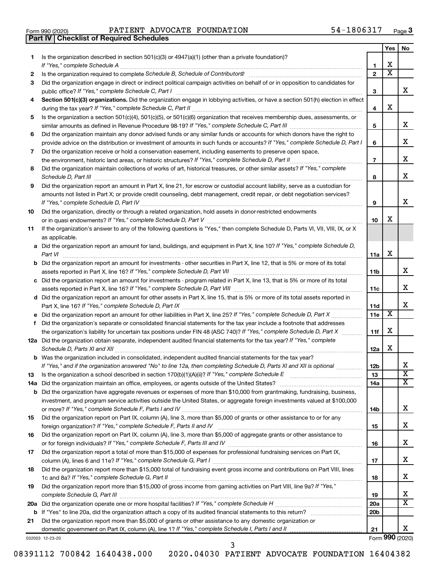|  | Form 990 (2020) |
|--|-----------------|

**Part IV Checklist of Required Schedules**

Form 990 (2020) **PATIENT ADVOCATE FOUNDATION** 54-1806317  $_{\text{Page}}$ 

|    |                                                                                                                                                                                                                                                                                                               |                   | Yes | No                      |
|----|---------------------------------------------------------------------------------------------------------------------------------------------------------------------------------------------------------------------------------------------------------------------------------------------------------------|-------------------|-----|-------------------------|
| 1  | Is the organization described in section $501(c)(3)$ or $4947(a)(1)$ (other than a private foundation)?                                                                                                                                                                                                       |                   | х   |                         |
|    | If "Yes," complete Schedule A                                                                                                                                                                                                                                                                                 | 1<br>$\mathbf{2}$ | х   |                         |
| 2  | Is the organization required to complete Schedule B, Schedule of Contributors? [11] Content of the organization required to complete Schedule B, Schedule of Contributors?<br>Did the organization engage in direct or indirect political campaign activities on behalf of or in opposition to candidates for |                   |     |                         |
| 3  |                                                                                                                                                                                                                                                                                                               |                   |     | X.                      |
| 4  | public office? If "Yes," complete Schedule C, Part I<br>Section 501(c)(3) organizations. Did the organization engage in lobbying activities, or have a section 501(h) election in effect                                                                                                                      | 3                 |     |                         |
|    |                                                                                                                                                                                                                                                                                                               | 4                 | х   |                         |
| 5  | Is the organization a section 501(c)(4), 501(c)(5), or 501(c)(6) organization that receives membership dues, assessments, or                                                                                                                                                                                  |                   |     |                         |
|    |                                                                                                                                                                                                                                                                                                               | 5                 |     | x                       |
| 6  | Did the organization maintain any donor advised funds or any similar funds or accounts for which donors have the right to                                                                                                                                                                                     |                   |     |                         |
|    | provide advice on the distribution or investment of amounts in such funds or accounts? If "Yes," complete Schedule D, Part I                                                                                                                                                                                  | 6                 |     | x.                      |
| 7  | Did the organization receive or hold a conservation easement, including easements to preserve open space,                                                                                                                                                                                                     |                   |     | х                       |
|    |                                                                                                                                                                                                                                                                                                               | $\overline{7}$    |     |                         |
| 8  | Did the organization maintain collections of works of art, historical treasures, or other similar assets? If "Yes," complete                                                                                                                                                                                  |                   |     | х                       |
|    |                                                                                                                                                                                                                                                                                                               | 8                 |     |                         |
| 9  | Did the organization report an amount in Part X, line 21, for escrow or custodial account liability, serve as a custodian for                                                                                                                                                                                 |                   |     |                         |
|    | amounts not listed in Part X; or provide credit counseling, debt management, credit repair, or debt negotiation services?                                                                                                                                                                                     | 9                 |     | x                       |
|    |                                                                                                                                                                                                                                                                                                               |                   |     |                         |
| 10 | Did the organization, directly or through a related organization, hold assets in donor-restricted endowments                                                                                                                                                                                                  | 10                | x   |                         |
|    | If the organization's answer to any of the following questions is "Yes," then complete Schedule D, Parts VI, VII, VIII, IX, or X                                                                                                                                                                              |                   |     |                         |
| 11 | as applicable.                                                                                                                                                                                                                                                                                                |                   |     |                         |
|    | a Did the organization report an amount for land, buildings, and equipment in Part X, line 10? If "Yes," complete Schedule D,                                                                                                                                                                                 |                   |     |                         |
|    | Part VI                                                                                                                                                                                                                                                                                                       | 11a               | x   |                         |
|    | <b>b</b> Did the organization report an amount for investments - other securities in Part X, line 12, that is 5% or more of its total                                                                                                                                                                         |                   |     |                         |
|    | assets reported in Part X, line 16? If "Yes," complete Schedule D, Part VII [[[[[[[[[[[[[[[[[[[[[[[[[[[[[[[[[                                                                                                                                                                                                 | 11b               |     | x.                      |
|    | c Did the organization report an amount for investments - program related in Part X, line 13, that is 5% or more of its total                                                                                                                                                                                 |                   |     |                         |
|    |                                                                                                                                                                                                                                                                                                               | 11c               |     | x                       |
|    | d Did the organization report an amount for other assets in Part X, line 15, that is 5% or more of its total assets reported in                                                                                                                                                                               |                   |     |                         |
|    |                                                                                                                                                                                                                                                                                                               | 11d               |     | x                       |
| е  |                                                                                                                                                                                                                                                                                                               | 11e               | х   |                         |
| f  | Did the organization's separate or consolidated financial statements for the tax year include a footnote that addresses                                                                                                                                                                                       |                   |     |                         |
|    | the organization's liability for uncertain tax positions under FIN 48 (ASC 740)? If "Yes," complete Schedule D, Part X                                                                                                                                                                                        | 11f               | х   |                         |
|    | 12a Did the organization obtain separate, independent audited financial statements for the tax year? If "Yes," complete                                                                                                                                                                                       |                   |     |                         |
|    |                                                                                                                                                                                                                                                                                                               | 12a               | х   |                         |
|    | <b>b</b> Was the organization included in consolidated, independent audited financial statements for the tax year?                                                                                                                                                                                            |                   |     |                         |
|    | If "Yes," and if the organization answered "No" to line 12a, then completing Schedule D, Parts XI and XII is optional                                                                                                                                                                                         | 12 <sub>b</sub>   |     | x                       |
| 13 |                                                                                                                                                                                                                                                                                                               | 13                |     | $\overline{\textbf{X}}$ |
|    |                                                                                                                                                                                                                                                                                                               | 14a               |     | x                       |
|    | <b>b</b> Did the organization have aggregate revenues or expenses of more than \$10,000 from grantmaking, fundraising, business,                                                                                                                                                                              |                   |     |                         |
|    | investment, and program service activities outside the United States, or aggregate foreign investments valued at \$100,000                                                                                                                                                                                    |                   |     |                         |
|    |                                                                                                                                                                                                                                                                                                               | 14b               |     | x                       |
| 15 | Did the organization report on Part IX, column (A), line 3, more than \$5,000 of grants or other assistance to or for any                                                                                                                                                                                     |                   |     |                         |
|    |                                                                                                                                                                                                                                                                                                               | 15                |     | x                       |
| 16 | Did the organization report on Part IX, column (A), line 3, more than \$5,000 of aggregate grants or other assistance to                                                                                                                                                                                      |                   |     | x                       |
|    |                                                                                                                                                                                                                                                                                                               | 16                |     |                         |
| 17 | Did the organization report a total of more than \$15,000 of expenses for professional fundraising services on Part IX,                                                                                                                                                                                       |                   |     | x                       |
| 18 | Did the organization report more than \$15,000 total of fundraising event gross income and contributions on Part VIII, lines                                                                                                                                                                                  | 17                |     |                         |
|    |                                                                                                                                                                                                                                                                                                               | 18                |     | x                       |
| 19 | Did the organization report more than \$15,000 of gross income from gaming activities on Part VIII, line 9a? If "Yes,"                                                                                                                                                                                        |                   |     |                         |
|    |                                                                                                                                                                                                                                                                                                               | 19                |     | х                       |
|    |                                                                                                                                                                                                                                                                                                               | 20a               |     | х                       |
|    |                                                                                                                                                                                                                                                                                                               | 20 <sub>b</sub>   |     |                         |
| 21 | Did the organization report more than \$5,000 of grants or other assistance to any domestic organization or                                                                                                                                                                                                   |                   |     |                         |
|    |                                                                                                                                                                                                                                                                                                               | 21                |     | x                       |
|    |                                                                                                                                                                                                                                                                                                               |                   |     |                         |

032003 12-23-20

Form (2020) **990**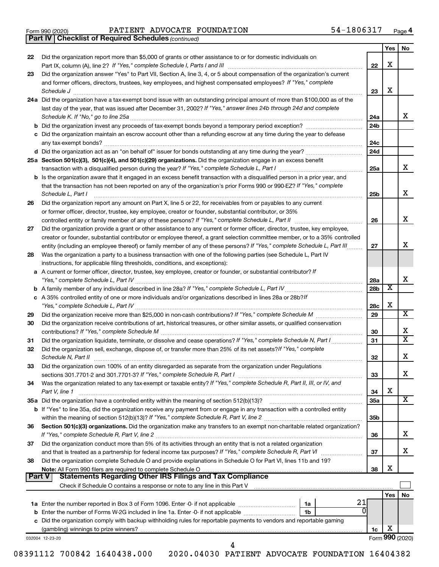|  | Form 990 (2020) |
|--|-----------------|
|  |                 |

Form 990 (2020) **PATIENT ADVOCATE FOUNDATION** 54-1806317  $_{\text{Page}}$ 

*(continued)* **Part IV Checklist of Required Schedules**

|        |                                                                                                                                    |                 | Yes                     | No                      |
|--------|------------------------------------------------------------------------------------------------------------------------------------|-----------------|-------------------------|-------------------------|
| 22     | Did the organization report more than \$5,000 of grants or other assistance to or for domestic individuals on                      |                 |                         |                         |
|        |                                                                                                                                    | 22              | х                       |                         |
| 23     | Did the organization answer "Yes" to Part VII, Section A, line 3, 4, or 5 about compensation of the organization's current         |                 |                         |                         |
|        | and former officers, directors, trustees, key employees, and highest compensated employees? If "Yes," complete                     |                 |                         |                         |
|        |                                                                                                                                    | 23              | х                       |                         |
|        | 24a Did the organization have a tax-exempt bond issue with an outstanding principal amount of more than \$100,000 as of the        |                 |                         |                         |
|        | last day of the year, that was issued after December 31, 2002? If "Yes," answer lines 24b through 24d and complete                 |                 |                         |                         |
|        |                                                                                                                                    | 24a             |                         | x                       |
|        |                                                                                                                                    | 24 <sub>b</sub> |                         |                         |
|        | c Did the organization maintain an escrow account other than a refunding escrow at any time during the year to defease             |                 |                         |                         |
|        |                                                                                                                                    | 24c             |                         |                         |
|        |                                                                                                                                    | 24d             |                         |                         |
|        | 25a Section 501(c)(3), 501(c)(4), and 501(c)(29) organizations. Did the organization engage in an excess benefit                   |                 |                         |                         |
|        |                                                                                                                                    | 25a             |                         | x                       |
|        |                                                                                                                                    |                 |                         |                         |
|        | b Is the organization aware that it engaged in an excess benefit transaction with a disqualified person in a prior year, and       |                 |                         |                         |
|        | that the transaction has not been reported on any of the organization's prior Forms 990 or 990-EZ? If "Yes," complete              |                 |                         | x.                      |
|        | Schedule L, Part I                                                                                                                 | 25b             |                         |                         |
| 26     | Did the organization report any amount on Part X, line 5 or 22, for receivables from or payables to any current                    |                 |                         |                         |
|        | or former officer, director, trustee, key employee, creator or founder, substantial contributor, or 35%                            |                 |                         |                         |
|        |                                                                                                                                    | 26              |                         | x                       |
| 27     | Did the organization provide a grant or other assistance to any current or former officer, director, trustee, key employee,        |                 |                         |                         |
|        | creator or founder, substantial contributor or employee thereof, a grant selection committee member, or to a 35% controlled        |                 |                         |                         |
|        | entity (including an employee thereof) or family member of any of these persons? If "Yes," complete Schedule L, Part III           | 27              |                         | x.                      |
| 28     | Was the organization a party to a business transaction with one of the following parties (see Schedule L, Part IV                  |                 |                         |                         |
|        | instructions, for applicable filing thresholds, conditions, and exceptions):                                                       |                 |                         |                         |
|        | a A current or former officer, director, trustee, key employee, creator or founder, or substantial contributor? If                 |                 |                         |                         |
|        |                                                                                                                                    | 28a             |                         | X.                      |
|        |                                                                                                                                    | 28b             | $\overline{\mathbf{X}}$ |                         |
|        | c A 35% controlled entity of one or more individuals and/or organizations described in lines 28a or 28b?/f                         |                 |                         |                         |
|        |                                                                                                                                    | 28c             | х                       |                         |
| 29     |                                                                                                                                    | 29              |                         | $\overline{\text{X}}$   |
| 30     | Did the organization receive contributions of art, historical treasures, or other similar assets, or qualified conservation        |                 |                         |                         |
|        |                                                                                                                                    | 30              |                         | х                       |
| 31     | Did the organization liquidate, terminate, or dissolve and cease operations? If "Yes," complete Schedule N, Part I                 | 31              |                         | $\overline{\texttt{x}}$ |
| 32     | Did the organization sell, exchange, dispose of, or transfer more than 25% of its net assets? If "Yes," complete                   |                 |                         |                         |
|        | Schedule N, Part II                                                                                                                | 32              |                         | x                       |
| 33     | Did the organization own 100% of an entity disregarded as separate from the organization under Regulations                         |                 |                         |                         |
|        |                                                                                                                                    | 33              |                         | х                       |
| 34     | Was the organization related to any tax-exempt or taxable entity? If "Yes," complete Schedule R, Part II, III, or IV, and          |                 |                         |                         |
|        | Part V, line 1                                                                                                                     | 34              | х                       |                         |
|        | 35a Did the organization have a controlled entity within the meaning of section 512(b)(13)?                                        | 35a             |                         | х                       |
|        |                                                                                                                                    |                 |                         |                         |
|        | <b>b</b> If "Yes" to line 35a, did the organization receive any payment from or engage in any transaction with a controlled entity | 35b             |                         |                         |
|        |                                                                                                                                    |                 |                         |                         |
| 36     | Section 501(c)(3) organizations. Did the organization make any transfers to an exempt non-charitable related organization?         |                 |                         | х                       |
|        | If "Yes," complete Schedule R, Part V, line 2                                                                                      | 36              |                         |                         |
| 37     | Did the organization conduct more than 5% of its activities through an entity that is not a related organization                   |                 |                         | х                       |
|        |                                                                                                                                    | 37              |                         |                         |
| 38     | Did the organization complete Schedule O and provide explanations in Schedule O for Part VI, lines 11b and 19?                     |                 |                         |                         |
|        | Note: All Form 990 filers are required to complete Schedule O                                                                      | 38              | X                       |                         |
| Part V | <b>Statements Regarding Other IRS Filings and Tax Compliance</b>                                                                   |                 |                         |                         |
|        | Check if Schedule O contains a response or note to any line in this Part V [11] [12] [2] [2] [2] [2] [3] [3] [                     |                 |                         |                         |
|        |                                                                                                                                    |                 | Yes                     | No                      |
|        | 21<br>1a                                                                                                                           |                 |                         |                         |
| b      | 0<br>Enter the number of Forms W-2G included in line 1a. Enter -0- if not applicable<br>1 <sub>b</sub>                             |                 |                         |                         |
|        | c Did the organization comply with backup withholding rules for reportable payments to vendors and reportable gaming               |                 |                         |                         |
|        |                                                                                                                                    | 1c              | X                       |                         |
|        | 032004 12-23-20                                                                                                                    |                 |                         | Form 990 (2020)         |
|        | 4                                                                                                                                  |                 |                         |                         |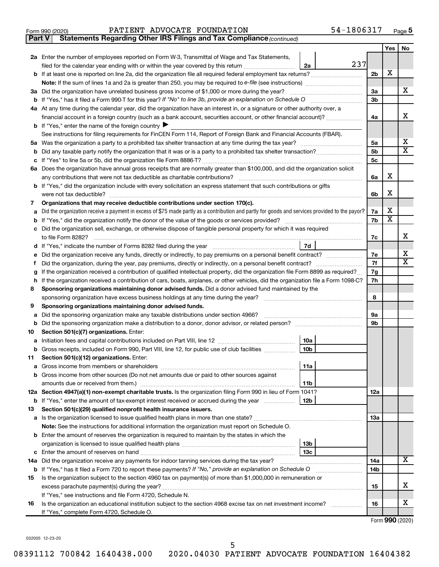| Form 990 (2020) | ADVOCATE FOUNDATION<br>PATIENT | 806317<br>- 4د<br>Page |
|-----------------|--------------------------------|------------------------|
|-----------------|--------------------------------|------------------------|

**Part V Statements Regarding Other IRS Filings and Tax Compliance**

*(continued)*

|    |                                                                                                                                                 |                | Yes                   | No                      |  |
|----|-------------------------------------------------------------------------------------------------------------------------------------------------|----------------|-----------------------|-------------------------|--|
|    | 2a Enter the number of employees reported on Form W-3, Transmittal of Wage and Tax Statements,                                                  |                |                       |                         |  |
|    | 237<br>filed for the calendar year ending with or within the year covered by this return <i>[[[[[[[[[[[[[[]]]</i> ]]<br>2a                      |                |                       |                         |  |
|    |                                                                                                                                                 | 2 <sub>b</sub> | X                     |                         |  |
|    |                                                                                                                                                 |                |                       |                         |  |
|    | 3a Did the organization have unrelated business gross income of \$1,000 or more during the year?                                                | За             |                       | х                       |  |
|    |                                                                                                                                                 | 3b             |                       |                         |  |
|    | 4a At any time during the calendar year, did the organization have an interest in, or a signature or other authority over, a                    |                |                       |                         |  |
|    | financial account in a foreign country (such as a bank account, securities account, or other financial account)?                                | 4a             |                       | х                       |  |
|    | <b>b</b> If "Yes," enter the name of the foreign country                                                                                        |                |                       |                         |  |
|    | See instructions for filing requirements for FinCEN Form 114, Report of Foreign Bank and Financial Accounts (FBAR).                             |                |                       |                         |  |
|    |                                                                                                                                                 | 5a             |                       | х                       |  |
| b  |                                                                                                                                                 | 5b             |                       | $\overline{\textbf{x}}$ |  |
| с  |                                                                                                                                                 | 5 <sub>c</sub> |                       |                         |  |
|    | 6a Does the organization have annual gross receipts that are normally greater than \$100,000, and did the organization solicit                  |                |                       |                         |  |
|    | any contributions that were not tax deductible as charitable contributions?                                                                     | 6a             | х                     |                         |  |
|    | b If "Yes," did the organization include with every solicitation an express statement that such contributions or gifts                          |                | X                     |                         |  |
|    | were not tax deductible?                                                                                                                        | 6b             |                       |                         |  |
| 7  | Organizations that may receive deductible contributions under section 170(c).                                                                   |                | х                     |                         |  |
|    | Did the organization receive a payment in excess of \$75 made partly as a contribution and partly for goods and services provided to the payor? | 7a<br>7b       | $\overline{\text{x}}$ |                         |  |
|    | Did the organization sell, exchange, or otherwise dispose of tangible personal property for which it was required                               |                |                       |                         |  |
| c  | to file Form 8282?                                                                                                                              | 7c             |                       | х                       |  |
| d  | 7d<br>If "Yes," indicate the number of Forms 8282 filed during the year <i>manumumumumumumumum</i>                                              |                |                       |                         |  |
|    |                                                                                                                                                 | 7e             |                       | х                       |  |
| Ť. |                                                                                                                                                 | 7f             |                       | х                       |  |
| g  | If the organization received a contribution of qualified intellectual property, did the organization file Form 8899 as required?                | 7g             |                       |                         |  |
| h  | If the organization received a contribution of cars, boats, airplanes, or other vehicles, did the organization file a Form 1098-C?              | 7h             |                       |                         |  |
| 8  | Sponsoring organizations maintaining donor advised funds. Did a donor advised fund maintained by the                                            |                |                       |                         |  |
|    | sponsoring organization have excess business holdings at any time during the year?                                                              | 8              |                       |                         |  |
| 9  | Sponsoring organizations maintaining donor advised funds.                                                                                       |                |                       |                         |  |
| а  | Did the sponsoring organization make any taxable distributions under section 4966?                                                              | 9а             |                       |                         |  |
| b  |                                                                                                                                                 | 9b             |                       |                         |  |
| 10 | Section 501(c)(7) organizations. Enter:                                                                                                         |                |                       |                         |  |
| а  | 10a                                                                                                                                             |                |                       |                         |  |
| b  | 10 <sub>b</sub><br>Gross receipts, included on Form 990, Part VIII, line 12, for public use of club facilities                                  |                |                       |                         |  |
| 11 | Section 501(c)(12) organizations. Enter:                                                                                                        |                |                       |                         |  |
|    | 11a                                                                                                                                             |                |                       |                         |  |
|    | <b>b</b> Gross income from other sources (Do not net amounts due or paid to other sources against                                               |                |                       |                         |  |
|    | 11b                                                                                                                                             |                |                       |                         |  |
|    | 12a Section 4947(a)(1) non-exempt charitable trusts. Is the organization filing Form 990 in lieu of Form 1041?                                  | 12a            |                       |                         |  |
|    | 12 <sub>b</sub><br><b>b</b> If "Yes," enter the amount of tax-exempt interest received or accrued during the year                               |                |                       |                         |  |
| 13 | Section 501(c)(29) qualified nonprofit health insurance issuers.                                                                                |                |                       |                         |  |
|    | a Is the organization licensed to issue qualified health plans in more than one state?                                                          | 1За            |                       |                         |  |
|    | Note: See the instructions for additional information the organization must report on Schedule O.                                               |                |                       |                         |  |
|    | <b>b</b> Enter the amount of reserves the organization is required to maintain by the states in which the                                       |                |                       |                         |  |
|    | 13 <sub>b</sub><br>13 <sub>c</sub>                                                                                                              |                |                       |                         |  |
|    | 14a Did the organization receive any payments for indoor tanning services during the tax year?                                                  | 14a            |                       | х                       |  |
|    | b If "Yes," has it filed a Form 720 to report these payments? If "No," provide an explanation on Schedule O                                     | 14b            |                       |                         |  |
| 15 | Is the organization subject to the section 4960 tax on payment(s) of more than \$1,000,000 in remuneration or                                   |                |                       |                         |  |
|    | excess parachute payment(s) during the year?                                                                                                    | 15             |                       | x                       |  |
|    | If "Yes," see instructions and file Form 4720, Schedule N.                                                                                      |                |                       |                         |  |
| 16 | Is the organization an educational institution subject to the section 4968 excise tax on net investment income?                                 | 16             |                       | x                       |  |
|    | If "Yes," complete Form 4720, Schedule O.                                                                                                       |                |                       |                         |  |
|    |                                                                                                                                                 |                |                       |                         |  |

Form (2020) **990**

032005 12-23-20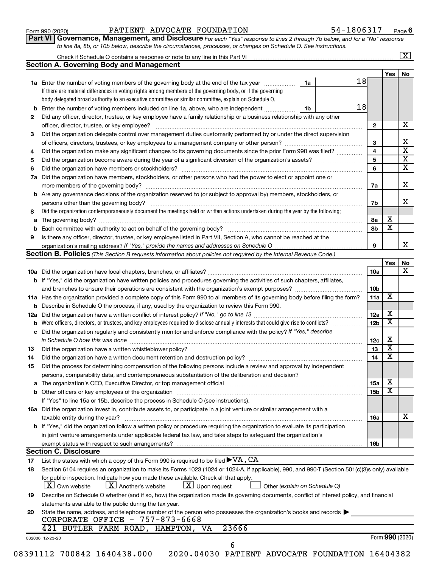#### Form 990 (2020) **PATIENT ADVOCATE FOUNDATION** 54-1806317  $_{\text{Page}}$

**Part VI** Governance, Management, and Disclosure For each "Yes" response to lines 2 through 7b below, and for a "No" response *to line 8a, 8b, or 10b below, describe the circumstances, processes, or changes on Schedule O. See instructions.*

|          | Check if Schedule O contains a response or note to any line in this Part VI [11] [11] [12] Check if Schedule O contains a response or note to any line in this Part VI                                                                  |                               |    |                         |                         | $\overline{\mathbf{X}}$ |
|----------|-----------------------------------------------------------------------------------------------------------------------------------------------------------------------------------------------------------------------------------------|-------------------------------|----|-------------------------|-------------------------|-------------------------|
|          | <b>Section A. Governing Body and Management</b>                                                                                                                                                                                         |                               |    |                         |                         |                         |
|          |                                                                                                                                                                                                                                         |                               |    |                         | <b>Yes</b>              | No                      |
|          | 1a Enter the number of voting members of the governing body at the end of the tax year                                                                                                                                                  | 1a                            | 18 |                         |                         |                         |
|          | If there are material differences in voting rights among members of the governing body, or if the governing                                                                                                                             |                               |    |                         |                         |                         |
|          | body delegated broad authority to an executive committee or similar committee, explain on Schedule O.                                                                                                                                   |                               |    |                         |                         |                         |
|          | <b>b</b> Enter the number of voting members included on line 1a, above, who are independent                                                                                                                                             | 1b                            | 18 |                         |                         |                         |
| 2        | Did any officer, director, trustee, or key employee have a family relationship or a business relationship with any other                                                                                                                |                               |    |                         |                         |                         |
|          | officer, director, trustee, or key employee?                                                                                                                                                                                            |                               |    | $\mathbf{2}$            |                         |                         |
| 3        | Did the organization delegate control over management duties customarily performed by or under the direct supervision                                                                                                                   |                               |    |                         |                         |                         |
|          |                                                                                                                                                                                                                                         |                               |    | 3                       |                         |                         |
| 4        | Did the organization make any significant changes to its governing documents since the prior Form 990 was filed?                                                                                                                        |                               |    | $\overline{\mathbf{4}}$ |                         |                         |
| 5        |                                                                                                                                                                                                                                         |                               |    | 5                       |                         |                         |
| 6        |                                                                                                                                                                                                                                         |                               |    | 6                       |                         |                         |
| 7a       | Did the organization have members, stockholders, or other persons who had the power to elect or appoint one or                                                                                                                          |                               |    |                         |                         |                         |
|          |                                                                                                                                                                                                                                         |                               |    | 7a                      |                         |                         |
|          | <b>b</b> Are any governance decisions of the organization reserved to (or subject to approval by) members, stockholders, or                                                                                                             |                               |    |                         |                         |                         |
|          | persons other than the governing body?                                                                                                                                                                                                  |                               |    | 7b                      |                         |                         |
| 8        | Did the organization contemporaneously document the meetings held or written actions undertaken during the year by the following:                                                                                                       |                               |    |                         |                         |                         |
|          |                                                                                                                                                                                                                                         |                               |    | 8a                      | Х                       |                         |
|          |                                                                                                                                                                                                                                         |                               |    | 8b                      | $\overline{\mathbf{x}}$ |                         |
| 9        | Is there any officer, director, trustee, or key employee listed in Part VII, Section A, who cannot be reached at the                                                                                                                    |                               |    |                         |                         |                         |
|          | organization's mailing address? If "Yes," provide the names and addresses on Schedule O manual content content                                                                                                                          |                               |    | 9                       |                         |                         |
|          | Section B. Policies (This Section B requests information about policies not required by the Internal Revenue Code.)                                                                                                                     |                               |    |                         |                         |                         |
|          |                                                                                                                                                                                                                                         |                               |    |                         | Yes                     |                         |
|          |                                                                                                                                                                                                                                         |                               |    | 10a                     |                         |                         |
|          | <b>b</b> If "Yes," did the organization have written policies and procedures governing the activities of such chapters, affiliates,                                                                                                     |                               |    |                         |                         |                         |
|          |                                                                                                                                                                                                                                         |                               |    | 10b                     |                         |                         |
|          |                                                                                                                                                                                                                                         |                               |    |                         | X                       |                         |
|          | 11a Has the organization provided a complete copy of this Form 990 to all members of its governing body before filing the form?                                                                                                         |                               |    | 11a                     |                         |                         |
|          | <b>b</b> Describe in Schedule O the process, if any, used by the organization to review this Form 990.                                                                                                                                  |                               |    |                         |                         |                         |
| 12a      |                                                                                                                                                                                                                                         |                               |    | 12a                     | x                       |                         |
| b        |                                                                                                                                                                                                                                         |                               |    | 12 <sub>b</sub>         | $\overline{\textbf{x}}$ |                         |
| c        | Did the organization regularly and consistently monitor and enforce compliance with the policy? If "Yes," describe                                                                                                                      |                               |    |                         |                         |                         |
|          | in Schedule O how this was done manufactured and continuum and contact the was done manufactured and contact t                                                                                                                          |                               |    | 12c                     | х                       |                         |
| 13       |                                                                                                                                                                                                                                         |                               |    | 13                      | $\overline{\textbf{x}}$ |                         |
| 14       | Did the organization have a written document retention and destruction policy? [11] manufaction manufaction in                                                                                                                          |                               |    | 14                      | $\overline{\textbf{x}}$ |                         |
| 15       | Did the process for determining compensation of the following persons include a review and approval by independent                                                                                                                      |                               |    |                         |                         |                         |
|          | persons, comparability data, and contemporaneous substantiation of the deliberation and decision?                                                                                                                                       |                               |    |                         |                         |                         |
|          |                                                                                                                                                                                                                                         |                               |    | 15a                     | х                       |                         |
|          |                                                                                                                                                                                                                                         |                               |    | 15b                     | $\overline{\textbf{x}}$ |                         |
|          | If "Yes" to line 15a or 15b, describe the process in Schedule O (see instructions).                                                                                                                                                     |                               |    |                         |                         |                         |
|          | 16a Did the organization invest in, contribute assets to, or participate in a joint venture or similar arrangement with a                                                                                                               |                               |    |                         |                         |                         |
|          | taxable entity during the year?                                                                                                                                                                                                         |                               |    | 16a                     |                         |                         |
|          | b If "Yes," did the organization follow a written policy or procedure requiring the organization to evaluate its participation                                                                                                          |                               |    |                         |                         |                         |
|          | in joint venture arrangements under applicable federal tax law, and take steps to safeguard the organization's                                                                                                                          |                               |    |                         |                         |                         |
|          | exempt status with respect to such arrangements?                                                                                                                                                                                        |                               |    | 16b                     |                         |                         |
|          | <b>Section C. Disclosure</b>                                                                                                                                                                                                            |                               |    |                         |                         |                         |
|          |                                                                                                                                                                                                                                         |                               |    |                         |                         |                         |
|          |                                                                                                                                                                                                                                         |                               |    |                         |                         |                         |
|          |                                                                                                                                                                                                                                         |                               |    |                         |                         |                         |
| 17<br>18 | Section 6104 requires an organization to make its Forms 1023 (1024 or 1024-A, if applicable), 990, and 990-T (Section 501(c)(3)s only) available<br>for public inspection. Indicate how you made these available. Check all that apply. |                               |    |                         |                         |                         |
|          | $\lfloor x \rfloor$ Another's website<br>$\lfloor x \rfloor$ Upon request<br><b>X</b> Own website                                                                                                                                       | Other (explain on Schedule O) |    |                         |                         |                         |
| 19       | Describe on Schedule O whether (and if so, how) the organization made its governing documents, conflict of interest policy, and financial                                                                                               |                               |    |                         |                         |                         |
|          | statements available to the public during the tax year.                                                                                                                                                                                 |                               |    |                         |                         |                         |
| 20       | State the name, address, and telephone number of the person who possesses the organization's books and records $\blacktriangleright$<br>CORPORATE OFFICE - 757-873-6668                                                                 |                               |    |                         |                         |                         |
|          | 421 BUTLER FARM ROAD, HAMPTON, VA<br>23666                                                                                                                                                                                              |                               |    |                         |                         |                         |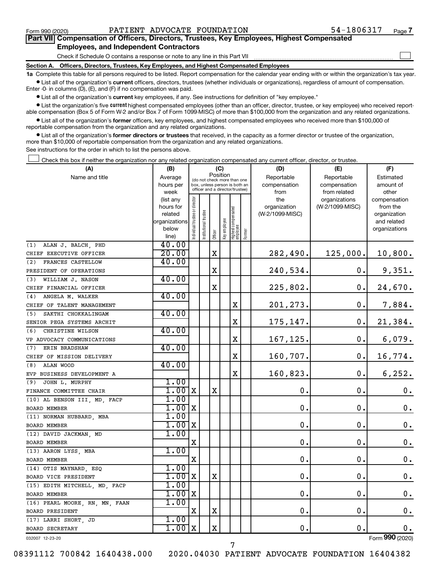$\Box$ 

| Part VII Compensation of Officers, Directors, Trustees, Key Employees, Highest Compensated |  |  |
|--------------------------------------------------------------------------------------------|--|--|
| <b>Employees, and Independent Contractors</b>                                              |  |  |

Check if Schedule O contains a response or note to any line in this Part VII

**Section A. Officers, Directors, Trustees, Key Employees, and Highest Compensated Employees**

**1a**  Complete this table for all persons required to be listed. Report compensation for the calendar year ending with or within the organization's tax year.  $\bullet$  List all of the organization's current officers, directors, trustees (whether individuals or organizations), regardless of amount of compensation.

Enter -0- in columns (D), (E), and (F) if no compensation was paid.

**•** List all of the organization's current key employees, if any. See instructions for definition of "key employee."

• List the organization's five *current* highest compensated employees (other than an officer, director, trustee, or key employee) who received reportable compensation (Box 5 of Form W-2 and/or Box 7 of Form 1099-MISC) of more than \$100,000 from the organization and any related organizations.

 $\bullet$  List all of the organization's former officers, key employees, and highest compensated employees who received more than \$100,000 of reportable compensation from the organization and any related organizations.

**•** List all of the organization's former directors or trustees that received, in the capacity as a former director or trustee of the organization, more than \$10,000 of reportable compensation from the organization and any related organizations.

See instructions for the order in which to list the persons above.

Check this box if neither the organization nor any related organization compensated any current officer, director, or trustee.  $\Box$ 

| (A)                            | (B)                      |                               |                                                                  | (C)         |              |                                  |        | (D)             | (E)             | (F)                         |
|--------------------------------|--------------------------|-------------------------------|------------------------------------------------------------------|-------------|--------------|----------------------------------|--------|-----------------|-----------------|-----------------------------|
| Name and title                 | Average                  |                               | (do not check more than one                                      | Position    |              |                                  |        | Reportable      | Reportable      | Estimated                   |
|                                | hours per                |                               | box, unless person is both an<br>officer and a director/trustee) |             |              |                                  |        | compensation    | compensation    | amount of                   |
|                                | week                     |                               |                                                                  |             |              |                                  |        | from            | from related    | other                       |
|                                | (list any                |                               |                                                                  |             |              |                                  |        | the             | organizations   | compensation                |
|                                | hours for                |                               |                                                                  |             |              |                                  |        | organization    | (W-2/1099-MISC) | from the                    |
|                                | related<br>organizations |                               | trustee                                                          |             |              |                                  |        | (W-2/1099-MISC) |                 | organization<br>and related |
|                                | below                    |                               |                                                                  |             |              |                                  |        |                 |                 | organizations               |
|                                | line)                    | ndividual trustee or director | Institutional 1                                                  | Officer     | Key employee | Highest compensated<br> employee | Former |                 |                 |                             |
| ALAN J. BALCH, PHD<br>(1)      | 40.00                    |                               |                                                                  |             |              |                                  |        |                 |                 |                             |
| CHIEF EXECUTIVE OFFICER        | 20.00                    |                               |                                                                  | $\mathbf X$ |              |                                  |        | 282,490.        | 125,000.        | 10,800.                     |
| FRANCES CASTELLOW<br>(2)       | 40.00                    |                               |                                                                  |             |              |                                  |        |                 |                 |                             |
| PRESIDENT OF OPERATIONS        |                          |                               |                                                                  | $\mathbf X$ |              |                                  |        | 240,534.        | 0.              | 9,351.                      |
| (3)<br>WILLIAM J. NASON        | 40.00                    |                               |                                                                  |             |              |                                  |        |                 |                 |                             |
| CHIEF FINANCIAL OFFICER        |                          |                               |                                                                  | X           |              |                                  |        | 225,802.        | 0.              | 24,670.                     |
| (4)<br>ANGELA M. WALKER        | 40.00                    |                               |                                                                  |             |              |                                  |        |                 |                 |                             |
| CHIEF OF TALENT MANAGEMENT     |                          |                               |                                                                  |             |              | х                                |        | 201,273.        | $\mathbf 0$ .   | 7,884.                      |
| (5)<br>SAKTHI CHOKKALINGAM     | 40.00                    |                               |                                                                  |             |              |                                  |        |                 |                 |                             |
| SENIOR PEGA SYSTEMS ARCHIT     |                          |                               |                                                                  |             |              | X                                |        | 175,147.        | 0.              | 21,384.                     |
| CHRISTINE WILSON<br>(6)        | 40.00                    |                               |                                                                  |             |              |                                  |        |                 |                 |                             |
| VP ADVOCACY COMMUNICATIONS     |                          |                               |                                                                  |             |              | $\mathbf X$                      |        | 167,125.        | $\mathbf 0$ .   | 6,079.                      |
| ERIN BRADSHAW<br>(7)           | 40.00                    |                               |                                                                  |             |              |                                  |        |                 |                 |                             |
| CHIEF OF MISSION DELIVERY      |                          |                               |                                                                  |             |              | $\mathbf X$                      |        | 160,707.        | $\mathbf 0$ .   | 16,774.                     |
| (8) ALAN WOOD                  | 40.00                    |                               |                                                                  |             |              |                                  |        |                 |                 |                             |
| EVP BUSINESS DEVELOPMENT A     |                          |                               |                                                                  |             |              | $\mathbf X$                      |        | 160,823.        | О.              | 6, 252.                     |
| (9)<br>JOHN L. MURPHY          | 1.00                     |                               |                                                                  |             |              |                                  |        |                 |                 |                             |
| FINANCE COMMITTEE CHAIR        | $1.00$ X                 |                               |                                                                  | $\mathbf X$ |              |                                  |        | О.              | О.              | $0$ .                       |
| (10) AL BENSON III, MD, FACP   | 1.00                     |                               |                                                                  |             |              |                                  |        |                 |                 |                             |
| <b>BOARD MEMBER</b>            | $1.00$ X                 |                               |                                                                  |             |              |                                  |        | $\mathbf 0$ .   | О.              | 0.                          |
| (11) NORMAN HUBBARD, MBA       | 1.00                     |                               |                                                                  |             |              |                                  |        |                 |                 |                             |
| <b>BOARD MEMBER</b>            | $1.00$ X                 |                               |                                                                  |             |              |                                  |        | 0.              | $\mathbf 0$ .   | $\mathbf 0$ .               |
| (12) DAVID JACKMAN, MD         | 1.00                     |                               |                                                                  |             |              |                                  |        |                 |                 |                             |
| <b>BOARD MEMBER</b>            |                          | X                             |                                                                  |             |              |                                  |        | $\mathbf 0$ .   | $\mathbf 0$ .   | $\boldsymbol{0}$ .          |
| (13) AARON LYSS, MBA           | 1.00                     |                               |                                                                  |             |              |                                  |        |                 |                 |                             |
| <b>BOARD MEMBER</b>            |                          | X                             |                                                                  |             |              |                                  |        | 0.              | $\mathbf 0$ .   | $\mathbf 0$ .               |
| (14) OTIS MAYNARD, ESQ         | 1.00                     |                               |                                                                  |             |              |                                  |        |                 |                 |                             |
| BOARD VICE PRESIDENT           | $1.00 \, \text{X}$       |                               |                                                                  | X           |              |                                  |        | 0.              | 0.              | 0.                          |
| (15) EDITH MITCHELL, MD, FACP  | 1.00                     |                               |                                                                  |             |              |                                  |        |                 |                 |                             |
| BOARD MEMBER                   | 1.00                     | X                             |                                                                  |             |              |                                  |        | $\mathbf 0$ .   | О.              | $\mathbf 0$ .               |
| (16) PEARL MOORE, RN, MN, FAAN | 1.00                     |                               |                                                                  |             |              |                                  |        |                 |                 |                             |
| BOARD PRESIDENT                |                          | X                             |                                                                  | X           |              |                                  |        | $\mathbf 0$ .   | $\mathbf 0$ .   | $\boldsymbol{0}$ .          |
| (17) LARRI SHORT, JD           | 1.00                     |                               |                                                                  |             |              |                                  |        |                 |                 |                             |
| <b>BOARD SECRETARY</b>         | $1.00$ X                 |                               |                                                                  | $\mathbf X$ |              |                                  |        | $0$ .           | $\mathbf 0$ .   | 0.                          |
| 032007 12-23-20                |                          |                               |                                                                  |             |              |                                  |        |                 |                 | Form 990 (2020)             |

08391112 700842 1640438.000 2020.04030 PATIENT ADVOCATE FOUNDATION 16404382

7

Form (2020) **990**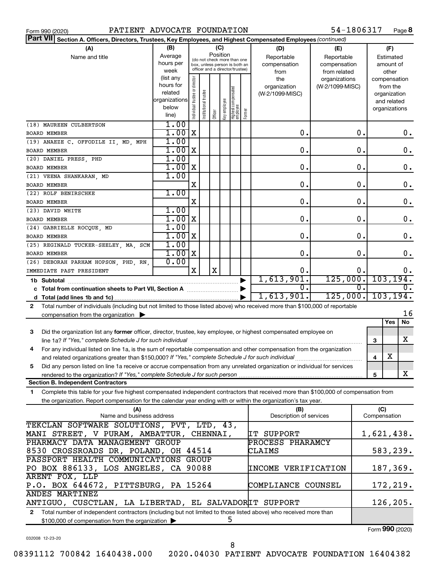|  | Form 990 (2020) |
|--|-----------------|

54-1806317 Page 8

|                                                                                                                                           | Part VII Section A. Officers, Directors, Trustees, Key Employees, and Highest Compensated Employees (continued) |                                |                      |          |              |                                 |        |                                |                 |                  |                     |                  |
|-------------------------------------------------------------------------------------------------------------------------------------------|-----------------------------------------------------------------------------------------------------------------|--------------------------------|----------------------|----------|--------------|---------------------------------|--------|--------------------------------|-----------------|------------------|---------------------|------------------|
| (A)                                                                                                                                       | (B)                                                                                                             |                                |                      |          | (C)          |                                 |        | (D)                            | (E)             |                  |                     | (F)              |
| Name and title                                                                                                                            | Average                                                                                                         |                                |                      | Position |              | (do not check more than one     |        | Reportable                     | Reportable      |                  | Estimated           |                  |
|                                                                                                                                           | hours per                                                                                                       |                                |                      |          |              | box, unless person is both an   |        | compensation                   | compensation    |                  |                     | amount of        |
|                                                                                                                                           | week                                                                                                            |                                |                      |          |              | officer and a director/trustee) |        | from                           | from related    |                  |                     | other            |
|                                                                                                                                           | (list any                                                                                                       |                                |                      |          |              |                                 |        | the                            | organizations   |                  |                     | compensation     |
|                                                                                                                                           | hours for                                                                                                       |                                |                      |          |              |                                 |        | organization                   | (W-2/1099-MISC) |                  | from the            |                  |
|                                                                                                                                           | related<br>organizations                                                                                        |                                |                      |          |              |                                 |        | (W-2/1099-MISC)                |                 |                  |                     | organization     |
|                                                                                                                                           | below                                                                                                           |                                |                      |          |              |                                 |        |                                |                 |                  |                     | and related      |
|                                                                                                                                           | line)                                                                                                           | Individual trustee or director | nstitutional trustee | Officer  | əə/oldwə Aəy | Highest compensated<br>employee | Former |                                |                 |                  |                     | organizations    |
|                                                                                                                                           | 1.00                                                                                                            |                                |                      |          |              |                                 |        |                                |                 |                  |                     |                  |
| (18) MAUREEN CULBERTSON                                                                                                                   | 1.00                                                                                                            | $\mathbf X$                    |                      |          |              |                                 |        | О.                             |                 | 0.               |                     |                  |
| <b>BOARD MEMBER</b>                                                                                                                       |                                                                                                                 |                                |                      |          |              |                                 |        |                                |                 |                  |                     | $0$ .            |
| (19) ANAEZE C. OFFODILE II, MD, MPH                                                                                                       | 1.00                                                                                                            |                                |                      |          |              |                                 |        |                                |                 |                  |                     |                  |
| BOARD MEMBER                                                                                                                              | 1.00                                                                                                            | X                              |                      |          |              |                                 |        | О.                             |                 | 0.               |                     | 0.               |
| (20) DANIEL PRESS, PHD                                                                                                                    | 1.00                                                                                                            |                                |                      |          |              |                                 |        |                                |                 |                  |                     |                  |
| BOARD MEMBER                                                                                                                              | 1.00                                                                                                            | X                              |                      |          |              |                                 |        | О.                             |                 | 0.               |                     | 0.               |
| (21) VEENA SHANKARAN, MD                                                                                                                  | 1.00                                                                                                            |                                |                      |          |              |                                 |        |                                |                 |                  |                     |                  |
| <b>BOARD MEMBER</b>                                                                                                                       |                                                                                                                 | X                              |                      |          |              |                                 |        | О.                             |                 | 0.               |                     | 0.               |
| (22) ROLF BENIRSCHKE                                                                                                                      | 1.00                                                                                                            |                                |                      |          |              |                                 |        |                                |                 |                  |                     |                  |
| <b>BOARD MEMBER</b>                                                                                                                       |                                                                                                                 | X                              |                      |          |              |                                 |        | О.                             |                 | 0.               |                     | 0.               |
| (23) DAVID WHITE                                                                                                                          | 1.00                                                                                                            |                                |                      |          |              |                                 |        |                                |                 |                  |                     |                  |
| BOARD MEMBER                                                                                                                              | 1.00                                                                                                            | X                              |                      |          |              |                                 |        | О.                             |                 | 0.               |                     | 0.               |
| (24) GABRIELLE ROCQUE, MD                                                                                                                 | 1.00                                                                                                            |                                |                      |          |              |                                 |        |                                |                 |                  |                     |                  |
| BOARD MEMBER                                                                                                                              | 1.00                                                                                                            | X                              |                      |          |              |                                 |        | О.                             |                 | 0.               |                     | 0.               |
| (25) REGINALD TUCKER-SEELEY, MA, SCM                                                                                                      | 1.00                                                                                                            |                                |                      |          |              |                                 |        |                                |                 |                  |                     |                  |
| <b>BOARD MEMBER</b>                                                                                                                       | 1.00                                                                                                            | X                              |                      |          |              |                                 |        | $\mathbf 0$ .                  |                 | $\mathbf 0$ .    |                     | 0.               |
| (26) DEBORAH PARHAM HOPSON, PHD, RN,                                                                                                      | 0.00                                                                                                            |                                |                      |          |              |                                 |        |                                |                 |                  |                     |                  |
| IMMEDIATE PAST PRESIDENT                                                                                                                  |                                                                                                                 | $\mathbf X$                    |                      | X        |              |                                 |        | 0.                             |                 | о.               |                     | 0.               |
| 1b Subtotal                                                                                                                               |                                                                                                                 |                                |                      |          |              |                                 |        | 1,613,901.                     | 125,000.        |                  |                     | 103, 194.        |
|                                                                                                                                           |                                                                                                                 |                                |                      |          |              |                                 |        | Ο.                             |                 | $\overline{0}$ . |                     | $\overline{0}$ . |
|                                                                                                                                           |                                                                                                                 |                                |                      |          |              |                                 |        | 1,613,901.                     | 125,000.        |                  |                     | 103, 194.        |
| Total number of individuals (including but not limited to those listed above) who received more than \$100,000 of reportable<br>2         |                                                                                                                 |                                |                      |          |              |                                 |        |                                |                 |                  |                     |                  |
| compensation from the organization                                                                                                        |                                                                                                                 |                                |                      |          |              |                                 |        |                                |                 |                  |                     | 16               |
|                                                                                                                                           |                                                                                                                 |                                |                      |          |              |                                 |        |                                |                 |                  | Yes                 | No               |
| Did the organization list any former officer, director, trustee, key employee, or highest compensated employee on<br>3                    |                                                                                                                 |                                |                      |          |              |                                 |        |                                |                 |                  |                     |                  |
| line 1a? If "Yes," complete Schedule J for such individual                                                                                |                                                                                                                 |                                |                      |          |              |                                 |        |                                |                 |                  | 3                   | х                |
| For any individual listed on line 1a, is the sum of reportable compensation and other compensation from the organization<br>4             |                                                                                                                 |                                |                      |          |              |                                 |        |                                |                 |                  |                     |                  |
|                                                                                                                                           |                                                                                                                 |                                |                      |          |              |                                 |        |                                |                 |                  |                     | X                |
|                                                                                                                                           |                                                                                                                 |                                |                      |          |              |                                 |        |                                |                 |                  | 4                   |                  |
| Did any person listed on line 1a receive or accrue compensation from any unrelated organization or individual for services<br>5           |                                                                                                                 |                                |                      |          |              |                                 |        |                                |                 |                  |                     | X                |
| rendered to the organization? If "Yes," complete Schedule J for such person<br><b>Section B. Independent Contractors</b>                  |                                                                                                                 |                                |                      |          |              |                                 |        |                                |                 |                  | 5                   |                  |
|                                                                                                                                           |                                                                                                                 |                                |                      |          |              |                                 |        |                                |                 |                  |                     |                  |
| Complete this table for your five highest compensated independent contractors that received more than \$100,000 of compensation from<br>1 |                                                                                                                 |                                |                      |          |              |                                 |        |                                |                 |                  |                     |                  |
| the organization. Report compensation for the calendar year ending with or within the organization's tax year.                            |                                                                                                                 |                                |                      |          |              |                                 |        |                                |                 |                  |                     |                  |
| (A)<br>Name and business address                                                                                                          |                                                                                                                 |                                |                      |          |              |                                 |        | (B)<br>Description of services |                 |                  | (C)<br>Compensation |                  |
| TEKCLAN SOFTWARE SOLUTIONS, PVT, LTD, 43,                                                                                                 |                                                                                                                 |                                |                      |          |              |                                 |        |                                |                 |                  |                     |                  |
|                                                                                                                                           |                                                                                                                 |                                |                      |          |              |                                 |        |                                |                 |                  |                     |                  |
| MANI STREET, V PURAM, AMBATTUR, CHENNAI,                                                                                                  |                                                                                                                 |                                |                      |          |              |                                 |        | IT SUPPORT                     |                 |                  |                     | 1,621,438.       |
| PHARMACY DATA MANAGEMENT GROUP                                                                                                            |                                                                                                                 |                                |                      |          |              |                                 |        | PROCESS PHARAMCY               |                 |                  |                     |                  |
| 8530 CROSSROADS DR, POLAND, OH 44514                                                                                                      |                                                                                                                 |                                |                      |          |              |                                 |        | CLAIMS                         |                 |                  |                     | 583,239.         |
| PASSPORT HEALTH COMMUNICATIONS GROUP                                                                                                      |                                                                                                                 |                                |                      |          |              |                                 |        |                                |                 |                  |                     |                  |
| PO BOX 886133, LOS ANGELES, CA 90088<br>187,369.<br>INCOME VERIFICATION                                                                   |                                                                                                                 |                                |                      |          |              |                                 |        |                                |                 |                  |                     |                  |
| <b>ARENT FOX, LLP</b>                                                                                                                     |                                                                                                                 |                                |                      |          |              |                                 |        |                                |                 |                  |                     |                  |
|                                                                                                                                           | P.O. BOX 644672, PITTSBURG, PA 15264<br>172,219.<br>COMPLIANCE COUNSEL                                          |                                |                      |          |              |                                 |        |                                |                 |                  |                     |                  |
| <b>ANDES MARTINEZ</b>                                                                                                                     |                                                                                                                 |                                |                      |          |              |                                 |        |                                |                 |                  |                     |                  |
| ANTIGUO, CUSCTLAN, LA LIBERTAD, EL SALVADORIT SUPPORT                                                                                     |                                                                                                                 |                                |                      |          |              |                                 |        |                                |                 |                  |                     | 126,205.         |
| Total number of independent contractors (including but not limited to those listed above) who received more than<br>$\mathbf{2}$          |                                                                                                                 |                                |                      |          |              |                                 |        |                                |                 |                  |                     |                  |
| \$100,000 of compensation from the organization                                                                                           |                                                                                                                 |                                |                      |          |              | 5                               |        |                                |                 |                  |                     |                  |

\$100,000 of compensation from the organization

Form (2020) **990**

032008 12-23-20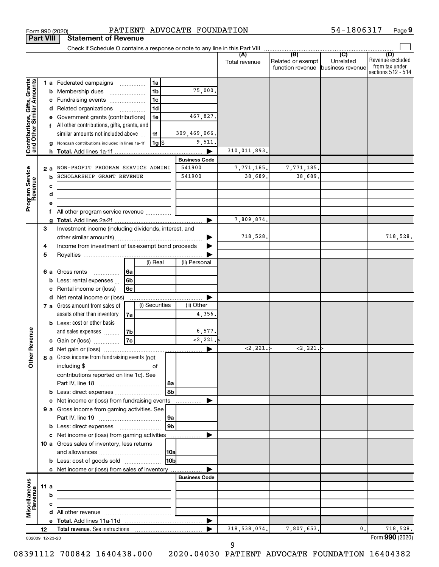|                                                           |      |                                                                                 |                                                                                    |                          |                    |                 |                      | Total revenue  | (B)<br>Related or exempt<br>function revenue | (C)<br>Unrelated<br>business revenue | (D)<br>Revenue excluded<br>from tax under<br>sections 512 - 514 |
|-----------------------------------------------------------|------|---------------------------------------------------------------------------------|------------------------------------------------------------------------------------|--------------------------|--------------------|-----------------|----------------------|----------------|----------------------------------------------|--------------------------------------|-----------------------------------------------------------------|
|                                                           |      |                                                                                 | 1 a Federated campaigns                                                            |                          | 1a                 |                 |                      |                |                                              |                                      |                                                                 |
| Contributions, Gifts, Grants<br>and Other Similar Amounts |      | b                                                                               | Membership dues<br>$\ldots \ldots \ldots \ldots \ldots$                            |                          | 1 <sub>b</sub>     |                 | 75,000.              |                |                                              |                                      |                                                                 |
|                                                           |      | с                                                                               | Fundraising events                                                                 |                          | 1 <sub>c</sub>     |                 |                      |                |                                              |                                      |                                                                 |
|                                                           |      |                                                                                 | d Related organizations                                                            | $\overline{\phantom{a}}$ | 1 <sub>d</sub>     |                 |                      |                |                                              |                                      |                                                                 |
|                                                           |      |                                                                                 | Government grants (contributions)                                                  |                          | 1e                 |                 | 467,827.             |                |                                              |                                      |                                                                 |
|                                                           |      |                                                                                 | f All other contributions, gifts, grants, and                                      |                          |                    |                 |                      |                |                                              |                                      |                                                                 |
|                                                           |      |                                                                                 | similar amounts not included above                                                 |                          | 1f                 |                 | 309,469,066.         |                |                                              |                                      |                                                                 |
|                                                           |      |                                                                                 | Noncash contributions included in lines 1a-1f                                      |                          | $1g$ $\frac{1}{3}$ |                 | 9,511.               |                |                                              |                                      |                                                                 |
|                                                           |      |                                                                                 |                                                                                    |                          |                    |                 |                      | 310,011,893.   |                                              |                                      |                                                                 |
|                                                           |      |                                                                                 |                                                                                    |                          |                    |                 | <b>Business Code</b> |                |                                              |                                      |                                                                 |
|                                                           |      | 2a                                                                              | NON-PROFIT PROGRAM SERVICE ADMINI                                                  |                          |                    |                 | 541900               | 7,771,185.     | 7,771,185.                                   |                                      |                                                                 |
|                                                           |      | b                                                                               | SCHOLARSHIP GRANT REVENUE                                                          |                          |                    |                 | 541900               | 38,689.        | 38,689.                                      |                                      |                                                                 |
|                                                           |      | c                                                                               |                                                                                    |                          |                    |                 |                      |                |                                              |                                      |                                                                 |
|                                                           |      | d<br>the control of the control of the control of the control of the control of |                                                                                    |                          |                    |                 |                      |                |                                              |                                      |                                                                 |
| Program Service<br>Revenue                                |      | е                                                                               |                                                                                    |                          |                    |                 |                      |                |                                              |                                      |                                                                 |
|                                                           |      | f                                                                               |                                                                                    |                          |                    |                 |                      |                |                                              |                                      |                                                                 |
|                                                           |      |                                                                                 |                                                                                    |                          |                    |                 | ►                    | 7,809,874.     |                                              |                                      |                                                                 |
|                                                           | 3    |                                                                                 | Investment income (including dividends, interest, and                              |                          |                    |                 |                      |                |                                              |                                      |                                                                 |
|                                                           |      |                                                                                 |                                                                                    |                          |                    |                 |                      | 718,528.       |                                              |                                      | 718,528.                                                        |
|                                                           | 4    |                                                                                 | Income from investment of tax-exempt bond proceeds                                 |                          |                    |                 |                      |                |                                              |                                      |                                                                 |
|                                                           | 5    |                                                                                 |                                                                                    |                          |                    |                 |                      |                |                                              |                                      |                                                                 |
|                                                           |      |                                                                                 |                                                                                    |                          | (i) Real           |                 | (ii) Personal        |                |                                              |                                      |                                                                 |
|                                                           |      |                                                                                 | <b>6 a</b> Gross rents<br>$\overline{\phantom{a}}$                                 | l6a                      |                    |                 |                      |                |                                              |                                      |                                                                 |
|                                                           |      | b                                                                               | Less: rental expenses                                                              | 6b                       |                    |                 |                      |                |                                              |                                      |                                                                 |
|                                                           |      | с                                                                               | Rental income or (loss)                                                            | 6с                       |                    |                 |                      |                |                                              |                                      |                                                                 |
|                                                           |      |                                                                                 | d Net rental income or (loss)                                                      |                          | (i) Securities     |                 | (ii) Other           |                |                                              |                                      |                                                                 |
|                                                           |      |                                                                                 | 7 a Gross amount from sales of                                                     |                          |                    |                 |                      |                |                                              |                                      |                                                                 |
|                                                           |      |                                                                                 | assets other than inventory                                                        | 7a                       |                    |                 | 4,356,               |                |                                              |                                      |                                                                 |
|                                                           |      |                                                                                 | <b>b</b> Less: cost or other basis                                                 |                          |                    |                 | 6,577.               |                |                                              |                                      |                                                                 |
| <b>ther Revenue</b>                                       |      |                                                                                 | and sales expenses<br>c Gain or (loss)                                             | 7b<br>7c                 |                    |                 | <2,221.              |                |                                              |                                      |                                                                 |
|                                                           |      |                                                                                 |                                                                                    |                          |                    |                 |                      | <2,221.        | $\langle 2, 221. \rangle$                    |                                      |                                                                 |
|                                                           |      |                                                                                 | 8 a Gross income from fundraising events (not                                      |                          |                    |                 |                      |                |                                              |                                      |                                                                 |
|                                                           |      |                                                                                 | including \$                                                                       |                          | of                 |                 |                      |                |                                              |                                      |                                                                 |
|                                                           |      |                                                                                 | <u> 1980 - Johann Barbara, martxa a</u><br>contributions reported on line 1c). See |                          |                    |                 |                      |                |                                              |                                      |                                                                 |
|                                                           |      |                                                                                 |                                                                                    |                          |                    | 8a              |                      |                |                                              |                                      |                                                                 |
|                                                           |      | b                                                                               | Less: direct expenses                                                              |                          |                    | 8b              |                      |                |                                              |                                      |                                                                 |
|                                                           |      | с                                                                               | Net income or (loss) from fundraising events                                       |                          |                    |                 |                      |                |                                              |                                      |                                                                 |
|                                                           |      |                                                                                 | 9 a Gross income from gaming activities. See                                       |                          |                    |                 |                      |                |                                              |                                      |                                                                 |
|                                                           |      |                                                                                 |                                                                                    |                          |                    | 9a              |                      |                |                                              |                                      |                                                                 |
|                                                           |      |                                                                                 |                                                                                    |                          |                    | 9 <sub>b</sub>  |                      |                |                                              |                                      |                                                                 |
|                                                           |      |                                                                                 | c Net income or (loss) from gaming activities                                      |                          |                    |                 |                      |                |                                              |                                      |                                                                 |
|                                                           |      |                                                                                 | 10 a Gross sales of inventory, less returns                                        |                          |                    |                 |                      |                |                                              |                                      |                                                                 |
|                                                           |      |                                                                                 |                                                                                    |                          |                    | 10a             |                      |                |                                              |                                      |                                                                 |
|                                                           |      |                                                                                 | <b>b</b> Less: cost of goods sold                                                  |                          |                    | 10 <sub>b</sub> |                      |                |                                              |                                      |                                                                 |
|                                                           |      |                                                                                 | c Net income or (loss) from sales of inventory                                     |                          |                    |                 |                      |                |                                              |                                      |                                                                 |
|                                                           |      |                                                                                 |                                                                                    |                          |                    |                 | <b>Business Code</b> |                |                                              |                                      |                                                                 |
|                                                           | 11 a |                                                                                 | the control of the control of the control of the control of the control of         |                          |                    |                 |                      |                |                                              |                                      |                                                                 |
|                                                           |      | b                                                                               |                                                                                    |                          |                    |                 |                      |                |                                              |                                      |                                                                 |
| Miscellaneous<br>Revenue                                  |      | c                                                                               | the control of the control of the control of the control of                        |                          |                    |                 |                      |                |                                              |                                      |                                                                 |
|                                                           |      |                                                                                 |                                                                                    |                          |                    |                 |                      |                |                                              |                                      |                                                                 |
|                                                           |      |                                                                                 |                                                                                    |                          |                    |                 |                      |                |                                              |                                      |                                                                 |
|                                                           | 12   |                                                                                 |                                                                                    |                          |                    |                 |                      | 318, 538, 074. | 7,807,653.                                   | 0.                                   | 718,528.                                                        |

Form 990 (2020) **PATIENT ADVOCATE FOUNDATION** 54-1806317 Page

**9**

**Part VIII Statement of Revenue**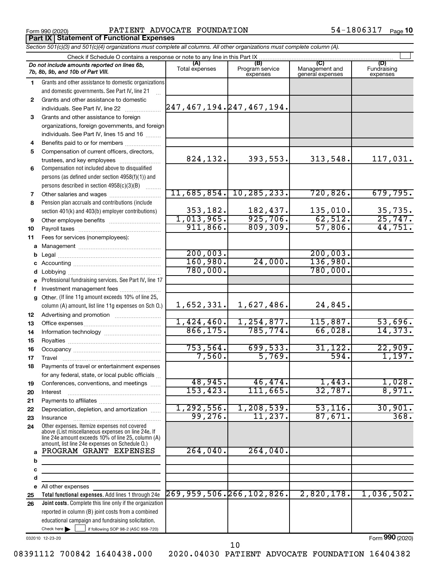Form 990 (2020) **PATIENT ADVOCATE FOUNDATION** 54-1806317  $_{\text{Page}}$ **Part IX Statement of Functional Expenses**

54-1806317 Page 10

|    | Section 501(c)(3) and 501(c)(4) organizations must complete all columns. All other organizations must complete column (A).                                                                                 |                         |                                    |                                           |                                |  |  |  |  |  |  |
|----|------------------------------------------------------------------------------------------------------------------------------------------------------------------------------------------------------------|-------------------------|------------------------------------|-------------------------------------------|--------------------------------|--|--|--|--|--|--|
|    | Check if Schedule O contains a response or note to any line in this Part IX.                                                                                                                               |                         |                                    |                                           |                                |  |  |  |  |  |  |
|    | Do not include amounts reported on lines 6b,<br>7b, 8b, 9b, and 10b of Part VIII.                                                                                                                          | (A)<br>Total expenses   | (B)<br>Program service<br>expenses | (C)<br>Management and<br>general expenses | (D)<br>Fundraising<br>expenses |  |  |  |  |  |  |
| 1  | Grants and other assistance to domestic organizations                                                                                                                                                      |                         |                                    |                                           |                                |  |  |  |  |  |  |
|    | and domestic governments. See Part IV, line 21                                                                                                                                                             |                         |                                    |                                           |                                |  |  |  |  |  |  |
| 2  | Grants and other assistance to domestic                                                                                                                                                                    |                         |                                    |                                           |                                |  |  |  |  |  |  |
|    | individuals. See Part IV, line 22                                                                                                                                                                          |                         | 247,467,194.247,467,194.           |                                           |                                |  |  |  |  |  |  |
| 3  | Grants and other assistance to foreign                                                                                                                                                                     |                         |                                    |                                           |                                |  |  |  |  |  |  |
|    | organizations, foreign governments, and foreign                                                                                                                                                            |                         |                                    |                                           |                                |  |  |  |  |  |  |
|    | individuals. See Part IV, lines 15 and 16                                                                                                                                                                  |                         |                                    |                                           |                                |  |  |  |  |  |  |
| 4  | Benefits paid to or for members                                                                                                                                                                            |                         |                                    |                                           |                                |  |  |  |  |  |  |
| 5  | Compensation of current officers, directors,                                                                                                                                                               |                         |                                    |                                           |                                |  |  |  |  |  |  |
|    | trustees, and key employees                                                                                                                                                                                | 824,132.                | 393,553.                           | 313,548.                                  | 117,031.                       |  |  |  |  |  |  |
| 6  | Compensation not included above to disqualified                                                                                                                                                            |                         |                                    |                                           |                                |  |  |  |  |  |  |
|    | persons (as defined under section 4958(f)(1)) and                                                                                                                                                          |                         |                                    |                                           |                                |  |  |  |  |  |  |
|    | persons described in section 4958(c)(3)(B)                                                                                                                                                                 |                         |                                    |                                           |                                |  |  |  |  |  |  |
| 7  |                                                                                                                                                                                                            |                         | $11,685,854.$ 10, 285, 233.        | 720,826.                                  | 679,795.                       |  |  |  |  |  |  |
| 8  | Pension plan accruals and contributions (include                                                                                                                                                           |                         |                                    |                                           |                                |  |  |  |  |  |  |
|    | section 401(k) and 403(b) employer contributions)                                                                                                                                                          | 353,182.                | 182,437.<br>925,706.               | 135,010.                                  | $\frac{35,735}{25,747}$        |  |  |  |  |  |  |
| 9  | Other employee benefits                                                                                                                                                                                    | 1,013,965.              |                                    | 62,512.                                   |                                |  |  |  |  |  |  |
| 10 |                                                                                                                                                                                                            | 911,866.                | 809,309.                           | 57,806.                                   | 44,751.                        |  |  |  |  |  |  |
| 11 | Fees for services (nonemployees):                                                                                                                                                                          |                         |                                    |                                           |                                |  |  |  |  |  |  |
|    |                                                                                                                                                                                                            |                         |                                    |                                           |                                |  |  |  |  |  |  |
|    |                                                                                                                                                                                                            | 200,003.                |                                    | 200,003.                                  |                                |  |  |  |  |  |  |
|    |                                                                                                                                                                                                            | 160,980.                | 24,000.                            | 136,980.                                  |                                |  |  |  |  |  |  |
|    |                                                                                                                                                                                                            | 780,000.                |                                    | 780,000.                                  |                                |  |  |  |  |  |  |
| е  | Professional fundraising services. See Part IV, line 17                                                                                                                                                    |                         |                                    |                                           |                                |  |  |  |  |  |  |
|    | Investment management fees                                                                                                                                                                                 |                         |                                    |                                           |                                |  |  |  |  |  |  |
|    | g Other. (If line 11g amount exceeds 10% of line 25,                                                                                                                                                       |                         |                                    |                                           |                                |  |  |  |  |  |  |
|    | column (A) amount, list line 11g expenses on Sch O.)                                                                                                                                                       | 1,652,331.              | 1,627,486.                         | 24,845.                                   |                                |  |  |  |  |  |  |
| 12 |                                                                                                                                                                                                            |                         |                                    |                                           |                                |  |  |  |  |  |  |
| 13 |                                                                                                                                                                                                            | 1,424,460.              | 1, 254, 877.                       | 115,887.                                  | 53,696.                        |  |  |  |  |  |  |
| 14 |                                                                                                                                                                                                            | 866, 175.               | 785, 774.                          | 66,028.                                   | 14,373.                        |  |  |  |  |  |  |
| 15 |                                                                                                                                                                                                            |                         |                                    |                                           |                                |  |  |  |  |  |  |
| 16 |                                                                                                                                                                                                            | 753,564.                | 699,533.                           | 31, 122.                                  | 22,909.                        |  |  |  |  |  |  |
| 17 |                                                                                                                                                                                                            | 7,560.                  | 5,769.                             | 594.                                      | 1,197.                         |  |  |  |  |  |  |
| 18 | Payments of travel or entertainment expenses                                                                                                                                                               |                         |                                    |                                           |                                |  |  |  |  |  |  |
|    | for any federal, state, or local public officials                                                                                                                                                          |                         |                                    |                                           |                                |  |  |  |  |  |  |
| 19 | Conferences, conventions, and meetings                                                                                                                                                                     | 48,945.                 | 46,474.                            | 1,443.                                    | 1,028.                         |  |  |  |  |  |  |
| 20 | Interest                                                                                                                                                                                                   | 153, 423.               | 111,665.                           | 32,787.                                   | 8,971.                         |  |  |  |  |  |  |
| 21 |                                                                                                                                                                                                            |                         |                                    | 53, 116.                                  |                                |  |  |  |  |  |  |
| 22 | Depreciation, depletion, and amortization                                                                                                                                                                  | 1, 292, 556.<br>99,276. | 1, 208, 539.<br>11,237.            | 87,671.                                   | 30,901.<br>368.                |  |  |  |  |  |  |
| 23 | Insurance                                                                                                                                                                                                  |                         |                                    |                                           |                                |  |  |  |  |  |  |
| 24 | Other expenses. Itemize expenses not covered<br>above (List miscellaneous expenses on line 24e. If<br>line 24e amount exceeds 10% of line 25, column (A)<br>amount, list line 24e expenses on Schedule O.) |                         |                                    |                                           |                                |  |  |  |  |  |  |
| a  | PROGRAM GRANT EXPENSES                                                                                                                                                                                     | 264,040.                | 264,040.                           |                                           |                                |  |  |  |  |  |  |
| b  |                                                                                                                                                                                                            |                         |                                    |                                           |                                |  |  |  |  |  |  |
| с  |                                                                                                                                                                                                            |                         |                                    |                                           |                                |  |  |  |  |  |  |
| d  |                                                                                                                                                                                                            |                         |                                    |                                           |                                |  |  |  |  |  |  |
|    | e All other expenses                                                                                                                                                                                       |                         |                                    |                                           |                                |  |  |  |  |  |  |
| 25 | Total functional expenses. Add lines 1 through 24e                                                                                                                                                         |                         | $269, 959, 506.$ $266, 102, 826.$  | 2,820,178.                                | 1,036,502.                     |  |  |  |  |  |  |
| 26 | Joint costs. Complete this line only if the organization                                                                                                                                                   |                         |                                    |                                           |                                |  |  |  |  |  |  |
|    | reported in column (B) joint costs from a combined                                                                                                                                                         |                         |                                    |                                           |                                |  |  |  |  |  |  |
|    | educational campaign and fundraising solicitation.                                                                                                                                                         |                         |                                    |                                           |                                |  |  |  |  |  |  |
|    | Check here $\blacktriangleright$<br>if following SOP 98-2 (ASC 958-720)                                                                                                                                    |                         |                                    |                                           |                                |  |  |  |  |  |  |

032010 12-23-20

Form (2020) **990**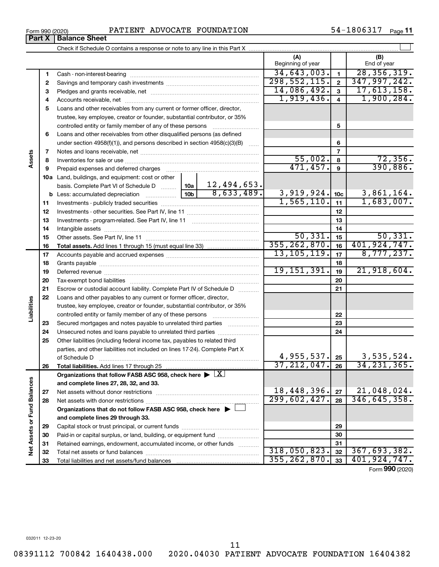08391112 700842 1640438.000 2020.04030 PATIENT ADVOCATE FOUNDATION 16404382

# Form 990 (2020) **PATIENT ADVOCATE FOUNDATION** 54-1806317  $_{\text{Page}}$

54-1806317 Page 11

|                             | Part X | <b>Balance Sheet</b>                                                                                   |                          |                 |                    |
|-----------------------------|--------|--------------------------------------------------------------------------------------------------------|--------------------------|-----------------|--------------------|
|                             |        |                                                                                                        |                          |                 |                    |
|                             |        |                                                                                                        | (A)<br>Beginning of year |                 | (B)<br>End of year |
|                             | 1      |                                                                                                        | 34,643,003.              | $\mathbf{1}$    | 28, 356, 319.      |
|                             | 2      |                                                                                                        | 298, 552, 115.           | $\overline{2}$  | 347,997,242.       |
|                             | 3      |                                                                                                        | 14,086,492.              | 3               | 17,613,158.        |
|                             | 4      |                                                                                                        | 1,919,436.               | 4               | 1,900,284.         |
|                             | 5      | Loans and other receivables from any current or former officer, director,                              |                          |                 |                    |
|                             |        | trustee, key employee, creator or founder, substantial contributor, or 35%                             |                          |                 |                    |
|                             |        |                                                                                                        |                          | 5               |                    |
|                             | 6      | Loans and other receivables from other disqualified persons (as defined                                |                          |                 |                    |
|                             |        | under section $4958(f)(1)$ , and persons described in section $4958(c)(3)(B)$                          |                          | 6               |                    |
|                             | 7      |                                                                                                        |                          | 7               |                    |
| Assets                      | 8      |                                                                                                        | 55,002.                  | 8               | 72,356.            |
|                             | 9      |                                                                                                        | 471, 457.                | 9               | 390,886.           |
|                             |        | <b>10a</b> Land, buildings, and equipment: cost or other                                               |                          |                 |                    |
|                             |        | 12,494,653.<br>basis. Complete Part VI of Schedule D  10a                                              |                          |                 |                    |
|                             |        | $\overline{8,633,489.}$<br><b>b</b> Less: accumulated depreciation <b></b> 10b                         | 3,919,924.               | 10 <sub>c</sub> | 3,861,164.         |
|                             | 11     |                                                                                                        | 1,565,110.               | 11              | 1,683,007.         |
|                             | 12     |                                                                                                        |                          | 12              |                    |
|                             | 13     |                                                                                                        |                          | 13              |                    |
|                             | 14     |                                                                                                        |                          | 14              |                    |
|                             | 15     |                                                                                                        | 50,331.                  | 15              | 50, 331.           |
|                             | 16     |                                                                                                        | 355, 262, 870.           | 16              | 401,924,747.       |
|                             | 17     |                                                                                                        | 13, 105, 119.            | 17              | 8,777,237.         |
|                             | 18     |                                                                                                        |                          | 18              |                    |
|                             | 19     |                                                                                                        | 19, 151, 391.            | 19              | 21,918,604.        |
|                             | 20     |                                                                                                        |                          | 20              |                    |
|                             | 21     | Escrow or custodial account liability. Complete Part IV of Schedule D                                  |                          | 21              |                    |
| Liabilities                 | 22     | Loans and other payables to any current or former officer, director,                                   |                          |                 |                    |
|                             |        | trustee, key employee, creator or founder, substantial contributor, or 35%                             |                          |                 |                    |
|                             |        | controlled entity or family member of any of these persons                                             |                          | 22              |                    |
|                             | 23     | Secured mortgages and notes payable to unrelated third parties                                         |                          | 23              |                    |
|                             | 24     | Unsecured notes and loans payable to unrelated third parties                                           |                          | 24              |                    |
|                             | 25     | Other liabilities (including federal income tax, payables to related third                             |                          |                 |                    |
|                             |        | parties, and other liabilities not included on lines 17-24). Complete Part X<br>of Schedule D          | 4,955,537.               | 25              | 3,535,524.         |
|                             | 26     | Total liabilities. Add lines 17 through 25                                                             | 37, 212, 047.            | 26              | 34, 231, 365.      |
|                             |        | Organizations that follow FASB ASC 958, check here $\blacktriangleright \lfloor \underline{X} \rfloor$ |                          |                 |                    |
|                             |        | and complete lines 27, 28, 32, and 33.                                                                 |                          |                 |                    |
|                             | 27     |                                                                                                        | 18,448,396.              | 27              | 21,048,024.        |
|                             | 28     |                                                                                                        | 299,602,427.             | 28              | 346, 645, 358.     |
|                             |        | Organizations that do not follow FASB ASC 958, check here $\blacktriangleright$                        |                          |                 |                    |
|                             |        | and complete lines 29 through 33.                                                                      |                          |                 |                    |
|                             | 29     |                                                                                                        |                          | 29              |                    |
|                             | 30     | Paid-in or capital surplus, or land, building, or equipment fund                                       |                          | 30              |                    |
| Net Assets or Fund Balances | 31     | Retained earnings, endowment, accumulated income, or other funds                                       |                          | 31              |                    |
|                             | 32     |                                                                                                        | 318,050,823.             | 32              | 367,693,382.       |
|                             | 33     |                                                                                                        | 355, 262, 870.           | 33              | 401,924,747.       |
|                             |        |                                                                                                        |                          |                 |                    |

11

Form (2020) **990**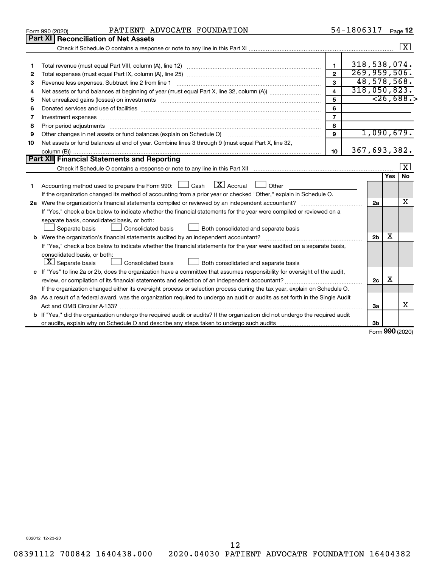|    | PATIENT ADVOCATE FOUNDATION<br>Form 990 (2020)                                                                                                                                                                                 |                | 54-1806317 |                |                             | Page 12              |
|----|--------------------------------------------------------------------------------------------------------------------------------------------------------------------------------------------------------------------------------|----------------|------------|----------------|-----------------------------|----------------------|
|    | Part XI<br><b>Reconciliation of Net Assets</b>                                                                                                                                                                                 |                |            |                |                             |                      |
|    |                                                                                                                                                                                                                                |                |            |                |                             | $\boxed{\mathbf{X}}$ |
|    |                                                                                                                                                                                                                                |                |            |                |                             |                      |
| 1  |                                                                                                                                                                                                                                | $\mathbf{1}$   |            | 318,538,074.   |                             |                      |
| 2  |                                                                                                                                                                                                                                |                |            | 269,959,506.   |                             |                      |
| З  | Revenue less expenses. Subtract line 2 from line 1                                                                                                                                                                             | $\mathbf{3}$   |            | 48,578,568.    |                             |                      |
| 4  |                                                                                                                                                                                                                                | $\overline{4}$ |            | 318,050,823.   |                             |                      |
| 5  | Net unrealized gains (losses) on investments [11] matter contracts and the state of the state of the state of the state of the state of the state of the state of the state of the state of the state of the state of the stat | 5              |            |                |                             | < 26,688.            |
| 6  |                                                                                                                                                                                                                                | 6              |            |                |                             |                      |
| 7  | Investment expenses www.communication.com/www.communication.com/www.communication.com/www.com                                                                                                                                  | $\overline{7}$ |            |                |                             |                      |
| 8  | Prior period adjustments material contents and content and content and content and content and content and content and content and content and content and content and content and content and content and content and content | 8              |            |                |                             |                      |
| 9  | Other changes in net assets or fund balances (explain on Schedule O)                                                                                                                                                           | $\mathbf{q}$   |            | 1,090,679.     |                             |                      |
| 10 | Net assets or fund balances at end of year. Combine lines 3 through 9 (must equal Part X, line 32,                                                                                                                             |                |            |                |                             |                      |
|    |                                                                                                                                                                                                                                | 10             |            | 367,693,382.   |                             |                      |
|    | Part XII Financial Statements and Reporting                                                                                                                                                                                    |                |            |                |                             |                      |
|    |                                                                                                                                                                                                                                |                |            |                |                             | $\mathbf{X}$         |
|    |                                                                                                                                                                                                                                |                |            |                | <b>Yes</b>                  | <b>No</b>            |
| 1  | $\boxed{\text{X}}$ Accrual $\boxed{\phantom{0}}$ Other<br>Accounting method used to prepare the Form 990: [130] Cash                                                                                                           |                |            |                |                             |                      |
|    | If the organization changed its method of accounting from a prior year or checked "Other," explain in Schedule O.                                                                                                              |                |            |                |                             |                      |
|    | 2a Were the organization's financial statements compiled or reviewed by an independent accountant?                                                                                                                             |                |            | 2a             |                             | х                    |
|    | If "Yes," check a box below to indicate whether the financial statements for the year were compiled or reviewed on a                                                                                                           |                |            |                |                             |                      |
|    | separate basis, consolidated basis, or both:                                                                                                                                                                                   |                |            |                |                             |                      |
|    | Both consolidated and separate basis<br>Separate basis<br>Consolidated basis<br>$\mathbf{1}$                                                                                                                                   |                |            |                |                             |                      |
|    |                                                                                                                                                                                                                                |                |            | 2 <sub>b</sub> | x                           |                      |
|    | If "Yes," check a box below to indicate whether the financial statements for the year were audited on a separate basis,                                                                                                        |                |            |                |                             |                      |
|    | consolidated basis, or both:                                                                                                                                                                                                   |                |            |                |                             |                      |
|    | $\lfloor x \rfloor$ Separate basis<br>Consolidated basis<br>Both consolidated and separate basis                                                                                                                               |                |            |                |                             |                      |
|    | c If "Yes" to line 2a or 2b, does the organization have a committee that assumes responsibility for oversight of the audit,                                                                                                    |                |            |                |                             |                      |
|    |                                                                                                                                                                                                                                |                |            | 2c             | X                           |                      |
|    | If the organization changed either its oversight process or selection process during the tax year, explain on Schedule O.                                                                                                      |                |            |                |                             |                      |
|    | 3a As a result of a federal award, was the organization required to undergo an audit or audits as set forth in the Single Audit                                                                                                |                |            |                |                             |                      |
|    |                                                                                                                                                                                                                                |                |            | За             |                             | X                    |
|    | <b>b</b> If "Yes," did the organization undergo the required audit or audits? If the organization did not undergo the required audit                                                                                           |                |            |                |                             |                      |
|    |                                                                                                                                                                                                                                |                |            | 3b             | $F_{\text{arm}}$ 000 (2020) |                      |

Form (2020) **990**

032012 12-23-20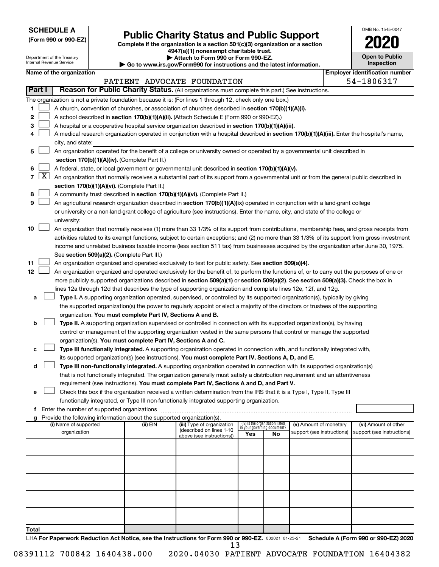**SCHEDULE A**

# **Public Charity Status and Public Support**<br> **Addition is a section 501(c)(3) organization or a section**<br>  $4947(a)(1)$  nonexempt charitable trust.

**(Form 990 or 990-EZ) Complete if the organization is a section 501(c)(3) organization or a section**

|   | <b>Open to Public</b><br>Inspection |
|---|-------------------------------------|
| ÷ | ioot                                |

OMB No. 1545-0047

|                |                     | Department of the Treasury<br>Internal Revenue Service | Attach to Form 990 or Form 990-EZ.<br>$\cdot$ Go to www.irs.gov/Form990 for instructions and the latest information. | <b>Open to Public</b><br>Inspection                                                                                                          |     |                                                                |                            |  |                                       |
|----------------|---------------------|--------------------------------------------------------|----------------------------------------------------------------------------------------------------------------------|----------------------------------------------------------------------------------------------------------------------------------------------|-----|----------------------------------------------------------------|----------------------------|--|---------------------------------------|
|                |                     | Name of the organization                               |                                                                                                                      |                                                                                                                                              |     |                                                                |                            |  | <b>Employer identification number</b> |
|                |                     |                                                        |                                                                                                                      | PATIENT ADVOCATE FOUNDATION                                                                                                                  |     |                                                                |                            |  | 54-1806317                            |
|                | Part I              |                                                        |                                                                                                                      | Reason for Public Charity Status. (All organizations must complete this part.) See instructions.                                             |     |                                                                |                            |  |                                       |
|                |                     |                                                        |                                                                                                                      | The organization is not a private foundation because it is: (For lines 1 through 12, check only one box.)                                    |     |                                                                |                            |  |                                       |
| 1              |                     |                                                        |                                                                                                                      | A church, convention of churches, or association of churches described in section 170(b)(1)(A)(i).                                           |     |                                                                |                            |  |                                       |
| 2              |                     |                                                        |                                                                                                                      | A school described in section 170(b)(1)(A)(ii). (Attach Schedule E (Form 990 or 990-EZ).)                                                    |     |                                                                |                            |  |                                       |
| 3              |                     |                                                        |                                                                                                                      |                                                                                                                                              |     |                                                                |                            |  |                                       |
|                |                     |                                                        |                                                                                                                      | A hospital or a cooperative hospital service organization described in section 170(b)(1)(A)(iii).                                            |     |                                                                |                            |  |                                       |
| 4              |                     |                                                        |                                                                                                                      | A medical research organization operated in conjunction with a hospital described in section 170(b)(1)(A)(iii). Enter the hospital's name,   |     |                                                                |                            |  |                                       |
|                |                     | city, and state:                                       |                                                                                                                      |                                                                                                                                              |     |                                                                |                            |  |                                       |
| 5              |                     |                                                        |                                                                                                                      | An organization operated for the benefit of a college or university owned or operated by a governmental unit described in                    |     |                                                                |                            |  |                                       |
|                |                     |                                                        | section 170(b)(1)(A)(iv). (Complete Part II.)                                                                        |                                                                                                                                              |     |                                                                |                            |  |                                       |
| 6              |                     |                                                        |                                                                                                                      | A federal, state, or local government or governmental unit described in section 170(b)(1)(A)(v).                                             |     |                                                                |                            |  |                                       |
| $\overline{7}$ | $\lfloor x \rfloor$ |                                                        |                                                                                                                      | An organization that normally receives a substantial part of its support from a governmental unit or from the general public described in    |     |                                                                |                            |  |                                       |
|                |                     |                                                        | section 170(b)(1)(A)(vi). (Complete Part II.)                                                                        |                                                                                                                                              |     |                                                                |                            |  |                                       |
| 8              |                     |                                                        |                                                                                                                      | A community trust described in section 170(b)(1)(A)(vi). (Complete Part II.)                                                                 |     |                                                                |                            |  |                                       |
| 9              |                     |                                                        |                                                                                                                      | An agricultural research organization described in section 170(b)(1)(A)(ix) operated in conjunction with a land-grant college                |     |                                                                |                            |  |                                       |
|                |                     |                                                        |                                                                                                                      | or university or a non-land-grant college of agriculture (see instructions). Enter the name, city, and state of the college or               |     |                                                                |                            |  |                                       |
|                |                     | university:                                            |                                                                                                                      |                                                                                                                                              |     |                                                                |                            |  |                                       |
| 10             |                     |                                                        |                                                                                                                      | An organization that normally receives (1) more than 33 1/3% of its support from contributions, membership fees, and gross receipts from     |     |                                                                |                            |  |                                       |
|                |                     |                                                        |                                                                                                                      | activities related to its exempt functions, subject to certain exceptions; and (2) no more than 33 1/3% of its support from gross investment |     |                                                                |                            |  |                                       |
|                |                     |                                                        |                                                                                                                      | income and unrelated business taxable income (less section 511 tax) from businesses acquired by the organization after June 30, 1975.        |     |                                                                |                            |  |                                       |
|                |                     |                                                        | See section 509(a)(2). (Complete Part III.)                                                                          |                                                                                                                                              |     |                                                                |                            |  |                                       |
| 11             |                     |                                                        |                                                                                                                      | An organization organized and operated exclusively to test for public safety. See section 509(a)(4).                                         |     |                                                                |                            |  |                                       |
| 12             |                     |                                                        |                                                                                                                      | An organization organized and operated exclusively for the benefit of, to perform the functions of, or to carry out the purposes of one or   |     |                                                                |                            |  |                                       |
|                |                     |                                                        |                                                                                                                      | more publicly supported organizations described in section 509(a)(1) or section 509(a)(2). See section 509(a)(3). Check the box in           |     |                                                                |                            |  |                                       |
|                |                     |                                                        |                                                                                                                      | lines 12a through 12d that describes the type of supporting organization and complete lines 12e, 12f, and 12g.                               |     |                                                                |                            |  |                                       |
| а              |                     |                                                        |                                                                                                                      | Type I. A supporting organization operated, supervised, or controlled by its supported organization(s), typically by giving                  |     |                                                                |                            |  |                                       |
|                |                     |                                                        |                                                                                                                      | the supported organization(s) the power to regularly appoint or elect a majority of the directors or trustees of the supporting              |     |                                                                |                            |  |                                       |
|                |                     |                                                        | organization. You must complete Part IV, Sections A and B.                                                           |                                                                                                                                              |     |                                                                |                            |  |                                       |
| b              |                     |                                                        |                                                                                                                      | Type II. A supporting organization supervised or controlled in connection with its supported organization(s), by having                      |     |                                                                |                            |  |                                       |
|                |                     |                                                        |                                                                                                                      | control or management of the supporting organization vested in the same persons that control or manage the supported                         |     |                                                                |                            |  |                                       |
|                |                     |                                                        | organization(s). You must complete Part IV, Sections A and C.                                                        |                                                                                                                                              |     |                                                                |                            |  |                                       |
| c              |                     |                                                        |                                                                                                                      | Type III functionally integrated. A supporting organization operated in connection with, and functionally integrated with,                   |     |                                                                |                            |  |                                       |
|                |                     |                                                        |                                                                                                                      | its supported organization(s) (see instructions). You must complete Part IV, Sections A, D, and E.                                           |     |                                                                |                            |  |                                       |
| d              |                     |                                                        |                                                                                                                      | Type III non-functionally integrated. A supporting organization operated in connection with its supported organization(s)                    |     |                                                                |                            |  |                                       |
|                |                     |                                                        |                                                                                                                      | that is not functionally integrated. The organization generally must satisfy a distribution requirement and an attentiveness                 |     |                                                                |                            |  |                                       |
|                |                     |                                                        |                                                                                                                      | requirement (see instructions). You must complete Part IV, Sections A and D, and Part V.                                                     |     |                                                                |                            |  |                                       |
| е              |                     |                                                        |                                                                                                                      | Check this box if the organization received a written determination from the IRS that it is a Type I, Type II, Type III                      |     |                                                                |                            |  |                                       |
|                |                     |                                                        |                                                                                                                      | functionally integrated, or Type III non-functionally integrated supporting organization.                                                    |     |                                                                |                            |  |                                       |
|                |                     | f Enter the number of supported organizations          |                                                                                                                      |                                                                                                                                              |     |                                                                |                            |  |                                       |
|                |                     |                                                        | Provide the following information about the supported organization(s).                                               |                                                                                                                                              |     |                                                                |                            |  |                                       |
|                |                     | (i) Name of supported                                  | (ii) EIN                                                                                                             | (iii) Type of organization                                                                                                                   |     | (iv) Is the organization listed<br>in your governing document? | (v) Amount of monetary     |  | (vi) Amount of other                  |
|                |                     | organization                                           |                                                                                                                      | (described on lines 1-10<br>above (see instructions))                                                                                        | Yes | No                                                             | support (see instructions) |  | support (see instructions)            |
|                |                     |                                                        |                                                                                                                      |                                                                                                                                              |     |                                                                |                            |  |                                       |
|                |                     |                                                        |                                                                                                                      |                                                                                                                                              |     |                                                                |                            |  |                                       |
|                |                     |                                                        |                                                                                                                      |                                                                                                                                              |     |                                                                |                            |  |                                       |
|                |                     |                                                        |                                                                                                                      |                                                                                                                                              |     |                                                                |                            |  |                                       |
|                |                     |                                                        |                                                                                                                      |                                                                                                                                              |     |                                                                |                            |  |                                       |
|                |                     |                                                        |                                                                                                                      |                                                                                                                                              |     |                                                                |                            |  |                                       |
|                |                     |                                                        |                                                                                                                      |                                                                                                                                              |     |                                                                |                            |  |                                       |
|                |                     |                                                        |                                                                                                                      |                                                                                                                                              |     |                                                                |                            |  |                                       |
|                |                     |                                                        |                                                                                                                      |                                                                                                                                              |     |                                                                |                            |  |                                       |
|                |                     |                                                        |                                                                                                                      |                                                                                                                                              |     |                                                                |                            |  |                                       |
| Total          |                     |                                                        |                                                                                                                      |                                                                                                                                              |     |                                                                |                            |  |                                       |
|                |                     |                                                        |                                                                                                                      |                                                                                                                                              |     |                                                                |                            |  |                                       |

LHA For Paperwork Reduction Act Notice, see the Instructions for Form 990 or 990-EZ. 032021 01-25-21 Schedule A (Form 990 or 990-EZ) 2020 13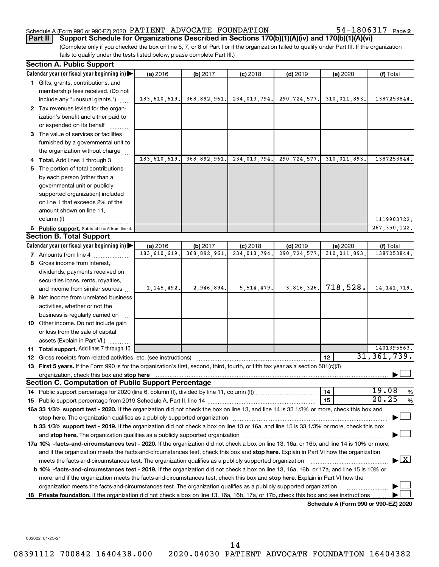#### Schedule A (Form 990 or 990-EZ) 2020  $\rm {PATIENT}$   $\rm {ADVOCATE}$   $\rm {FOUNDATION}$   $\rm {54-1806317}$   $\rm {Page}$

54-1806317 Page 2

(Complete only if you checked the box on line 5, 7, or 8 of Part I or if the organization failed to qualify under Part III. If the organization fails to qualify under the tests listed below, please complete Part III.) **Part II Support Schedule for Organizations Described in Sections 170(b)(1)(A)(iv) and 170(b)(1)(A)(vi)**

|    | <b>Section A. Public Support</b>                                                                                                                                                                         |                |              |              |                |                                      |                                 |
|----|----------------------------------------------------------------------------------------------------------------------------------------------------------------------------------------------------------|----------------|--------------|--------------|----------------|--------------------------------------|---------------------------------|
|    | Calendar year (or fiscal year beginning in)                                                                                                                                                              | (a) 2016       | (b) 2017     | $(c)$ 2018   | $(d)$ 2019     | (e) 2020                             | (f) Total                       |
|    | 1 Gifts, grants, contributions, and                                                                                                                                                                      |                |              |              |                |                                      |                                 |
|    | membership fees received. (Do not                                                                                                                                                                        |                |              |              |                |                                      |                                 |
|    | include any "unusual grants.")                                                                                                                                                                           | 183, 610, 619. | 368,892,961. | 234,013,794. | 290, 724, 577. | 310,011,893.                         | 1387253844.                     |
|    | 2 Tax revenues levied for the organ-                                                                                                                                                                     |                |              |              |                |                                      |                                 |
|    | ization's benefit and either paid to                                                                                                                                                                     |                |              |              |                |                                      |                                 |
|    | or expended on its behalf                                                                                                                                                                                |                |              |              |                |                                      |                                 |
|    | 3 The value of services or facilities                                                                                                                                                                    |                |              |              |                |                                      |                                 |
|    | furnished by a governmental unit to                                                                                                                                                                      |                |              |              |                |                                      |                                 |
|    | the organization without charge                                                                                                                                                                          |                |              |              |                |                                      |                                 |
|    | 4 Total. Add lines 1 through 3                                                                                                                                                                           | 183,610,619.   | 368,892,961. | 234,013,794. | 290, 724, 577. | 310,011,893.                         | 1387253844.                     |
| 5  | The portion of total contributions                                                                                                                                                                       |                |              |              |                |                                      |                                 |
|    | by each person (other than a                                                                                                                                                                             |                |              |              |                |                                      |                                 |
|    | governmental unit or publicly                                                                                                                                                                            |                |              |              |                |                                      |                                 |
|    | supported organization) included                                                                                                                                                                         |                |              |              |                |                                      |                                 |
|    | on line 1 that exceeds 2% of the                                                                                                                                                                         |                |              |              |                |                                      |                                 |
|    | amount shown on line 11,                                                                                                                                                                                 |                |              |              |                |                                      |                                 |
|    | column (f)                                                                                                                                                                                               |                |              |              |                |                                      | 1119903722.                     |
|    | 6 Public support. Subtract line 5 from line 4.                                                                                                                                                           |                |              |              |                |                                      | 267, 350, 122.                  |
|    | <b>Section B. Total Support</b>                                                                                                                                                                          |                |              |              |                |                                      |                                 |
|    | Calendar year (or fiscal year beginning in)                                                                                                                                                              | (a) 2016       | (b) 2017     | $(c)$ 2018   | $(d)$ 2019     | (e) 2020                             | (f) Total                       |
|    | <b>7</b> Amounts from line 4                                                                                                                                                                             | 183,610,619.   | 368,892,961  | 234,013,794. | 290, 724, 577. | 310,011,893.                         | 1387253844.                     |
|    | 8 Gross income from interest,                                                                                                                                                                            |                |              |              |                |                                      |                                 |
|    | dividends, payments received on                                                                                                                                                                          |                |              |              |                |                                      |                                 |
|    | securities loans, rents, royalties,                                                                                                                                                                      |                |              |              |                | 718,528.                             |                                 |
|    | and income from similar sources                                                                                                                                                                          | 1, 145, 492.   | 2,946,894.   | 5,514,479.   | 3,816,326.     |                                      | 14, 141, 719.                   |
| 9  | Net income from unrelated business                                                                                                                                                                       |                |              |              |                |                                      |                                 |
|    | activities, whether or not the                                                                                                                                                                           |                |              |              |                |                                      |                                 |
|    | business is regularly carried on                                                                                                                                                                         |                |              |              |                |                                      |                                 |
|    | 10 Other income. Do not include gain                                                                                                                                                                     |                |              |              |                |                                      |                                 |
|    | or loss from the sale of capital                                                                                                                                                                         |                |              |              |                |                                      |                                 |
|    | assets (Explain in Part VI.)                                                                                                                                                                             |                |              |              |                |                                      | 1401395563.                     |
|    | 11 Total support. Add lines 7 through 10                                                                                                                                                                 |                |              |              |                | 12                                   | 31, 361, 739.                   |
|    | 12 Gross receipts from related activities, etc. (see instructions)<br>13 First 5 years. If the Form 990 is for the organization's first, second, third, fourth, or fifth tax year as a section 501(c)(3) |                |              |              |                |                                      |                                 |
|    | organization, check this box and stop here                                                                                                                                                               |                |              |              |                |                                      |                                 |
|    | <b>Section C. Computation of Public Support Percentage</b>                                                                                                                                               |                |              |              |                |                                      |                                 |
|    |                                                                                                                                                                                                          |                |              |              |                | 14                                   | 19.08<br>$\%$                   |
|    |                                                                                                                                                                                                          |                |              |              |                | 15                                   | 20.25<br>$\%$                   |
|    | 16a 33 1/3% support test - 2020. If the organization did not check the box on line 13, and line 14 is 33 1/3% or more, check this box and                                                                |                |              |              |                |                                      |                                 |
|    |                                                                                                                                                                                                          |                |              |              |                |                                      |                                 |
|    | b 33 1/3% support test - 2019. If the organization did not check a box on line 13 or 16a, and line 15 is 33 1/3% or more, check this box                                                                 |                |              |              |                |                                      |                                 |
|    |                                                                                                                                                                                                          |                |              |              |                |                                      |                                 |
|    | 17a 10% -facts-and-circumstances test - 2020. If the organization did not check a box on line 13, 16a, or 16b, and line 14 is 10% or more,                                                               |                |              |              |                |                                      |                                 |
|    | and if the organization meets the facts-and-circumstances test, check this box and stop here. Explain in Part VI how the organization                                                                    |                |              |              |                |                                      |                                 |
|    | meets the facts-and-circumstances test. The organization qualifies as a publicly supported organization                                                                                                  |                |              |              |                |                                      | $\blacktriangleright$ $\vert$ X |
|    | b 10% -facts-and-circumstances test - 2019. If the organization did not check a box on line 13, 16a, 16b, or 17a, and line 15 is 10% or                                                                  |                |              |              |                |                                      |                                 |
|    | more, and if the organization meets the facts-and-circumstances test, check this box and stop here. Explain in Part VI how the                                                                           |                |              |              |                |                                      |                                 |
|    | organization meets the facts-and-circumstances test. The organization qualifies as a publicly supported organization                                                                                     |                |              |              |                |                                      |                                 |
| 18 | Private foundation. If the organization did not check a box on line 13, 16a, 16b, 17a, or 17b, check this box and see instructions                                                                       |                |              |              |                |                                      |                                 |
|    |                                                                                                                                                                                                          |                |              |              |                | Schedule A (Form 990 or 990-EZ) 2020 |                                 |

032022 01-25-21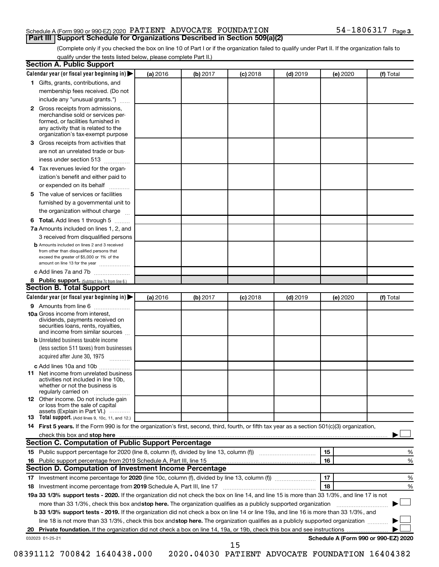#### Schedule A (Form 990 or 990-EZ) 2020  $\rm {PATIENT}$   $\rm {ADVOCATE}$   $\rm {FOUNDATION}$   $\rm {54-1806317}$   $\rm {Page}$ **Part III | Support Schedule for Organizations Described in Section 509(a)(2)**

(Complete only if you checked the box on line 10 of Part I or if the organization failed to qualify under Part II. If the organization fails to qualify under the tests listed below, please complete Part II.)

| <b>Section A. Public Support</b>                                                                                                                                                         |          |          |            |            |          |                                      |
|------------------------------------------------------------------------------------------------------------------------------------------------------------------------------------------|----------|----------|------------|------------|----------|--------------------------------------|
| Calendar year (or fiscal year beginning in)                                                                                                                                              | (a) 2016 | (b) 2017 | $(c)$ 2018 | $(d)$ 2019 | (e) 2020 | (f) Total                            |
| 1 Gifts, grants, contributions, and                                                                                                                                                      |          |          |            |            |          |                                      |
| membership fees received. (Do not                                                                                                                                                        |          |          |            |            |          |                                      |
| include any "unusual grants.")                                                                                                                                                           |          |          |            |            |          |                                      |
| 2 Gross receipts from admissions,<br>merchandise sold or services per-<br>formed, or facilities furnished in<br>any activity that is related to the<br>organization's tax-exempt purpose |          |          |            |            |          |                                      |
| 3 Gross receipts from activities that                                                                                                                                                    |          |          |            |            |          |                                      |
| are not an unrelated trade or bus-                                                                                                                                                       |          |          |            |            |          |                                      |
| iness under section 513                                                                                                                                                                  |          |          |            |            |          |                                      |
| 4 Tax revenues levied for the organ-                                                                                                                                                     |          |          |            |            |          |                                      |
| ization's benefit and either paid to                                                                                                                                                     |          |          |            |            |          |                                      |
| or expended on its behalf                                                                                                                                                                |          |          |            |            |          |                                      |
| 5 The value of services or facilities                                                                                                                                                    |          |          |            |            |          |                                      |
| furnished by a governmental unit to                                                                                                                                                      |          |          |            |            |          |                                      |
| the organization without charge                                                                                                                                                          |          |          |            |            |          |                                      |
| <b>6 Total.</b> Add lines 1 through 5                                                                                                                                                    |          |          |            |            |          |                                      |
| 7a Amounts included on lines 1, 2, and                                                                                                                                                   |          |          |            |            |          |                                      |
| 3 received from disqualified persons                                                                                                                                                     |          |          |            |            |          |                                      |
| <b>b</b> Amounts included on lines 2 and 3 received<br>from other than disqualified persons that<br>exceed the greater of \$5,000 or 1% of the<br>amount on line 13 for the year         |          |          |            |            |          |                                      |
| c Add lines 7a and 7b                                                                                                                                                                    |          |          |            |            |          |                                      |
| 8 Public support. (Subtract line 7c from line 6.)                                                                                                                                        |          |          |            |            |          |                                      |
| <b>Section B. Total Support</b>                                                                                                                                                          |          |          |            |            |          |                                      |
| Calendar year (or fiscal year beginning in)                                                                                                                                              | (a) 2016 | (b) 2017 | (c) 2018   | $(d)$ 2019 | (e) 2020 | (f) Total                            |
| 9 Amounts from line 6                                                                                                                                                                    |          |          |            |            |          |                                      |
| <b>10a</b> Gross income from interest,<br>dividends, payments received on<br>securities loans, rents, royalties,<br>and income from similar sources                                      |          |          |            |            |          |                                      |
| <b>b</b> Unrelated business taxable income                                                                                                                                               |          |          |            |            |          |                                      |
| (less section 511 taxes) from businesses                                                                                                                                                 |          |          |            |            |          |                                      |
| acquired after June 30, 1975<br>$\frac{1}{2}$                                                                                                                                            |          |          |            |            |          |                                      |
| c Add lines 10a and 10b                                                                                                                                                                  |          |          |            |            |          |                                      |
| 11 Net income from unrelated business<br>activities not included in line 10b.<br>whether or not the business is<br>regularly carried on                                                  |          |          |            |            |          |                                      |
| <b>12</b> Other income. Do not include gain<br>or loss from the sale of capital                                                                                                          |          |          |            |            |          |                                      |
| assets (Explain in Part VI.)<br><b>13</b> Total support. (Add lines 9, 10c, 11, and 12.)                                                                                                 |          |          |            |            |          |                                      |
| 14 First 5 years. If the Form 990 is for the organization's first, second, third, fourth, or fifth tax year as a section 501(c)(3) organization,                                         |          |          |            |            |          |                                      |
|                                                                                                                                                                                          |          |          |            |            |          |                                      |
| Section C. Computation of Public Support Percentage                                                                                                                                      |          |          |            |            |          |                                      |
|                                                                                                                                                                                          |          |          |            |            | 15       | %                                    |
| 16 Public support percentage from 2019 Schedule A, Part III, line 15                                                                                                                     |          |          |            |            | 16       | %                                    |
| Section D. Computation of Investment Income Percentage                                                                                                                                   |          |          |            |            |          |                                      |
|                                                                                                                                                                                          |          |          |            |            | 17       | %                                    |
| 18 Investment income percentage from 2019 Schedule A, Part III, line 17                                                                                                                  |          |          |            |            | 18       | %                                    |
| 19a 33 1/3% support tests - 2020. If the organization did not check the box on line 14, and line 15 is more than 33 1/3%, and line 17 is not                                             |          |          |            |            |          |                                      |
| more than 33 1/3%, check this box and stop here. The organization qualifies as a publicly supported organization                                                                         |          |          |            |            |          |                                      |
| b 33 1/3% support tests - 2019. If the organization did not check a box on line 14 or line 19a, and line 16 is more than 33 1/3%, and                                                    |          |          |            |            |          |                                      |
| line 18 is not more than 33 1/3%, check this box and stop here. The organization qualifies as a publicly supported organization                                                          |          |          |            |            |          |                                      |
|                                                                                                                                                                                          |          |          |            |            |          |                                      |
| 032023 01-25-21                                                                                                                                                                          |          |          |            |            |          | Schedule A (Form 990 or 990-EZ) 2020 |
|                                                                                                                                                                                          |          |          | 15         |            |          |                                      |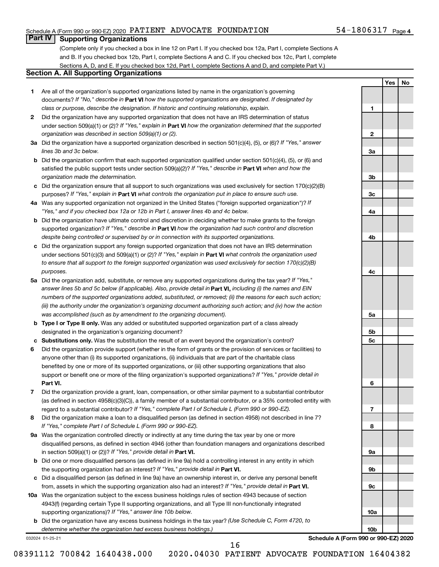#### Schedule A (Form 990 or 990-EZ) 2020  $\rm {PATIENT}$   $\rm {ADVOCATE}$   $\rm {FOUNDATION}$   $\rm {54-1806317}$   $\rm {Page}$

#### 54-1806317 Page 4

**1**

**2**

**3a**

**3b**

**3c**

**4a**

**4b**

**4c**

**5a**

**5b 5c**

**6**

**7**

**8**

**9a**

**9b**

**9c**

**10a**

**10b**

**Yes No**

## **Part IV Supporting Organizations**

(Complete only if you checked a box in line 12 on Part I. If you checked box 12a, Part I, complete Sections A and B. If you checked box 12b, Part I, complete Sections A and C. If you checked box 12c, Part I, complete Sections A, D, and E. If you checked box 12d, Part I, complete Sections A and D, and complete Part V.)

## **Section A. All Supporting Organizations**

- **1** Are all of the organization's supported organizations listed by name in the organization's governing documents? If "No," describe in Part VI how the supported organizations are designated. If designated by *class or purpose, describe the designation. If historic and continuing relationship, explain.*
- **2** Did the organization have any supported organization that does not have an IRS determination of status under section 509(a)(1) or (2)? If "Yes," explain in Part **VI** how the organization determined that the supported *organization was described in section 509(a)(1) or (2).*
- **3a** Did the organization have a supported organization described in section 501(c)(4), (5), or (6)? If "Yes," answer *lines 3b and 3c below.*
- **b** Did the organization confirm that each supported organization qualified under section 501(c)(4), (5), or (6) and satisfied the public support tests under section 509(a)(2)? If "Yes," describe in Part VI when and how the *organization made the determination.*
- **c** Did the organization ensure that all support to such organizations was used exclusively for section 170(c)(2)(B) purposes? If "Yes," explain in Part VI what controls the organization put in place to ensure such use.
- **4 a** *If* Was any supported organization not organized in the United States ("foreign supported organization")? *"Yes," and if you checked box 12a or 12b in Part I, answer lines 4b and 4c below.*
- **b** Did the organization have ultimate control and discretion in deciding whether to make grants to the foreign supported organization? If "Yes," describe in Part VI how the organization had such control and discretion *despite being controlled or supervised by or in connection with its supported organizations.*
- **c** Did the organization support any foreign supported organization that does not have an IRS determination under sections 501(c)(3) and 509(a)(1) or (2)? If "Yes," explain in Part VI what controls the organization used *to ensure that all support to the foreign supported organization was used exclusively for section 170(c)(2)(B) purposes.*
- **5a** Did the organization add, substitute, or remove any supported organizations during the tax year? If "Yes," answer lines 5b and 5c below (if applicable). Also, provide detail in **Part VI,** including (i) the names and EIN *numbers of the supported organizations added, substituted, or removed; (ii) the reasons for each such action; (iii) the authority under the organization's organizing document authorizing such action; and (iv) how the action was accomplished (such as by amendment to the organizing document).*
- **b Type I or Type II only.** Was any added or substituted supported organization part of a class already designated in the organization's organizing document?
- **c Substitutions only.**  Was the substitution the result of an event beyond the organization's control?
- **6** Did the organization provide support (whether in the form of grants or the provision of services or facilities) to **Part VI.** support or benefit one or more of the filing organization's supported organizations? If "Yes," provide detail in anyone other than (i) its supported organizations, (ii) individuals that are part of the charitable class benefited by one or more of its supported organizations, or (iii) other supporting organizations that also
- **7** Did the organization provide a grant, loan, compensation, or other similar payment to a substantial contributor regard to a substantial contributor? If "Yes," complete Part I of Schedule L (Form 990 or 990-EZ). (as defined in section 4958(c)(3)(C)), a family member of a substantial contributor, or a 35% controlled entity with
- **8** Did the organization make a loan to a disqualified person (as defined in section 4958) not described in line 7? *If "Yes," complete Part I of Schedule L (Form 990 or 990-EZ).*
- **9 a** Was the organization controlled directly or indirectly at any time during the tax year by one or more in section 509(a)(1) or (2))? If "Yes," provide detail in **Part VI.** disqualified persons, as defined in section 4946 (other than foundation managers and organizations described
- **b** Did one or more disqualified persons (as defined in line 9a) hold a controlling interest in any entity in which the supporting organization had an interest? If "Yes," provide detail in Part VI.
- **c** Did a disqualified person (as defined in line 9a) have an ownership interest in, or derive any personal benefit from, assets in which the supporting organization also had an interest? If "Yes," provide detail in Part VI.
- **10 a** Was the organization subject to the excess business holdings rules of section 4943 because of section supporting organizations)? If "Yes," answer line 10b below. 4943(f) (regarding certain Type II supporting organizations, and all Type III non-functionally integrated
	- **b** Did the organization have any excess business holdings in the tax year? (Use Schedule C, Form 4720, to *determine whether the organization had excess business holdings.)*

032024 01-25-21

**Schedule A (Form 990 or 990-EZ) 2020**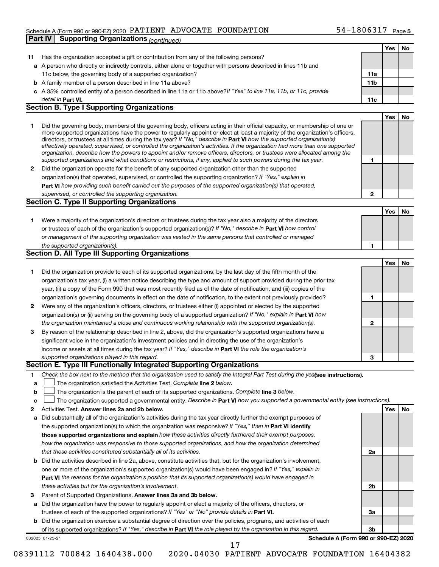#### Schedule A (Form 990 or 990-EZ) 2020  $\rm {PATIENT}$   $\rm {ADVOCATE}$   $\rm {FOUNDATION}$   $\rm {54-1806317}$   $\rm {Page}$ **Part IV Supporting Organizations** *(continued)*

|    |                                                                                                                                                                                                                                              |              | Yes | No  |
|----|----------------------------------------------------------------------------------------------------------------------------------------------------------------------------------------------------------------------------------------------|--------------|-----|-----|
| 11 | Has the organization accepted a gift or contribution from any of the following persons?                                                                                                                                                      |              |     |     |
|    | a A person who directly or indirectly controls, either alone or together with persons described in lines 11b and                                                                                                                             |              |     |     |
|    | 11c below, the governing body of a supported organization?                                                                                                                                                                                   | 11a          |     |     |
|    | <b>b</b> A family member of a person described in line 11a above?                                                                                                                                                                            | 11b          |     |     |
|    | c A 35% controlled entity of a person described in line 11a or 11b above? If "Yes" to line 11a, 11b, or 11c, provide                                                                                                                         |              |     |     |
|    | detail in Part VI.                                                                                                                                                                                                                           | 11c          |     |     |
|    | <b>Section B. Type I Supporting Organizations</b>                                                                                                                                                                                            |              |     |     |
|    |                                                                                                                                                                                                                                              |              | Yes | No  |
| 1. | Did the governing body, members of the governing body, officers acting in their official capacity, or membership of one or                                                                                                                   |              |     |     |
|    | more supported organizations have the power to regularly appoint or elect at least a majority of the organization's officers,                                                                                                                |              |     |     |
|    | directors, or trustees at all times during the tax year? If "No," describe in Part VI how the supported organization(s)                                                                                                                      |              |     |     |
|    | effectively operated, supervised, or controlled the organization's activities. If the organization had more than one supported                                                                                                               |              |     |     |
|    | organization, describe how the powers to appoint and/or remove officers, directors, or trustees were allocated among the<br>supported organizations and what conditions or restrictions, if any, applied to such powers during the tax year. |              |     |     |
|    |                                                                                                                                                                                                                                              | 1            |     |     |
| 2  | Did the organization operate for the benefit of any supported organization other than the supported                                                                                                                                          |              |     |     |
|    | organization(s) that operated, supervised, or controlled the supporting organization? If "Yes," explain in                                                                                                                                   |              |     |     |
|    | Part VI how providing such benefit carried out the purposes of the supported organization(s) that operated,                                                                                                                                  |              |     |     |
|    | supervised, or controlled the supporting organization.                                                                                                                                                                                       | $\mathbf{2}$ |     |     |
|    | <b>Section C. Type II Supporting Organizations</b>                                                                                                                                                                                           |              |     |     |
|    |                                                                                                                                                                                                                                              |              | Yes | No  |
| 1. | Were a majority of the organization's directors or trustees during the tax year also a majority of the directors                                                                                                                             |              |     |     |
|    | or trustees of each of the organization's supported organization(s)? If "No," describe in Part VI how control                                                                                                                                |              |     |     |
|    | or management of the supporting organization was vested in the same persons that controlled or managed                                                                                                                                       |              |     |     |
|    | the supported organization(s).                                                                                                                                                                                                               | 1            |     |     |
|    | <b>Section D. All Type III Supporting Organizations</b>                                                                                                                                                                                      |              |     |     |
|    |                                                                                                                                                                                                                                              |              | Yes | No  |
| 1. | Did the organization provide to each of its supported organizations, by the last day of the fifth month of the                                                                                                                               |              |     |     |
|    | organization's tax year, (i) a written notice describing the type and amount of support provided during the prior tax                                                                                                                        |              |     |     |
|    | year, (ii) a copy of the Form 990 that was most recently filed as of the date of notification, and (iii) copies of the                                                                                                                       |              |     |     |
|    | organization's governing documents in effect on the date of notification, to the extent not previously provided?                                                                                                                             | 1            |     |     |
| 2  | Were any of the organization's officers, directors, or trustees either (i) appointed or elected by the supported                                                                                                                             |              |     |     |
|    | organization(s) or (ii) serving on the governing body of a supported organization? If "No," explain in Part VI how                                                                                                                           |              |     |     |
|    | the organization maintained a close and continuous working relationship with the supported organization(s).                                                                                                                                  | 2            |     |     |
| 3  | By reason of the relationship described in line 2, above, did the organization's supported organizations have a                                                                                                                              |              |     |     |
|    | significant voice in the organization's investment policies and in directing the use of the organization's                                                                                                                                   |              |     |     |
|    | income or assets at all times during the tax year? If "Yes," describe in Part VI the role the organization's                                                                                                                                 |              |     |     |
|    | supported organizations played in this regard.                                                                                                                                                                                               | з            |     |     |
|    | Section E. Type III Functionally Integrated Supporting Organizations                                                                                                                                                                         |              |     |     |
|    |                                                                                                                                                                                                                                              |              |     |     |
| 1  | Check the box next to the method that the organization used to satisfy the Integral Part Test during the yealsee instructions).                                                                                                              |              |     |     |
| a  | The organization satisfied the Activities Test. Complete line 2 below.                                                                                                                                                                       |              |     |     |
| b  | The organization is the parent of each of its supported organizations. Complete line 3 below.                                                                                                                                                |              |     |     |
| с  | The organization supported a governmental entity. Describe in Part VI how you supported a governmental entity (see instructions).                                                                                                            |              |     |     |
| 2  | Activities Test. Answer lines 2a and 2b below.                                                                                                                                                                                               |              | Yes | No. |
| а  | Did substantially all of the organization's activities during the tax year directly further the exempt purposes of                                                                                                                           |              |     |     |
|    | the supported organization(s) to which the organization was responsive? If "Yes," then in Part VI identify                                                                                                                                   |              |     |     |
|    | those supported organizations and explain how these activities directly furthered their exempt purposes,                                                                                                                                     |              |     |     |
|    | how the organization was responsive to those supported organizations, and how the organization determined                                                                                                                                    |              |     |     |
|    | that these activities constituted substantially all of its activities.                                                                                                                                                                       | 2a           |     |     |
| b  | Did the activities described in line 2a, above, constitute activities that, but for the organization's involvement,                                                                                                                          |              |     |     |
|    | one or more of the organization's supported organization(s) would have been engaged in? If "Yes," explain in                                                                                                                                 |              |     |     |
|    | <b>Part VI</b> the reasons for the organization's position that its supported organization(s) would have engaged in                                                                                                                          |              |     |     |
|    | these activities but for the organization's involvement.                                                                                                                                                                                     | 2b           |     |     |
| з  | Parent of Supported Organizations. Answer lines 3a and 3b below.                                                                                                                                                                             |              |     |     |
| а  | Did the organization have the power to regularly appoint or elect a majority of the officers, directors, or                                                                                                                                  |              |     |     |
|    | trustees of each of the supported organizations? If "Yes" or "No" provide details in Part VI.                                                                                                                                                | За           |     |     |
|    | <b>b</b> Did the organization exercise a substantial degree of direction over the policies, programs, and activities of each                                                                                                                 |              |     |     |
|    | of its supported organizations? If "Yes," describe in Part VI the role played by the organization in this regard.                                                                                                                            | 3b           |     |     |
|    | Schedule A (Form 990 or 990-EZ) 2020<br>032025 01-25-21                                                                                                                                                                                      |              |     |     |
|    | 17                                                                                                                                                                                                                                           |              |     |     |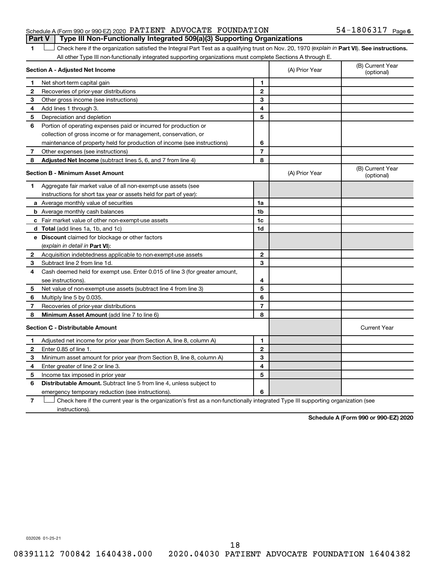#### Schedule A (Form 990 or 990-EZ) 2020  $\rm {PATIENT}$   $\rm {ADVOCATE}$   $\rm {FOUNDATION}$   $\rm {54-1806317}$   $\rm {Page}$ **Part V Type III Non-Functionally Integrated 509(a)(3) Supporting Organizations**

1 **Letter See instructions.** Check here if the organization satisfied the Integral Part Test as a qualifying trust on Nov. 20, 1970 (*explain in* Part **VI**). See instructions. All other Type III non-functionally integrated supporting organizations must complete Sections A through E.

| Section A - Adjusted Net Income         |                                                                             | (A) Prior Year | (B) Current Year<br>(optional) |                                |
|-----------------------------------------|-----------------------------------------------------------------------------|----------------|--------------------------------|--------------------------------|
| 1                                       | Net short-term capital gain                                                 | 1              |                                |                                |
| 2                                       | Recoveries of prior-year distributions                                      | $\overline{2}$ |                                |                                |
| 3                                       | Other gross income (see instructions)                                       | 3              |                                |                                |
| 4                                       | Add lines 1 through 3.                                                      | 4              |                                |                                |
| 5                                       | Depreciation and depletion                                                  | 5              |                                |                                |
| 6                                       | Portion of operating expenses paid or incurred for production or            |                |                                |                                |
|                                         | collection of gross income or for management, conservation, or              |                |                                |                                |
|                                         | maintenance of property held for production of income (see instructions)    | 6              |                                |                                |
| 7                                       | Other expenses (see instructions)                                           | $\overline{7}$ |                                |                                |
| 8                                       | Adjusted Net Income (subtract lines 5, 6, and 7 from line 4)                | 8              |                                |                                |
| <b>Section B - Minimum Asset Amount</b> |                                                                             |                | (A) Prior Year                 | (B) Current Year<br>(optional) |
| 1.                                      | Aggregate fair market value of all non-exempt-use assets (see               |                |                                |                                |
|                                         | instructions for short tax year or assets held for part of year):           |                |                                |                                |
|                                         | a Average monthly value of securities                                       | 1a             |                                |                                |
|                                         | <b>b</b> Average monthly cash balances                                      | 1b             |                                |                                |
|                                         | c Fair market value of other non-exempt-use assets                          | 1c             |                                |                                |
|                                         | <b>d</b> Total (add lines 1a, 1b, and 1c)                                   | 1d             |                                |                                |
|                                         | e Discount claimed for blockage or other factors                            |                |                                |                                |
|                                         | (explain in detail in <b>Part VI</b> ):                                     |                |                                |                                |
| 2                                       | Acquisition indebtedness applicable to non-exempt-use assets                | $\mathbf{2}$   |                                |                                |
| З                                       | Subtract line 2 from line 1d.                                               | 3              |                                |                                |
| 4                                       | Cash deemed held for exempt use. Enter 0.015 of line 3 (for greater amount, |                |                                |                                |
|                                         | see instructions)                                                           | 4              |                                |                                |
| 5                                       | Net value of non-exempt-use assets (subtract line 4 from line 3)            | 5              |                                |                                |
| 6                                       | Multiply line 5 by 0.035.                                                   | 6              |                                |                                |
| 7                                       | Recoveries of prior-year distributions                                      | $\overline{7}$ |                                |                                |
| 8                                       | Minimum Asset Amount (add line 7 to line 6)                                 | 8              |                                |                                |
|                                         | <b>Section C - Distributable Amount</b>                                     |                |                                | <b>Current Year</b>            |
| 1                                       | Adjusted net income for prior year (from Section A, line 8, column A)       | 1              |                                |                                |
| $\mathbf{2}$                            | Enter 0.85 of line 1.                                                       | $\mathbf{2}$   |                                |                                |
| 3                                       | Minimum asset amount for prior year (from Section B, line 8, column A)      | 3              |                                |                                |
| 4                                       | Enter greater of line 2 or line 3.                                          | 4              |                                |                                |
| 5                                       | Income tax imposed in prior year                                            | 5              |                                |                                |
| 6                                       | Distributable Amount. Subtract line 5 from line 4, unless subject to        |                |                                |                                |
|                                         | emergency temporary reduction (see instructions).                           | 6              |                                |                                |
|                                         |                                                                             |                |                                |                                |

**7** Check here if the current year is the organization's first as a non-functionally integrated Type III supporting organization (see † instructions).

**Schedule A (Form 990 or 990-EZ) 2020**

032026 01-25-21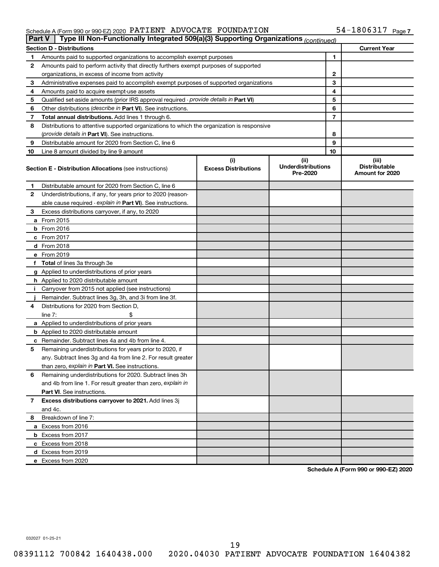#### Schedule A (Form 990 or 990-EZ) 2020 PATLENT ADVOCATE FOUNDATION 54-I 8 0 6 3 L / Page PATIENT ADVOCATE FOUNDATION 54-1806317

| Type III Non-Functionally Integrated 509(a)(3) Supporting Organizations (continued)<br>Part V |                                                                                            |                                    |                                               |    |                                                  |  |
|-----------------------------------------------------------------------------------------------|--------------------------------------------------------------------------------------------|------------------------------------|-----------------------------------------------|----|--------------------------------------------------|--|
|                                                                                               | <b>Current Year</b><br><b>Section D - Distributions</b>                                    |                                    |                                               |    |                                                  |  |
| 1                                                                                             | Amounts paid to supported organizations to accomplish exempt purposes                      |                                    |                                               | 1  |                                                  |  |
| 2                                                                                             | Amounts paid to perform activity that directly furthers exempt purposes of supported       |                                    |                                               |    |                                                  |  |
|                                                                                               | organizations, in excess of income from activity                                           |                                    |                                               | 2  |                                                  |  |
| 3                                                                                             | Administrative expenses paid to accomplish exempt purposes of supported organizations      |                                    |                                               | 3  |                                                  |  |
| 4                                                                                             | Amounts paid to acquire exempt-use assets                                                  |                                    |                                               | 4  |                                                  |  |
| 5                                                                                             | Qualified set-aside amounts (prior IRS approval required - provide details in Part VI)     |                                    |                                               | 5  |                                                  |  |
| 6                                                                                             | Other distributions (describe in Part VI). See instructions.                               |                                    |                                               | 6  |                                                  |  |
| 7                                                                                             | Total annual distributions. Add lines 1 through 6.                                         |                                    |                                               | 7  |                                                  |  |
| 8                                                                                             | Distributions to attentive supported organizations to which the organization is responsive |                                    |                                               |    |                                                  |  |
|                                                                                               | ( <i>provide details in Part VI</i> ). See instructions.                                   |                                    |                                               | 8  |                                                  |  |
| 9                                                                                             | Distributable amount for 2020 from Section C, line 6                                       |                                    |                                               | 9  |                                                  |  |
| 10                                                                                            | Line 8 amount divided by line 9 amount                                                     |                                    |                                               | 10 |                                                  |  |
|                                                                                               | <b>Section E - Distribution Allocations (see instructions)</b>                             | (i)<br><b>Excess Distributions</b> | (ii)<br><b>Underdistributions</b><br>Pre-2020 |    | (iii)<br><b>Distributable</b><br>Amount for 2020 |  |
| 1                                                                                             | Distributable amount for 2020 from Section C, line 6                                       |                                    |                                               |    |                                                  |  |
| 2                                                                                             | Underdistributions, if any, for years prior to 2020 (reason-                               |                                    |                                               |    |                                                  |  |
|                                                                                               | able cause required - explain in Part VI). See instructions.                               |                                    |                                               |    |                                                  |  |
| З                                                                                             | Excess distributions carryover, if any, to 2020                                            |                                    |                                               |    |                                                  |  |
|                                                                                               | a From 2015                                                                                |                                    |                                               |    |                                                  |  |
|                                                                                               | $b$ From 2016                                                                              |                                    |                                               |    |                                                  |  |
|                                                                                               | c From 2017                                                                                |                                    |                                               |    |                                                  |  |
|                                                                                               | <b>d</b> From 2018                                                                         |                                    |                                               |    |                                                  |  |
|                                                                                               | e From 2019                                                                                |                                    |                                               |    |                                                  |  |
|                                                                                               | f Total of lines 3a through 3e                                                             |                                    |                                               |    |                                                  |  |
|                                                                                               | g Applied to underdistributions of prior years                                             |                                    |                                               |    |                                                  |  |
|                                                                                               | <b>h</b> Applied to 2020 distributable amount                                              |                                    |                                               |    |                                                  |  |
| Ť.                                                                                            | Carryover from 2015 not applied (see instructions)                                         |                                    |                                               |    |                                                  |  |
|                                                                                               | Remainder. Subtract lines 3g, 3h, and 3i from line 3f.                                     |                                    |                                               |    |                                                  |  |
| 4                                                                                             | Distributions for 2020 from Section D,                                                     |                                    |                                               |    |                                                  |  |
|                                                                                               | line $7:$                                                                                  |                                    |                                               |    |                                                  |  |
|                                                                                               | a Applied to underdistributions of prior years                                             |                                    |                                               |    |                                                  |  |
|                                                                                               | <b>b</b> Applied to 2020 distributable amount                                              |                                    |                                               |    |                                                  |  |
|                                                                                               | c Remainder. Subtract lines 4a and 4b from line 4.                                         |                                    |                                               |    |                                                  |  |
| 5                                                                                             | Remaining underdistributions for years prior to 2020, if                                   |                                    |                                               |    |                                                  |  |
|                                                                                               | any. Subtract lines 3g and 4a from line 2. For result greater                              |                                    |                                               |    |                                                  |  |
|                                                                                               | than zero, explain in Part VI. See instructions.                                           |                                    |                                               |    |                                                  |  |
| 6                                                                                             | Remaining underdistributions for 2020. Subtract lines 3h                                   |                                    |                                               |    |                                                  |  |
|                                                                                               | and 4b from line 1. For result greater than zero, explain in                               |                                    |                                               |    |                                                  |  |
|                                                                                               | <b>Part VI.</b> See instructions.                                                          |                                    |                                               |    |                                                  |  |
| 7                                                                                             | Excess distributions carryover to 2021. Add lines 3j                                       |                                    |                                               |    |                                                  |  |
|                                                                                               | and 4c.                                                                                    |                                    |                                               |    |                                                  |  |
| 8                                                                                             | Breakdown of line 7:                                                                       |                                    |                                               |    |                                                  |  |
|                                                                                               | a Excess from 2016                                                                         |                                    |                                               |    |                                                  |  |
|                                                                                               | <b>b</b> Excess from 2017                                                                  |                                    |                                               |    |                                                  |  |
|                                                                                               | c Excess from 2018                                                                         |                                    |                                               |    |                                                  |  |
|                                                                                               | d Excess from 2019                                                                         |                                    |                                               |    |                                                  |  |
|                                                                                               | e Excess from 2020                                                                         |                                    |                                               |    |                                                  |  |

**Schedule A (Form 990 or 990-EZ) 2020**

032027 01-25-21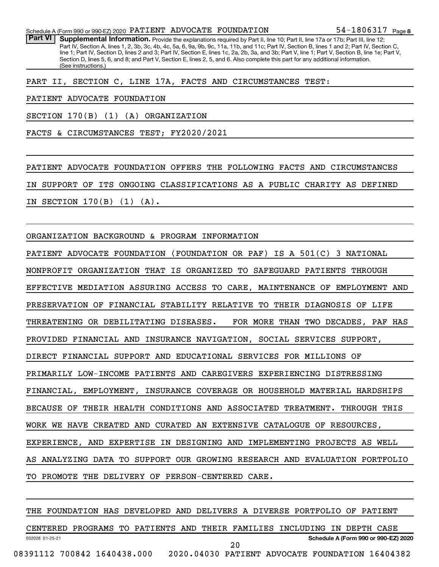PART II, SECTION C, LINE 17A, FACTS AND CIRCUMSTANCES TEST:

PATIENT ADVOCATE FOUNDATION

SECTION 170(B) (1) (A) ORGANIZATION

FACTS & CIRCUMSTANCES TEST; FY2020/2021

PATIENT ADVOCATE FOUNDATION OFFERS THE FOLLOWING FACTS AND CIRCUMSTANCES IN SUPPORT OF ITS ONGOING CLASSIFICATIONS AS A PUBLIC CHARITY AS DEFINED IN SECTION 170(B) (1) (A).

ORGANIZATION BACKGROUND & PROGRAM INFORMATION

PATIENT ADVOCATE FOUNDATION (FOUNDATION OR PAF) IS A 501(C) 3 NATIONAL NONPROFIT ORGANIZATION THAT IS ORGANIZED TO SAFEGUARD PATIENTS THROUGH EFFECTIVE MEDIATION ASSURING ACCESS TO CARE, MAINTENANCE OF EMPLOYMENT AND PRESERVATION OF FINANCIAL STABILITY RELATIVE TO THEIR DIAGNOSIS OF LIFE THREATENING OR DEBILITATING DISEASES. FOR MORE THAN TWO DECADES, PAF HAS PROVIDED FINANCIAL AND INSURANCE NAVIGATION, SOCIAL SERVICES SUPPORT, DIRECT FINANCIAL SUPPORT AND EDUCATIONAL SERVICES FOR MILLIONS OF PRIMARILY LOW-INCOME PATIENTS AND CAREGIVERS EXPERIENCING DISTRESSING FINANCIAL, EMPLOYMENT, INSURANCE COVERAGE OR HOUSEHOLD MATERIAL HARDSHIPS BECAUSE OF THEIR HEALTH CONDITIONS AND ASSOCIATED TREATMENT. THROUGH THIS WORK WE HAVE CREATED AND CURATED AN EXTENSIVE CATALOGUE OF RESOURCES, EXPERIENCE, AND EXPERTISE IN DESIGNING AND IMPLEMENTING PROJECTS AS WELL AS ANALYZING DATA TO SUPPORT OUR GROWING RESEARCH AND EVALUATION PORTFOLIO TO PROMOTE THE DELIVERY OF PERSON-CENTERED CARE.

032028 01-25-21 **Schedule A (Form 990 or 990-EZ) 2020** THE FOUNDATION HAS DEVELOPED AND DELIVERS A DIVERSE PORTFOLIO OF PATIENT CENTERED PROGRAMS TO PATIENTS AND THEIR FAMILIES INCLUDING IN DEPTH CASE 08391112 700842 1640438.000 2020.04030 PATIENT ADVOCATE FOUNDATION 16404382 20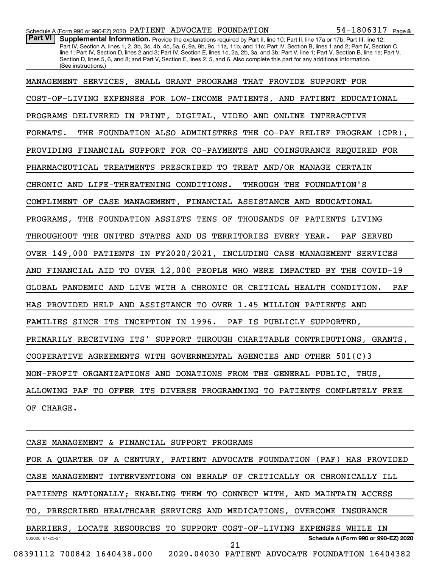Part VI | Supplemental Information. Provide the explanations required by Part II, line 10; Part II, line 17a or 17b; Part III, line 12; Part IV, Section A, lines 1, 2, 3b, 3c, 4b, 4c, 5a, 6, 9a, 9b, 9c, 11a, 11b, and 11c; Part IV, Section B, lines 1 and 2; Part IV, Section C, line 1; Part IV, Section D, lines 2 and 3; Part IV, Section E, lines 1c, 2a, 2b, 3a, and 3b; Part V, line 1; Part V, Section B, line 1e; Part V, Section D, lines 5, 6, and 8; and Part V, Section E, lines 2, 5, and 6. Also complete this part for any additional information. (See instructions.)

032028 01-25-21 **Schedule A (Form 990 or 990-EZ) 2020** CASE MANAGEMENT & FINANCIAL SUPPORT PROGRAMS FOR A QUARTER OF A CENTURY, PATIENT ADVOCATE FOUNDATION (PAF) HAS PROVIDED CASE MANAGEMENT INTERVENTIONS ON BEHALF OF CRITICALLY OR CHRONICALLY ILL PATIENTS NATIONALLY; ENABLING THEM TO CONNECT WITH, AND MAINTAIN ACCESS TO, PRESCRIBED HEALTHCARE SERVICES AND MEDICATIONS, OVERCOME INSURANCE BARRIERS, LOCATE RESOURCES TO SUPPORT COST-OF-LIVING EXPENSES WHILE IN 08391112 700842 1640438.000 2020.04030 PATIENT ADVOCATE FOUNDATION 16404382 21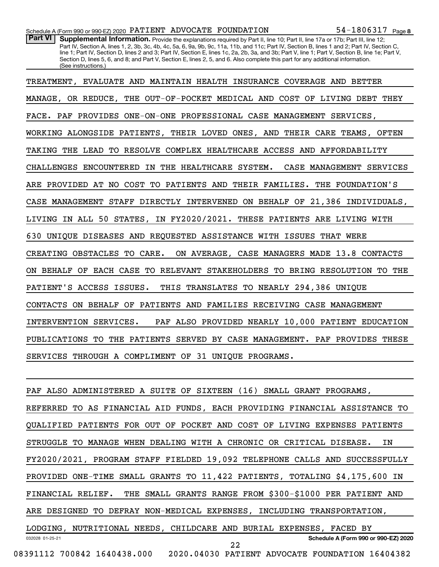Part VI | Supplemental Information. Provide the explanations required by Part II, line 10; Part II, line 17a or 17b; Part III, line 12; Part IV, Section A, lines 1, 2, 3b, 3c, 4b, 4c, 5a, 6, 9a, 9b, 9c, 11a, 11b, and 11c; Part IV, Section B, lines 1 and 2; Part IV, Section C, line 1; Part IV, Section D, lines 2 and 3; Part IV, Section E, lines 1c, 2a, 2b, 3a, and 3b; Part V, line 1; Part V, Section B, line 1e; Part V, Section D, lines 5, 6, and 8; and Part V, Section E, lines 2, 5, and 6. Also complete this part for any additional information. (See instructions.)

TREATMENT, EVALUATE AND MAINTAIN HEALTH INSURANCE COVERAGE AND BETTER MANAGE, OR REDUCE, THE OUT-OF-POCKET MEDICAL AND COST OF LIVING DEBT THEY FACE. PAF PROVIDES ONE-ON-ONE PROFESSIONAL CASE MANAGEMENT SERVICES, WORKING ALONGSIDE PATIENTS, THEIR LOVED ONES, AND THEIR CARE TEAMS, OFTEN TAKING THE LEAD TO RESOLVE COMPLEX HEALTHCARE ACCESS AND AFFORDABILITY CHALLENGES ENCOUNTERED IN THE HEALTHCARE SYSTEM. CASE MANAGEMENT SERVICES ARE PROVIDED AT NO COST TO PATIENTS AND THEIR FAMILIES. THE FOUNDATION'S CASE MANAGEMENT STAFF DIRECTLY INTERVENED ON BEHALF OF 21,386 INDIVIDUALS, LIVING IN ALL 50 STATES, IN FY2020/2021. THESE PATIENTS ARE LIVING WITH 630 UNIQUE DISEASES AND REQUESTED ASSISTANCE WITH ISSUES THAT WERE CREATING OBSTACLES TO CARE. ON AVERAGE, CASE MANAGERS MADE 13.8 CONTACTS ON BEHALF OF EACH CASE TO RELEVANT STAKEHOLDERS TO BRING RESOLUTION TO THE PATIENT'S ACCESS ISSUES. THIS TRANSLATES TO NEARLY 294,386 UNIQUE CONTACTS ON BEHALF OF PATIENTS AND FAMILIES RECEIVING CASE MANAGEMENT INTERVENTION SERVICES. PAF ALSO PROVIDED NEARLY 10,000 PATIENT EDUCATION PUBLICATIONS TO THE PATIENTS SERVED BY CASE MANAGEMENT. PAF PROVIDES THESE SERVICES THROUGH A COMPLIMENT OF 31 UNIQUE PROGRAMS.

032028 01-25-21 **Schedule A (Form 990 or 990-EZ) 2020** PAF ALSO ADMINISTERED A SUITE OF SIXTEEN (16) SMALL GRANT PROGRAMS, REFERRED TO AS FINANCIAL AID FUNDS, EACH PROVIDING FINANCIAL ASSISTANCE TO QUALIFIED PATIENTS FOR OUT OF POCKET AND COST OF LIVING EXPENSES PATIENTS STRUGGLE TO MANAGE WHEN DEALING WITH A CHRONIC OR CRITICAL DISEASE. IN FY2020/2021, PROGRAM STAFF FIELDED 19,092 TELEPHONE CALLS AND SUCCESSFULLY PROVIDED ONE-TIME SMALL GRANTS TO 11,422 PATIENTS, TOTALING \$4,175,600 IN FINANCIAL RELIEF. THE SMALL GRANTS RANGE FROM \$300-\$1000 PER PATIENT AND ARE DESIGNED TO DEFRAY NON-MEDICAL EXPENSES, INCLUDING TRANSPORTATION, LODGING, NUTRITIONAL NEEDS, CHILDCARE AND BURIAL EXPENSES, FACED BY 08391112 700842 1640438.000 2020.04030 PATIENT ADVOCATE FOUNDATION 16404382 22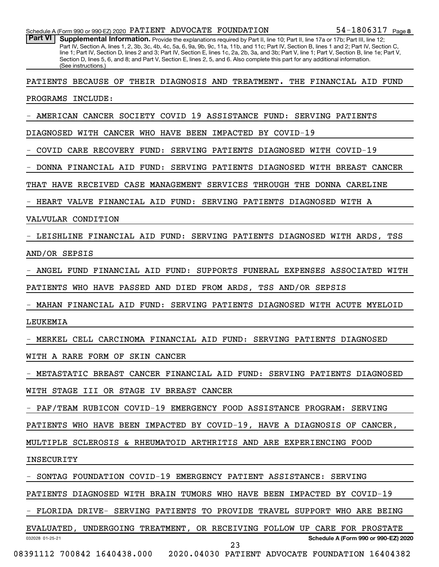| Schedule A (Form 990 or 990-EZ) 2020 PATIENT ADVOCATE FOUNDATION                                                                                                                                                                                                                                                                                                                                                                                                                                                                                                                                              | 54-1806317 Page 8                    |
|---------------------------------------------------------------------------------------------------------------------------------------------------------------------------------------------------------------------------------------------------------------------------------------------------------------------------------------------------------------------------------------------------------------------------------------------------------------------------------------------------------------------------------------------------------------------------------------------------------------|--------------------------------------|
| <b>Part VI</b><br>Supplemental Information. Provide the explanations required by Part II, line 10; Part II, line 17a or 17b; Part III, line 12;<br>Part IV, Section A, lines 1, 2, 3b, 3c, 4b, 4c, 5a, 6, 9a, 9b, 9c, 11a, 11b, and 11c; Part IV, Section B, lines 1 and 2; Part IV, Section C,<br>line 1; Part IV, Section D, lines 2 and 3; Part IV, Section E, lines 1c, 2a, 2b, 3a, and 3b; Part V, line 1; Part V, Section B, line 1e; Part V,<br>Section D, lines 5, 6, and 8; and Part V, Section E, lines 2, 5, and 6. Also complete this part for any additional information.<br>(See instructions.) |                                      |
| PATIENTS BECAUSE OF THEIR DIAGNOSIS AND TREATMENT. THE FINANCIAL AID FUND                                                                                                                                                                                                                                                                                                                                                                                                                                                                                                                                     |                                      |
| PROGRAMS INCLUDE:                                                                                                                                                                                                                                                                                                                                                                                                                                                                                                                                                                                             |                                      |
| AMERICAN CANCER SOCIETY COVID 19 ASSISTANCE FUND: SERVING PATIENTS                                                                                                                                                                                                                                                                                                                                                                                                                                                                                                                                            |                                      |
| DIAGNOSED WITH CANCER WHO HAVE BEEN IMPACTED BY COVID-19                                                                                                                                                                                                                                                                                                                                                                                                                                                                                                                                                      |                                      |
| COVID CARE RECOVERY FUND:<br>SERVING PATIENTS DIAGNOSED WITH COVID-19                                                                                                                                                                                                                                                                                                                                                                                                                                                                                                                                         |                                      |
| DONNA FINANCIAL AID FUND: SERVING PATIENTS DIAGNOSED WITH BREAST CANCER                                                                                                                                                                                                                                                                                                                                                                                                                                                                                                                                       |                                      |
| THAT HAVE RECEIVED CASE MANAGEMENT SERVICES THROUGH THE DONNA CARELINE                                                                                                                                                                                                                                                                                                                                                                                                                                                                                                                                        |                                      |
| HEART VALVE FINANCIAL AID FUND: SERVING PATIENTS DIAGNOSED WITH A                                                                                                                                                                                                                                                                                                                                                                                                                                                                                                                                             |                                      |
| VALVULAR CONDITION                                                                                                                                                                                                                                                                                                                                                                                                                                                                                                                                                                                            |                                      |
| LEISHLINE FINANCIAL AID FUND: SERVING PATIENTS DIAGNOSED WITH ARDS, TSS                                                                                                                                                                                                                                                                                                                                                                                                                                                                                                                                       |                                      |
| AND/OR SEPSIS                                                                                                                                                                                                                                                                                                                                                                                                                                                                                                                                                                                                 |                                      |
| ANGEL FUND FINANCIAL AID FUND: SUPPORTS FUNERAL EXPENSES ASSOCIATED WITH                                                                                                                                                                                                                                                                                                                                                                                                                                                                                                                                      |                                      |
| PATIENTS WHO HAVE PASSED AND DIED FROM ARDS, TSS AND/OR SEPSIS                                                                                                                                                                                                                                                                                                                                                                                                                                                                                                                                                |                                      |
| MAHAN FINANCIAL AID FUND: SERVING PATIENTS DIAGNOSED WITH ACUTE MYELOID                                                                                                                                                                                                                                                                                                                                                                                                                                                                                                                                       |                                      |
| LEUKEMIA                                                                                                                                                                                                                                                                                                                                                                                                                                                                                                                                                                                                      |                                      |
| MERKEL CELL CARCINOMA FINANCIAL AID FUND: SERVING PATIENTS DIAGNOSED                                                                                                                                                                                                                                                                                                                                                                                                                                                                                                                                          |                                      |
| WITH A RARE FORM OF SKIN CANCER                                                                                                                                                                                                                                                                                                                                                                                                                                                                                                                                                                               |                                      |
| - METASTATIC BREAST CANCER FINANCIAL AID FUND: SERVING PATIENTS DIAGNOSED                                                                                                                                                                                                                                                                                                                                                                                                                                                                                                                                     |                                      |
| WITH STAGE III OR STAGE IV BREAST CANCER                                                                                                                                                                                                                                                                                                                                                                                                                                                                                                                                                                      |                                      |
| - PAF/TEAM RUBICON COVID-19 EMERGENCY FOOD ASSISTANCE PROGRAM: SERVING                                                                                                                                                                                                                                                                                                                                                                                                                                                                                                                                        |                                      |
| PATIENTS WHO HAVE BEEN IMPACTED BY COVID-19, HAVE A DIAGNOSIS OF CANCER,                                                                                                                                                                                                                                                                                                                                                                                                                                                                                                                                      |                                      |
| MULTIPLE SCLEROSIS & RHEUMATOID ARTHRITIS AND ARE EXPERIENCING FOOD                                                                                                                                                                                                                                                                                                                                                                                                                                                                                                                                           |                                      |
| INSECURITY                                                                                                                                                                                                                                                                                                                                                                                                                                                                                                                                                                                                    |                                      |
| - SONTAG FOUNDATION COVID-19 EMERGENCY PATIENT ASSISTANCE: SERVING                                                                                                                                                                                                                                                                                                                                                                                                                                                                                                                                            |                                      |
| PATIENTS DIAGNOSED WITH BRAIN TUMORS WHO HAVE BEEN IMPACTED BY COVID-19                                                                                                                                                                                                                                                                                                                                                                                                                                                                                                                                       |                                      |
| - FLORIDA DRIVE- SERVING PATIENTS TO PROVIDE TRAVEL SUPPORT WHO ARE BEING                                                                                                                                                                                                                                                                                                                                                                                                                                                                                                                                     |                                      |
| EVALUATED, UNDERGOING TREATMENT, OR RECEIVING FOLLOW UP CARE FOR PROSTATE                                                                                                                                                                                                                                                                                                                                                                                                                                                                                                                                     |                                      |
| 032028 01-25-21<br>23                                                                                                                                                                                                                                                                                                                                                                                                                                                                                                                                                                                         | Schedule A (Form 990 or 990-EZ) 2020 |
| 08391112 700842 1640438.000 2020.04030 PATIENT ADVOCATE FOUNDATION 16404382                                                                                                                                                                                                                                                                                                                                                                                                                                                                                                                                   |                                      |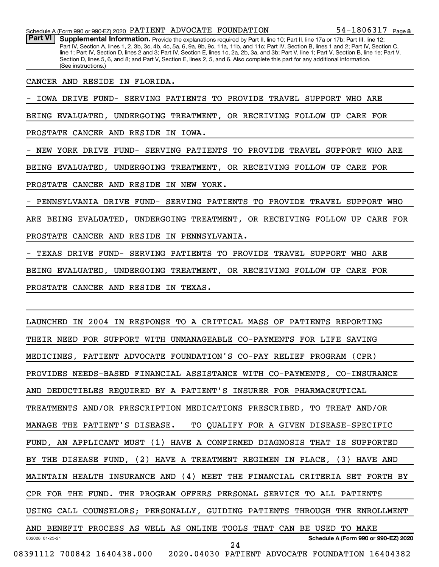54-1806317 <sub>Page</sub> 8

Part VI | Supplemental Information. Provide the explanations required by Part II, line 10; Part II, line 17a or 17b; Part III, line 12; Part IV, Section A, lines 1, 2, 3b, 3c, 4b, 4c, 5a, 6, 9a, 9b, 9c, 11a, 11b, and 11c; Part IV, Section B, lines 1 and 2; Part IV, Section C, line 1; Part IV, Section D, lines 2 and 3; Part IV, Section E, lines 1c, 2a, 2b, 3a, and 3b; Part V, line 1; Part V, Section B, line 1e; Part V, Section D, lines 5, 6, and 8; and Part V, Section E, lines 2, 5, and 6. Also complete this part for any additional information. (See instructions.)

CANCER AND RESIDE IN FLORIDA.

- IOWA DRIVE FUND- SERVING PATIENTS TO PROVIDE TRAVEL SUPPORT WHO ARE

BEING EVALUATED, UNDERGOING TREATMENT, OR RECEIVING FOLLOW UP CARE FOR

PROSTATE CANCER AND RESIDE IN IOWA.

- NEW YORK DRIVE FUND- SERVING PATIENTS TO PROVIDE TRAVEL SUPPORT WHO ARE

BEING EVALUATED, UNDERGOING TREATMENT, OR RECEIVING FOLLOW UP CARE FOR

PROSTATE CANCER AND RESIDE IN NEW YORK.

- PENNSYLVANIA DRIVE FUND- SERVING PATIENTS TO PROVIDE TRAVEL SUPPORT WHO

ARE BEING EVALUATED, UNDERGOING TREATMENT, OR RECEIVING FOLLOW UP CARE FOR

PROSTATE CANCER AND RESIDE IN PENNSYLVANIA.

TEXAS DRIVE FUND- SERVING PATIENTS TO PROVIDE TRAVEL SUPPORT WHO ARE

BEING EVALUATED, UNDERGOING TREATMENT, OR RECEIVING FOLLOW UP CARE FOR

PROSTATE CANCER AND RESIDE IN TEXAS.

032028 01-25-21 **Schedule A (Form 990 or 990-EZ) 2020** LAUNCHED IN 2004 IN RESPONSE TO A CRITICAL MASS OF PATIENTS REPORTING THEIR NEED FOR SUPPORT WITH UNMANAGEABLE CO-PAYMENTS FOR LIFE SAVING MEDICINES, PATIENT ADVOCATE FOUNDATION'S CO-PAY RELIEF PROGRAM (CPR) PROVIDES NEEDS-BASED FINANCIAL ASSISTANCE WITH CO-PAYMENTS, CO-INSURANCE AND DEDUCTIBLES REQUIRED BY A PATIENT'S INSURER FOR PHARMACEUTICAL TREATMENTS AND/OR PRESCRIPTION MEDICATIONS PRESCRIBED, TO TREAT AND/OR MANAGE THE PATIENT'S DISEASE. TO QUALIFY FOR A GIVEN DISEASE-SPECIFIC FUND, AN APPLICANT MUST (1) HAVE A CONFIRMED DIAGNOSIS THAT IS SUPPORTED BY THE DISEASE FUND, (2) HAVE A TREATMENT REGIMEN IN PLACE, (3) HAVE AND MAINTAIN HEALTH INSURANCE AND (4) MEET THE FINANCIAL CRITERIA SET FORTH BY CPR FOR THE FUND. THE PROGRAM OFFERS PERSONAL SERVICE TO ALL PATIENTS USING CALL COUNSELORS; PERSONALLY, GUIDING PATIENTS THROUGH THE ENROLLMENT AND BENEFIT PROCESS AS WELL AS ONLINE TOOLS THAT CAN BE USED TO MAKE 08391112 700842 1640438.000 2020.04030 PATIENT ADVOCATE FOUNDATION 16404382 24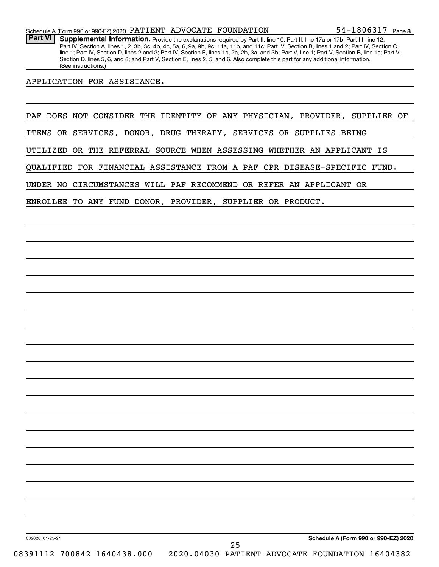Part VI | Supplemental Information. Provide the explanations required by Part II, line 10; Part II, line 17a or 17b; Part III, line 12; Part IV, Section A, lines 1, 2, 3b, 3c, 4b, 4c, 5a, 6, 9a, 9b, 9c, 11a, 11b, and 11c; Part IV, Section B, lines 1 and 2; Part IV, Section C, line 1; Part IV, Section D, lines 2 and 3; Part IV, Section E, lines 1c, 2a, 2b, 3a, and 3b; Part V, line 1; Part V, Section B, line 1e; Part V, Section D, lines 5, 6, and 8; and Part V, Section E, lines 2, 5, and 6. Also complete this part for any additional information. (See instructions.)

#### APPLICATION FOR ASSISTANCE.

PAF DOES NOT CONSIDER THE IDENTITY OF ANY PHYSICIAN, PROVIDER, SUPPLIER OF

ITEMS OR SERVICES, DONOR, DRUG THERAPY, SERVICES OR SUPPLIES BEING

UTILIZED OR THE REFERRAL SOURCE WHEN ASSESSING WHETHER AN APPLICANT IS

QUALIFIED FOR FINANCIAL ASSISTANCE FROM A PAF CPR DISEASE-SPECIFIC FUND.

25

UNDER NO CIRCUMSTANCES WILL PAF RECOMMEND OR REFER AN APPLICANT OR

ENROLLEE TO ANY FUND DONOR, PROVIDER, SUPPLIER OR PRODUCT.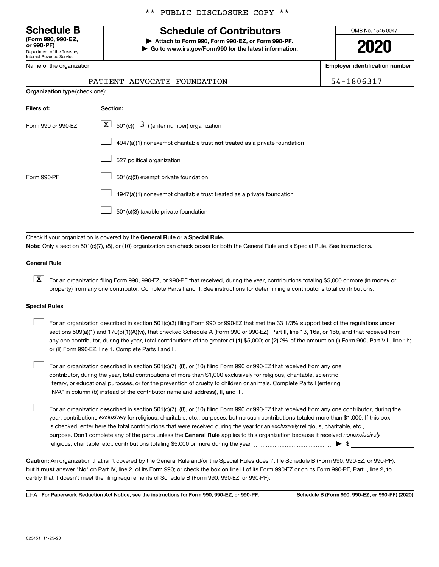Department of the Treasury Internal Revenue Service **(Form 990, 990-EZ,**

|  | Name of the organization |
|--|--------------------------|
|--|--------------------------|

### \*\* PUBLIC DISCLOSURE COPY \*\*

# **Schedule B Schedule of Contributors**

**or 990-PF) | Attach to Form 990, Form 990-EZ, or Form 990-PF. | Go to www.irs.gov/Form990 for the latest information.** OMB No. 1545-0047

**2020**

**Employer identification number**

| ٠ |  |
|---|--|
|---|--|

| PATIENT ADVOCATE FOUNDATION | 54-1806317 |
|-----------------------------|------------|
|-----------------------------|------------|

| <b>Organization type (check one):</b> |                                                                           |  |  |  |
|---------------------------------------|---------------------------------------------------------------------------|--|--|--|
| Filers of:                            | Section:                                                                  |  |  |  |
| Form 990 or 990-EZ                    | $\lfloor x \rfloor$ 501(c)( 3) (enter number) organization                |  |  |  |
|                                       | 4947(a)(1) nonexempt charitable trust not treated as a private foundation |  |  |  |
|                                       | 527 political organization                                                |  |  |  |
| Form 990-PF                           | 501(c)(3) exempt private foundation                                       |  |  |  |
|                                       | 4947(a)(1) nonexempt charitable trust treated as a private foundation     |  |  |  |
|                                       | 501(c)(3) taxable private foundation                                      |  |  |  |

Check if your organization is covered by the General Rule or a Special Rule. **Note:**  Only a section 501(c)(7), (8), or (10) organization can check boxes for both the General Rule and a Special Rule. See instructions.

#### **General Rule**

**K** For an organization filing Form 990, 990-EZ, or 990-PF that received, during the year, contributions totaling \$5,000 or more (in money or property) from any one contributor. Complete Parts I and II. See instructions for determining a contributor's total contributions.

#### **Special Rules**

 $\Box$ 

any one contributor, during the year, total contributions of the greater of (1) \$5,000; or (2) 2% of the amount on (i) Form 990, Part VIII, line 1h; For an organization described in section 501(c)(3) filing Form 990 or 990-EZ that met the 33 1/3% support test of the regulations under sections 509(a)(1) and 170(b)(1)(A)(vi), that checked Schedule A (Form 990 or 990-EZ), Part II, line 13, 16a, or 16b, and that received from or (ii) Form 990-EZ, line 1. Complete Parts I and II.  $\Box$ 

For an organization described in section 501(c)(7), (8), or (10) filing Form 990 or 990-EZ that received from any one contributor, during the year, total contributions of more than \$1,000 exclusively for religious, charitable, scientific, literary, or educational purposes, or for the prevention of cruelty to children or animals. Complete Parts I (entering "N/A" in column (b) instead of the contributor name and address), II, and III.  $\Box$ 

purpose. Don't complete any of the parts unless the General Rule applies to this organization because it received nonexclusively year, contributions exclusively for religious, charitable, etc., purposes, but no such contributions totaled more than \$1,000. If this box is checked, enter here the total contributions that were received during the year for an exclusively religious, charitable, etc., For an organization described in section 501(c)(7), (8), or (10) filing Form 990 or 990-EZ that received from any one contributor, during the religious, charitable, etc., contributions totaling \$5,000 or more during the year  $~\ldots\ldots\ldots\ldots\ldots\ldots\ldots\ldots\blacktriangleright~$ \$

**Caution:**  An organization that isn't covered by the General Rule and/or the Special Rules doesn't file Schedule B (Form 990, 990-EZ, or 990-PF),  **must** but it answer "No" on Part IV, line 2, of its Form 990; or check the box on line H of its Form 990-EZ or on its Form 990-PF, Part I, line 2, to certify that it doesn't meet the filing requirements of Schedule B (Form 990, 990-EZ, or 990-PF).

**For Paperwork Reduction Act Notice, see the instructions for Form 990, 990-EZ, or 990-PF. Schedule B (Form 990, 990-EZ, or 990-PF) (2020)** LHA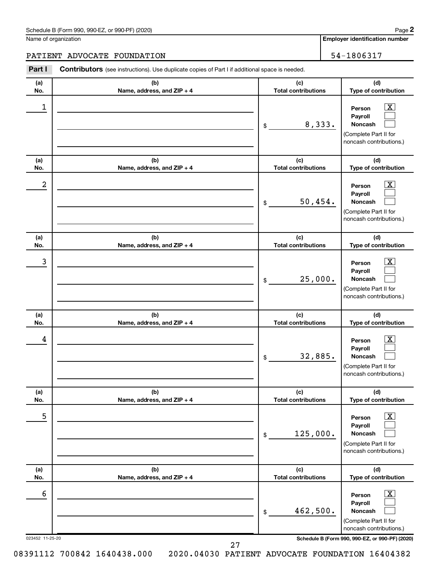| Schedule B (Form 990, 990-EZ, or 990-PF) (2020)<br>. The state of the state $\mathcal{L}$ is the state of the state of the state of the state of the state of the state of the state of the state of the state of the state of the state of the state of the state of the state of th | Page |
|---------------------------------------------------------------------------------------------------------------------------------------------------------------------------------------------------------------------------------------------------------------------------------------|------|
|---------------------------------------------------------------------------------------------------------------------------------------------------------------------------------------------------------------------------------------------------------------------------------------|------|

Name of organization

**2**

**Employer identification number**

PATIENT ADVOCATE FOUNDATION 54-1806317

| Part I               | Contributors (see instructions). Use duplicate copies of Part I if additional space is needed. |                                   |                                                                                                                                     |
|----------------------|------------------------------------------------------------------------------------------------|-----------------------------------|-------------------------------------------------------------------------------------------------------------------------------------|
| (a)<br>No.           | (b)<br>Name, address, and ZIP + 4                                                              | (c)<br><b>Total contributions</b> | (d)<br>Type of contribution                                                                                                         |
| 1                    |                                                                                                | 8,333.<br>\$                      | $\overline{\mathbf{X}}$<br>Person<br>Payroll<br>Noncash<br>(Complete Part II for<br>noncash contributions.)                         |
| (a)<br>No.           | (b)<br>Name, address, and ZIP + 4                                                              | (c)<br><b>Total contributions</b> | (d)<br>Type of contribution                                                                                                         |
| $\boldsymbol{2}$     |                                                                                                | 50,454.<br>\$                     | X.<br>Person<br>Payroll<br>Noncash<br>(Complete Part II for<br>noncash contributions.)                                              |
| (a)<br>No.           | (b)<br>Name, address, and ZIP + 4                                                              | (c)<br><b>Total contributions</b> | (d)<br>Type of contribution                                                                                                         |
| 3                    |                                                                                                | 25,000.<br>\$                     | Person<br>Payroll<br>Noncash<br>(Complete Part II for<br>noncash contributions.)                                                    |
| (a)<br>No.           | (b)<br>Name, address, and ZIP + 4                                                              | (c)<br><b>Total contributions</b> | (d)<br>Type of contribution                                                                                                         |
| 4                    |                                                                                                | 32,885.<br>\$                     | x<br>Person<br>Payroll<br>Noncash<br>(Complete Part II for<br>noncash contributions.)                                               |
| (a)<br>No.           | (b)<br>Name, address, and ZIP + 4                                                              | (c)<br><b>Total contributions</b> | (d)<br>Type of contribution                                                                                                         |
| 5                    |                                                                                                | 125,000.<br>\$                    | Person<br>Payroll<br>Noncash<br>(Complete Part II for<br>noncash contributions.)                                                    |
| (a)<br>No.           | (b)<br>Name, address, and ZIP + 4                                                              | (c)<br><b>Total contributions</b> | (d)<br>Type of contribution                                                                                                         |
| 6<br>023452 11-25-20 |                                                                                                | 462,500.<br>\$                    | Person<br>Payroll<br>Noncash<br>(Complete Part II for<br>noncash contributions.)<br>Schedule B (Form 990, 990-EZ, or 990-PF) (2020) |

27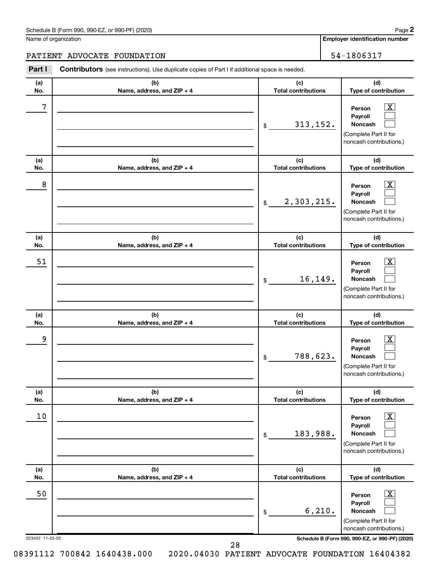| Schedule B (Form 990, 990-EZ, or 990-PF) (2020) | Page |
|-------------------------------------------------|------|
|-------------------------------------------------|------|

Name of organization

**Part I Contributors**

**2**

**Employer identification number**

PATIENT ADVOCATE FOUNDATION 54-1806317

| Part I          | <b>Contributors</b> (see instructions). Use duplicate copies of Part I if additional space is needed. |                                   |                                                                                                                |
|-----------------|-------------------------------------------------------------------------------------------------------|-----------------------------------|----------------------------------------------------------------------------------------------------------------|
| (a)<br>No.      | (b)<br>Name, address, and ZIP + 4                                                                     | (c)<br><b>Total contributions</b> | (d)<br>Type of contribution                                                                                    |
| 7               |                                                                                                       | 313, 152.<br>\$                   | $\lfloor x \rfloor$<br>Person<br>Payroll<br><b>Noncash</b><br>(Complete Part II for<br>noncash contributions.) |
| (a)<br>No.      | (b)<br>Name, address, and ZIP + 4                                                                     | (c)<br><b>Total contributions</b> | (d)<br>Type of contribution                                                                                    |
| 8               |                                                                                                       | 2,303,215.<br>$$\circ$$           | $\lfloor x \rfloor$<br>Person<br>Payroll<br><b>Noncash</b><br>(Complete Part II for<br>noncash contributions.) |
| (a)<br>No.      | (b)<br>Name, address, and ZIP + 4                                                                     | (c)<br><b>Total contributions</b> | (d)<br>Type of contribution                                                                                    |
| 51              |                                                                                                       | 16,149.<br>\$                     | $\lfloor x \rfloor$<br>Person<br>Payroll<br><b>Noncash</b><br>(Complete Part II for<br>noncash contributions.) |
| (a)<br>No.      | (b)<br>Name, address, and ZIP + 4                                                                     | (c)<br><b>Total contributions</b> | (d)<br>Type of contribution                                                                                    |
| 9               |                                                                                                       | 788,623.<br>\$                    | $\mathbf{X}$<br>Person<br>Payroll<br><b>Noncash</b><br>(Complete Part II for<br>noncash contributions.)        |
| (a)<br>No.      | (b)<br>Name, address, and ZIP + 4                                                                     | (c)<br><b>Total contributions</b> | (d)<br>Type of contribution                                                                                    |
| 10              |                                                                                                       | 183,988.<br>\$                    | $\boxed{\text{X}}$<br>Person<br>Payroll<br>Noncash<br>(Complete Part II for<br>noncash contributions.)         |
| (a)<br>No.      | (b)<br>Name, address, and ZIP + 4                                                                     | (c)<br><b>Total contributions</b> | (d)<br>Type of contribution                                                                                    |
| 50              |                                                                                                       | 6, 210.<br>\$                     | $\boxed{\text{X}}$<br>Person<br>Payroll<br>Noncash<br>(Complete Part II for<br>noncash contributions.)         |
| 023452 11-25-20 |                                                                                                       |                                   | Schedule B (Form 990, 990-EZ, or 990-PF) (2020)                                                                |

28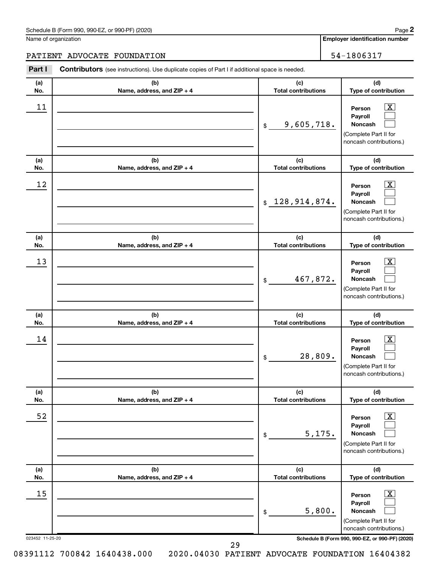| Schedule B (Form 990, 990-EZ, or 990-PF) (2020) | Page |
|-------------------------------------------------|------|
|-------------------------------------------------|------|

Name of organization

**Employer identification number 2**

# PATIENT ADVOCATE FOUNDATION 54-1806317

| Part I          | <b>Contributors</b> (see instructions). Use duplicate copies of Part I if additional space is needed. |                                   |                                                                                                             |
|-----------------|-------------------------------------------------------------------------------------------------------|-----------------------------------|-------------------------------------------------------------------------------------------------------------|
| (a)             | (b)                                                                                                   | (c)                               | (d)                                                                                                         |
| No.             | Name, address, and ZIP + 4                                                                            | <b>Total contributions</b>        | Type of contribution                                                                                        |
| 11              |                                                                                                       | 9,605,718.<br>\$                  | $\overline{\mathbf{X}}$<br>Person<br>Payroll<br>Noncash<br>(Complete Part II for<br>noncash contributions.) |
| (a)             | (b)                                                                                                   | (c)                               | (d)                                                                                                         |
| No.             | Name, address, and ZIP + 4                                                                            | <b>Total contributions</b>        | Type of contribution                                                                                        |
| 12              |                                                                                                       | \$128,914,874.                    | $\mathbf{X}$<br>Person<br>Payroll<br>Noncash<br>(Complete Part II for<br>noncash contributions.)            |
| (a)<br>No.      | (b)<br>Name, address, and ZIP + 4                                                                     | (c)<br><b>Total contributions</b> | (d)<br>Type of contribution                                                                                 |
| 13              |                                                                                                       | 467,872.<br>\$                    | $\overline{\text{X}}$<br>Person<br>Payroll<br>Noncash<br>(Complete Part II for<br>noncash contributions.)   |
| (a)<br>No.      | (b)<br>Name, address, and ZIP + 4                                                                     | (c)<br><b>Total contributions</b> | (d)<br>Type of contribution                                                                                 |
| 14              |                                                                                                       | 28,809.<br>\$                     | $\mathbf{X}$<br>Person<br>Payroll<br>Noncash<br>(Complete Part II for<br>noncash contributions.)            |
| (a)<br>No.      | (b)<br>Name, address, and ZIP + 4                                                                     | (c)<br><b>Total contributions</b> | (d)<br>Type of contribution                                                                                 |
| 52              |                                                                                                       | 5,175.<br>\$                      | $\overline{\text{X}}$<br>Person<br>Payroll<br>Noncash<br>(Complete Part II for<br>noncash contributions.)   |
| (a)             | (b)                                                                                                   | (c)<br><b>Total contributions</b> | (d)<br>Type of contribution                                                                                 |
| No.<br>15       | Name, address, and ZIP + 4                                                                            | 5,800.<br>\$                      | X<br>Person<br>Payroll<br>Noncash<br>(Complete Part II for<br>noncash contributions.)                       |
| 023452 11-25-20 |                                                                                                       |                                   | Schedule B (Form 990, 990-EZ, or 990-PF) (2020)                                                             |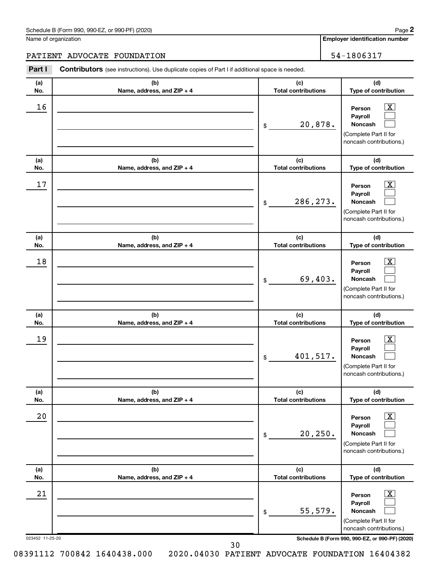Name of organization

**Employer identification number**

# PATIENT ADVOCATE FOUNDATION 54-1806317

| Part I          | <b>Contributors</b> (see instructions). Use duplicate copies of Part I if additional space is needed. |                                   |                                                                                                                 |
|-----------------|-------------------------------------------------------------------------------------------------------|-----------------------------------|-----------------------------------------------------------------------------------------------------------------|
| (a)<br>No.      | (b)<br>Name, address, and ZIP + 4                                                                     | (c)<br><b>Total contributions</b> | (d)<br>Type of contribution                                                                                     |
| 16              |                                                                                                       | 20,878.<br>\$                     | $\boxed{\textbf{X}}$<br>Person<br>Payroll<br>Noncash<br>(Complete Part II for<br>noncash contributions.)        |
| (a)<br>No.      | (b)<br>Name, address, and ZIP + 4                                                                     | (c)<br><b>Total contributions</b> | (d)<br>Type of contribution                                                                                     |
| 17              |                                                                                                       | 286, 273.<br>\$                   | $\mathbf{X}$<br>Person<br>Payroll<br>Noncash<br>(Complete Part II for<br>noncash contributions.)                |
| (a)<br>No.      | (b)<br>Name, address, and ZIP + 4                                                                     | (c)<br><b>Total contributions</b> | (d)<br>Type of contribution                                                                                     |
| 18              |                                                                                                       | 69,403.<br>\$                     | $\mathbf{X}$<br>Person<br>Payroll<br>Noncash<br>(Complete Part II for<br>noncash contributions.)                |
| (a)<br>No.      | (b)<br>Name, address, and ZIP + 4                                                                     | (c)<br><b>Total contributions</b> | (d)<br>Type of contribution                                                                                     |
| 19              |                                                                                                       | 401,517.<br>\$                    | $\mathbf{X}$<br>Person<br>Payroll<br>Noncash<br>(Complete Part II for<br>noncash contributions.)                |
| (a)<br>No.      | (b)<br>Name, address, and ZIP + 4                                                                     | (c)<br><b>Total contributions</b> | (d)<br>Type of contribution                                                                                     |
| 20              |                                                                                                       | 20, 250.<br>\$                    | $\boxed{\textbf{X}}$<br>Person<br>Payroll<br><b>Noncash</b><br>(Complete Part II for<br>noncash contributions.) |
| (a)<br>No.      | (b)<br>Name, address, and ZIP + 4                                                                     | (c)<br><b>Total contributions</b> | (d)<br>Type of contribution                                                                                     |
| 21              |                                                                                                       | 55,579.<br>\$                     | $\boxed{\mathbf{X}}$<br>Person<br>Payroll<br><b>Noncash</b><br>(Complete Part II for<br>noncash contributions.) |
| 023452 11-25-20 |                                                                                                       |                                   | Schedule B (Form 990, 990-EZ, or 990-PF) (2020)                                                                 |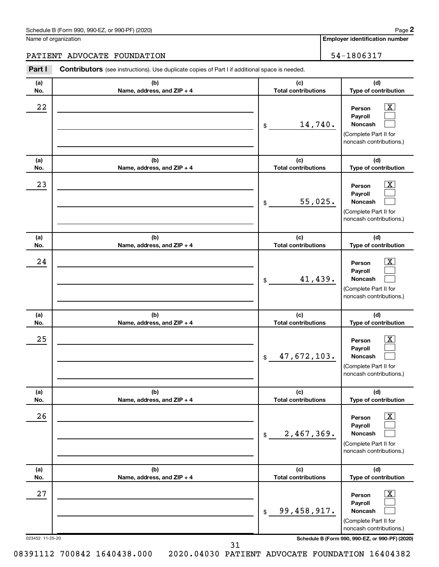Name of organization

**Employer identification number**

#### PATIENT ADVOCATE FOUNDATION FOUNDATION THE SERVICE OF SALE SERVICE SERVICE SERVICE SERVICE SERVICE SERVICE SERVICE SERVICE SERVICE SERVICE SERVICE SERVICE SERVICE SERVICE SERVICE SERVICE SERVICE SERVICE SERVICE SERVICE SER

023452 11-25-20 **Schedule B (Form 990, 990-EZ, or 990-PF) (2020) (a) No. (b) Name, address, and ZIP + 4 (c) Total contributions (d) Type of contribution Person Payroll Noncash (a) No. (b) Name, address, and ZIP + 4 (c) Total contributions (d) Type of contribution Person Payroll Noncash (a) No. (b) Name, address, and ZIP + 4 (c) Total contributions (d) Type of contribution Person Payroll Noncash (a) No. (b) Name, address, and ZIP + 4 (c) Total contributions (d) Type of contribution Person Payroll Noncash (a) No. (b) Name, address, and ZIP + 4 (c) Total contributions (d) Type of contribution Person Payroll Noncash (a) No. (b) Name, address, and ZIP + 4 (c) Total contributions (d) Type of contribution Person Payroll Noncash Part I** Contributors (see instructions). Use duplicate copies of Part I if additional space is needed. \$ (Complete Part II for noncash contributions.) \$ (Complete Part II for noncash contributions.) \$ (Complete Part II for noncash contributions.) \$ (Complete Part II for noncash contributions.) \$ (Complete Part II for noncash contributions.) \$ (Complete Part II for noncash contributions.)  $\lfloor x \rfloor$  $\Box$  $\Box$  $\overline{\mathbf{X}}$  $\Box$  $\Box$  $\boxed{\textbf{X}}$  $\Box$  $\Box$  $\boxed{\textbf{X}}$  $\Box$  $\Box$  $\boxed{\text{X}}$  $\Box$  $\Box$  $\boxed{\text{X}}$  $\Box$  $\Box$  $22$  Person  $\overline{\text{X}}$ 14,740.  $23$  Person  $\overline{\text{X}}$ 55,025.  $24$  Person  $\overline{\text{X}}$ 41,439.  $25$  Person  $\overline{\text{X}}$ 47,672,103.  $26$  Person  $\overline{\text{X}}$ 2,467,369.  $27$  Person  $\overline{\text{X}}$ 99,458,917.

**2**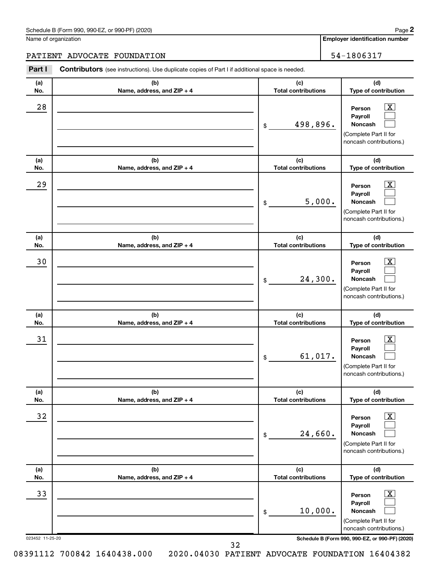Name of organization

**Employer identification number 2**

# PATIENT ADVOCATE FOUNDATION 54-1806317

| Part I          | <b>Contributors</b> (see instructions). Use duplicate copies of Part I if additional space is needed. |                                   |                                                                                                                 |
|-----------------|-------------------------------------------------------------------------------------------------------|-----------------------------------|-----------------------------------------------------------------------------------------------------------------|
| (a)<br>No.      | (b)<br>Name, address, and ZIP + 4                                                                     | (c)<br><b>Total contributions</b> | (d)<br>Type of contribution                                                                                     |
| 28              |                                                                                                       | 498,896.<br>\$                    | $\mathbf{X}$<br>Person<br>Payroll<br>Noncash<br>(Complete Part II for<br>noncash contributions.)                |
| (a)<br>No.      | (b)<br>Name, address, and ZIP + 4                                                                     | (c)<br><b>Total contributions</b> | (d)<br>Type of contribution                                                                                     |
| 29              |                                                                                                       | 5,000.<br>\$                      | $\boxed{\mathbf{X}}$<br>Person<br>Payroll<br>Noncash<br>(Complete Part II for<br>noncash contributions.)        |
| (a)<br>No.      | (b)<br>Name, address, and ZIP + 4                                                                     | (c)<br><b>Total contributions</b> | (d)<br>Type of contribution                                                                                     |
| 30              |                                                                                                       | 24,300.<br>\$                     | $\mathbf{X}$<br>Person<br>Payroll<br>Noncash<br>(Complete Part II for<br>noncash contributions.)                |
| (a)<br>No.      | (b)<br>Name, address, and ZIP + 4                                                                     | (c)<br><b>Total contributions</b> | (d)<br>Type of contribution                                                                                     |
| 31              |                                                                                                       | 61,017.<br>\$                     | $\mathbf{X}$<br>Person<br>Payroll<br>Noncash<br>(Complete Part II for<br>noncash contributions.)                |
| (a)<br>No.      | (b)<br>Name, address, and ZIP + 4                                                                     | (c)<br><b>Total contributions</b> | (d)<br>Type of contribution                                                                                     |
| 32              |                                                                                                       | 24,660.<br>\$                     | $\boxed{\textbf{X}}$<br>Person<br>Payroll<br><b>Noncash</b><br>(Complete Part II for<br>noncash contributions.) |
| (a)<br>No.      | (b)<br>Name, address, and ZIP + 4                                                                     | (c)<br><b>Total contributions</b> | (d)<br>Type of contribution                                                                                     |
| 33              |                                                                                                       | 10,000.<br>\$                     | $\boxed{\mathbf{X}}$<br>Person<br>Payroll<br><b>Noncash</b><br>(Complete Part II for<br>noncash contributions.) |
| 023452 11-25-20 |                                                                                                       |                                   | Schedule B (Form 990, 990-EZ, or 990-PF) (2020)                                                                 |

32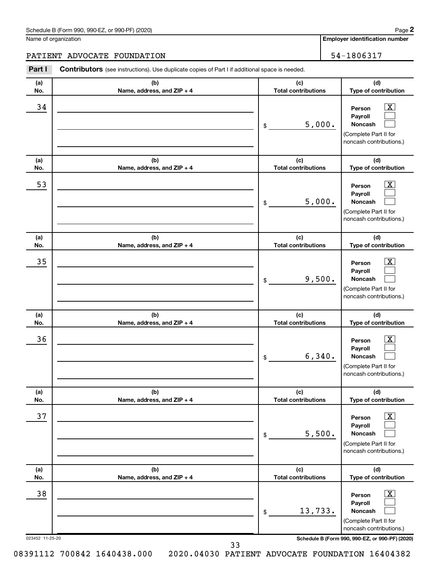Name of organization

**Employer identification number**

# PATIENT ADVOCATE FOUNDATION 54-1806317

| Part I          | <b>Contributors</b> (see instructions). Use duplicate copies of Part I if additional space is needed. |                                   |                                                                                                                 |
|-----------------|-------------------------------------------------------------------------------------------------------|-----------------------------------|-----------------------------------------------------------------------------------------------------------------|
| (a)<br>No.      | (b)<br>Name, address, and ZIP + 4                                                                     | (c)<br><b>Total contributions</b> | (d)<br>Type of contribution                                                                                     |
| 34              |                                                                                                       | 5,000.<br>\$                      | $\boxed{\mathbf{X}}$<br>Person<br>Payroll<br>Noncash<br>(Complete Part II for<br>noncash contributions.)        |
| (a)<br>No.      | (b)<br>Name, address, and ZIP + 4                                                                     | (c)<br><b>Total contributions</b> | (d)<br>Type of contribution                                                                                     |
| 53              |                                                                                                       | 5,000.<br>\$                      | $\boxed{\mathbf{X}}$<br>Person<br>Payroll<br>Noncash<br>(Complete Part II for<br>noncash contributions.)        |
| (a)<br>No.      | (b)<br>Name, address, and ZIP + 4                                                                     | (c)<br><b>Total contributions</b> | (d)<br>Type of contribution                                                                                     |
| 35              |                                                                                                       | 9,500.<br>\$                      | $\overline{\mathbf{X}}$<br>Person<br>Payroll<br>Noncash<br>(Complete Part II for<br>noncash contributions.)     |
| (a)<br>No.      | (b)<br>Name, address, and ZIP + 4                                                                     | (c)<br><b>Total contributions</b> | (d)<br>Type of contribution                                                                                     |
| 36              |                                                                                                       | 6,340.<br>\$                      | $\mathbf{X}$<br>Person<br>Payroll<br>Noncash<br>(Complete Part II for<br>noncash contributions.)                |
| (a)<br>No.      | (b)<br>Name, address, and ZIP + 4                                                                     | (c)<br><b>Total contributions</b> | (d)<br>Type of contribution                                                                                     |
| 37              |                                                                                                       | 5,500.<br>\$                      | $\boxed{\textbf{X}}$<br>Person<br>Payroll<br><b>Noncash</b><br>(Complete Part II for<br>noncash contributions.) |
| (a)<br>No.      | (b)<br>Name, address, and ZIP + 4                                                                     | (c)<br><b>Total contributions</b> | (d)<br>Type of contribution                                                                                     |
| 38              |                                                                                                       | 13,733.<br>\$                     | $\boxed{\mathbf{X}}$<br>Person<br>Payroll<br>Noncash<br>(Complete Part II for<br>noncash contributions.)        |
| 023452 11-25-20 |                                                                                                       |                                   | Schedule B (Form 990, 990-EZ, or 990-PF) (2020)                                                                 |

33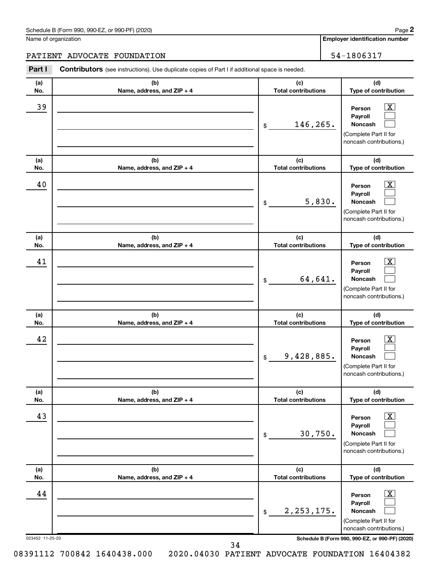Name of organization

**Employer identification number**

# PATIENT ADVOCATE FOUNDATION 54-1806317

| (d)<br>(b)<br>(c)<br>(a)<br>Name, address, and ZIP + 4<br><b>Total contributions</b><br>No.<br>39<br>$\boxed{\textbf{X}}$<br>Person<br>Payroll<br>146,265.<br>Noncash<br>\$<br>(Complete Part II for<br>(b)<br>(c)<br>(d)<br>(a)<br><b>Total contributions</b><br>Name, address, and ZIP + 4<br>No.<br>40<br>$\mathbf{X}$<br>Person<br>Payroll<br>5,830.<br>Noncash<br>\$<br>(Complete Part II for<br>(c)<br>(b)<br>(d)<br>(a)<br><b>Total contributions</b><br>No.<br>Name, address, and ZIP + 4<br>41<br>$\mathbf{X}$<br>Person<br>Payroll<br>64,641.<br>Noncash<br>\$<br>(c)<br>(d)<br>(b)<br>(a)<br>No.<br>Name, address, and ZIP + 4<br><b>Total contributions</b><br>42<br>$\mathbf{X}$<br>Person<br>Payroll<br>9,428,885.<br>Noncash<br>\$<br>(d)<br>(a)<br>(b)<br>(c)<br>No.<br>Name, address, and ZIP + 4<br><b>Total contributions</b><br>43<br>$\boxed{\textbf{X}}$<br>Person<br>Payroll<br>30,750.<br>Noncash<br>$\,$<br>(Complete Part II for<br>(c)<br>(b)<br>(d)<br>(a)<br><b>Total contributions</b><br>Name, address, and ZIP + 4<br>Type of contribution<br>No.<br>44<br>$\boxed{\textbf{X}}$<br>Person<br>Payroll<br>2, 253, 175.<br>Noncash<br>$\$$<br>(Complete Part II for | Part I | <b>Contributors</b> (see instructions). Use duplicate copies of Part I if additional space is needed. |                                                  |
|--------------------------------------------------------------------------------------------------------------------------------------------------------------------------------------------------------------------------------------------------------------------------------------------------------------------------------------------------------------------------------------------------------------------------------------------------------------------------------------------------------------------------------------------------------------------------------------------------------------------------------------------------------------------------------------------------------------------------------------------------------------------------------------------------------------------------------------------------------------------------------------------------------------------------------------------------------------------------------------------------------------------------------------------------------------------------------------------------------------------------------------------------------------------------------------------------|--------|-------------------------------------------------------------------------------------------------------|--------------------------------------------------|
|                                                                                                                                                                                                                                                                                                                                                                                                                                                                                                                                                                                                                                                                                                                                                                                                                                                                                                                                                                                                                                                                                                                                                                                                  |        |                                                                                                       | Type of contribution                             |
|                                                                                                                                                                                                                                                                                                                                                                                                                                                                                                                                                                                                                                                                                                                                                                                                                                                                                                                                                                                                                                                                                                                                                                                                  |        |                                                                                                       | noncash contributions.)                          |
|                                                                                                                                                                                                                                                                                                                                                                                                                                                                                                                                                                                                                                                                                                                                                                                                                                                                                                                                                                                                                                                                                                                                                                                                  |        |                                                                                                       | Type of contribution                             |
|                                                                                                                                                                                                                                                                                                                                                                                                                                                                                                                                                                                                                                                                                                                                                                                                                                                                                                                                                                                                                                                                                                                                                                                                  |        |                                                                                                       | noncash contributions.)                          |
|                                                                                                                                                                                                                                                                                                                                                                                                                                                                                                                                                                                                                                                                                                                                                                                                                                                                                                                                                                                                                                                                                                                                                                                                  |        |                                                                                                       | Type of contribution                             |
|                                                                                                                                                                                                                                                                                                                                                                                                                                                                                                                                                                                                                                                                                                                                                                                                                                                                                                                                                                                                                                                                                                                                                                                                  |        |                                                                                                       | (Complete Part II for<br>noncash contributions.) |
|                                                                                                                                                                                                                                                                                                                                                                                                                                                                                                                                                                                                                                                                                                                                                                                                                                                                                                                                                                                                                                                                                                                                                                                                  |        |                                                                                                       | Type of contribution                             |
|                                                                                                                                                                                                                                                                                                                                                                                                                                                                                                                                                                                                                                                                                                                                                                                                                                                                                                                                                                                                                                                                                                                                                                                                  |        |                                                                                                       | (Complete Part II for<br>noncash contributions.) |
|                                                                                                                                                                                                                                                                                                                                                                                                                                                                                                                                                                                                                                                                                                                                                                                                                                                                                                                                                                                                                                                                                                                                                                                                  |        |                                                                                                       | Type of contribution                             |
|                                                                                                                                                                                                                                                                                                                                                                                                                                                                                                                                                                                                                                                                                                                                                                                                                                                                                                                                                                                                                                                                                                                                                                                                  |        |                                                                                                       | noncash contributions.)                          |
|                                                                                                                                                                                                                                                                                                                                                                                                                                                                                                                                                                                                                                                                                                                                                                                                                                                                                                                                                                                                                                                                                                                                                                                                  |        |                                                                                                       |                                                  |
| Schedule B (Form 990, 990-EZ, or 990-PF) (2020)<br>023452 11-25-20                                                                                                                                                                                                                                                                                                                                                                                                                                                                                                                                                                                                                                                                                                                                                                                                                                                                                                                                                                                                                                                                                                                               |        |                                                                                                       | noncash contributions.)                          |

08391112 700842 1640438.000 2020.04030 PATIENT ADVOCATE FOUNDATION 16404382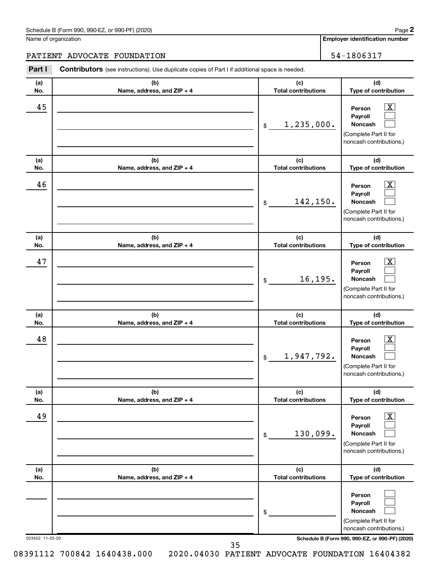Name of organization

**Employer identification number**

# PATIENT ADVOCATE FOUNDATION 54-1806317

| Part I          | Contributors (see instructions). Use duplicate copies of Part I if additional space is needed. |                                                  |                                                                                                                                     |  |
|-----------------|------------------------------------------------------------------------------------------------|--------------------------------------------------|-------------------------------------------------------------------------------------------------------------------------------------|--|
| (a)             | (b)                                                                                            | (c)                                              | (d)                                                                                                                                 |  |
| No.<br>45       | Name, address, and ZIP + 4                                                                     | <b>Total contributions</b><br>1,235,000.<br>$\$$ | Type of contribution<br>$\mathbf{X}$<br>Person<br>Payroll<br>Noncash<br>(Complete Part II for<br>noncash contributions.)            |  |
| (a)<br>No.      | (b)<br>Name, address, and ZIP + 4                                                              | (c)<br><b>Total contributions</b>                | (d)<br>Type of contribution                                                                                                         |  |
| 46              |                                                                                                | 142,150.<br>\$                                   | $\mathbf{X}$<br>Person<br>Payroll<br>Noncash<br>(Complete Part II for<br>noncash contributions.)                                    |  |
| (a)<br>No.      | (b)<br>Name, address, and ZIP + 4                                                              | (c)<br><b>Total contributions</b>                | (d)<br>Type of contribution                                                                                                         |  |
| 47              |                                                                                                | 16, 195.<br>\$                                   | $\overline{\mathbf{X}}$<br>Person<br>Payroll<br>Noncash<br>(Complete Part II for<br>noncash contributions.)                         |  |
| (a)<br>No.      | (b)<br>Name, address, and ZIP + 4                                                              | (c)<br><b>Total contributions</b>                | (d)<br>Type of contribution                                                                                                         |  |
| 48              |                                                                                                | 1,947,792.<br>$\,$                               | $\overline{\mathbf{X}}$<br>Person<br>Payroll<br>Noncash<br>(Complete Part II for<br>noncash contributions.)                         |  |
| (a)<br>No.      | (b)<br>Name, address, and ZIP + 4                                                              | (c)<br><b>Total contributions</b>                | (d)<br>Type of contribution                                                                                                         |  |
| 49              |                                                                                                | 130,099.<br>\$                                   | $\overline{\textbf{x}}$<br>Person<br>Payroll<br>Noncash<br>(Complete Part II for<br>noncash contributions.)                         |  |
| (a)<br>No.      | (b)<br>Name, address, and ZIP + 4                                                              | (c)<br><b>Total contributions</b>                | (d)<br>Type of contribution                                                                                                         |  |
| 023452 11-25-20 |                                                                                                | \$                                               | Person<br>Payroll<br>Noncash<br>(Complete Part II for<br>noncash contributions.)<br>Schedule B (Form 990, 990-EZ, or 990-PF) (2020) |  |

08391112 700842 1640438.000 2020.04030 PATIENT ADVOCATE FOUNDATION 16404382

**<sup>2</sup>**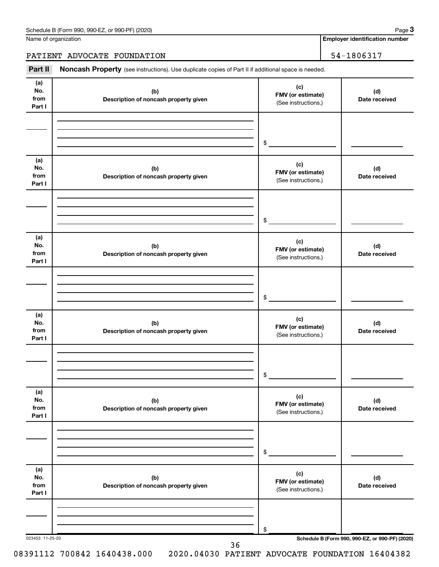Name of organization

**Employer identification number**

# PATIENT ADVOCATE FOUNDATION | 54-1806317

Part II Noncash Property (see instructions). Use duplicate copies of Part II if additional space is needed.

| (a)                          |                                              | (c)                                             |                                                 |
|------------------------------|----------------------------------------------|-------------------------------------------------|-------------------------------------------------|
| No.<br>from<br>Part I        | (b)<br>Description of noncash property given | FMV (or estimate)<br>(See instructions.)        | (d)<br>Date received                            |
|                              |                                              |                                                 |                                                 |
|                              |                                              |                                                 |                                                 |
|                              |                                              | \$                                              |                                                 |
| (a)<br>No.<br>from<br>Part I | (b)<br>Description of noncash property given | (c)<br>FMV (or estimate)<br>(See instructions.) | (d)<br>Date received                            |
|                              |                                              |                                                 |                                                 |
|                              |                                              | $\frac{1}{2}$                                   |                                                 |
| (a)<br>No.<br>from<br>Part I | (b)<br>Description of noncash property given | (c)<br>FMV (or estimate)<br>(See instructions.) | (d)<br>Date received                            |
|                              |                                              |                                                 |                                                 |
|                              |                                              | \$                                              |                                                 |
| (a)<br>No.<br>from<br>Part I | (b)<br>Description of noncash property given | (c)<br>FMV (or estimate)<br>(See instructions.) | (d)<br>Date received                            |
|                              |                                              |                                                 |                                                 |
|                              |                                              | \$                                              |                                                 |
| (a)<br>No.<br>from<br>Part I | (b)<br>Description of noncash property given | (c)<br>FMV (or estimate)<br>(See instructions.) | (d)<br>Date received                            |
|                              |                                              |                                                 |                                                 |
|                              |                                              | \$                                              |                                                 |
| (a)<br>No.<br>from<br>Part I | (b)<br>Description of noncash property given | (c)<br>FMV (or estimate)<br>(See instructions.) | (d)<br>Date received                            |
|                              |                                              |                                                 |                                                 |
|                              |                                              | \$                                              |                                                 |
| 023453 11-25-20              | 36                                           |                                                 | Schedule B (Form 990, 990-EZ, or 990-PF) (2020) |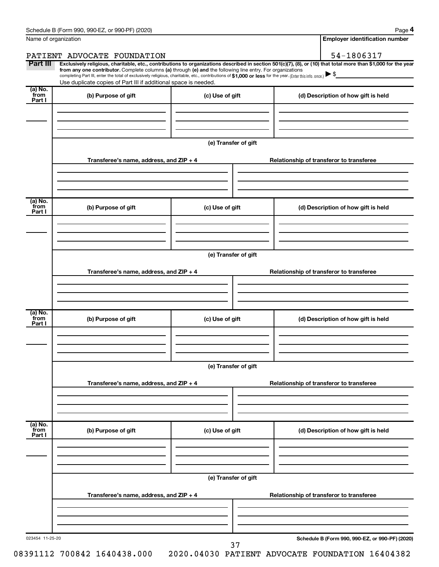|                           | Name of organization                                                                                                                                                                                                                                                                            |                      |                                          | <b>Employer identification number</b>                                                                                                                          |  |  |  |
|---------------------------|-------------------------------------------------------------------------------------------------------------------------------------------------------------------------------------------------------------------------------------------------------------------------------------------------|----------------------|------------------------------------------|----------------------------------------------------------------------------------------------------------------------------------------------------------------|--|--|--|
|                           | PATIENT ADVOCATE FOUNDATION                                                                                                                                                                                                                                                                     |                      |                                          | 54-1806317                                                                                                                                                     |  |  |  |
| Part III                  | from any one contributor. Complete columns (a) through (e) and the following line entry. For organizations<br>completing Part III, enter the total of exclusively religious, charitable, etc., contributions of \$1,000 or less for the year. (Enter this info. once.) $\blacktriangleright$ \$ |                      |                                          | Exclusively religious, charitable, etc., contributions to organizations described in section 501(c)(7), (8), or (10) that total more than \$1,000 for the year |  |  |  |
| (a) No.                   | Use duplicate copies of Part III if additional space is needed.                                                                                                                                                                                                                                 |                      |                                          |                                                                                                                                                                |  |  |  |
| from<br>Part I            | (b) Purpose of gift                                                                                                                                                                                                                                                                             | (c) Use of gift      |                                          | (d) Description of how gift is held                                                                                                                            |  |  |  |
|                           |                                                                                                                                                                                                                                                                                                 |                      |                                          |                                                                                                                                                                |  |  |  |
|                           |                                                                                                                                                                                                                                                                                                 | (e) Transfer of gift |                                          |                                                                                                                                                                |  |  |  |
|                           | Transferee's name, address, and $ZIP + 4$                                                                                                                                                                                                                                                       |                      |                                          | Relationship of transferor to transferee                                                                                                                       |  |  |  |
|                           |                                                                                                                                                                                                                                                                                                 |                      |                                          |                                                                                                                                                                |  |  |  |
| (a) No.<br>from<br>Part I | (b) Purpose of gift                                                                                                                                                                                                                                                                             | (c) Use of gift      |                                          | (d) Description of how gift is held                                                                                                                            |  |  |  |
|                           |                                                                                                                                                                                                                                                                                                 |                      |                                          |                                                                                                                                                                |  |  |  |
|                           |                                                                                                                                                                                                                                                                                                 | (e) Transfer of gift |                                          |                                                                                                                                                                |  |  |  |
|                           | Transferee's name, address, and $ZIP + 4$                                                                                                                                                                                                                                                       |                      |                                          | Relationship of transferor to transferee                                                                                                                       |  |  |  |
|                           |                                                                                                                                                                                                                                                                                                 |                      |                                          |                                                                                                                                                                |  |  |  |
| (a) No.<br>from<br>Part I | (b) Purpose of gift                                                                                                                                                                                                                                                                             | (c) Use of gift      |                                          | (d) Description of how gift is held                                                                                                                            |  |  |  |
|                           |                                                                                                                                                                                                                                                                                                 |                      |                                          |                                                                                                                                                                |  |  |  |
|                           |                                                                                                                                                                                                                                                                                                 | (e) Transfer of gift |                                          |                                                                                                                                                                |  |  |  |
|                           | Transferee's name, address, and $ZIP + 4$                                                                                                                                                                                                                                                       |                      |                                          | Relationship of transferor to transferee                                                                                                                       |  |  |  |
|                           |                                                                                                                                                                                                                                                                                                 |                      |                                          |                                                                                                                                                                |  |  |  |
| (a) No.<br>from<br>Part I | (b) Purpose of gift                                                                                                                                                                                                                                                                             | (c) Use of gift      |                                          | (d) Description of how gift is held                                                                                                                            |  |  |  |
|                           |                                                                                                                                                                                                                                                                                                 |                      |                                          |                                                                                                                                                                |  |  |  |
|                           |                                                                                                                                                                                                                                                                                                 | (e) Transfer of gift |                                          |                                                                                                                                                                |  |  |  |
|                           | Transferee's name, address, and $ZIP + 4$                                                                                                                                                                                                                                                       |                      | Relationship of transferor to transferee |                                                                                                                                                                |  |  |  |
|                           |                                                                                                                                                                                                                                                                                                 |                      |                                          |                                                                                                                                                                |  |  |  |
| 023454 11-25-20           |                                                                                                                                                                                                                                                                                                 |                      |                                          | Schedule B (Form 990, 990-EZ, or 990-PF) (2020)                                                                                                                |  |  |  |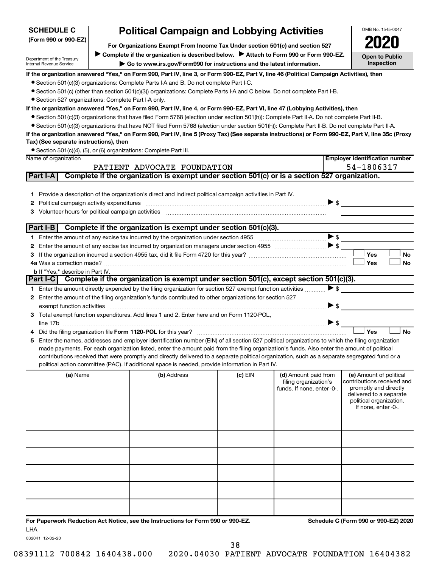| <b>SCHEDULE C</b>                                      | OMB No. 1545-0047                                                                                                                                                                                                                                                                             |           |                            |                          |                                                    |
|--------------------------------------------------------|-----------------------------------------------------------------------------------------------------------------------------------------------------------------------------------------------------------------------------------------------------------------------------------------------|-----------|----------------------------|--------------------------|----------------------------------------------------|
| (Form 990 or 990-EZ)                                   | <b>Political Campaign and Lobbying Activities</b><br>For Organizations Exempt From Income Tax Under section 501(c) and section 527                                                                                                                                                            |           |                            |                          |                                                    |
|                                                        | Complete if the organization is described below. > Attach to Form 990 or Form 990-EZ.                                                                                                                                                                                                         |           |                            |                          |                                                    |
| Department of the Treasury<br>Internal Revenue Service | ► Go to www.irs.gov/Form990 for instructions and the latest information.                                                                                                                                                                                                                      |           |                            |                          | <b>Open to Public</b><br>Inspection                |
|                                                        | If the organization answered "Yes," on Form 990, Part IV, line 3, or Form 990-EZ, Part V, line 46 (Political Campaign Activities), then                                                                                                                                                       |           |                            |                          |                                                    |
|                                                        | • Section 501(c)(3) organizations: Complete Parts I-A and B. Do not complete Part I-C.                                                                                                                                                                                                        |           |                            |                          |                                                    |
|                                                        | • Section 501(c) (other than section 501(c)(3)) organizations: Complete Parts I-A and C below. Do not complete Part I-B.                                                                                                                                                                      |           |                            |                          |                                                    |
| • Section 527 organizations: Complete Part I-A only.   |                                                                                                                                                                                                                                                                                               |           |                            |                          |                                                    |
|                                                        | If the organization answered "Yes," on Form 990, Part IV, line 4, or Form 990-EZ, Part VI, line 47 (Lobbying Activities), then                                                                                                                                                                |           |                            |                          |                                                    |
|                                                        | • Section 501(c)(3) organizations that have filed Form 5768 (election under section 501(h)): Complete Part II-A. Do not complete Part II-B.                                                                                                                                                   |           |                            |                          |                                                    |
|                                                        | • Section 501(c)(3) organizations that have NOT filed Form 5768 (election under section 501(h)): Complete Part II-B. Do not complete Part II-A.                                                                                                                                               |           |                            |                          |                                                    |
|                                                        | If the organization answered "Yes," on Form 990, Part IV, line 5 (Proxy Tax) (See separate instructions) or Form 990-EZ, Part V, line 35c (Proxy                                                                                                                                              |           |                            |                          |                                                    |
| Tax) (See separate instructions), then                 |                                                                                                                                                                                                                                                                                               |           |                            |                          |                                                    |
|                                                        | • Section 501(c)(4), (5), or (6) organizations: Complete Part III.                                                                                                                                                                                                                            |           |                            |                          |                                                    |
| Name of organization                                   |                                                                                                                                                                                                                                                                                               |           |                            |                          | <b>Employer identification number</b>              |
|                                                        | PATIENT ADVOCATE FOUNDATION                                                                                                                                                                                                                                                                   |           |                            |                          | 54-1806317                                         |
| Part I-A                                               | Complete if the organization is exempt under section 501(c) or is a section 527 organization.                                                                                                                                                                                                 |           |                            |                          |                                                    |
|                                                        |                                                                                                                                                                                                                                                                                               |           |                            |                          |                                                    |
|                                                        | 1 Provide a description of the organization's direct and indirect political campaign activities in Part IV.                                                                                                                                                                                   |           |                            | $\triangleright$ s       |                                                    |
| 2                                                      |                                                                                                                                                                                                                                                                                               |           |                            |                          |                                                    |
| 3                                                      |                                                                                                                                                                                                                                                                                               |           |                            |                          |                                                    |
| Part I-B                                               | Complete if the organization is exempt under section 501(c)(3).                                                                                                                                                                                                                               |           |                            |                          |                                                    |
|                                                        |                                                                                                                                                                                                                                                                                               |           |                            | $\blacktriangleright$ \$ |                                                    |
|                                                        | Enter the amount of any excise tax incurred by organization managers under section 4955 [1001] [1001] \$                                                                                                                                                                                      |           |                            |                          |                                                    |
|                                                        |                                                                                                                                                                                                                                                                                               |           |                            |                          | Yes<br>No                                          |
|                                                        |                                                                                                                                                                                                                                                                                               |           |                            |                          | <b>Yes</b><br><b>No</b>                            |
| <b>b</b> If "Yes," describe in Part IV.                |                                                                                                                                                                                                                                                                                               |           |                            |                          |                                                    |
|                                                        | Part I-C Complete if the organization is exempt under section 501(c), except section 501(c)(3).                                                                                                                                                                                               |           |                            |                          |                                                    |
|                                                        | 1 Enter the amount directly expended by the filing organization for section 527 exempt function activities                                                                                                                                                                                    |           |                            | $\blacktriangleright$ \$ |                                                    |
| $\mathbf{2}$                                           | Enter the amount of the filing organization's funds contributed to other organizations for section 527                                                                                                                                                                                        |           |                            |                          |                                                    |
| exempt function activities                             |                                                                                                                                                                                                                                                                                               |           |                            | $\triangleright$ \$      |                                                    |
|                                                        | 3 Total exempt function expenditures. Add lines 1 and 2. Enter here and on Form 1120-POL,                                                                                                                                                                                                     |           |                            |                          |                                                    |
|                                                        |                                                                                                                                                                                                                                                                                               |           |                            | $\blacktriangleright$ \$ |                                                    |
|                                                        |                                                                                                                                                                                                                                                                                               |           |                            |                          | Yes<br><b>No</b>                                   |
|                                                        | Enter the names, addresses and employer identification number (EIN) of all section 527 political organizations to which the filing organization                                                                                                                                               |           |                            |                          |                                                    |
|                                                        | made payments. For each organization listed, enter the amount paid from the filing organization's funds. Also enter the amount of political<br>contributions received that were promptly and directly delivered to a separate political organization, such as a separate segregated fund or a |           |                            |                          |                                                    |
|                                                        | political action committee (PAC). If additional space is needed, provide information in Part IV.                                                                                                                                                                                              |           |                            |                          |                                                    |
| (a) Name                                               | (b) Address                                                                                                                                                                                                                                                                                   | $(c)$ EIN | (d) Amount paid from       |                          | (e) Amount of political                            |
|                                                        |                                                                                                                                                                                                                                                                                               |           | filing organization's      |                          | contributions received and                         |
|                                                        |                                                                                                                                                                                                                                                                                               |           | funds. If none, enter -0-. |                          | promptly and directly                              |
|                                                        |                                                                                                                                                                                                                                                                                               |           |                            |                          | delivered to a separate<br>political organization. |
|                                                        |                                                                                                                                                                                                                                                                                               |           |                            |                          | If none, enter -0-.                                |
|                                                        |                                                                                                                                                                                                                                                                                               |           |                            |                          |                                                    |
|                                                        |                                                                                                                                                                                                                                                                                               |           |                            |                          |                                                    |
|                                                        |                                                                                                                                                                                                                                                                                               |           |                            |                          |                                                    |
|                                                        |                                                                                                                                                                                                                                                                                               |           |                            |                          |                                                    |
|                                                        |                                                                                                                                                                                                                                                                                               |           |                            |                          |                                                    |
|                                                        |                                                                                                                                                                                                                                                                                               |           |                            |                          |                                                    |
|                                                        |                                                                                                                                                                                                                                                                                               |           |                            |                          |                                                    |
|                                                        |                                                                                                                                                                                                                                                                                               |           |                            |                          |                                                    |
|                                                        |                                                                                                                                                                                                                                                                                               |           |                            |                          |                                                    |
|                                                        |                                                                                                                                                                                                                                                                                               |           |                            |                          |                                                    |
|                                                        |                                                                                                                                                                                                                                                                                               |           |                            |                          |                                                    |
|                                                        |                                                                                                                                                                                                                                                                                               |           |                            |                          |                                                    |

**For Paperwork Reduction Act Notice, see the Instructions for Form 990 or 990-EZ. Schedule C (Form 990 or 990-EZ) 2020** LHA

032041 12-02-20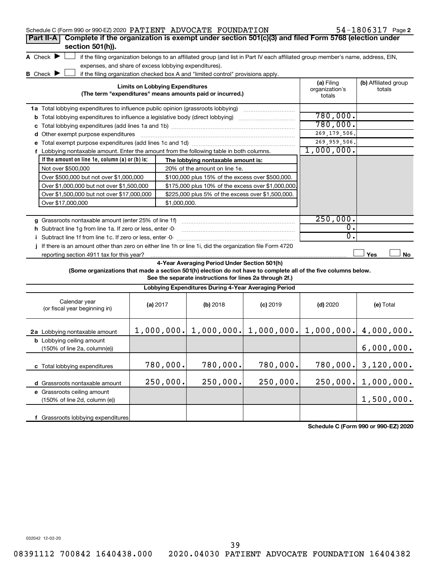| Schedule C (Form 990 or 990-EZ) 2020 PATIENT ADVOCATE FOUNDATION                                                                                                         |                                        |                                                                                  |                                                                                                                                   |                  | $54 - 1806317$ Page 2 |
|--------------------------------------------------------------------------------------------------------------------------------------------------------------------------|----------------------------------------|----------------------------------------------------------------------------------|-----------------------------------------------------------------------------------------------------------------------------------|------------------|-----------------------|
| Complete if the organization is exempt under section 501(c)(3) and filed Form 5768 (election under<br>Part II-A                                                          |                                        |                                                                                  |                                                                                                                                   |                  |                       |
| section 501(h)).                                                                                                                                                         |                                        |                                                                                  |                                                                                                                                   |                  |                       |
| A Check $\blacktriangleright$                                                                                                                                            |                                        |                                                                                  | if the filing organization belongs to an affiliated group (and list in Part IV each affiliated group member's name, address, EIN, |                  |                       |
| expenses, and share of excess lobbying expenditures).<br><b>B</b> Check <b>D</b>                                                                                         |                                        |                                                                                  |                                                                                                                                   |                  |                       |
|                                                                                                                                                                          |                                        | if the filing organization checked box A and "limited control" provisions apply. |                                                                                                                                   | (a) Filing       | (b) Affiliated group  |
|                                                                                                                                                                          | <b>Limits on Lobbying Expenditures</b> | (The term "expenditures" means amounts paid or incurred.)                        |                                                                                                                                   | organization's   | totals                |
|                                                                                                                                                                          |                                        |                                                                                  |                                                                                                                                   | totals           |                       |
| 1a Total lobbying expenditures to influence public opinion (grassroots lobbying) [11] [12] Total lobbying expenditures to influence public opinion (grassroots lobbying) |                                        |                                                                                  |                                                                                                                                   |                  |                       |
| <b>b</b> Total lobbying expenditures to influence a legislative body (direct lobbying) <i>manumumumum</i>                                                                |                                        |                                                                                  |                                                                                                                                   | 780,000.         |                       |
|                                                                                                                                                                          | 780,000.                               |                                                                                  |                                                                                                                                   |                  |                       |
| d Other exempt purpose expenditures                                                                                                                                      |                                        |                                                                                  |                                                                                                                                   | 269, 179, 506.   |                       |
|                                                                                                                                                                          |                                        | 269, 959, 506.                                                                   |                                                                                                                                   |                  |                       |
| f Lobbying nontaxable amount. Enter the amount from the following table in both columns.                                                                                 |                                        | 1,000,000.                                                                       |                                                                                                                                   |                  |                       |
| If the amount on line 1e, column (a) or (b) is:                                                                                                                          |                                        | The lobbying nontaxable amount is:                                               |                                                                                                                                   |                  |                       |
| Not over \$500,000                                                                                                                                                       |                                        | 20% of the amount on line 1e.                                                    |                                                                                                                                   |                  |                       |
| Over \$500,000 but not over \$1,000,000                                                                                                                                  |                                        | \$100,000 plus 15% of the excess over \$500,000.                                 |                                                                                                                                   |                  |                       |
| Over \$1,000,000 but not over \$1,500,000                                                                                                                                |                                        | \$175,000 plus 10% of the excess over \$1,000,000                                |                                                                                                                                   |                  |                       |
| Over \$1,500,000 but not over \$17,000,000<br>Over \$17,000,000                                                                                                          | \$1,000,000.                           | \$225,000 plus 5% of the excess over \$1,500,000.                                |                                                                                                                                   |                  |                       |
|                                                                                                                                                                          |                                        |                                                                                  |                                                                                                                                   |                  |                       |
|                                                                                                                                                                          |                                        |                                                                                  |                                                                                                                                   | 250,000.         |                       |
| h Subtract line 1g from line 1a. If zero or less, enter -0-                                                                                                              |                                        |                                                                                  |                                                                                                                                   | 0.               |                       |
|                                                                                                                                                                          |                                        |                                                                                  |                                                                                                                                   | $\overline{0}$ . |                       |
| If there is an amount other than zero on either line 1h or line 1i, did the organization file Form 4720                                                                  |                                        |                                                                                  |                                                                                                                                   |                  |                       |
| reporting section 4911 tax for this year?                                                                                                                                |                                        |                                                                                  |                                                                                                                                   |                  | Yes<br>No             |
|                                                                                                                                                                          |                                        | 4-Year Averaging Period Under Section 501(h)                                     |                                                                                                                                   |                  |                       |
| (Some organizations that made a section 501(h) election do not have to complete all of the five columns below.                                                           |                                        |                                                                                  |                                                                                                                                   |                  |                       |
|                                                                                                                                                                          |                                        | See the separate instructions for lines 2a through 2f.)                          |                                                                                                                                   |                  |                       |
|                                                                                                                                                                          |                                        | Lobbying Expenditures During 4-Year Averaging Period                             |                                                                                                                                   |                  |                       |
| Calendar year<br>(or fiscal year beginning in)                                                                                                                           | (a) 2017                               | (b) 2018                                                                         | $(c)$ 2019                                                                                                                        | $(d)$ 2020       | (e) Total             |
|                                                                                                                                                                          |                                        |                                                                                  |                                                                                                                                   |                  |                       |
| 2a Lobbying nontaxable amount                                                                                                                                            |                                        |                                                                                  | $1,000,000.$ $  1,000,000.$ $  1,000,000.$ $  1,000,000.$                                                                         |                  | 4,000,000.            |
| <b>b</b> Lobbying ceiling amount                                                                                                                                         |                                        |                                                                                  |                                                                                                                                   |                  |                       |
| (150% of line 2a, column(e))                                                                                                                                             |                                        |                                                                                  |                                                                                                                                   |                  | 6,000,000.            |
| c Total lobbying expenditures                                                                                                                                            | 780,000.                               | 780,000.<br>780,000.                                                             |                                                                                                                                   | 780,000.         | 3,120,000.            |
|                                                                                                                                                                          |                                        |                                                                                  |                                                                                                                                   |                  |                       |
| d Grassroots nontaxable amount                                                                                                                                           | 250,000.                               | 250,000.                                                                         | 250,000.                                                                                                                          | 250,000.         | 1,000,000.            |
| e Grassroots ceiling amount                                                                                                                                              |                                        |                                                                                  |                                                                                                                                   |                  |                       |
| (150% of line 2d, column (e))                                                                                                                                            |                                        |                                                                                  |                                                                                                                                   |                  | 1,500,000.            |
| f Grassroots lobbying expenditures                                                                                                                                       |                                        |                                                                                  |                                                                                                                                   |                  |                       |
|                                                                                                                                                                          |                                        |                                                                                  |                                                                                                                                   |                  |                       |

**Schedule C (Form 990 or 990-EZ) 2020**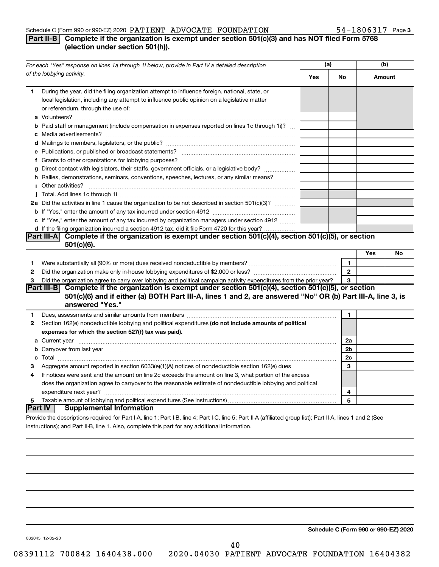#### Schedule C (Form 990 or 990-EZ) 2020  $\rm {PATTENT}$   $\rm {ADVOCATE}$   $\rm {FOUNDATION}$   $\rm {54-1806317}$   $\rm {Page}$

# **Part II-B Complete if the organization is exempt under section 501(c)(3) and has NOT filed Form 5768 (election under section 501(h)).**

|              | For each "Yes" response on lines 1a through 1i below, provide in Part IV a detailed description                                                                                                                                            | (a) |                | (b) |        |
|--------------|--------------------------------------------------------------------------------------------------------------------------------------------------------------------------------------------------------------------------------------------|-----|----------------|-----|--------|
|              | of the lobbying activity.                                                                                                                                                                                                                  | Yes | No             |     | Amount |
| 1            | During the year, did the filing organization attempt to influence foreign, national, state, or<br>local legislation, including any attempt to influence public opinion on a legislative matter<br>or referendum, through the use of:       |     |                |     |        |
|              | <b>b</b> Paid staff or management (include compensation in expenses reported on lines 1c through 1i)?                                                                                                                                      |     |                |     |        |
|              |                                                                                                                                                                                                                                            |     |                |     |        |
|              |                                                                                                                                                                                                                                            |     |                |     |        |
|              |                                                                                                                                                                                                                                            |     |                |     |        |
|              | g Direct contact with legislators, their staffs, government officials, or a legislative body?                                                                                                                                              |     |                |     |        |
|              | h Rallies, demonstrations, seminars, conventions, speeches, lectures, or any similar means?                                                                                                                                                |     |                |     |        |
|              | <i>i</i> Other activities?                                                                                                                                                                                                                 |     |                |     |        |
|              |                                                                                                                                                                                                                                            |     |                |     |        |
|              | 2a Did the activities in line 1 cause the organization to be not described in section 501(c)(3)?                                                                                                                                           |     |                |     |        |
|              |                                                                                                                                                                                                                                            |     |                |     |        |
|              | c If "Yes," enter the amount of any tax incurred by organization managers under section 4912                                                                                                                                               |     |                |     |        |
|              | d If the filing organization incurred a section 4912 tax, did it file Form 4720 for this year?                                                                                                                                             |     |                |     |        |
|              | Part III-A Complete if the organization is exempt under section $501(c)(4)$ , section $501(c)(5)$ , or section                                                                                                                             |     |                |     |        |
|              | $501(c)(6)$ .                                                                                                                                                                                                                              |     |                |     |        |
|              |                                                                                                                                                                                                                                            |     |                | Yes | No     |
| 1            |                                                                                                                                                                                                                                            |     | $\mathbf{1}$   |     |        |
| $\mathbf{2}$ |                                                                                                                                                                                                                                            |     | $\mathbf{2}$   |     |        |
| 3            | Did the organization agree to carry over lobbying and political campaign activity expenditures from the prior year?                                                                                                                        |     | 3              |     |        |
|              | Part III-B Complete if the organization is exempt under section 501(c)(4), section 501(c)(5), or section<br>501(c)(6) and if either (a) BOTH Part III-A, lines 1 and 2, are answered "No" OR (b) Part III-A, line 3, is<br>answered "Yes." |     |                |     |        |
| 1.           |                                                                                                                                                                                                                                            |     | 1              |     |        |
| $\mathbf{2}$ | Section 162(e) nondeductible lobbying and political expenditures (do not include amounts of political                                                                                                                                      |     |                |     |        |
|              | expenses for which the section 527(f) tax was paid).                                                                                                                                                                                       |     |                |     |        |
|              |                                                                                                                                                                                                                                            |     | 2a             |     |        |
|              | b Carryover from last year manufactured and content to content the content of the content of the content of the content of the content of the content of the content of the content of the content of the content of the conte             |     | 2 <sub>b</sub> |     |        |
|              |                                                                                                                                                                                                                                            |     | 2c             |     |        |
| 3            |                                                                                                                                                                                                                                            |     | 3              |     |        |
| 4            | If notices were sent and the amount on line 2c exceeds the amount on line 3, what portion of the excess                                                                                                                                    |     |                |     |        |
|              | does the organization agree to carryover to the reasonable estimate of nondeductible lobbying and political                                                                                                                                |     |                |     |        |
|              |                                                                                                                                                                                                                                            |     | 4              |     |        |
| 5            |                                                                                                                                                                                                                                            |     | 5              |     |        |
|              | lPart IV ⊺<br><b>Supplemental Information</b>                                                                                                                                                                                              |     |                |     |        |
|              | Provide the descriptions required for Part I-A, line 1; Part I-B, line 4; Part I-C, line 5; Part II-A (affiliated group list); Part II-A, lines 1 and 2 (See                                                                               |     |                |     |        |

instructions); and Part II-B, line 1. Also, complete this part for any additional information.

**Schedule C (Form 990 or 990-EZ) 2020**

032043 12-02-20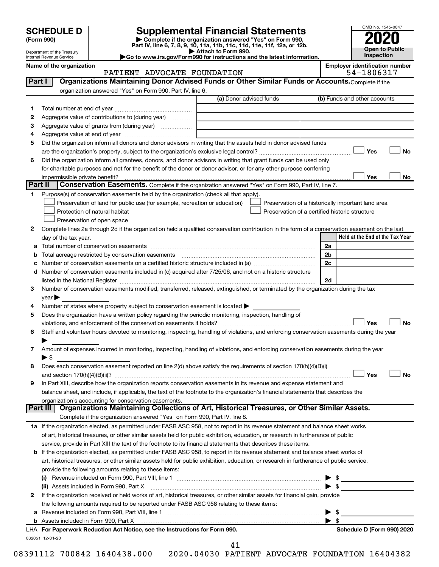Department of the Treasury Internal Revenue Service

| (Form 990) |  |
|------------|--|
|------------|--|

# **SCHEDULE D Supplemental Financial Statements**<br> **Form 990 2020**<br> **Part IV** line 6.7.8.9.10, 11a, 11b, 11d, 11d, 11d, 11d, 11d, 12a, 0r, 12b

**(Form 990) | Complete if the organization answered "Yes" on Form 990, Part IV, line 6, 7, 8, 9, 10, 11a, 11b, 11c, 11d, 11e, 11f, 12a, or 12b.**

**| Attach to Form 990. |Go to www.irs.gov/Form990 for instructions and the latest information.**



#### Name of the organization<br>**PATIENT ADVOCATE FOUNDATION** 64-1806317 PATIENT ADVOCATE FOUNDATION

|    |                                                                                                                                                                                                                           | (a) Donor advised funds | (b) Funds and other accounts                         |
|----|---------------------------------------------------------------------------------------------------------------------------------------------------------------------------------------------------------------------------|-------------------------|------------------------------------------------------|
| 1  |                                                                                                                                                                                                                           |                         |                                                      |
| 2  | Aggregate value of contributions to (during year)                                                                                                                                                                         |                         |                                                      |
| З  |                                                                                                                                                                                                                           |                         |                                                      |
| 4  |                                                                                                                                                                                                                           |                         |                                                      |
| 5  | Did the organization inform all donors and donor advisors in writing that the assets held in donor advised funds                                                                                                          |                         |                                                      |
|    |                                                                                                                                                                                                                           |                         | Yes                                                  |
| 6  | Did the organization inform all grantees, donors, and donor advisors in writing that grant funds can be used only                                                                                                         |                         |                                                      |
|    | for charitable purposes and not for the benefit of the donor or donor advisor, or for any other purpose conferring                                                                                                        |                         |                                                      |
|    |                                                                                                                                                                                                                           |                         | Yes                                                  |
|    | Part II<br>Conservation Easements. Complete if the organization answered "Yes" on Form 990, Part IV, line 7.                                                                                                              |                         |                                                      |
| 1. | Purpose(s) of conservation easements held by the organization (check all that apply).                                                                                                                                     |                         |                                                      |
|    | Preservation of land for public use (for example, recreation or education)                                                                                                                                                |                         | Preservation of a historically important land area   |
|    | Protection of natural habitat                                                                                                                                                                                             |                         | Preservation of a certified historic structure       |
|    | Preservation of open space                                                                                                                                                                                                |                         |                                                      |
| 2  | Complete lines 2a through 2d if the organization held a qualified conservation contribution in the form of a conservation easement on the last                                                                            |                         |                                                      |
|    | day of the tax year.                                                                                                                                                                                                      |                         | Held at the End of the Tax Year                      |
| а  |                                                                                                                                                                                                                           |                         | 2a                                                   |
|    | Total acreage restricted by conservation easements                                                                                                                                                                        |                         | 2 <sub>b</sub>                                       |
|    |                                                                                                                                                                                                                           |                         | 2c                                                   |
| d  | Number of conservation easements included in (c) acquired after 7/25/06, and not on a historic structure                                                                                                                  |                         |                                                      |
|    | listed in the National Register [11, 2003] March 2014 The National Register [11, 2014] March 2014 The National                                                                                                            |                         | 2d                                                   |
| 3  | Number of conservation easements modified, transferred, released, extinguished, or terminated by the organization during the tax                                                                                          |                         |                                                      |
|    | year                                                                                                                                                                                                                      |                         |                                                      |
| 4  | Number of states where property subject to conservation easement is located >                                                                                                                                             |                         |                                                      |
| 5  | Does the organization have a written policy regarding the periodic monitoring, inspection, handling of                                                                                                                    |                         |                                                      |
|    | violations, and enforcement of the conservation easements it holds?                                                                                                                                                       |                         | Yes                                                  |
| 6  | Staff and volunteer hours devoted to monitoring, inspecting, handling of violations, and enforcing conservation easements during the year                                                                                 |                         |                                                      |
|    |                                                                                                                                                                                                                           |                         |                                                      |
| 7  | Amount of expenses incurred in monitoring, inspecting, handling of violations, and enforcing conservation easements during the year                                                                                       |                         |                                                      |
|    | $\blacktriangleright$ \$                                                                                                                                                                                                  |                         |                                                      |
| 8  | Does each conservation easement reported on line 2(d) above satisfy the requirements of section 170(h)(4)(B)(i)                                                                                                           |                         |                                                      |
|    |                                                                                                                                                                                                                           |                         | Yes                                                  |
| 9  | In Part XIII, describe how the organization reports conservation easements in its revenue and expense statement and                                                                                                       |                         |                                                      |
|    | balance sheet, and include, if applicable, the text of the footnote to the organization's financial statements that describes the                                                                                         |                         |                                                      |
|    | organization's accounting for conservation easements.                                                                                                                                                                     |                         |                                                      |
|    | Organizations Maintaining Collections of Art, Historical Treasures, or Other Similar Assets.<br>Part III                                                                                                                  |                         |                                                      |
|    | Complete if the organization answered "Yes" on Form 990, Part IV, line 8.                                                                                                                                                 |                         |                                                      |
|    | 1a If the organization elected, as permitted under FASB ASC 958, not to report in its revenue statement and balance sheet works                                                                                           |                         |                                                      |
|    | of art, historical treasures, or other similar assets held for public exhibition, education, or research in furtherance of public                                                                                         |                         |                                                      |
|    | service, provide in Part XIII the text of the footnote to its financial statements that describes these items.                                                                                                            |                         |                                                      |
|    | b If the organization elected, as permitted under FASB ASC 958, to report in its revenue statement and balance sheet works of                                                                                             |                         |                                                      |
|    | art, historical treasures, or other similar assets held for public exhibition, education, or research in furtherance of public service,                                                                                   |                         |                                                      |
|    | provide the following amounts relating to these items:                                                                                                                                                                    |                         |                                                      |
|    |                                                                                                                                                                                                                           |                         |                                                      |
|    |                                                                                                                                                                                                                           |                         | $\blacktriangleright$ \$<br>$\blacktriangleright$ \$ |
|    | (ii) Assets included in Form 990, Part X [11] [2000] [2010] Assets included in Form 990, Part X [11] [11] [200                                                                                                            |                         |                                                      |
|    | If the organization received or held works of art, historical treasures, or other similar assets for financial gain, provide<br>the following amounts required to be reported under FASB ASC 958 relating to these items: |                         |                                                      |
| 2  |                                                                                                                                                                                                                           |                         |                                                      |
|    |                                                                                                                                                                                                                           |                         |                                                      |
| а  |                                                                                                                                                                                                                           |                         | $\blacktriangleright$ \$                             |
|    | LHA For Paperwork Reduction Act Notice, see the Instructions for Form 990.                                                                                                                                                |                         | Schedule D (Form 990) 2020                           |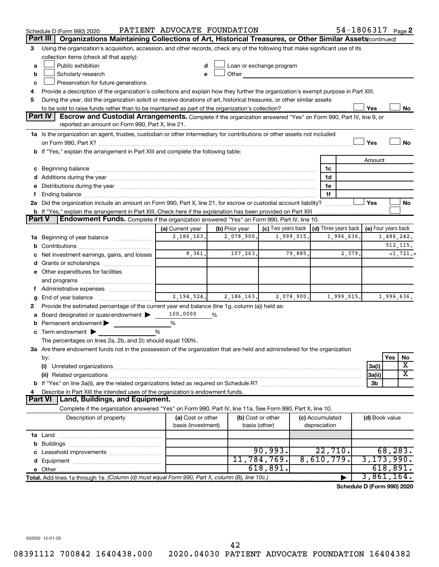|               | Schedule D (Form 990) 2020                                                                                                                                                                                                     | PATIENT ADVOCATE FOUNDATION |   |                   |                                                                                                                                                                                                                                |            |                 |                      |                | 54-1806317 Page 2          |
|---------------|--------------------------------------------------------------------------------------------------------------------------------------------------------------------------------------------------------------------------------|-----------------------------|---|-------------------|--------------------------------------------------------------------------------------------------------------------------------------------------------------------------------------------------------------------------------|------------|-----------------|----------------------|----------------|----------------------------|
|               | Organizations Maintaining Collections of Art, Historical Treasures, or Other Similar Assets (continued)<br>Part III                                                                                                            |                             |   |                   |                                                                                                                                                                                                                                |            |                 |                      |                |                            |
| 3             | Using the organization's acquisition, accession, and other records, check any of the following that make significant use of its                                                                                                |                             |   |                   |                                                                                                                                                                                                                                |            |                 |                      |                |                            |
|               | collection items (check all that apply):                                                                                                                                                                                       |                             |   |                   |                                                                                                                                                                                                                                |            |                 |                      |                |                            |
| a             | Public exhibition                                                                                                                                                                                                              | d                           |   |                   | Loan or exchange program                                                                                                                                                                                                       |            |                 |                      |                |                            |
| b             | Scholarly research                                                                                                                                                                                                             |                             |   |                   | Other the contract of the contract of the contract of the contract of the contract of the contract of the contract of the contract of the contract of the contract of the contract of the contract of the contract of the cont |            |                 |                      |                |                            |
| c             | Preservation for future generations                                                                                                                                                                                            |                             |   |                   |                                                                                                                                                                                                                                |            |                 |                      |                |                            |
| 4             | Provide a description of the organization's collections and explain how they further the organization's exempt purpose in Part XIII.                                                                                           |                             |   |                   |                                                                                                                                                                                                                                |            |                 |                      |                |                            |
| 5             | During the year, did the organization solicit or receive donations of art, historical treasures, or other similar assets                                                                                                       |                             |   |                   |                                                                                                                                                                                                                                |            |                 |                      |                |                            |
|               | Part IV                                                                                                                                                                                                                        |                             |   |                   |                                                                                                                                                                                                                                |            |                 |                      | Yes            | No                         |
|               | <b>Escrow and Custodial Arrangements.</b> Complete if the organization answered "Yes" on Form 990, Part IV, line 9, or<br>reported an amount on Form 990, Part X, line 21.                                                     |                             |   |                   |                                                                                                                                                                                                                                |            |                 |                      |                |                            |
|               | 1a Is the organization an agent, trustee, custodian or other intermediary for contributions or other assets not included                                                                                                       |                             |   |                   |                                                                                                                                                                                                                                |            |                 |                      |                |                            |
|               |                                                                                                                                                                                                                                |                             |   |                   |                                                                                                                                                                                                                                |            |                 |                      | Yes            | No                         |
|               | b If "Yes," explain the arrangement in Part XIII and complete the following table:                                                                                                                                             |                             |   |                   |                                                                                                                                                                                                                                |            |                 |                      |                |                            |
|               |                                                                                                                                                                                                                                |                             |   |                   |                                                                                                                                                                                                                                |            |                 |                      | Amount         |                            |
|               | c Beginning balance measurements and the contract of the contract of the contract of the contract of the contract of the contract of the contract of the contract of the contract of the contract of the contract of the contr |                             |   |                   |                                                                                                                                                                                                                                |            | 1c              |                      |                |                            |
|               |                                                                                                                                                                                                                                |                             |   |                   |                                                                                                                                                                                                                                |            | 1d              |                      |                |                            |
|               | e Distributions during the year manufactured and contained and contained and contained and contained and contained and contained and contained and contained and contained and contained and contained and contained and conta |                             |   |                   |                                                                                                                                                                                                                                |            | 1e              |                      |                |                            |
| Ť             |                                                                                                                                                                                                                                |                             |   |                   |                                                                                                                                                                                                                                |            | 1f              |                      |                |                            |
|               | 2a Did the organization include an amount on Form 990, Part X, line 21, for escrow or custodial account liability?                                                                                                             |                             |   |                   |                                                                                                                                                                                                                                |            |                 |                      | Yes            | No                         |
|               | <b>b</b> If "Yes," explain the arrangement in Part XIII. Check here if the explanation has been provided on Part XIII                                                                                                          |                             |   |                   |                                                                                                                                                                                                                                |            |                 |                      |                |                            |
| <b>Part V</b> | Endowment Funds. Complete if the organization answered "Yes" on Form 990, Part IV, line 10.                                                                                                                                    |                             |   |                   |                                                                                                                                                                                                                                |            |                 |                      |                |                            |
|               |                                                                                                                                                                                                                                | (a) Current year            |   | (b) Prior year    | (c) Two years back                                                                                                                                                                                                             |            |                 | (d) Three years back |                | (e) Four years back        |
|               | 1a Beginning of year balance                                                                                                                                                                                                   | 2,186,163.                  |   | 2,078,900.        |                                                                                                                                                                                                                                | 1,999,015. |                 | 1,996,636.           |                | 1,486,242.                 |
| b             |                                                                                                                                                                                                                                |                             |   |                   |                                                                                                                                                                                                                                |            |                 |                      |                | 512, 115.                  |
|               | Net investment earnings, gains, and losses                                                                                                                                                                                     | 8,361.                      |   | 107,263.          |                                                                                                                                                                                                                                | 79,885.    |                 | 2,379.               |                | <1,721.>                   |
|               | d Grants or scholarships                                                                                                                                                                                                       |                             |   |                   |                                                                                                                                                                                                                                |            |                 |                      |                |                            |
|               | e Other expenditures for facilities                                                                                                                                                                                            |                             |   |                   |                                                                                                                                                                                                                                |            |                 |                      |                |                            |
|               | and programs                                                                                                                                                                                                                   |                             |   |                   |                                                                                                                                                                                                                                |            |                 |                      |                |                            |
|               | f Administrative expenses                                                                                                                                                                                                      | 2, 194, 524.                |   | 2,186,163.        |                                                                                                                                                                                                                                | 2,078,900. |                 | 1,999,015.           |                | 1,996,636.                 |
| g             | Provide the estimated percentage of the current year end balance (line 1g, column (a)) held as:                                                                                                                                |                             |   |                   |                                                                                                                                                                                                                                |            |                 |                      |                |                            |
| 2<br>а        | Board designated or quasi-endowment >                                                                                                                                                                                          | 100,0000                    | % |                   |                                                                                                                                                                                                                                |            |                 |                      |                |                            |
|               | <b>b</b> Permanent endowment $\blacktriangleright$                                                                                                                                                                             | %                           |   |                   |                                                                                                                                                                                                                                |            |                 |                      |                |                            |
|               | <b>c</b> Term endowment $\blacktriangleright$                                                                                                                                                                                  | %                           |   |                   |                                                                                                                                                                                                                                |            |                 |                      |                |                            |
|               | The percentages on lines 2a, 2b, and 2c should equal 100%.                                                                                                                                                                     |                             |   |                   |                                                                                                                                                                                                                                |            |                 |                      |                |                            |
|               | 3a Are there endowment funds not in the possession of the organization that are held and administered for the organization                                                                                                     |                             |   |                   |                                                                                                                                                                                                                                |            |                 |                      |                |                            |
|               | by:                                                                                                                                                                                                                            |                             |   |                   |                                                                                                                                                                                                                                |            |                 |                      |                | Yes<br>No                  |
|               | (i)                                                                                                                                                                                                                            |                             |   |                   |                                                                                                                                                                                                                                |            |                 |                      | 3a(i)          | X                          |
|               |                                                                                                                                                                                                                                |                             |   |                   |                                                                                                                                                                                                                                |            |                 |                      | 3a(ii)         | $\overline{\text{X}}$      |
|               |                                                                                                                                                                                                                                |                             |   |                   |                                                                                                                                                                                                                                |            |                 |                      | 3b             |                            |
| 4             | Describe in Part XIII the intended uses of the organization's endowment funds.                                                                                                                                                 |                             |   |                   |                                                                                                                                                                                                                                |            |                 |                      |                |                            |
|               | Land, Buildings, and Equipment.<br><b>Part VI</b>                                                                                                                                                                              |                             |   |                   |                                                                                                                                                                                                                                |            |                 |                      |                |                            |
|               | Complete if the organization answered "Yes" on Form 990, Part IV, line 11a. See Form 990, Part X, line 10.                                                                                                                     |                             |   |                   |                                                                                                                                                                                                                                |            |                 |                      |                |                            |
|               | Description of property                                                                                                                                                                                                        | (a) Cost or other           |   | (b) Cost or other |                                                                                                                                                                                                                                |            | (c) Accumulated |                      | (d) Book value |                            |
|               |                                                                                                                                                                                                                                | basis (investment)          |   | basis (other)     |                                                                                                                                                                                                                                |            | depreciation    |                      |                |                            |
|               |                                                                                                                                                                                                                                |                             |   |                   |                                                                                                                                                                                                                                |            |                 |                      |                |                            |
|               |                                                                                                                                                                                                                                |                             |   |                   |                                                                                                                                                                                                                                |            |                 |                      |                |                            |
|               |                                                                                                                                                                                                                                |                             |   |                   | 90,993.<br>11,784,769.                                                                                                                                                                                                         |            | 8,610,779.      | 22,710.              |                | 68, 283.                   |
|               |                                                                                                                                                                                                                                |                             |   |                   | 618,891.                                                                                                                                                                                                                       |            |                 |                      |                | 3, 173, 990.<br>618,891.   |
|               |                                                                                                                                                                                                                                |                             |   |                   |                                                                                                                                                                                                                                |            |                 |                      |                | 3,861,164.                 |
|               | Total. Add lines 1a through 1e. (Column (d) must equal Form 990, Part X, column (B), line 10c.)                                                                                                                                |                             |   |                   |                                                                                                                                                                                                                                |            |                 |                      |                | Schedule D (Form 990) 2020 |
|               |                                                                                                                                                                                                                                |                             |   |                   |                                                                                                                                                                                                                                |            |                 |                      |                |                            |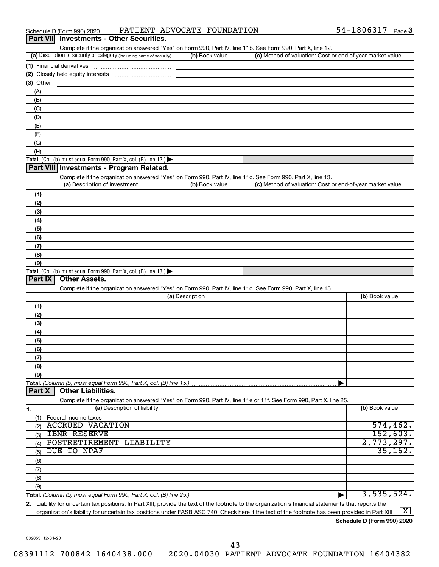| Schedule D (Form 990) 2020 |                                                 |  | PATIENT ADVOCATE FOUNDATION | 1806317-<br>$54 -$ | Page 3 |
|----------------------------|-------------------------------------------------|--|-----------------------------|--------------------|--------|
|                            | <b>Part VII</b> Investments - Other Securities. |  |                             |                    |        |

Complete if the organization answered "Yes" on Form 990, Part IV, line 11b. See Form 990, Part X, line 12.

|                                                                                                                   | (b) Book value  | (c) Method of valuation: Cost or end-of-year market value |                                                |
|-------------------------------------------------------------------------------------------------------------------|-----------------|-----------------------------------------------------------|------------------------------------------------|
| (1) Financial derivatives                                                                                         |                 |                                                           |                                                |
|                                                                                                                   |                 |                                                           |                                                |
| $(3)$ Other                                                                                                       |                 |                                                           |                                                |
| (A)                                                                                                               |                 |                                                           |                                                |
| (B)                                                                                                               |                 |                                                           |                                                |
| (C)                                                                                                               |                 |                                                           |                                                |
| (D)                                                                                                               |                 |                                                           |                                                |
|                                                                                                                   |                 |                                                           |                                                |
| (E)                                                                                                               |                 |                                                           |                                                |
| (F)                                                                                                               |                 |                                                           |                                                |
| (G)                                                                                                               |                 |                                                           |                                                |
| (H)                                                                                                               |                 |                                                           |                                                |
| Total. (Col. (b) must equal Form 990, Part X, col. (B) line 12.)                                                  |                 |                                                           |                                                |
| Part VIII Investments - Program Related.                                                                          |                 |                                                           |                                                |
| Complete if the organization answered "Yes" on Form 990, Part IV, line 11c. See Form 990, Part X, line 13.        |                 |                                                           |                                                |
| (a) Description of investment                                                                                     | (b) Book value  | (c) Method of valuation: Cost or end-of-year market value |                                                |
| (1)                                                                                                               |                 |                                                           |                                                |
| (2)                                                                                                               |                 |                                                           |                                                |
| (3)                                                                                                               |                 |                                                           |                                                |
| (4)                                                                                                               |                 |                                                           |                                                |
| (5)                                                                                                               |                 |                                                           |                                                |
| (6)                                                                                                               |                 |                                                           |                                                |
| (7)                                                                                                               |                 |                                                           |                                                |
|                                                                                                                   |                 |                                                           |                                                |
| (8)                                                                                                               |                 |                                                           |                                                |
| (9)<br>Total. (Col. (b) must equal Form 990, Part X, col. (B) line $13.$ )                                        |                 |                                                           |                                                |
| Part IX<br><b>Other Assets.</b>                                                                                   |                 |                                                           |                                                |
| Complete if the organization answered "Yes" on Form 990, Part IV, line 11d. See Form 990, Part X, line 15.        | (a) Description |                                                           | (b) Book value                                 |
| (1)                                                                                                               |                 |                                                           |                                                |
| (2)                                                                                                               |                 |                                                           |                                                |
| (3)                                                                                                               |                 |                                                           |                                                |
| (4)                                                                                                               |                 |                                                           |                                                |
| (5)                                                                                                               |                 |                                                           |                                                |
|                                                                                                                   |                 |                                                           |                                                |
| (6)                                                                                                               |                 |                                                           |                                                |
| (7)                                                                                                               |                 |                                                           |                                                |
| (8)                                                                                                               |                 |                                                           |                                                |
| (9)                                                                                                               |                 |                                                           |                                                |
|                                                                                                                   |                 |                                                           |                                                |
| <b>Other Liabilities.</b><br>Part X                                                                               |                 |                                                           |                                                |
| Complete if the organization answered "Yes" on Form 990, Part IV, line 11e or 11f. See Form 990, Part X, line 25. |                 |                                                           |                                                |
| (a) Description of liability                                                                                      |                 |                                                           | (b) Book value                                 |
| (1) Federal income taxes                                                                                          |                 |                                                           |                                                |
| <b>ACCRUED VACATION</b><br>(2)                                                                                    |                 |                                                           |                                                |
| <b>IBNR RESERVE</b><br>(3)                                                                                        |                 |                                                           |                                                |
| POSTRETIREMENT LIABILITY<br>(4)                                                                                   |                 |                                                           |                                                |
| 1.<br>DUE TO NPAF<br>(5)                                                                                          |                 |                                                           |                                                |
| (6)                                                                                                               |                 |                                                           |                                                |
|                                                                                                                   |                 |                                                           |                                                |
| (7)                                                                                                               |                 |                                                           |                                                |
| (8)<br>(9)                                                                                                        |                 |                                                           | 574, 462.<br>152,603.<br>2,773,297.<br>35,162. |

**2.** Liability for uncertain tax positions. In Part XIII, provide the text of the footnote to the organization's financial statements that reports the organization's liability for uncertain tax positions under FASB ASC 740. Check here if the text of the footnote has been provided in Part XIII.  $\boxed{\text{X}}$ 

**Schedule D (Form 990) 2020**

032053 12-01-20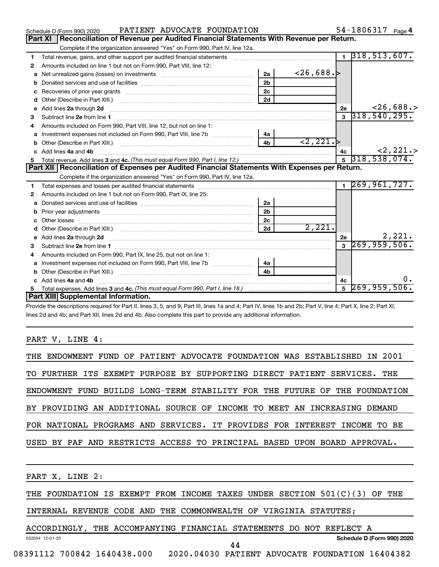|    | PATIENT ADVOCATE FOUNDATION<br>Schedule D (Form 990) 2020                                                                                                                                                                           |                |                          |              | 54-1806317 $_{Page 4}$       |
|----|-------------------------------------------------------------------------------------------------------------------------------------------------------------------------------------------------------------------------------------|----------------|--------------------------|--------------|------------------------------|
|    | <b>Part XI</b><br>Reconciliation of Revenue per Audited Financial Statements With Revenue per Return.                                                                                                                               |                |                          |              |                              |
|    | Complete if the organization answered "Yes" on Form 990, Part IV, line 12a.                                                                                                                                                         |                |                          |              |                              |
| 1  | Total revenue, gains, and other support per audited financial statements [11] [11] Total revenue, gains, and other support per audited financial statements                                                                         |                |                          |              | $1 \overline{318,513,607}$ . |
| 2  | Amounts included on line 1 but not on Form 990, Part VIII, line 12:                                                                                                                                                                 |                |                          |              |                              |
| a  |                                                                                                                                                                                                                                     | 2a             | ~126,688.>               |              |                              |
|    |                                                                                                                                                                                                                                     | 2 <sub>h</sub> |                          |              |                              |
| с  |                                                                                                                                                                                                                                     | 2c             |                          |              |                              |
| d  | Other (Describe in Part XIII.) (2000) (2000) (2000) (2010) (2010) (2010) (2010) (2010) (2010) (2010) (2010) (20                                                                                                                     | 2d             |                          |              |                              |
| е  | Add lines 2a through 2d                                                                                                                                                                                                             |                |                          | 2e           | $<$ 26,688.>                 |
| 3  | Subtract line 2e from line 1 <b>manufacture in the contract of the 2e</b> from line 1                                                                                                                                               |                |                          | $\mathbf{3}$ | 318, 540, 295.               |
| 4  | Amounts included on Form 990, Part VIII, line 12, but not on line 1:                                                                                                                                                                |                |                          |              |                              |
| a  | Investment expenses not included on Form 990, Part VIII, line 7b [11, 11, 11, 11, 11, 11]                                                                                                                                           | 4а             |                          |              |                              |
|    |                                                                                                                                                                                                                                     | 4 <sub>b</sub> | $\langle 2, 221 \rangle$ |              |                              |
|    | Add lines 4a and 4b                                                                                                                                                                                                                 |                |                          | 4c           | $<$ 2, 221.>                 |
| 5  |                                                                                                                                                                                                                                     |                |                          |              | $5\overline{)318,538,074.}$  |
|    | Part XII   Reconciliation of Expenses per Audited Financial Statements With Expenses per Return.                                                                                                                                    |                |                          |              |                              |
|    | Complete if the organization answered "Yes" on Form 990, Part IV, line 12a.                                                                                                                                                         |                |                          |              |                              |
| 1  |                                                                                                                                                                                                                                     |                |                          |              |                              |
|    |                                                                                                                                                                                                                                     |                |                          |              | $1 \overline{269,961,727}$   |
| 2  | Amounts included on line 1 but not on Form 990, Part IX, line 25:                                                                                                                                                                   |                |                          |              |                              |
| a  |                                                                                                                                                                                                                                     | 2a             |                          |              |                              |
| b  |                                                                                                                                                                                                                                     | 2 <sub>b</sub> |                          |              |                              |
|    | Prior year adjustments immunicant contracts and all the material contracts and the material contracts and the<br>Other losses                                                                                                       | 2c             |                          |              |                              |
| d  |                                                                                                                                                                                                                                     | 2d             | 2,221.                   |              |                              |
| e  |                                                                                                                                                                                                                                     |                |                          | 2e           | 2,221.                       |
|    | Add lines 2a through 2d <b>contract and all anomalisation</b> and all and all anomalisation of the state of the state of the state of the state of the state of the state of the state of the state of the state of the state of th |                |                          |              | $3\overline{269,959,506}$    |
|    | Subtract line 2e from line 1 <b>manufacture in the contract of the 2e</b> from line 1<br>Amounts included on Form 990, Part IX, line 25, but not on line 1:                                                                         |                |                          |              |                              |
| a  |                                                                                                                                                                                                                                     | 4a             |                          |              |                              |
|    |                                                                                                                                                                                                                                     | 4 <sub>b</sub> |                          |              |                              |
|    | Add lines 4a and 4b                                                                                                                                                                                                                 |                |                          | 4с           |                              |
| 5. |                                                                                                                                                                                                                                     |                |                          |              | $5\overline{269,959,506}$ .  |
|    | Part XIII Supplemental Information.                                                                                                                                                                                                 |                |                          |              |                              |

Provide the descriptions required for Part II, lines 3, 5, and 9; Part III, lines 1a and 4; Part IV, lines 1b and 2b; Part V, line 4; Part X, line 2; Part XI, lines 2d and 4b; and Part XII, lines 2d and 4b. Also complete this part to provide any additional information.

### PART V, LINE 4:

| THE ENDOWMENT FUND OF PATIENT ADVOCATE FOUNDATION WAS ESTABLISHED IN 2001 |  |  |  |  |  |  |  |  |  |                                                                            |
|---------------------------------------------------------------------------|--|--|--|--|--|--|--|--|--|----------------------------------------------------------------------------|
| TO FURTHER ITS EXEMPT PURPOSE BY SUPPORTING DIRECT PATIENT SERVICES. THE  |  |  |  |  |  |  |  |  |  |                                                                            |
|                                                                           |  |  |  |  |  |  |  |  |  | ENDOWMENT FUND BUILDS LONG-TERM STABILITY FOR THE FUTURE OF THE FOUNDATION |
| BY PROVIDING AN ADDITIONAL SOURCE OF INCOME TO MEET AN INCREASING DEMAND  |  |  |  |  |  |  |  |  |  |                                                                            |
| FOR NATIONAL PROGRAMS AND SERVICES. IT PROVIDES FOR INTEREST INCOME TO BE |  |  |  |  |  |  |  |  |  |                                                                            |
| USED BY PAF AND RESTRICTS ACCESS TO PRINCIPAL BASED UPON BOARD APPROVAL.  |  |  |  |  |  |  |  |  |  |                                                                            |

PART X, LINE 2:

032054 12-01-20

THE FOUNDATION IS EXEMPT FROM INCOME TAXES UNDER SECTION 501(C)(3) OF THE

INTERNAL REVENUE CODE AND THE COMMONWEALTH OF VIRGINIA STATUTES;

ACCORDINGLY, THE ACCOMPANYING FINANCIAL STATEMENTS DO NOT REFLECT A

**Schedule D (Form 990) 2020**

08391112 700842 1640438.000 2020.04030 PATIENT ADVOCATE FOUNDATION 16404382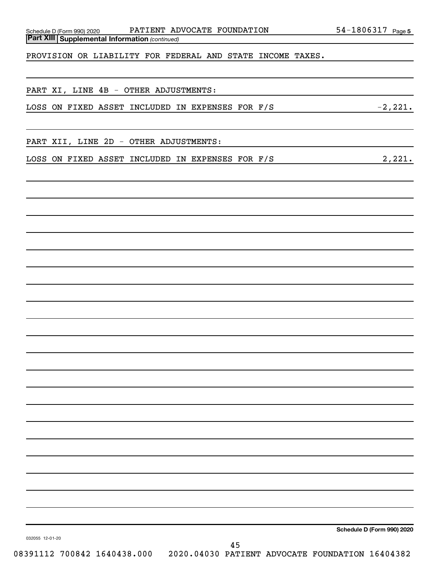Schedule D (Form 990) 2020 PATIENT ADVOCATE FOUNDATION 54-1806317 Page

PROVISION OR LIABILITY FOR FEDERAL AND STATE INCOME TAXES.

|  |  |  |  |  |  | PART XI, LINE 4B - OTHER ADJUSTMENTS: |
|--|--|--|--|--|--|---------------------------------------|
|--|--|--|--|--|--|---------------------------------------|

|  |  |  |  | LOSS ON FIXED ASSET INCLUDED IN EXPENSES FOR F/S |  |  |  | $-2,221.$ |
|--|--|--|--|--------------------------------------------------|--|--|--|-----------|
|--|--|--|--|--------------------------------------------------|--|--|--|-----------|

PART XII, LINE 2D - OTHER ADJUSTMENTS:

LOSS ON FIXED ASSET INCLUDED IN EXPENSES FOR F/S 2,221.

**Schedule D (Form 990) 2020**

032055 12-01-20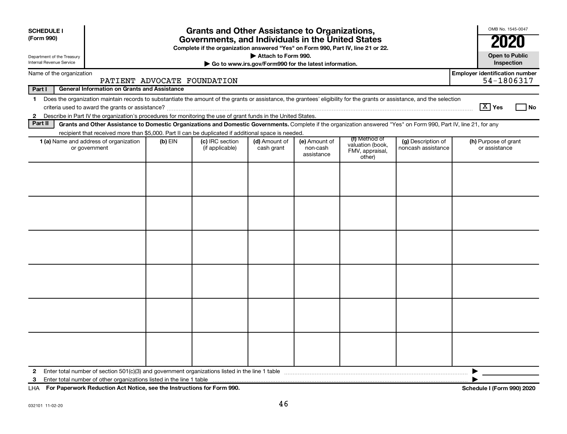|                                                                                                                                                                                                    |                             |                                                                                                               |                                                   |                                                                                                                                                                                                                                         | <b>Grants and Other Assistance to Organizations,</b><br>Governments, and Individuals in the United States<br>Complete if the organization answered "Yes" on Form 990, Part IV, line 21 or 22. |                                                                                                                                                                                          |  |  |  |  |  |  |  |  |  |  |
|----------------------------------------------------------------------------------------------------------------------------------------------------------------------------------------------------|-----------------------------|---------------------------------------------------------------------------------------------------------------|---------------------------------------------------|-----------------------------------------------------------------------------------------------------------------------------------------------------------------------------------------------------------------------------------------|-----------------------------------------------------------------------------------------------------------------------------------------------------------------------------------------------|------------------------------------------------------------------------------------------------------------------------------------------------------------------------------------------|--|--|--|--|--|--|--|--|--|--|
|                                                                                                                                                                                                    |                             |                                                                                                               | Attach to Form 990.<br>Department of the Treasury |                                                                                                                                                                                                                                         |                                                                                                                                                                                               |                                                                                                                                                                                          |  |  |  |  |  |  |  |  |  |  |
|                                                                                                                                                                                                    |                             | Internal Revenue Service<br>Go to www.irs.gov/Form990 for the latest information.<br>Name of the organization |                                                   |                                                                                                                                                                                                                                         |                                                                                                                                                                                               |                                                                                                                                                                                          |  |  |  |  |  |  |  |  |  |  |
|                                                                                                                                                                                                    | PATIENT ADVOCATE FOUNDATION |                                                                                                               |                                                   |                                                                                                                                                                                                                                         |                                                                                                                                                                                               | <b>Employer identification number</b><br>54-1806317                                                                                                                                      |  |  |  |  |  |  |  |  |  |  |
| <b>General Information on Grants and Assistance</b>                                                                                                                                                |                             |                                                                                                               |                                                   |                                                                                                                                                                                                                                         |                                                                                                                                                                                               |                                                                                                                                                                                          |  |  |  |  |  |  |  |  |  |  |
| Does the organization maintain records to substantiate the amount of the grants or assistance, the grantees' eligibility for the grants or assistance, and the selection<br>$\boxed{\text{X}}$ Yes |                             |                                                                                                               |                                                   |                                                                                                                                                                                                                                         |                                                                                                                                                                                               |                                                                                                                                                                                          |  |  |  |  |  |  |  |  |  |  |
|                                                                                                                                                                                                    |                             |                                                                                                               |                                                   |                                                                                                                                                                                                                                         |                                                                                                                                                                                               |                                                                                                                                                                                          |  |  |  |  |  |  |  |  |  |  |
|                                                                                                                                                                                                    |                             |                                                                                                               |                                                   |                                                                                                                                                                                                                                         |                                                                                                                                                                                               |                                                                                                                                                                                          |  |  |  |  |  |  |  |  |  |  |
|                                                                                                                                                                                                    |                             |                                                                                                               |                                                   |                                                                                                                                                                                                                                         |                                                                                                                                                                                               |                                                                                                                                                                                          |  |  |  |  |  |  |  |  |  |  |
|                                                                                                                                                                                                    | (if applicable)             | cash grant                                                                                                    | non-cash<br>assistance                            | valuation (book,<br>FMV, appraisal,<br>other)                                                                                                                                                                                           | noncash assistance                                                                                                                                                                            | (h) Purpose of grant<br>or assistance                                                                                                                                                    |  |  |  |  |  |  |  |  |  |  |
|                                                                                                                                                                                                    |                             |                                                                                                               |                                                   |                                                                                                                                                                                                                                         |                                                                                                                                                                                               |                                                                                                                                                                                          |  |  |  |  |  |  |  |  |  |  |
|                                                                                                                                                                                                    | $(b)$ EIN                   | (c) IRC section                                                                                               | (d) Amount of                                     | 2 Describe in Part IV the organization's procedures for monitoring the use of grant funds in the United States.<br>recipient that received more than \$5,000. Part II can be duplicated if additional space is needed.<br>(e) Amount of | (f) Method of                                                                                                                                                                                 | Grants and Other Assistance to Domestic Organizations and Domestic Governments. Complete if the organization answered "Yes" on Form 990, Part IV, line 21, for any<br>(g) Description of |  |  |  |  |  |  |  |  |  |  |

**For Paperwork Reduction Act Notice, see the Instructions for Form 990. Schedule I (Form 990) 2020** LHA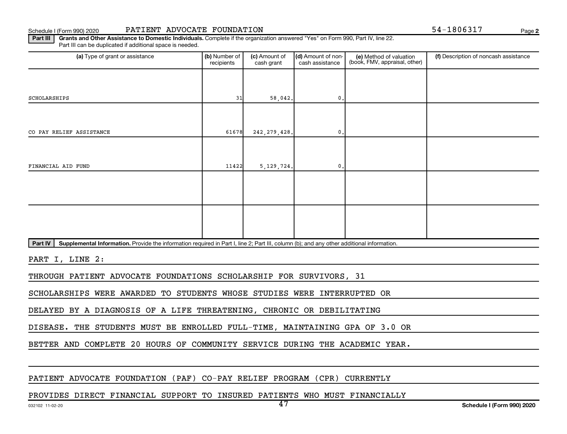Schedule I (Form 990) 2020 PATIENT ADVOCATE FOUNDATION 54-1806317 Page

**2**

Part III | Grants and Other Assistance to Domestic Individuals. Complete if the organization answered "Yes" on Form 990, Part IV, line 22. Part III can be duplicated if additional space is needed.

| (a) Type of grant or assistance                                                                                                                      | (b) Number of<br>recipients | (c) Amount of<br>cash grant | (d) Amount of non-<br>cash assistance | (e) Method of valuation<br>(book, FMV, appraisal, other) | (f) Description of noncash assistance |
|------------------------------------------------------------------------------------------------------------------------------------------------------|-----------------------------|-----------------------------|---------------------------------------|----------------------------------------------------------|---------------------------------------|
|                                                                                                                                                      |                             |                             |                                       |                                                          |                                       |
| SCHOLARSHIPS                                                                                                                                         | 31                          | 58,042.                     | $\mathbf{0}$ .                        |                                                          |                                       |
|                                                                                                                                                      |                             |                             |                                       |                                                          |                                       |
| CO PAY RELIEF ASSISTANCE                                                                                                                             | 61678                       | 242, 279, 428.              | $^{\circ}$ .                          |                                                          |                                       |
|                                                                                                                                                      |                             |                             |                                       |                                                          |                                       |
| FINANCIAL AID FUND                                                                                                                                   | 11422                       | 5, 129, 724.                | $^{\rm 0}$ .                          |                                                          |                                       |
|                                                                                                                                                      |                             |                             |                                       |                                                          |                                       |
|                                                                                                                                                      |                             |                             |                                       |                                                          |                                       |
|                                                                                                                                                      |                             |                             |                                       |                                                          |                                       |
|                                                                                                                                                      |                             |                             |                                       |                                                          |                                       |
| Part IV<br>Supplemental Information. Provide the information required in Part I, line 2; Part III, column (b); and any other additional information. |                             |                             |                                       |                                                          |                                       |

PART I, LINE 2:

THROUGH PATIENT ADVOCATE FOUNDATIONS SCHOLARSHIP FOR SURVIVORS, 31

SCHOLARSHIPS WERE AWARDED TO STUDENTS WHOSE STUDIES WERE INTERRUPTED OR

DELAYED BY A DIAGNOSIS OF A LIFE THREATENING, CHRONIC OR DEBILITATING

DISEASE. THE STUDENTS MUST BE ENROLLED FULL-TIME, MAINTAINING GPA OF 3.0 OR

BETTER AND COMPLETE 20 HOURS OF COMMUNITY SERVICE DURING THE ACADEMIC YEAR.

PATIENT ADVOCATE FOUNDATION (PAF) CO-PAY RELIEF PROGRAM (CPR) CURRENTLY

PROVIDES DIRECT FINANCIAL SUPPORT TO INSURED PATIENTS WHO MUST FINANCIALLY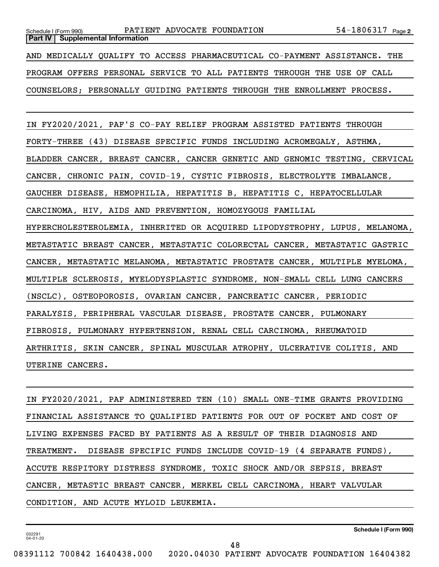**Part IV** | Supplemental Information

AND MEDICALLY QUALIFY TO ACCESS PHARMACEUTICAL CO-PAYMENT ASSISTANCE. THE PROGRAM OFFERS PERSONAL SERVICE TO ALL PATIENTS THROUGH THE USE OF CALL COUNSELORS; PERSONALLY GUIDING PATIENTS THROUGH THE ENROLLMENT PROCESS.

IN FY2020/2021, PAF'S CO-PAY RELIEF PROGRAM ASSISTED PATIENTS THROUGH FORTY-THREE (43) DISEASE SPECIFIC FUNDS INCLUDING ACROMEGALY, ASTHMA, BLADDER CANCER, BREAST CANCER, CANCER GENETIC AND GENOMIC TESTING, CERVICAL CANCER, CHRONIC PAIN, COVID-19, CYSTIC FIBROSIS, ELECTROLYTE IMBALANCE, GAUCHER DISEASE, HEMOPHILIA, HEPATITIS B, HEPATITIS C, HEPATOCELLULAR CARCINOMA, HIV, AIDS AND PREVENTION, HOMOZYGOUS FAMILIAL HYPERCHOLESTEROLEMIA, INHERITED OR ACQUIRED LIPODYSTROPHY, LUPUS, MELANOMA, METASTATIC BREAST CANCER, METASTATIC COLORECTAL CANCER, METASTATIC GASTRIC CANCER, METASTATIC MELANOMA, METASTATIC PROSTATE CANCER, MULTIPLE MYELOMA, MULTIPLE SCLEROSIS, MYELODYSPLASTIC SYNDROME, NON-SMALL CELL LUNG CANCERS (NSCLC), OSTEOPOROSIS, OVARIAN CANCER, PANCREATIC CANCER, PERIODIC PARALYSIS, PERIPHERAL VASCULAR DISEASE, PROSTATE CANCER, PULMONARY FIBROSIS, PULMONARY HYPERTENSION, RENAL CELL CARCINOMA, RHEUMATOID ARTHRITIS, SKIN CANCER, SPINAL MUSCULAR ATROPHY, ULCERATIVE COLITIS, AND UTERINE CANCERS.

IN FY2020/2021, PAF ADMINISTERED TEN (10) SMALL ONE-TIME GRANTS PROVIDING FINANCIAL ASSISTANCE TO QUALIFIED PATIENTS FOR OUT OF POCKET AND COST OF LIVING EXPENSES FACED BY PATIENTS AS A RESULT OF THEIR DIAGNOSIS AND TREATMENT. DISEASE SPECIFIC FUNDS INCLUDE COVID-19 (4 SEPARATE FUNDS), ACCUTE RESPITORY DISTRESS SYNDROME, TOXIC SHOCK AND/OR SEPSIS, BREAST CANCER, METASTIC BREAST CANCER, MERKEL CELL CARCINOMA, HEART VALVULAR CONDITION, AND ACUTE MYLOID LEUKEMIA.

**Schedule I (Form 990)**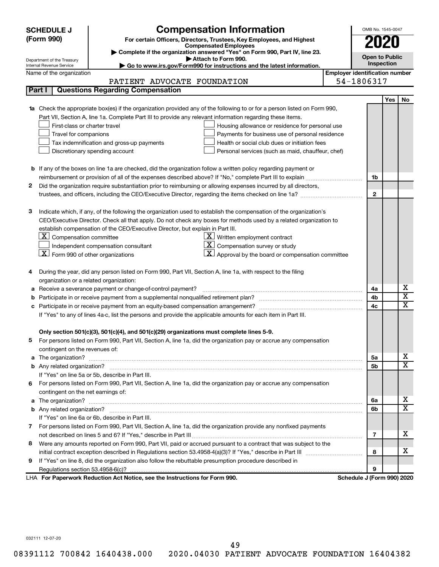|   | <b>SCHEDULE J</b>                                               | <b>Compensation Information</b>                                                                                                                                                                                                     | OMB No. 1545-0047                     |            |                              |  |  |
|---|-----------------------------------------------------------------|-------------------------------------------------------------------------------------------------------------------------------------------------------------------------------------------------------------------------------------|---------------------------------------|------------|------------------------------|--|--|
|   | (Form 990)                                                      | For certain Officers, Directors, Trustees, Key Employees, and Highest                                                                                                                                                               |                                       |            |                              |  |  |
|   |                                                                 | <b>Compensated Employees</b>                                                                                                                                                                                                        |                                       |            |                              |  |  |
|   |                                                                 | Complete if the organization answered "Yes" on Form 990, Part IV, line 23.<br>Attach to Form 990.                                                                                                                                   | <b>Open to Public</b>                 |            |                              |  |  |
|   | Department of the Treasury<br>Internal Revenue Service          | Go to www.irs.gov/Form990 for instructions and the latest information.                                                                                                                                                              | Inspection                            |            |                              |  |  |
|   | Name of the organization                                        |                                                                                                                                                                                                                                     | <b>Employer identification number</b> |            |                              |  |  |
|   |                                                                 | PATIENT ADVOCATE FOUNDATION                                                                                                                                                                                                         | 54-1806317                            |            |                              |  |  |
|   | Part I                                                          | <b>Questions Regarding Compensation</b>                                                                                                                                                                                             |                                       |            |                              |  |  |
|   |                                                                 |                                                                                                                                                                                                                                     |                                       | <b>Yes</b> | No                           |  |  |
|   |                                                                 | 1a Check the appropriate box(es) if the organization provided any of the following to or for a person listed on Form 990,                                                                                                           |                                       |            |                              |  |  |
|   |                                                                 | Part VII, Section A, line 1a. Complete Part III to provide any relevant information regarding these items.                                                                                                                          |                                       |            |                              |  |  |
|   | First-class or charter travel                                   | Housing allowance or residence for personal use                                                                                                                                                                                     |                                       |            |                              |  |  |
|   | Travel for companions                                           | Payments for business use of personal residence                                                                                                                                                                                     |                                       |            |                              |  |  |
|   |                                                                 | Tax indemnification and gross-up payments<br>Health or social club dues or initiation fees                                                                                                                                          |                                       |            |                              |  |  |
|   |                                                                 | Discretionary spending account<br>Personal services (such as maid, chauffeur, chef)                                                                                                                                                 |                                       |            |                              |  |  |
|   |                                                                 |                                                                                                                                                                                                                                     |                                       |            |                              |  |  |
|   |                                                                 | <b>b</b> If any of the boxes on line 1a are checked, did the organization follow a written policy regarding payment or                                                                                                              |                                       |            |                              |  |  |
|   |                                                                 | reimbursement or provision of all of the expenses described above? If "No," complete Part III to explain                                                                                                                            | 1b                                    |            |                              |  |  |
| 2 |                                                                 | Did the organization require substantiation prior to reimbursing or allowing expenses incurred by all directors,                                                                                                                    |                                       |            |                              |  |  |
|   |                                                                 | trustees, and officers, including the CEO/Executive Director, regarding the items checked on line 1a?                                                                                                                               | $\mathbf{2}$                          |            |                              |  |  |
|   |                                                                 |                                                                                                                                                                                                                                     |                                       |            |                              |  |  |
| з |                                                                 | Indicate which, if any, of the following the organization used to establish the compensation of the organization's                                                                                                                  |                                       |            |                              |  |  |
|   |                                                                 | CEO/Executive Director. Check all that apply. Do not check any boxes for methods used by a related organization to                                                                                                                  |                                       |            |                              |  |  |
|   |                                                                 | establish compensation of the CEO/Executive Director, but explain in Part III.                                                                                                                                                      |                                       |            |                              |  |  |
|   | $\lfloor \underline{\textbf{X}} \rfloor$ Compensation committee | $X$ Written employment contract                                                                                                                                                                                                     |                                       |            |                              |  |  |
|   |                                                                 | Compensation survey or study<br>Independent compensation consultant                                                                                                                                                                 |                                       |            |                              |  |  |
|   | $\boxed{\textbf{X}}$ Form 990 of other organizations            | Approval by the board or compensation committee                                                                                                                                                                                     |                                       |            |                              |  |  |
|   |                                                                 |                                                                                                                                                                                                                                     |                                       |            |                              |  |  |
|   |                                                                 | During the year, did any person listed on Form 990, Part VII, Section A, line 1a, with respect to the filing                                                                                                                        |                                       |            |                              |  |  |
|   | organization or a related organization:                         |                                                                                                                                                                                                                                     |                                       |            |                              |  |  |
| а |                                                                 | Receive a severance payment or change-of-control payment?                                                                                                                                                                           | 4a                                    |            | х<br>$\overline{\texttt{x}}$ |  |  |
| b |                                                                 |                                                                                                                                                                                                                                     | 4b                                    |            | $\overline{\text{x}}$        |  |  |
| c |                                                                 | Participate in or receive payment from an equity-based compensation arrangement?                                                                                                                                                    | 4c                                    |            |                              |  |  |
|   |                                                                 | If "Yes" to any of lines 4a-c, list the persons and provide the applicable amounts for each item in Part III.                                                                                                                       |                                       |            |                              |  |  |
|   |                                                                 |                                                                                                                                                                                                                                     |                                       |            |                              |  |  |
|   |                                                                 | Only section 501(c)(3), 501(c)(4), and 501(c)(29) organizations must complete lines 5-9.                                                                                                                                            |                                       |            |                              |  |  |
|   |                                                                 | For persons listed on Form 990, Part VII, Section A, line 1a, did the organization pay or accrue any compensation                                                                                                                   |                                       |            |                              |  |  |
|   | contingent on the revenues of:                                  |                                                                                                                                                                                                                                     | 5a                                    |            | x.                           |  |  |
|   |                                                                 | a The organization? <b>contracts</b> and contracts are contracted and contract and contract and contract and contract and contract and contract and contract and contract and contract and contract and contract and contract and c |                                       |            | $\overline{\mathbf{X}}$      |  |  |
|   |                                                                 | If "Yes" on line 5a or 5b, describe in Part III.                                                                                                                                                                                    | 5b                                    |            |                              |  |  |
| 6 |                                                                 | For persons listed on Form 990, Part VII, Section A, line 1a, did the organization pay or accrue any compensation                                                                                                                   |                                       |            |                              |  |  |
|   | contingent on the net earnings of:                              |                                                                                                                                                                                                                                     |                                       |            |                              |  |  |
|   |                                                                 |                                                                                                                                                                                                                                     | 6а                                    |            | x.                           |  |  |
|   |                                                                 |                                                                                                                                                                                                                                     | 6b                                    |            | $\overline{\mathbf{X}}$      |  |  |
|   |                                                                 | If "Yes" on line 6a or 6b, describe in Part III.                                                                                                                                                                                    |                                       |            |                              |  |  |
|   |                                                                 | 7 For persons listed on Form 990, Part VII, Section A, line 1a, did the organization provide any nonfixed payments                                                                                                                  |                                       |            |                              |  |  |
|   |                                                                 |                                                                                                                                                                                                                                     | 7                                     |            | x.                           |  |  |
| 8 |                                                                 | Were any amounts reported on Form 990, Part VII, paid or accrued pursuant to a contract that was subject to the                                                                                                                     |                                       |            |                              |  |  |
|   |                                                                 |                                                                                                                                                                                                                                     | 8                                     |            | x.                           |  |  |
| 9 |                                                                 | If "Yes" on line 8, did the organization also follow the rebuttable presumption procedure described in                                                                                                                              |                                       |            |                              |  |  |
|   |                                                                 |                                                                                                                                                                                                                                     | 9                                     |            |                              |  |  |
|   |                                                                 | LHA For Paperwork Reduction Act Notice, see the Instructions for Form 990.                                                                                                                                                          | Schedule J (Form 990) 2020            |            |                              |  |  |

032111 12-07-20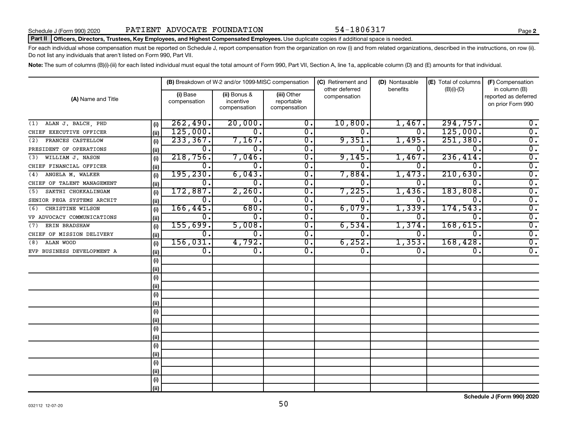#### Part II | Officers, Directors, Trustees, Key Employees, and Highest Compensated Employees. Use duplicate copies if additional space is needed.

For each individual whose compensation must be reported on Schedule J, report compensation from the organization on row (i) and from related organizations, described in the instructions, on row (ii). Do not list any individuals that aren't listed on Form 990, Part VII.

Note: The sum of columns (B)(i)-(iii) for each listed individual must equal the total amount of Form 990, Part VII, Section A, line 1a, applicable column (D) and (E) amounts for that individual.

|                            |      |                          | (B) Breakdown of W-2 and/or 1099-MISC compensation |                                           | (C) Retirement and             | (D) Nontaxable   | (E) Total of columns | (F) Compensation<br>in column (B)         |  |
|----------------------------|------|--------------------------|----------------------------------------------------|-------------------------------------------|--------------------------------|------------------|----------------------|-------------------------------------------|--|
| (A) Name and Title         |      | (i) Base<br>compensation | (ii) Bonus &<br>incentive<br>compensation          | (iii) Other<br>reportable<br>compensation | other deferred<br>compensation | benefits         | $(B)(i)$ - $(D)$     | reported as deferred<br>on prior Form 990 |  |
| ALAN J. BALCH, PHD<br>(1)  | (i)  | 262,490.                 | 20,000.                                            | $\overline{0}$ .                          | 10,800.                        | 1,467.           | 294,757.             | $0$ .                                     |  |
| CHIEF EXECUTIVE OFFICER    | (ii) | 125,000.                 | $\overline{0}$ .                                   | $\overline{0}$ .                          | 0.                             | $\overline{0}$ . | 125,000.             | $\overline{0}$ .                          |  |
| FRANCES CASTELLOW<br>(2)   | (i)  | 233, 367.                | 7,167.                                             | $\overline{\mathfrak{o}}$ .               | 9,351.                         | 1,495.           | 251,380.             | $\overline{0}$ .                          |  |
| PRESIDENT OF OPERATIONS    | (i)  | $\overline{0}$ .         | 0.                                                 | $\overline{0}$ .                          | 0                              | 0.               | $\overline{0}$       | $\overline{0}$ .                          |  |
| WILLIAM J. NASON<br>(3)    | (i)  | 218,756.                 | 7,046.                                             | $\overline{0}$ .                          | 9,145.                         | 1,467.           | 236,414.             | $\overline{0}$ .                          |  |
| CHIEF FINANCIAL OFFICER    | (ii) | о.                       | 0.                                                 | $\overline{0}$ .                          | $\Omega$ .                     | 0.               | $\Omega$ .           | $\overline{0}$ .                          |  |
| ANGELA M. WALKER<br>(4)    | (i)  | 195, 230.                | 6,043.                                             | $\overline{0}$ .                          | 7,884.                         | 1,473.           | 210,630.             | $\overline{0}$ .                          |  |
| CHIEF OF TALENT MANAGEMENT | (ii) | Ο.                       | 0.                                                 | $\overline{0}$ .                          | 0.                             | О.               | $\Omega$ .           | $\overline{0}$ .                          |  |
| SAKTHI CHOKKALINGAM<br>(5) | (i)  | 172,887.                 | 2,260.                                             | $\overline{\mathfrak{o}}$ .               | 7,225.                         | 1,436.           | 183,808.             | $\overline{0}$ .                          |  |
| SENIOR PEGA SYSTEMS ARCHIT | (ii) | 0.                       | 0.                                                 | $\overline{\mathfrak{o}}$ .               | 0                              | О.               | $\overline{0}$ .     | $\overline{0}$ .                          |  |
| CHRISTINE WILSON<br>(6)    | (i)  | 166, 445.                | 680.                                               | $\overline{\mathfrak{o}}$ .               | 6,079.                         | 1,339.           | 174,543              | $\overline{0}$ .                          |  |
| VP ADVOCACY COMMUNICATIONS | (ii) | 0.                       | $\overline{0}$ .                                   | $\overline{\mathfrak{o}}$ .               | 0                              | О.               | $\Omega$ .           | $\overline{0}$ .                          |  |
| ERIN BRADSHAW<br>(7)       | (i)  | 155,699.                 | 5,008.                                             | $\overline{0}$ .                          | 6,534.                         | 1,374.           | 168,615.             | $\overline{0}$ .                          |  |
| CHIEF OF MISSION DELIVERY  | (ii) | 0.                       | 0.                                                 | $\overline{0}$ .                          | 0.                             | 0.               | $\overline{0}$ .     | $\overline{0}$ .                          |  |
| ALAN WOOD<br>(8)           | (i)  | 156,031.                 | 4,792.                                             | $\overline{\mathfrak{o}}$ .               | 6, 252.                        | 1,353.           | 168,428.             | $\overline{0}$ .                          |  |
| EVP BUSINESS DEVELOPMENT A | (ii) | $\overline{0}$ .         | $\overline{0}$ .                                   | $\overline{0}$ .                          | $\overline{0}$ .               | О.               | 0.                   | $\overline{0}$ .                          |  |
|                            | (i)  |                          |                                                    |                                           |                                |                  |                      |                                           |  |
|                            | (i)  |                          |                                                    |                                           |                                |                  |                      |                                           |  |
|                            | (i)  |                          |                                                    |                                           |                                |                  |                      |                                           |  |
|                            | (ii) |                          |                                                    |                                           |                                |                  |                      |                                           |  |
|                            | (i)  |                          |                                                    |                                           |                                |                  |                      |                                           |  |
|                            | (ii) |                          |                                                    |                                           |                                |                  |                      |                                           |  |
|                            | (i)  |                          |                                                    |                                           |                                |                  |                      |                                           |  |
|                            | (ii) |                          |                                                    |                                           |                                |                  |                      |                                           |  |
|                            | (i)  |                          |                                                    |                                           |                                |                  |                      |                                           |  |
|                            | (ii) |                          |                                                    |                                           |                                |                  |                      |                                           |  |
|                            | (i)  |                          |                                                    |                                           |                                |                  |                      |                                           |  |
|                            | (ii) |                          |                                                    |                                           |                                |                  |                      |                                           |  |
|                            | (i)  |                          |                                                    |                                           |                                |                  |                      |                                           |  |
|                            | (ii) |                          |                                                    |                                           |                                |                  |                      |                                           |  |
|                            | (i)  |                          |                                                    |                                           |                                |                  |                      |                                           |  |
|                            | (ii) |                          |                                                    |                                           |                                |                  |                      |                                           |  |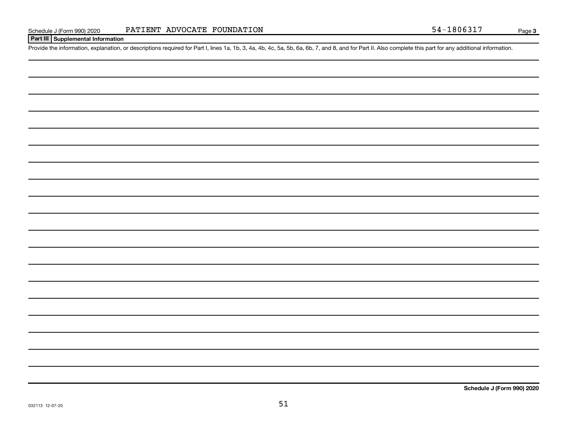### **Part III Supplemental Information**

Provide the information, explanation, or descriptions required for Part I, lines 1a, 1b, 3, 4a, 4b, 4c, 5a, 5b, 6a, 6b, 7, and 8, and for Part II. Also complete this part for any additional information.

**Schedule J (Form 990) 2020**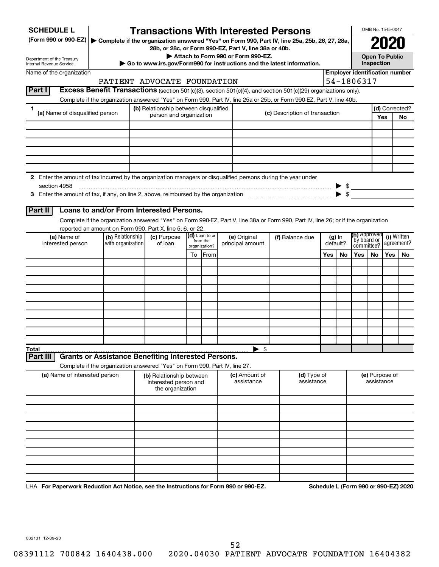| <b>SCHEDULE L</b>                                                                                                                                                               |                   | <b>Transactions With Interested Persons</b>                                                                                              |    |                            |                                    |                                |     |          |                                       | OMB No. 1545-0047                   |     |                                      |
|---------------------------------------------------------------------------------------------------------------------------------------------------------------------------------|-------------------|------------------------------------------------------------------------------------------------------------------------------------------|----|----------------------------|------------------------------------|--------------------------------|-----|----------|---------------------------------------|-------------------------------------|-----|--------------------------------------|
| (Form 990 or 990-EZ)   Complete if the organization answered "Yes" on Form 990, Part IV, line 25a, 25b, 26, 27, 28a,                                                            |                   |                                                                                                                                          |    |                            |                                    |                                |     |          |                                       |                                     |     |                                      |
|                                                                                                                                                                                 |                   | 28b, or 28c, or Form 990-EZ, Part V, line 38a or 40b.                                                                                    |    |                            |                                    |                                |     |          |                                       |                                     |     |                                      |
| Department of the Treasury<br>Internal Revenue Service                                                                                                                          |                   | Go to www.irs.gov/Form990 for instructions and the latest information.                                                                   |    |                            | Attach to Form 990 or Form 990-EZ. |                                |     |          |                                       | <b>Open To Public</b><br>Inspection |     |                                      |
| Name of the organization                                                                                                                                                        |                   |                                                                                                                                          |    |                            |                                    |                                |     |          | <b>Employer identification number</b> |                                     |     |                                      |
|                                                                                                                                                                                 |                   | PATIENT ADVOCATE FOUNDATION                                                                                                              |    |                            |                                    |                                |     |          | 54-1806317                            |                                     |     |                                      |
| Part I                                                                                                                                                                          |                   | Excess Benefit Transactions (section 501(c)(3), section 501(c)(4), and section 501(c)(29) organizations only).                           |    |                            |                                    |                                |     |          |                                       |                                     |     |                                      |
|                                                                                                                                                                                 |                   | Complete if the organization answered "Yes" on Form 990, Part IV, line 25a or 25b, or Form 990-EZ, Part V, line 40b.                     |    |                            |                                    |                                |     |          |                                       |                                     |     |                                      |
| 1<br>(a) Name of disqualified person                                                                                                                                            |                   | (b) Relationship between disqualified<br>person and organization                                                                         |    |                            |                                    | (c) Description of transaction |     |          |                                       |                                     | Yes | (d) Corrected?<br><b>No</b>          |
|                                                                                                                                                                                 |                   |                                                                                                                                          |    |                            |                                    |                                |     |          |                                       |                                     |     |                                      |
|                                                                                                                                                                                 |                   |                                                                                                                                          |    |                            |                                    |                                |     |          |                                       |                                     |     |                                      |
|                                                                                                                                                                                 |                   |                                                                                                                                          |    |                            |                                    |                                |     |          |                                       |                                     |     |                                      |
|                                                                                                                                                                                 |                   |                                                                                                                                          |    |                            |                                    |                                |     |          |                                       |                                     |     |                                      |
|                                                                                                                                                                                 |                   |                                                                                                                                          |    |                            |                                    |                                |     |          |                                       |                                     |     |                                      |
| 2 Enter the amount of tax incurred by the organization managers or disqualified persons during the year under                                                                   |                   |                                                                                                                                          |    |                            |                                    |                                |     |          |                                       |                                     |     |                                      |
| section 4958                                                                                                                                                                    |                   |                                                                                                                                          |    |                            |                                    |                                |     |          |                                       |                                     |     |                                      |
| 3 Enter the amount of tax, if any, on line 2, above, reimbursed by the organization matching matter the amount of tax, if any, on line 2, above, reimbursed by the organization |                   |                                                                                                                                          |    |                            |                                    |                                |     |          |                                       |                                     |     |                                      |
| Part II                                                                                                                                                                         |                   | Loans to and/or From Interested Persons.                                                                                                 |    |                            |                                    |                                |     |          |                                       |                                     |     |                                      |
|                                                                                                                                                                                 |                   | Complete if the organization answered "Yes" on Form 990-EZ, Part V, line 38a or Form 990, Part IV, line 26; or if the organization       |    |                            |                                    |                                |     |          |                                       |                                     |     |                                      |
|                                                                                                                                                                                 |                   | reported an amount on Form 990, Part X, line 5, 6, or 22.                                                                                |    |                            |                                    |                                |     |          |                                       |                                     |     |                                      |
| (a) Name of                                                                                                                                                                     | (b) Relationship  | (c) Purpose                                                                                                                              |    | (d) Loan to or<br>from the | (e) Original                       | (f) Balance due                |     | $(g)$ In | (h) Approved<br>`by board or          |                                     |     | (i) Written                          |
| interested person                                                                                                                                                               | with organization | of loan                                                                                                                                  |    | organization?              | principal amount                   | default?                       |     |          | committee?                            |                                     |     | agreement?                           |
|                                                                                                                                                                                 |                   |                                                                                                                                          | To | From                       |                                    |                                | Yes | No       | Yes                                   | <b>No</b>                           | Yes | No                                   |
|                                                                                                                                                                                 |                   |                                                                                                                                          |    |                            |                                    |                                |     |          |                                       |                                     |     |                                      |
|                                                                                                                                                                                 |                   |                                                                                                                                          |    |                            |                                    |                                |     |          |                                       |                                     |     |                                      |
|                                                                                                                                                                                 |                   |                                                                                                                                          |    |                            |                                    |                                |     |          |                                       |                                     |     |                                      |
|                                                                                                                                                                                 |                   |                                                                                                                                          |    |                            |                                    |                                |     |          |                                       |                                     |     |                                      |
|                                                                                                                                                                                 |                   |                                                                                                                                          |    |                            |                                    |                                |     |          |                                       |                                     |     |                                      |
|                                                                                                                                                                                 |                   |                                                                                                                                          |    |                            |                                    |                                |     |          |                                       |                                     |     |                                      |
|                                                                                                                                                                                 |                   |                                                                                                                                          |    |                            |                                    |                                |     |          |                                       |                                     |     |                                      |
|                                                                                                                                                                                 |                   |                                                                                                                                          |    |                            |                                    |                                |     |          |                                       |                                     |     |                                      |
| Total                                                                                                                                                                           |                   |                                                                                                                                          |    |                            | $\blacktriangleright$ \$           |                                |     |          |                                       |                                     |     |                                      |
| Part III                                                                                                                                                                        |                   | <b>Grants or Assistance Benefiting Interested Persons.</b><br>Complete if the organization answered "Yes" on Form 990, Part IV, line 27. |    |                            |                                    |                                |     |          |                                       |                                     |     |                                      |
| (a) Name of interested person                                                                                                                                                   |                   | (b) Relationship between                                                                                                                 |    |                            | <b>(c)</b> Amount of               | (d) Type of                    |     |          |                                       | (e) Purpose of                      |     |                                      |
|                                                                                                                                                                                 |                   | interested person and                                                                                                                    |    |                            | assistance                         | assistance                     |     |          |                                       | assistance                          |     |                                      |
|                                                                                                                                                                                 |                   | the organization                                                                                                                         |    |                            |                                    |                                |     |          |                                       |                                     |     |                                      |
|                                                                                                                                                                                 |                   |                                                                                                                                          |    |                            |                                    |                                |     |          |                                       |                                     |     |                                      |
|                                                                                                                                                                                 |                   |                                                                                                                                          |    |                            |                                    |                                |     |          |                                       |                                     |     |                                      |
|                                                                                                                                                                                 |                   |                                                                                                                                          |    |                            |                                    |                                |     |          |                                       |                                     |     |                                      |
|                                                                                                                                                                                 |                   |                                                                                                                                          |    |                            |                                    |                                |     |          |                                       |                                     |     |                                      |
|                                                                                                                                                                                 |                   |                                                                                                                                          |    |                            |                                    |                                |     |          |                                       |                                     |     |                                      |
|                                                                                                                                                                                 |                   |                                                                                                                                          |    |                            |                                    |                                |     |          |                                       |                                     |     |                                      |
|                                                                                                                                                                                 |                   |                                                                                                                                          |    |                            |                                    |                                |     |          |                                       |                                     |     |                                      |
|                                                                                                                                                                                 |                   |                                                                                                                                          |    |                            |                                    |                                |     |          |                                       |                                     |     |                                      |
| LHA For Paperwork Reduction Act Notice, see the Instructions for Form 990 or 990-EZ.                                                                                            |                   |                                                                                                                                          |    |                            |                                    |                                |     |          |                                       |                                     |     | Schedule L (Form 990 or 990-EZ) 2020 |

032131 12-09-20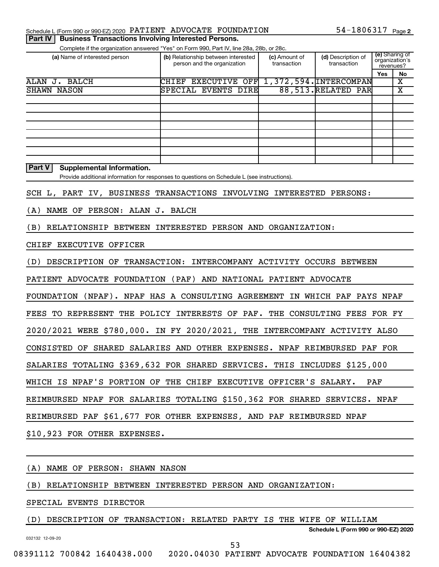| Schedule L (Form 990 or 990-EZ) 2020 PATIENT ADVOCATE FOUNDATION | 54-1806317 $_{Page 2}$ |
|------------------------------------------------------------------|------------------------|
|------------------------------------------------------------------|------------------------|

**Part IV | Business Transactions Involving Interested Persons.** 

Complete if the organization answered "Yes" on Form 990, Part IV, line 28a, 28b, or 28c.

| (a) Name of interested person                     | (b) Relationship between interested<br>person and the organization | (c) Amount of<br>transaction | (d) Description of<br>transaction | (e) Sharing of<br>organization's<br>revenues? |    |
|---------------------------------------------------|--------------------------------------------------------------------|------------------------------|-----------------------------------|-----------------------------------------------|----|
|                                                   |                                                                    |                              |                                   | Yes                                           | No |
| ALAN<br>BALCH<br>J.                               | OFF<br><b>EXECUTIVE</b><br>CHIEF                                   |                              | 1,372,594. INTERCOMPAN            |                                               | х  |
| <b>SHAWN NASON</b>                                | SPECIAL EVENTS DIRE                                                |                              | 88, 513. RELATED PAR              |                                               | х  |
|                                                   |                                                                    |                              |                                   |                                               |    |
|                                                   |                                                                    |                              |                                   |                                               |    |
|                                                   |                                                                    |                              |                                   |                                               |    |
|                                                   |                                                                    |                              |                                   |                                               |    |
|                                                   |                                                                    |                              |                                   |                                               |    |
|                                                   |                                                                    |                              |                                   |                                               |    |
|                                                   |                                                                    |                              |                                   |                                               |    |
|                                                   |                                                                    |                              |                                   |                                               |    |
| <b>Part V</b><br><b>Supplemental Information.</b> |                                                                    |                              |                                   |                                               |    |

Provide additional information for responses to questions on Schedule L (see instructions).

SCH L, PART IV, BUSINESS TRANSACTIONS INVOLVING INTERESTED PERSONS:

(A) NAME OF PERSON: ALAN J. BALCH

(B) RELATIONSHIP BETWEEN INTERESTED PERSON AND ORGANIZATION:

CHIEF EXECUTIVE OFFICER

(D) DESCRIPTION OF TRANSACTION: INTERCOMPANY ACTIVITY OCCURS BETWEEN

PATIENT ADVOCATE FOUNDATION (PAF) AND NATIONAL PATIENT ADVOCATE

FOUNDATION (NPAF). NPAF HAS A CONSULTING AGREEMENT IN WHICH PAF PAYS NPAF

FEES TO REPRESENT THE POLICY INTERESTS OF PAF. THE CONSULTING FEES FOR FY

2020/2021 WERE \$780,000. IN FY 2020/2021, THE INTERCOMPANY ACTIVITY ALSO

CONSISTED OF SHARED SALARIES AND OTHER EXPENSES. NPAF REIMBURSED PAF FOR

SALARIES TOTALING \$369,632 FOR SHARED SERVICES. THIS INCLUDES \$125,000

WHICH IS NPAF'S PORTION OF THE CHIEF EXECUTIVE OFFICER'S SALARY. PAF

REIMBURSED NPAF FOR SALARIES TOTALING \$150,362 FOR SHARED SERVICES. NPAF

REIMBURSED PAF \$61,677 FOR OTHER EXPENSES, AND PAF REIMBURSED NPAF

\$10,923 FOR OTHER EXPENSES.

(A) NAME OF PERSON: SHAWN NASON

(B) RELATIONSHIP BETWEEN INTERESTED PERSON AND ORGANIZATION:

SPECIAL EVENTS DIRECTOR

(D) DESCRIPTION OF TRANSACTION: RELATED PARTY IS THE WIFE OF WILLIAM

**Schedule L (Form 990 or 990-EZ) 2020**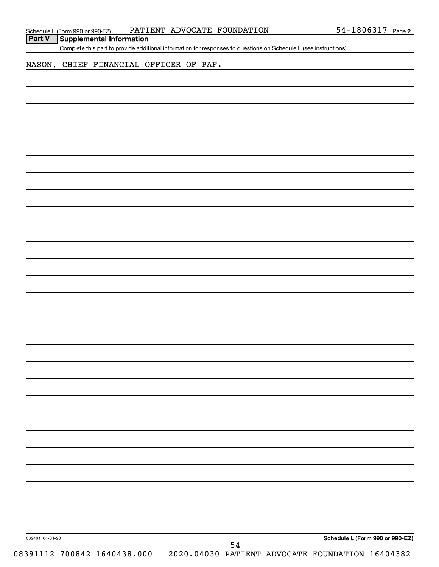| Schedule L (Form 990 or 990-EZ) |  |  | PATIENT ADVOCATE FOUNDATION | $54 - 1806317$ Page 2 |  |
|---------------------------------|--|--|-----------------------------|-----------------------|--|
|---------------------------------|--|--|-----------------------------|-----------------------|--|

Complete this part to provide additional information for responses to questions on Schedule L (see instructions).

NASON, CHIEF FINANCIAL OFFICER OF PAF.

| 032461 04-01-20 |                             |  |    | Schedule L (Form 990 or 990-EZ                  |  |
|-----------------|-----------------------------|--|----|-------------------------------------------------|--|
|                 |                             |  | 54 |                                                 |  |
|                 | 08391112 700842 1640438.000 |  |    | 2020.04030 PATIENT ADVOCATE FOUNDATION 16404382 |  |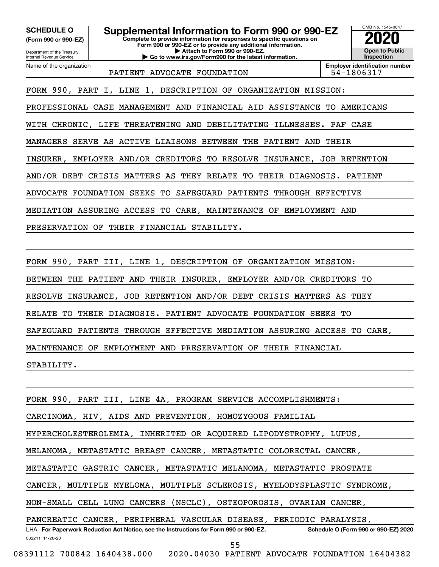**(Form 990 or 990-EZ)**

# **SCHEDULE O Supplemental Information to Form 990 or 990-EZ 2020**<br>(Form 990 or 990-EZ) Complete to provide information for responses to specific questions on

**Complete to provide information for responses to specific questions on Form 990 or 990-EZ or to provide any additional information. | Attach to Form 990 or 990-EZ. | Go to www.irs.gov/Form990 for the latest information.**

Department of the Treasury Internal Revenue Service Name of the organization

PATIENT ADVOCATE FOUNDATION FOUND 154-1806317

**Employer identification number**

OMB No. 1545-0047

**Open to Public Inspection**

FORM 990, PART I, LINE 1, DESCRIPTION OF ORGANIZATION MISSION:

PROFESSIONAL CASE MANAGEMENT AND FINANCIAL AID ASSISTANCE TO AMERICANS

WITH CHRONIC, LIFE THREATENING AND DEBILITATING ILLNESSES. PAF CASE

MANAGERS SERVE AS ACTIVE LIAISONS BETWEEN THE PATIENT AND THEIR

INSURER, EMPLOYER AND/OR CREDITORS TO RESOLVE INSURANCE, JOB RETENTION

AND/OR DEBT CRISIS MATTERS AS THEY RELATE TO THEIR DIAGNOSIS. PATIENT

ADVOCATE FOUNDATION SEEKS TO SAFEGUARD PATIENTS THROUGH EFFECTIVE

MEDIATION ASSURING ACCESS TO CARE, MAINTENANCE OF EMPLOYMENT AND

PRESERVATION OF THEIR FINANCIAL STABILITY.

FORM 990, PART III, LINE 1, DESCRIPTION OF ORGANIZATION MISSION:

BETWEEN THE PATIENT AND THEIR INSURER, EMPLOYER AND/OR CREDITORS TO

RESOLVE INSURANCE, JOB RETENTION AND/OR DEBT CRISIS MATTERS AS THEY

RELATE TO THEIR DIAGNOSIS. PATIENT ADVOCATE FOUNDATION SEEKS TO

SAFEGUARD PATIENTS THROUGH EFFECTIVE MEDIATION ASSURING ACCESS TO CARE,

MAINTENANCE OF EMPLOYMENT AND PRESERVATION OF THEIR FINANCIAL

STABILITY.

032211 11-20-20 **For Paperwork Reduction Act Notice, see the Instructions for Form 990 or 990-EZ. Schedule O (Form 990 or 990-EZ) 2020** LHA FORM 990, PART III, LINE 4A, PROGRAM SERVICE ACCOMPLISHMENTS: CARCINOMA, HIV, AIDS AND PREVENTION, HOMOZYGOUS FAMILIAL HYPERCHOLESTEROLEMIA, INHERITED OR ACQUIRED LIPODYSTROPHY, LUPUS, MELANOMA, METASTATIC BREAST CANCER, METASTATIC COLORECTAL CANCER, METASTATIC GASTRIC CANCER, METASTATIC MELANOMA, METASTATIC PROSTATE CANCER, MULTIPLE MYELOMA, MULTIPLE SCLEROSIS, MYELODYSPLASTIC SYNDROME, NON-SMALL CELL LUNG CANCERS (NSCLC), OSTEOPOROSIS, OVARIAN CANCER, PANCREATIC CANCER, PERIPHERAL VASCULAR DISEASE, PERIODIC PARALYSIS,

08391112 700842 1640438.000 2020.04030 PATIENT ADVOCATE FOUNDATION 16404382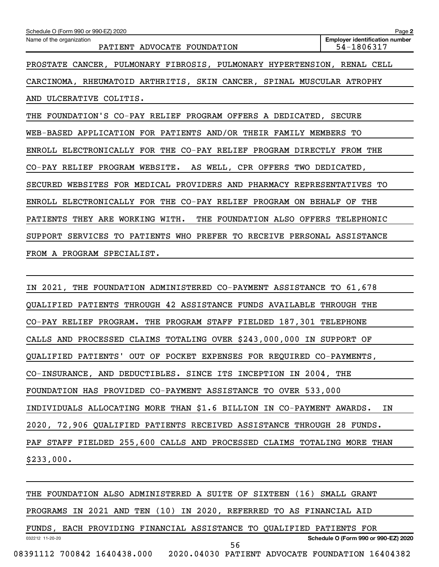| Schedule O (Form 990 or 990-EZ) 2020                                    | Page 2                                              |
|-------------------------------------------------------------------------|-----------------------------------------------------|
| Name of the organization<br>PATIENT ADVOCATE FOUNDATION                 | <b>Employer identification number</b><br>54-1806317 |
| PROSTATE CANCER, PULMONARY FIBROSIS, PULMONARY HYPERTENSION, RENAL CELL |                                                     |
| CARCINOMA, RHEUMATOID ARTHRITIS, SKIN CANCER, SPINAL MUSCULAR ATROPHY   |                                                     |
| AND ULCERATIVE COLITIS.                                                 |                                                     |
| THE FOUNDATION'S CO-PAY RELIEF PROGRAM OFFERS A DEDICATED, SECURE       |                                                     |
| WEB-BASED APPLICATION FOR PATIENTS AND/OR THEIR FAMILY MEMBERS TO       |                                                     |
| ENROLL ELECTRONICALLY FOR THE CO-PAY RELIEF PROGRAM DIRECTLY FROM THE   |                                                     |
| CO-PAY RELIEF PROGRAM WEBSITE. AS WELL, CPR OFFERS TWO DEDICATED,       |                                                     |
| SECURED WEBSITES FOR MEDICAL PROVIDERS AND PHARMACY REPRESENTATIVES TO  |                                                     |
| ENROLL ELECTRONICALLY FOR THE CO-PAY RELIEF PROGRAM ON BEHALF OF THE    |                                                     |
| PATIENTS THEY ARE WORKING WITH. THE FOUNDATION ALSO OFFERS TELEPHONIC   |                                                     |
| SUPPORT SERVICES TO PATIENTS WHO PREFER TO RECEIVE PERSONAL ASSISTANCE  |                                                     |
| FROM A PROGRAM SPECIALIST.                                              |                                                     |

IN 2021, THE FOUNDATION ADMINISTERED CO-PAYMENT ASSISTANCE TO 61,678 QUALIFIED PATIENTS THROUGH 42 ASSISTANCE FUNDS AVAILABLE THROUGH THE CO-PAY RELIEF PROGRAM. THE PROGRAM STAFF FIELDED 187,301 TELEPHONE CALLS AND PROCESSED CLAIMS TOTALING OVER \$243,000,000 IN SUPPORT OF QUALIFIED PATIENTS' OUT OF POCKET EXPENSES FOR REQUIRED CO-PAYMENTS, CO-INSURANCE, AND DEDUCTIBLES. SINCE ITS INCEPTION IN 2004, THE FOUNDATION HAS PROVIDED CO-PAYMENT ASSISTANCE TO OVER 533,000 INDIVIDUALS ALLOCATING MORE THAN \$1.6 BILLION IN CO-PAYMENT AWARDS. IN 2020, 72,906 QUALIFIED PATIENTS RECEIVED ASSISTANCE THROUGH 28 FUNDS. PAF STAFF FIELDED 255,600 CALLS AND PROCESSED CLAIMS TOTALING MORE THAN \$233,000.

032212 11-20-20 **Schedule O (Form 990 or 990-EZ) 2020** THE FOUNDATION ALSO ADMINISTERED A SUITE OF SIXTEEN (16) SMALL GRANT PROGRAMS IN 2021 AND TEN (10) IN 2020, REFERRED TO AS FINANCIAL AID FUNDS, EACH PROVIDING FINANCIAL ASSISTANCE TO QUALIFIED PATIENTS FOR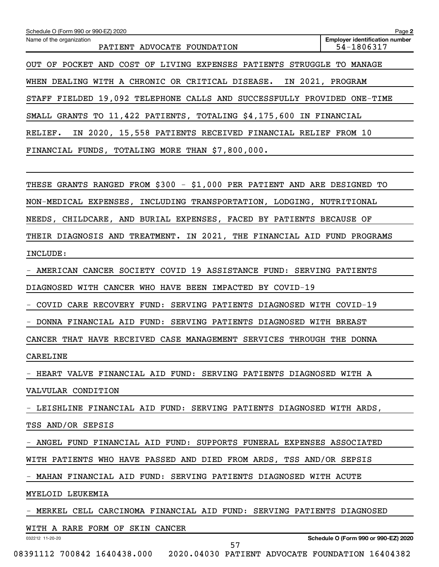| Schedule O (Form 990 or 990-EZ) 2020                                     | Page 2                                              |
|--------------------------------------------------------------------------|-----------------------------------------------------|
| Name of the organization<br>PATIENT ADVOCATE FOUNDATION                  | <b>Employer identification number</b><br>54-1806317 |
| OUT OF POCKET AND COST OF LIVING EXPENSES PATIENTS STRUGGLE TO MANAGE    |                                                     |
| WHEN DEALING WITH A CHRONIC OR CRITICAL DISEASE. IN 2021, PROGRAM        |                                                     |
| STAFF FIELDED 19,092 TELEPHONE CALLS AND SUCCESSFULLY PROVIDED ONE-TIME  |                                                     |
| SMALL GRANTS TO 11,422 PATIENTS, TOTALING \$4,175,600 IN FINANCIAL       |                                                     |
| IN 2020, 15,558 PATIENTS RECEIVED FINANCIAL RELIEF FROM 10<br>RELIEF.    |                                                     |
| FINANCIAL FUNDS, TOTALING MORE THAN \$7,800,000.                         |                                                     |
|                                                                          |                                                     |
| THESE GRANTS RANGED FROM \$300 - \$1,000 PER PATIENT AND ARE DESIGNED TO |                                                     |
| NON-MEDICAL EXPENSES, INCLUDING TRANSPORTATION, LODGING, NUTRITIONAL     |                                                     |
| NEEDS, CHILDCARE, AND BURIAL EXPENSES, FACED BY PATIENTS BECAUSE OF      |                                                     |
| THEIR DIAGNOSIS AND TREATMENT. IN 2021, THE FINANCIAL AID FUND PROGRAMS  |                                                     |
| INCLUDE:                                                                 |                                                     |
| - AMERICAN CANCER SOCIETY COVID 19 ASSISTANCE FUND: SERVING PATIENTS     |                                                     |
| DIAGNOSED WITH CANCER WHO HAVE BEEN IMPACTED BY COVID-19                 |                                                     |
| - COVID CARE RECOVERY FUND: SERVING PATIENTS DIAGNOSED WITH COVID-19     |                                                     |
| - DONNA FINANCIAL AID FUND: SERVING PATIENTS DIAGNOSED WITH BREAST       |                                                     |
| CANCER THAT HAVE RECEIVED CASE MANAGEMENT SERVICES THROUGH THE DONNA     |                                                     |
| CARELINE                                                                 |                                                     |
| - HEART VALVE FINANCIAL AID FUND: SERVING PATIENTS DIAGNOSED WITH A      |                                                     |
| VALVULAR CONDITION                                                       |                                                     |
| - LEISHLINE FINANCIAL AID FUND: SERVING PATIENTS DIAGNOSED WITH ARDS,    |                                                     |
| TSS AND/OR SEPSIS                                                        |                                                     |
| - ANGEL FUND FINANCIAL AID FUND: SUPPORTS FUNERAL EXPENSES ASSOCIATED    |                                                     |
| WITH PATIENTS WHO HAVE PASSED AND DIED FROM ARDS, TSS AND/OR SEPSIS      |                                                     |
| - MAHAN FINANCIAL AID FUND: SERVING PATIENTS DIAGNOSED WITH ACUTE        |                                                     |
| MYELOID LEUKEMIA                                                         |                                                     |
| - MERKEL CELL CARCINOMA FINANCIAL AID FUND: SERVING PATIENTS DIAGNOSED   |                                                     |
| WITH A RARE FORM OF SKIN CANCER                                          |                                                     |
| 032212 11-20-20<br>57                                                    | Schedule O (Form 990 or 990-EZ) 2020                |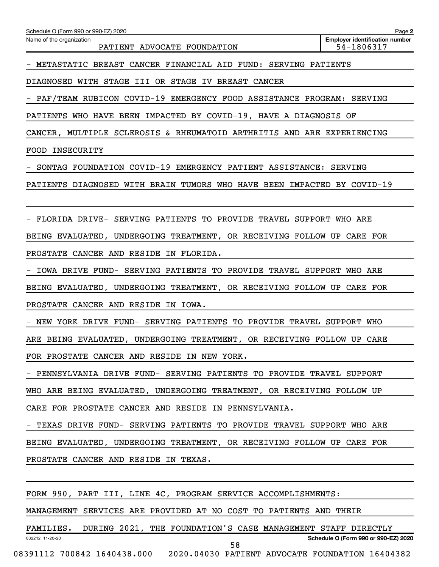| Schedule O (Form 990 or 990-EZ) 2020                                    | Page 2                                              |
|-------------------------------------------------------------------------|-----------------------------------------------------|
| Name of the organization<br>PATIENT ADVOCATE FOUNDATION                 | <b>Employer identification number</b><br>54-1806317 |
| - METASTATIC BREAST CANCER FINANCIAL AID FUND: SERVING PATIENTS         |                                                     |
| DIAGNOSED WITH STAGE III OR STAGE IV BREAST CANCER                      |                                                     |
| - PAF/TEAM RUBICON COVID-19 EMERGENCY FOOD ASSISTANCE PROGRAM: SERVING  |                                                     |
| PATIENTS WHO HAVE BEEN IMPACTED BY COVID-19, HAVE A DIAGNOSIS OF        |                                                     |
| CANCER, MULTIPLE SCLEROSIS & RHEUMATOID ARTHRITIS AND ARE EXPERIENCING  |                                                     |
| FOOD INSECURITY                                                         |                                                     |
| SONTAG FOUNDATION COVID-19 EMERGENCY PATIENT ASSISTANCE: SERVING        |                                                     |
| PATIENTS DIAGNOSED WITH BRAIN TUMORS WHO HAVE BEEN IMPACTED BY COVID-19 |                                                     |
|                                                                         |                                                     |
| FLORIDA DRIVE- SERVING PATIENTS TO PROVIDE TRAVEL SUPPORT WHO ARE       |                                                     |
| BEING EVALUATED, UNDERGOING TREATMENT, OR RECEIVING FOLLOW UP CARE FOR  |                                                     |
| PROSTATE CANCER AND RESIDE IN FLORIDA.                                  |                                                     |
| IOWA DRIVE FUND- SERVING PATIENTS TO PROVIDE TRAVEL SUPPORT WHO ARE     |                                                     |
| BEING EVALUATED, UNDERGOING TREATMENT, OR RECEIVING FOLLOW UP CARE FOR  |                                                     |
| PROSTATE CANCER AND RESIDE IN IOWA.                                     |                                                     |
| - NEW YORK DRIVE FUND- SERVING PATIENTS TO PROVIDE TRAVEL SUPPORT WHO   |                                                     |
| ARE BEING EVALUATED, UNDERGOING TREATMENT, OR RECEIVING FOLLOW UP CARE  |                                                     |
| FOR PROSTATE CANCER AND RESIDE IN NEW YORK.                             |                                                     |
| - PENNSYLVANIA DRIVE FUND- SERVING PATIENTS TO PROVIDE TRAVEL SUPPORT   |                                                     |
| WHO ARE BEING EVALUATED, UNDERGOING TREATMENT, OR RECEIVING FOLLOW UP   |                                                     |
| CARE FOR PROSTATE CANCER AND RESIDE IN PENNSYLVANIA.                    |                                                     |
| - TEXAS DRIVE FUND- SERVING PATIENTS TO PROVIDE TRAVEL SUPPORT WHO ARE  |                                                     |
| BEING EVALUATED, UNDERGOING TREATMENT, OR RECEIVING FOLLOW UP CARE FOR  |                                                     |
| PROSTATE CANCER AND RESIDE IN TEXAS.                                    |                                                     |
|                                                                         |                                                     |
| FORM 990, PART III, LINE 4C, PROGRAM SERVICE ACCOMPLISHMENTS:           |                                                     |
| MANAGEMENT SERVICES ARE PROVIDED AT NO COST TO PATIENTS AND THEIR       |                                                     |
| FAMILIES. DURING 2021, THE FOUNDATION'S CASE MANAGEMENT STAFF DIRECTLY  |                                                     |

58

**Schedule O (Form 990 or 990-EZ) 2020**

08391112 700842 1640438.000 2020.04030 PATIENT ADVOCATE FOUNDATION 16404382

032212 11-20-20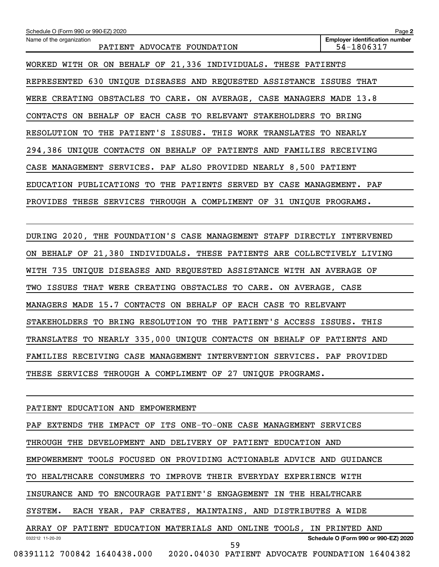| Schedule O (Form 990 or 990-EZ) 2020                                    | Page 2                                              |
|-------------------------------------------------------------------------|-----------------------------------------------------|
| Name of the organization<br>PATIENT ADVOCATE FOUNDATION                 | <b>Employer identification number</b><br>54-1806317 |
| WORKED WITH OR ON BEHALF OF 21,336 INDIVIDUALS. THESE PATIENTS          |                                                     |
| REPRESENTED 630 UNIQUE DISEASES AND REQUESTED ASSISTANCE ISSUES THAT    |                                                     |
| WERE CREATING OBSTACLES TO CARE. ON AVERAGE, CASE MANAGERS MADE 13.8    |                                                     |
| CONTACTS ON BEHALF OF EACH CASE TO RELEVANT STAKEHOLDERS TO BRING       |                                                     |
| RESOLUTION TO THE PATIENT'S ISSUES. THIS WORK TRANSLATES TO NEARLY      |                                                     |
| 294,386 UNIQUE CONTACTS ON BEHALF OF PATIENTS AND FAMILIES RECEIVING    |                                                     |
| CASE MANAGEMENT SERVICES. PAF ALSO PROVIDED NEARLY 8,500 PATIENT        |                                                     |
| EDUCATION PUBLICATIONS TO THE PATIENTS SERVED BY CASE MANAGEMENT. PAF   |                                                     |
| PROVIDES THESE SERVICES THROUGH A COMPLIMENT OF 31 UNIQUE PROGRAMS.     |                                                     |
|                                                                         |                                                     |
| DURING 2020, THE FOUNDATION'S CASE MANAGEMENT STAFF DIRECTLY INTERVENED |                                                     |
| ON BEHALF OF 21,380 INDIVIDUALS. THESE PATIENTS ARE COLLECTIVELY LIVING |                                                     |
| WITH 735 UNIQUE DISEASES AND REQUESTED ASSISTANCE WITH AN AVERAGE OF    |                                                     |
| TWO ISSUES THAT WERE CREATING OBSTACLES TO CARE. ON AVERAGE, CASE       |                                                     |
| MANAGERS MADE 15.7 CONTACTS ON BEHALF OF EACH CASE TO RELEVANT          |                                                     |
| STAKEHOLDERS TO BRING RESOLUTION TO THE PATIENT'S ACCESS ISSUES. THIS   |                                                     |
| TRANSLATES TO NEARLY 335,000 UNIQUE CONTACTS ON BEHALF OF PATIENTS AND  |                                                     |

THESE SERVICES THROUGH A COMPLIMENT OF 27 UNIQUE PROGRAMS.

FAMILIES RECEIVING CASE MANAGEMENT INTERVENTION SERVICES. PAF PROVIDED

# PATIENT EDUCATION AND EMPOWERMENT

032212 11-20-20 **Schedule O (Form 990 or 990-EZ) 2020** PAF EXTENDS THE IMPACT OF ITS ONE-TO-ONE CASE MANAGEMENT SERVICES THROUGH THE DEVELOPMENT AND DELIVERY OF PATIENT EDUCATION AND EMPOWERMENT TOOLS FOCUSED ON PROVIDING ACTIONABLE ADVICE AND GUIDANCE TO HEALTHCARE CONSUMERS TO IMPROVE THEIR EVERYDAY EXPERIENCE WITH INSURANCE AND TO ENCOURAGE PATIENT'S ENGAGEMENT IN THE HEALTHCARE SYSTEM. EACH YEAR, PAF CREATES, MAINTAINS, AND DISTRIBUTES A WIDE ARRAY OF PATIENT EDUCATION MATERIALS AND ONLINE TOOLS, IN PRINTED AND 08391112 700842 1640438.000 2020.04030 PATIENT ADVOCATE FOUNDATION 16404382 59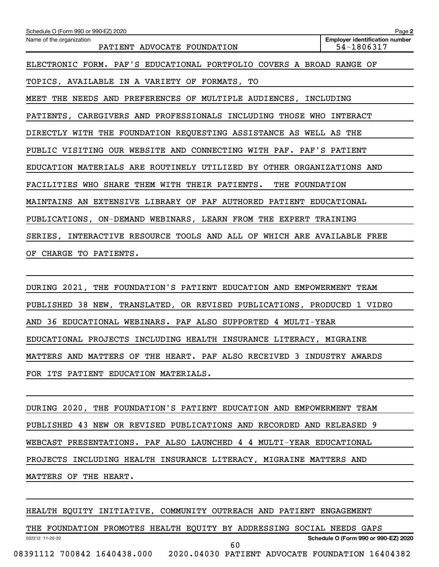| Schedule O (Form 990 or 990-EZ) 2020                                   | Page 2                                              |
|------------------------------------------------------------------------|-----------------------------------------------------|
| Name of the organization<br>PATIENT ADVOCATE FOUNDATION                | <b>Employer identification number</b><br>54-1806317 |
| ELECTRONIC FORM. PAF'S EDUCATIONAL PORTFOLIO COVERS A BROAD RANGE OF   |                                                     |
| TOPICS, AVAILABLE IN A VARIETY OF FORMATS, TO                          |                                                     |
| MEET THE NEEDS AND PREFERENCES OF MULTIPLE AUDIENCES, INCLUDING        |                                                     |
| PATIENTS, CAREGIVERS AND PROFESSIONALS INCLUDING THOSE WHO INTERACT    |                                                     |
| DIRECTLY WITH THE FOUNDATION REQUESTING ASSISTANCE AS WELL AS THE      |                                                     |
| PUBLIC VISITING OUR WEBSITE AND CONNECTING WITH PAF. PAF'S PATIENT     |                                                     |
| EDUCATION MATERIALS ARE ROUTINELY UTILIZED BY OTHER ORGANIZATIONS AND  |                                                     |
| FACILITIES WHO SHARE THEM WITH THEIR PATIENTS. THE FOUNDATION          |                                                     |
| MAINTAINS AN EXTENSIVE LIBRARY OF PAF AUTHORED PATIENT EDUCATIONAL     |                                                     |
| PUBLICATIONS, ON-DEMAND WEBINARS, LEARN FROM THE EXPERT TRAINING       |                                                     |
| SERIES, INTERACTIVE RESOURCE TOOLS AND ALL OF WHICH ARE AVAILABLE FREE |                                                     |
| CHARGE TO PATIENTS.<br>OF                                              |                                                     |

DURING 2021, THE FOUNDATION'S PATIENT EDUCATION AND EMPOWERMENT TEAM PUBLISHED 38 NEW, TRANSLATED, OR REVISED PUBLICATIONS, PRODUCED 1 VIDEO AND 36 EDUCATIONAL WEBINARS. PAF ALSO SUPPORTED 4 MULTI-YEAR EDUCATIONAL PROJECTS INCLUDING HEALTH INSURANCE LITERACY, MIGRAINE MATTERS AND MATTERS OF THE HEART. PAF ALSO RECEIVED 3 INDUSTRY AWARDS FOR ITS PATIENT EDUCATION MATERIALS.

DURING 2020, THE FOUNDATION'S PATIENT EDUCATION AND EMPOWERMENT TEAM PUBLISHED 43 NEW OR REVISED PUBLICATIONS AND RECORDED AND RELEASED 9 WEBCAST PRESENTATIONS. PAF ALSO LAUNCHED 4 4 MULTI-YEAR EDUCATIONAL PROJECTS INCLUDING HEALTH INSURANCE LITERACY, MIGRAINE MATTERS AND MATTERS OF THE HEART.

# HEALTH EQUITY INITIATIVE, COMMUNITY OUTREACH AND PATIENT ENGAGEMENT

032212 11-20-20 **Schedule O (Form 990 or 990-EZ) 2020** THE FOUNDATION PROMOTES HEALTH EQUITY BY ADDRESSING SOCIAL NEEDS GAPS 08391112 700842 1640438.000 2020.04030 PATIENT ADVOCATE FOUNDATION 16404382 60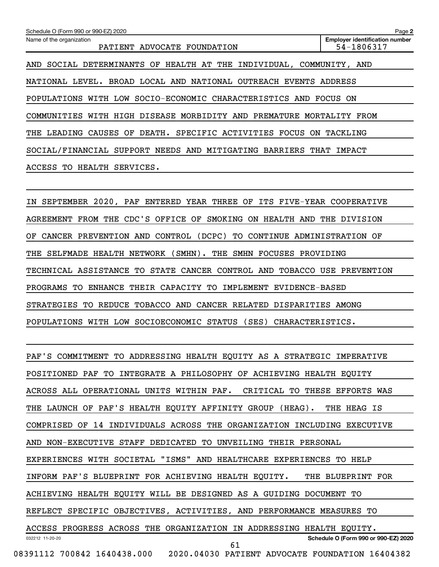| Schedule O (Form 990 or 990-EZ) 2020                                     | Page 2                                              |
|--------------------------------------------------------------------------|-----------------------------------------------------|
| Name of the organization<br>ADVOCATE FOUNDATION<br>PATIENT               | <b>Employer identification number</b><br>54-1806317 |
| SOCIAL DETERMINANTS OF HEALTH AT THE INDIVIDUAL, COMMUNITY, AND<br>AND   |                                                     |
| BROAD LOCAL AND<br>NATIONAL OUTREACH<br>NATIONAL<br>LEVEL.<br>EVENTS     | ADDRESS                                             |
| POPULATIONS WITH LOW SOCIO-ECONOMIC CHARACTERISTICS AND                  | FOCUS ON                                            |
| COMMUNITIES WITH HIGH DISEASE MORBIDITY AND PREMATURE MORTALITY          | FROM                                                |
| DEATH. SPECIFIC ACTIVITIES<br>CAUSES OF<br>FOCUS<br>THE<br>LEADING<br>ON | TACKLING                                            |
| SOCIAL/FINANCIAL SUPPORT NEEDS AND MITIGATING<br>BARRIERS<br>THAT        | IMPACT                                              |
| ACCESS TO<br>SERVICES.<br>HEALTH                                         |                                                     |

IN SEPTEMBER 2020, PAF ENTERED YEAR THREE OF ITS FIVE-YEAR COOPERATIVE AGREEMENT FROM THE CDC'S OFFICE OF SMOKING ON HEALTH AND THE DIVISION OF CANCER PREVENTION AND CONTROL (DCPC) TO CONTINUE ADMINISTRATION OF THE SELFMADE HEALTH NETWORK (SMHN). THE SMHN FOCUSES PROVIDING TECHNICAL ASSISTANCE TO STATE CANCER CONTROL AND TOBACCO USE PREVENTION PROGRAMS TO ENHANCE THEIR CAPACITY TO IMPLEMENT EVIDENCE-BASED STRATEGIES TO REDUCE TOBACCO AND CANCER RELATED DISPARITIES AMONG POPULATIONS WITH LOW SOCIOECONOMIC STATUS (SES) CHARACTERISTICS.

032212 11-20-20 **Schedule O (Form 990 or 990-EZ) 2020** PAF'S COMMITMENT TO ADDRESSING HEALTH EQUITY AS A STRATEGIC IMPERATIVE POSITIONED PAF TO INTEGRATE A PHILOSOPHY OF ACHIEVING HEALTH EQUITY ACROSS ALL OPERATIONAL UNITS WITHIN PAF. CRITICAL TO THESE EFFORTS WAS THE LAUNCH OF PAF'S HEALTH EQUITY AFFINITY GROUP (HEAG). THE HEAG IS COMPRISED OF 14 INDIVIDUALS ACROSS THE ORGANIZATION INCLUDING EXECUTIVE AND NON-EXECUTIVE STAFF DEDICATED TO UNVEILING THEIR PERSONAL EXPERIENCES WITH SOCIETAL "ISMS" AND HEALTHCARE EXPERIENCES TO HELP INFORM PAF'S BLUEPRINT FOR ACHIEVING HEALTH EQUITY. THE BLUEPRINT FOR ACHIEVING HEALTH EQUITY WILL BE DESIGNED AS A GUIDING DOCUMENT TO REFLECT SPECIFIC OBJECTIVES, ACTIVITIES, AND PERFORMANCE MEASURES TO ACCESS PROGRESS ACROSS THE ORGANIZATION IN ADDRESSING HEALTH EQUITY. 08391112 700842 1640438.000 2020.04030 PATIENT ADVOCATE FOUNDATION 16404382 61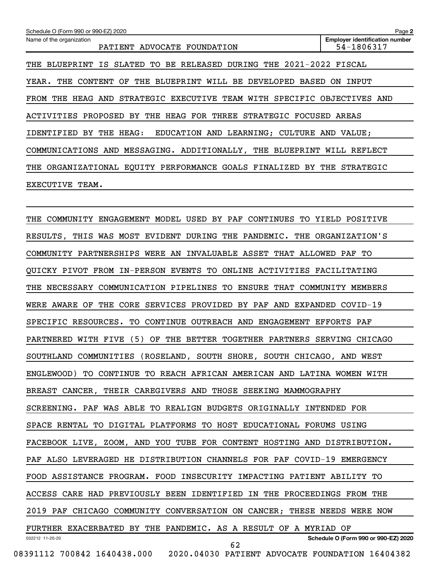| Schedule O (Form 990 or 990-EZ) 2020                                                     | Page 2                                              |
|------------------------------------------------------------------------------------------|-----------------------------------------------------|
| Name of the organization<br>PATIENT<br>ADVOCATE FOUNDATION                               | <b>Employer identification number</b><br>54-1806317 |
| SLATED TO BE RELEASED DURING THE<br>IS<br>THE<br>BLUEPRINT                               | 2021-2022 FISCAL                                    |
| THE BLUEPRINT WILL BE DEVELOPED BASED<br>YEAR.<br>THE<br>CONTENT<br>OF                   | INPUT<br>ON.                                        |
| HEAG AND STRATEGIC EXECUTIVE TEAM WITH SPECIFIC OBJECTIVES AND<br>FROM THE               |                                                     |
| ACTIVITIES PROPOSED BY THE HEAG FOR THREE<br>STRATEGIC FOCUSED                           | AREAS                                               |
| AND LEARNING; CULTURE AND VALUE;<br>IDENTIFIED<br>BY<br>HEAG:<br><b>EDUCATION</b><br>THE |                                                     |
| COMMUNICATIONS AND MESSAGING. ADDITIONALLY, THE BLUEPRINT                                | REFLECT<br>WILL                                     |
| ORGANIZATIONAL EQUITY PERFORMANCE GOALS FINALIZED<br>BY<br>THE                           | THE<br>STRATEGIC                                    |
| <b>EXECUTIVE</b><br>TEAM.                                                                |                                                     |

032212 11-20-20 **Schedule O (Form 990 or 990-EZ) 2020** THE COMMUNITY ENGAGEMENT MODEL USED BY PAF CONTINUES TO YIELD POSITIVE RESULTS, THIS WAS MOST EVIDENT DURING THE PANDEMIC. THE ORGANIZATION'S COMMUNITY PARTNERSHIPS WERE AN INVALUABLE ASSET THAT ALLOWED PAF TO QUICKY PIVOT FROM IN-PERSON EVENTS TO ONLINE ACTIVITIES FACILITATING THE NECESSARY COMMUNICATION PIPELINES TO ENSURE THAT COMMUNITY MEMBERS WERE AWARE OF THE CORE SERVICES PROVIDED BY PAF AND EXPANDED COVID-19 SPECIFIC RESOURCES. TO CONTINUE OUTREACH AND ENGAGEMENT EFFORTS PAF PARTNERED WITH FIVE (5) OF THE BETTER TOGETHER PARTNERS SERVING CHICAGO SOUTHLAND COMMUNITIES (ROSELAND, SOUTH SHORE, SOUTH CHICAGO, AND WEST ENGLEWOOD) TO CONTINUE TO REACH AFRICAN AMERICAN AND LATINA WOMEN WITH BREAST CANCER, THEIR CAREGIVERS AND THOSE SEEKING MAMMOGRAPHY SCREENING. PAF WAS ABLE TO REALIGN BUDGETS ORIGINALLY INTENDED FOR SPACE RENTAL TO DIGITAL PLATFORMS TO HOST EDUCATIONAL FORUMS USING FACEBOOK LIVE, ZOOM, AND YOU TUBE FOR CONTENT HOSTING AND DISTRIBUTION. PAF ALSO LEVERAGED HE DISTRIBUTION CHANNELS FOR PAF COVID-19 EMERGENCY FOOD ASSISTANCE PROGRAM. FOOD INSECURITY IMPACTING PATIENT ABILITY TO ACCESS CARE HAD PREVIOUSLY BEEN IDENTIFIED IN THE PROCEEDINGS FROM THE 2019 PAF CHICAGO COMMUNITY CONVERSATION ON CANCER; THESE NEEDS WERE NOW FURTHER EXACERBATED BY THE PANDEMIC. AS A RESULT OF A MYRIAD OF 08391112 700842 1640438.000 2020.04030 PATIENT ADVOCATE FOUNDATION 16404382 62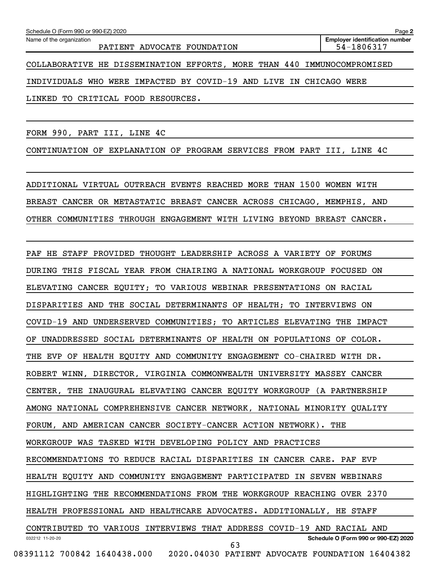Name of the organization

PATIENT ADVOCATE FOUNDATION FOUND 1999 1999

COLLABORATIVE HE DISSEMINATION EFFORTS, MORE THAN 440 IMMUNOCOMPROMISED

INDIVIDUALS WHO WERE IMPACTED BY COVID-19 AND LIVE IN CHICAGO WERE

LINKED TO CRITICAL FOOD RESOURCES.

FORM 990, PART III, LINE 4C

CONTINUATION OF EXPLANATION OF PROGRAM SERVICES FROM PART III, LINE 4C

ADDITIONAL VIRTUAL OUTREACH EVENTS REACHED MORE THAN 1500 WOMEN WITH BREAST CANCER OR METASTATIC BREAST CANCER ACROSS CHICAGO, MEMPHIS, AND OTHER COMMUNITIES THROUGH ENGAGEMENT WITH LIVING BEYOND BREAST CANCER.

032212 11-20-20 **Schedule O (Form 990 or 990-EZ) 2020** PAF HE STAFF PROVIDED THOUGHT LEADERSHIP ACROSS A VARIETY OF FORUMS DURING THIS FISCAL YEAR FROM CHAIRING A NATIONAL WORKGROUP FOCUSED ON ELEVATING CANCER EQUITY; TO VARIOUS WEBINAR PRESENTATIONS ON RACIAL DISPARITIES AND THE SOCIAL DETERMINANTS OF HEALTH; TO INTERVIEWS ON COVID-19 AND UNDERSERVED COMMUNITIES; TO ARTICLES ELEVATING THE IMPACT OF UNADDRESSED SOCIAL DETERMINANTS OF HEALTH ON POPULATIONS OF COLOR. THE EVP OF HEALTH EQUITY AND COMMUNITY ENGAGEMENT CO-CHAIRED WITH DR. ROBERT WINN, DIRECTOR, VIRGINIA COMMONWEALTH UNIVERSITY MASSEY CANCER CENTER, THE INAUGURAL ELEVATING CANCER EQUITY WORKGROUP (A PARTNERSHIP AMONG NATIONAL COMPREHENSIVE CANCER NETWORK, NATIONAL MINORITY QUALITY FORUM, AND AMERICAN CANCER SOCIETY-CANCER ACTION NETWORK). THE WORKGROUP WAS TASKED WITH DEVELOPING POLICY AND PRACTICES RECOMMENDATIONS TO REDUCE RACIAL DISPARITIES IN CANCER CARE. PAF EVP HEALTH EQUITY AND COMMUNITY ENGAGEMENT PARTICIPATED IN SEVEN WEBINARS HIGHLIGHTING THE RECOMMENDATIONS FROM THE WORKGROUP REACHING OVER 2370 HEALTH PROFESSIONAL AND HEALTHCARE ADVOCATES. ADDITIONALLY, HE STAFF CONTRIBUTED TO VARIOUS INTERVIEWS THAT ADDRESS COVID-19 AND RACIAL AND 08391112 700842 1640438.000 2020.04030 PATIENT ADVOCATE FOUNDATION 16404382 63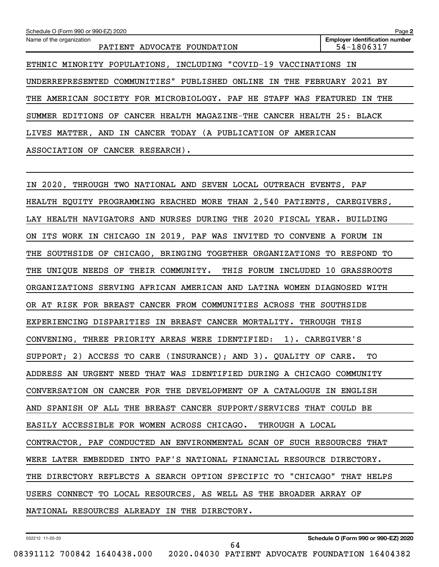| Schedule O (Form 990 or 990-EZ) 2020                                   | Page 2                                              |
|------------------------------------------------------------------------|-----------------------------------------------------|
| Name of the organization<br>PATIENT ADVOCATE FOUNDATION                | <b>Employer identification number</b><br>54-1806317 |
| ETHNIC MINORITY POPULATIONS, INCLUDING "COVID-19 VACCINATIONS IN       |                                                     |
| UNDERREPRESENTED COMMUNITIES" PUBLISHED ONLINE IN THE FEBRUARY 2021 BY |                                                     |
| AMERICAN SOCIETY FOR MICROBIOLOGY. PAF HE STAFF WAS FEATURED<br>THE    | THE<br>IN.                                          |
| SUMMER EDITIONS OF CANCER HEALTH MAGAZINE-THE CANCER HEALTH 25: BLACK  |                                                     |
| LIVES MATTER, AND IN CANCER TODAY (A PUBLICATION OF AMERICAN           |                                                     |
| ASSOCIATION OF CANCER RESEARCH).                                       |                                                     |

IN 2020, THROUGH TWO NATIONAL AND SEVEN LOCAL OUTREACH EVENTS, PAF HEALTH EQUITY PROGRAMMING REACHED MORE THAN 2,540 PATIENTS, CAREGIVERS, LAY HEALTH NAVIGATORS AND NURSES DURING THE 2020 FISCAL YEAR. BUILDING ON ITS WORK IN CHICAGO IN 2019, PAF WAS INVITED TO CONVENE A FORUM IN THE SOUTHSIDE OF CHICAGO, BRINGING TOGETHER ORGANIZATIONS TO RESPOND TO THE UNIQUE NEEDS OF THEIR COMMUNITY. THIS FORUM INCLUDED 10 GRASSROOTS ORGANIZATIONS SERVING AFRICAN AMERICAN AND LATINA WOMEN DIAGNOSED WITH OR AT RISK FOR BREAST CANCER FROM COMMUNITIES ACROSS THE SOUTHSIDE EXPERIENCING DISPARITIES IN BREAST CANCER MORTALITY. THROUGH THIS CONVENING, THREE PRIORITY AREAS WERE IDENTIFIED: 1). CAREGIVER'S SUPPORT; 2) ACCESS TO CARE (INSURANCE); AND 3). QUALITY OF CARE. TO ADDRESS AN URGENT NEED THAT WAS IDENTIFIED DURING A CHICAGO COMMUNITY CONVERSATION ON CANCER FOR THE DEVELOPMENT OF A CATALOGUE IN ENGLISH AND SPANISH OF ALL THE BREAST CANCER SUPPORT/SERVICES THAT COULD BE EASILY ACCESSIBLE FOR WOMEN ACROSS CHICAGO. THROUGH A LOCAL CONTRACTOR, PAF CONDUCTED AN ENVIRONMENTAL SCAN OF SUCH RESOURCES THAT WERE LATER EMBEDDED INTO PAF'S NATIONAL FINANCIAL RESOURCE DIRECTORY. THE DIRECTORY REFLECTS A SEARCH OPTION SPECIFIC TO "CHICAGO" THAT HELPS USERS CONNECT TO LOCAL RESOURCES, AS WELL AS THE BROADER ARRAY OF NATIONAL RESOURCES ALREADY IN THE DIRECTORY.

64

032212 11-20-20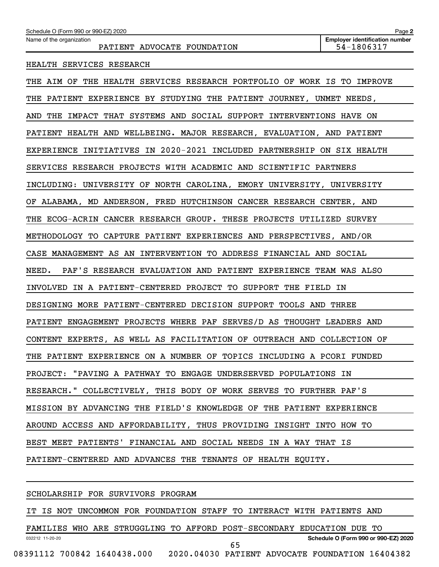Name of the organization

### HEALTH SERVICES RESEARCH

THE AIM OF THE HEALTH SERVICES RESEARCH PORTFOLIO OF WORK IS TO IMPROVE THE PATIENT EXPERIENCE BY STUDYING THE PATIENT JOURNEY, UNMET NEEDS, AND THE IMPACT THAT SYSTEMS AND SOCIAL SUPPORT INTERVENTIONS HAVE ON PATIENT HEALTH AND WELLBEING. MAJOR RESEARCH, EVALUATION, AND PATIENT EXPERIENCE INITIATIVES IN 2020-2021 INCLUDED PARTNERSHIP ON SIX HEALTH SERVICES RESEARCH PROJECTS WITH ACADEMIC AND SCIENTIFIC PARTNERS INCLUDING: UNIVERSITY OF NORTH CAROLINA, EMORY UNIVERSITY, UNIVERSITY OF ALABAMA, MD ANDERSON, FRED HUTCHINSON CANCER RESEARCH CENTER, AND THE ECOG-ACRIN CANCER RESEARCH GROUP. THESE PROJECTS UTILIZED SURVEY METHODOLOGY TO CAPTURE PATIENT EXPERIENCES AND PERSPECTIVES, AND/OR CASE MANAGEMENT AS AN INTERVENTION TO ADDRESS FINANCIAL AND SOCIAL NEED. PAF'S RESEARCH EVALUATION AND PATIENT EXPERIENCE TEAM WAS ALSO INVOLVED IN A PATIENT-CENTERED PROJECT TO SUPPORT THE FIELD IN DESIGNING MORE PATIENT-CENTERED DECISION SUPPORT TOOLS AND THREE PATIENT ENGAGEMENT PROJECTS WHERE PAF SERVES/D AS THOUGHT LEADERS AND CONTENT EXPERTS, AS WELL AS FACILITATION OF OUTREACH AND COLLECTION OF THE PATIENT EXPERIENCE ON A NUMBER OF TOPICS INCLUDING A PCORI FUNDED PROJECT: "PAVING A PATHWAY TO ENGAGE UNDERSERVED POPULATIONS IN RESEARCH." COLLECTIVELY, THIS BODY OF WORK SERVES TO FURTHER PAF'S MISSION BY ADVANCING THE FIELD'S KNOWLEDGE OF THE PATIENT EXPERIENCE AROUND ACCESS AND AFFORDABILITY, THUS PROVIDING INSIGHT INTO HOW TO BEST MEET PATIENTS' FINANCIAL AND SOCIAL NEEDS IN A WAY THAT IS PATIENT-CENTERED AND ADVANCES THE TENANTS OF HEALTH EQUITY.

#### SCHOLARSHIP FOR SURVIVORS PROGRAM

IT IS NOT UNCOMMON FOR FOUNDATION STAFF TO INTERACT WITH PATIENTS AND

032212 11-20-20 **Schedule O (Form 990 or 990-EZ) 2020** FAMILIES WHO ARE STRUGGLING TO AFFORD POST-SECONDARY EDUCATION DUE TO 08391112 700842 1640438.000 2020.04030 PATIENT ADVOCATE FOUNDATION 16404382 65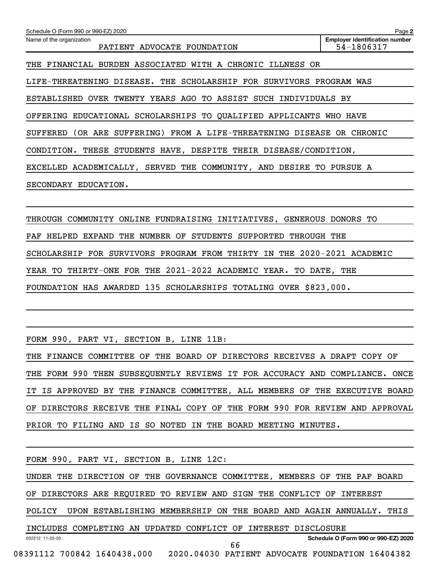**2 Employer identification number** Schedule O (Form 990 or 990-EZ) 2020 Name of the organization PATIENT ADVOCATE FOUNDATION FOUND 1999 1999 THE FINANCIAL BURDEN ASSOCIATED WITH A CHRONIC ILLNESS OR LIFE-THREATENING DISEASE. THE SCHOLARSHIP FOR SURVIVORS PROGRAM WAS ESTABLISHED OVER TWENTY YEARS AGO TO ASSIST SUCH INDIVIDUALS BY OFFERING EDUCATIONAL SCHOLARSHIPS TO QUALIFIED APPLICANTS WHO HAVE SUFFERED (OR ARE SUFFERING) FROM A LIFE-THREATENING DISEASE OR CHRONIC CONDITION. THESE STUDENTS HAVE, DESPITE THEIR DISEASE/CONDITION, EXCELLED ACADEMICALLY, SERVED THE COMMUNITY, AND DESIRE TO PURSUE A SECONDARY EDUCATION.

THROUGH COMMUNITY ONLINE FUNDRAISING INITIATIVES, GENEROUS DONORS TO PAF HELPED EXPAND THE NUMBER OF STUDENTS SUPPORTED THROUGH THE SCHOLARSHIP FOR SURVIVORS PROGRAM FROM THIRTY IN THE 2020-2021 ACADEMIC YEAR TO THIRTY-ONE FOR THE 2021-2022 ACADEMIC YEAR. TO DATE, THE FOUNDATION HAS AWARDED 135 SCHOLARSHIPS TOTALING OVER \$823,000.

FORM 990, PART VI, SECTION B, LINE 11B:

THE FINANCE COMMITTEE OF THE BOARD OF DIRECTORS RECEIVES A DRAFT COPY OF THE FORM 990 THEN SUBSEQUENTLY REVIEWS IT FOR ACCURACY AND COMPLIANCE. ONCE IT IS APPROVED BY THE FINANCE COMMITTEE, ALL MEMBERS OF THE EXECUTIVE BOARD OF DIRECTORS RECEIVE THE FINAL COPY OF THE FORM 990 FOR REVIEW AND APPROVAL PRIOR TO FILING AND IS SO NOTED IN THE BOARD MEETING MINUTES.

032212 11-20-20 **Schedule O (Form 990 or 990-EZ) 2020** FORM 990, PART VI, SECTION B, LINE 12C: UNDER THE DIRECTION OF THE GOVERNANCE COMMITTEE, MEMBERS OF THE PAF BOARD OF DIRECTORS ARE REQUIRED TO REVIEW AND SIGN THE CONFLICT OF INTEREST POLICY UPON ESTABLISHING MEMBERSHIP ON THE BOARD AND AGAIN ANNUALLY. THIS INCLUDES COMPLETING AN UPDATED CONFLICT OF INTEREST DISCLOSURE 08391112 700842 1640438.000 2020.04030 PATIENT ADVOCATE FOUNDATION 16404382 66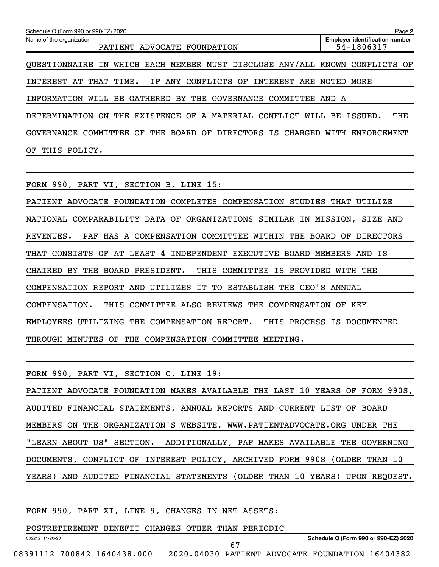| Schedule O (Form 990 or 990-EZ) 2020                                          | Page 2                                              |
|-------------------------------------------------------------------------------|-----------------------------------------------------|
| Name of the organization<br>PATIENT ADVOCATE FOUNDATION                       | <b>Employer identification number</b><br>54-1806317 |
| QUESTIONNAIRE IN WHICH EACH MEMBER MUST DISCLOSE ANY/ALL KNOWN CONFLICTS OF   |                                                     |
| THAT TIME.<br>CONFLICTS OF<br>INTEREST ARE<br>INTEREST<br>AT<br>IF.<br>ANY    | NOTED<br>MORE                                       |
| GATHERED<br>BY<br>WILL<br>BE<br>THE<br>GOVERNANCE<br>COMMITTEE<br>INFORMATION | AND A                                               |
| <b>EXISTENCE OF A MATERIAL</b><br>CONFLICT WILL<br>DETERMINATION<br>ON<br>THE | THE<br>BE.<br>ISSUED.                               |
| GOVERNANCE COMMITTEE OF THE BOARD OF DIRECTORS IS CHARGED                     | WITH<br>ENFORCEMENT                                 |
| OF<br>THIS<br>POLICY.                                                         |                                                     |

FORM 990, PART VI, SECTION B, LINE 15:

PATIENT ADVOCATE FOUNDATION COMPLETES COMPENSATION STUDIES THAT UTILIZE NATIONAL COMPARABILITY DATA OF ORGANIZATIONS SIMILAR IN MISSION, SIZE AND REVENUES. PAF HAS A COMPENSATION COMMITTEE WITHIN THE BOARD OF DIRECTORS THAT CONSISTS OF AT LEAST 4 INDEPENDENT EXECUTIVE BOARD MEMBERS AND IS CHAIRED BY THE BOARD PRESIDENT. THIS COMMITTEE IS PROVIDED WITH THE COMPENSATION REPORT AND UTILIZES IT TO ESTABLISH THE CEO'S ANNUAL COMPENSATION. THIS COMMITTEE ALSO REVIEWS THE COMPENSATION OF KEY EMPLOYEES UTILIZING THE COMPENSATION REPORT. THIS PROCESS IS DOCUMENTED THROUGH MINUTES OF THE COMPENSATION COMMITTEE MEETING.

FORM 990, PART VI, SECTION C, LINE 19: PATIENT ADVOCATE FOUNDATION MAKES AVAILABLE THE LAST 10 YEARS OF FORM 990S, AUDITED FINANCIAL STATEMENTS, ANNUAL REPORTS AND CURRENT LIST OF BOARD

MEMBERS ON THE ORGANIZATION'S WEBSITE, WWW.PATIENTADVOCATE.ORG UNDER THE "LEARN ABOUT US" SECTION. ADDITIONALLY, PAF MAKES AVAILABLE THE GOVERNING DOCUMENTS, CONFLICT OF INTEREST POLICY, ARCHIVED FORM 990S (OLDER THAN 10 YEARS) AND AUDITED FINANCIAL STATEMENTS (OLDER THAN 10 YEARS) UPON REQUEST.

FORM 990, PART XI, LINE 9, CHANGES IN NET ASSETS:

032212 11-20-20

POSTRETIREMENT BENEFIT CHANGES OTHER THAN PERIODIC

**Schedule O (Form 990 or 990-EZ) 2020**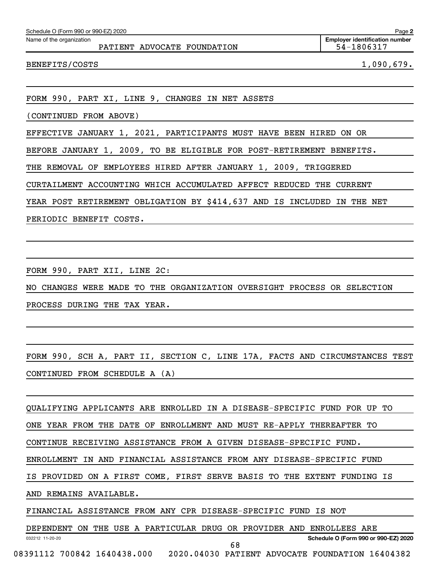| Schedule O (Form 990 or 990-EZ) 2020                               | Page 2                                              |
|--------------------------------------------------------------------|-----------------------------------------------------|
| Name of the organization<br>PATIENT ADVOCATE FOUNDATION            | <b>Employer identification number</b><br>54-1806317 |
| BENEFITS/COSTS                                                     | 1,090,679.                                          |
|                                                                    |                                                     |
| FORM 990, PART XI, LINE 9, CHANGES IN NET ASSETS                   |                                                     |
| (CONTINUED FROM ABOVE)                                             |                                                     |
| EFFECTIVE JANUARY 1, 2021, PARTICIPANTS MUST HAVE BEEN HIRED ON OR |                                                     |

BEFORE JANUARY 1, 2009, TO BE ELIGIBLE FOR POST-RETIREMENT BENEFITS.

THE REMOVAL OF EMPLOYEES HIRED AFTER JANUARY 1, 2009, TRIGGERED

CURTAILMENT ACCOUNTING WHICH ACCUMULATED AFFECT REDUCED THE CURRENT

YEAR POST RETIREMENT OBLIGATION BY \$414,637 AND IS INCLUDED IN THE NET

PERIODIC BENEFIT COSTS.

FORM 990, PART XII, LINE 2C:

NO CHANGES WERE MADE TO THE ORGANIZATION OVERSIGHT PROCESS OR SELECTION

PROCESS DURING THE TAX YEAR.

FORM 990, SCH A, PART II, SECTION C, LINE 17A, FACTS AND CIRCUMSTANCES TEST CONTINUED FROM SCHEDULE A (A)

QUALIFYING APPLICANTS ARE ENROLLED IN A DISEASE-SPECIFIC FUND FOR UP TO

ONE YEAR FROM THE DATE OF ENROLLMENT AND MUST RE-APPLY THEREAFTER TO

CONTINUE RECEIVING ASSISTANCE FROM A GIVEN DISEASE-SPECIFIC FUND.

ENROLLMENT IN AND FINANCIAL ASSISTANCE FROM ANY DISEASE-SPECIFIC FUND

IS PROVIDED ON A FIRST COME, FIRST SERVE BASIS TO THE EXTENT FUNDING IS

AND REMAINS AVAILABLE.

FINANCIAL ASSISTANCE FROM ANY CPR DISEASE-SPECIFIC FUND IS NOT

032212 11-20-20 **Schedule O (Form 990 or 990-EZ) 2020** DEPENDENT ON THE USE A PARTICULAR DRUG OR PROVIDER AND ENROLLEES ARE 08391112 700842 1640438.000 2020.04030 PATIENT ADVOCATE FOUNDATION 16404382 68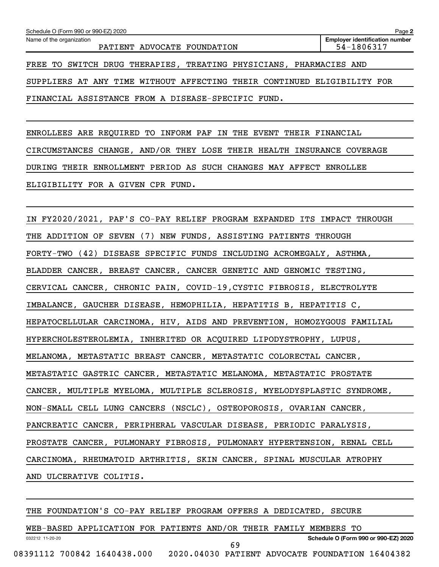FINANCIAL ASSISTANCE FROM A DISEASE-SPECIFIC FUND.

ENROLLEES ARE REQUIRED TO INFORM PAF IN THE EVENT THEIR FINANCIAL CIRCUMSTANCES CHANGE, AND/OR THEY LOSE THEIR HEALTH INSURANCE COVERAGE DURING THEIR ENROLLMENT PERIOD AS SUCH CHANGES MAY AFFECT ENROLLEE ELIGIBILITY FOR A GIVEN CPR FUND.

IN FY2020/2021, PAF'S CO-PAY RELIEF PROGRAM EXPANDED ITS IMPACT THROUGH THE ADDITION OF SEVEN (7) NEW FUNDS, ASSISTING PATIENTS THROUGH FORTY-TWO (42) DISEASE SPECIFIC FUNDS INCLUDING ACROMEGALY, ASTHMA, BLADDER CANCER, BREAST CANCER, CANCER GENETIC AND GENOMIC TESTING, CERVICAL CANCER, CHRONIC PAIN, COVID-19,CYSTIC FIBROSIS, ELECTROLYTE IMBALANCE, GAUCHER DISEASE, HEMOPHILIA, HEPATITIS B, HEPATITIS C, HEPATOCELLULAR CARCINOMA, HIV, AIDS AND PREVENTION, HOMOZYGOUS FAMILIAL HYPERCHOLESTEROLEMIA, INHERITED OR ACQUIRED LIPODYSTROPHY, LUPUS, MELANOMA, METASTATIC BREAST CANCER, METASTATIC COLORECTAL CANCER, METASTATIC GASTRIC CANCER, METASTATIC MELANOMA, METASTATIC PROSTATE CANCER, MULTIPLE MYELOMA, MULTIPLE SCLEROSIS, MYELODYSPLASTIC SYNDROME, NON-SMALL CELL LUNG CANCERS (NSCLC), OSTEOPOROSIS, OVARIAN CANCER, PANCREATIC CANCER, PERIPHERAL VASCULAR DISEASE, PERIODIC PARALYSIS, PROSTATE CANCER, PULMONARY FIBROSIS, PULMONARY HYPERTENSION, RENAL CELL CARCINOMA, RHEUMATOID ARTHRITIS, SKIN CANCER, SPINAL MUSCULAR ATROPHY AND ULCERATIVE COLITIS.

THE FOUNDATION'S CO-PAY RELIEF PROGRAM OFFERS A DEDICATED, SECURE

032212 11-20-20 **Schedule O (Form 990 or 990-EZ) 2020** WEB-BASED APPLICATION FOR PATIENTS AND/OR THEIR FAMILY MEMBERS TO 08391112 700842 1640438.000 2020.04030 PATIENT ADVOCATE FOUNDATION 16404382 69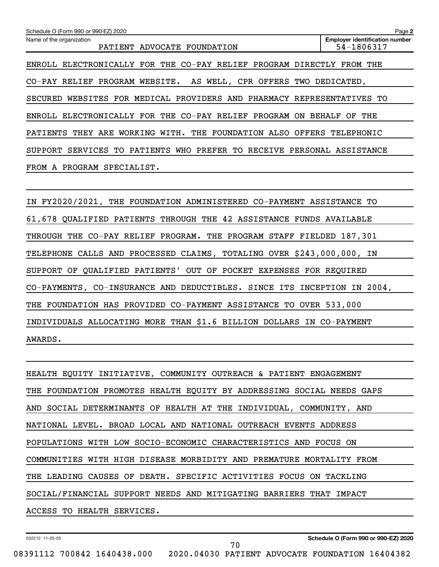| Schedule O (Form 990 or 990-EZ) 2020                                               | Page 2                                              |
|------------------------------------------------------------------------------------|-----------------------------------------------------|
| Name of the organization<br>PATIENT<br>ADVOCATE FOUNDATION                         | <b>Employer identification number</b><br>54-1806317 |
| ENROLL ELECTRONICALLY FOR THE CO-PAY RELIEF PROGRAM DIRECTLY                       | FROM<br>THE                                         |
| CO-PAY RELIEF PROGRAM WEBSITE.<br>AS WELL, CPR OFFERS TWO DEDICATED,               |                                                     |
| WEBSITES FOR MEDICAL PROVIDERS AND PHARMACY REPRESENTATIVES TO<br>SECURED          |                                                     |
| ENROLL ELECTRONICALLY FOR THE CO-PAY RELIEF PROGRAM<br>0N                          | <b>BEHALF</b><br>THE<br>OF.                         |
| PATIENTS THEY ARE WORKING WITH.<br>THE FOUNDATION ALSO OFFERS TELEPHONIC           |                                                     |
| SERVICES TO PATIENTS<br>WHO<br>PREFER TO<br>RECEIVE PERSONAL ASSISTANCE<br>SUPPORT |                                                     |
| FROM A PROGRAM SPECIALIST.                                                         |                                                     |
|                                                                                    |                                                     |

| IN FY2020/2021, THE FOUNDATION ADMINISTERED CO-PAYMENT ASSISTANCE TO    |
|-------------------------------------------------------------------------|
| 61,678 QUALIFIED PATIENTS THROUGH THE 42 ASSISTANCE FUNDS AVAILABLE     |
| THROUGH THE CO-PAY RELIEF PROGRAM. THE PROGRAM STAFF FIELDED 187,301    |
| TELEPHONE CALLS AND PROCESSED CLAIMS, TOTALING OVER \$243,000,000, IN   |
| SUPPORT OF QUALIFIED PATIENTS' OUT OF POCKET EXPENSES FOR REQUIRED      |
| CO-PAYMENTS, CO-INSURANCE AND DEDUCTIBLES. SINCE ITS INCEPTION IN 2004, |
| THE FOUNDATION HAS PROVIDED CO-PAYMENT ASSISTANCE TO OVER 533,000       |
| INDIVIDUALS ALLOCATING MORE THAN \$1.6 BILLION DOLLARS IN CO-PAYMENT    |
| AWARDS.                                                                 |

| HEALTH EQUITY INITIATIVE, COMMUNITY OUTREACH & PATIENT ENGAGEMENT     |
|-----------------------------------------------------------------------|
| THE FOUNDATION PROMOTES HEALTH EOUITY BY ADDRESSING SOCIAL NEEDS GAPS |
| AND SOCIAL DETERMINANTS OF HEALTH AT THE INDIVIDUAL, COMMUNITY, AND   |
| NATIONAL LEVEL. BROAD LOCAL AND NATIONAL OUTREACH EVENTS ADDRESS      |
| POPULATIONS WITH LOW SOCIO-ECONOMIC CHARACTERISTICS AND FOCUS ON      |
| COMMUNITIES WITH HIGH DISEASE MORBIDITY AND PREMATURE MORTALITY FROM  |
| THE LEADING CAUSES OF DEATH. SPECIFIC ACTIVITIES FOCUS ON TACKLING    |
| SOCIAL/FINANCIAL SUPPORT NEEDS AND MITIGATING BARRIERS THAT IMPACT    |
| ACCESS TO HEALTH SERVICES.                                            |

70

032212 11-20-20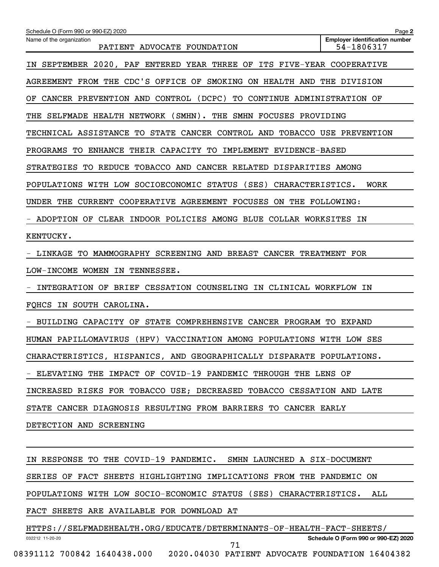| Schedule O (Form 990 or 990-EZ) 2020                                               | Page 2                                              |  |
|------------------------------------------------------------------------------------|-----------------------------------------------------|--|
| Name of the organization<br>PATIENT ADVOCATE FOUNDATION                            | <b>Employer identification number</b><br>54-1806317 |  |
| SEPTEMBER 2020, PAF ENTERED YEAR THREE OF<br>ΙN                                    | ITS FIVE-YEAR COOPERATIVE                           |  |
| AGREEMENT FROM THE CDC'S OFFICE OF<br>SMOKING ON HEALTH AND THE DIVISION           |                                                     |  |
| CANCER PREVENTION AND CONTROL (DCPC)<br>TO CONTINUE ADMINISTRATION OF<br>OF.       |                                                     |  |
| SELFMADE HEALTH NETWORK (SMHN). THE SMHN FOCUSES PROVIDING<br>THE                  |                                                     |  |
| TECHNICAL ASSISTANCE TO STATE CANCER CONTROL AND TOBACCO USE PREVENTION            |                                                     |  |
| PROGRAMS TO ENHANCE THEIR CAPACITY TO<br>IMPLEMENT EVIDENCE-BASED                  |                                                     |  |
| STRATEGIES TO REDUCE TOBACCO AND CANCER RELATED DISPARITIES AMONG                  |                                                     |  |
| POPULATIONS WITH LOW SOCIOECONOMIC STATUS (SES)<br>CHARACTERISTICS.<br><b>WORK</b> |                                                     |  |
| UNDER THE<br>CURRENT<br>COOPERATIVE AGREEMENT FOCUSES ON THE FOLLOWING:            |                                                     |  |
| ADOPTION OF CLEAR INDOOR POLICIES AMONG BLUE COLLAR WORKSITES                      | ΙN                                                  |  |
| KENTUCKY.                                                                          |                                                     |  |
| LINKAGE TO MAMMOGRAPHY SCREENING AND BREAST CANCER TREATMENT FOR                   |                                                     |  |
| LOW-INCOME WOMEN IN TENNESSEE.                                                     |                                                     |  |
| INTEGRATION OF BRIEF CESSATION COUNSELING IN CLINICAL WORKFLOW IN                  |                                                     |  |
| FQHCS IN SOUTH CAROLINA.                                                           |                                                     |  |
| BUILDING CAPACITY OF STATE COMPREHENSIVE CANCER PROGRAM TO EXPAND                  |                                                     |  |
| HUMAN PAPILLOMAVIRUS (HPV) VACCINATION AMONG POPULATIONS WITH LOW SES              |                                                     |  |
| CHARACTERISTICS, HISPANICS, AND GEOGRAPHICALLY DISPARATE POPULATIONS.              |                                                     |  |
| - ELEVATING THE IMPACT OF COVID-19 PANDEMIC THROUGH THE LENS OF                    |                                                     |  |
| INCREASED RISKS FOR TOBACCO USE; DECREASED TOBACCO CESSATION AND LATE              |                                                     |  |
| STATE CANCER DIAGNOSIS RESULTING FROM BARRIERS TO CANCER EARLY                     |                                                     |  |
| DETECTION AND SCREENING                                                            |                                                     |  |
|                                                                                    |                                                     |  |
| IN RESPONSE TO THE COVID-19 PANDEMIC. SMHN LAUNCHED A SIX-DOCUMENT                 |                                                     |  |
| SERIES OF FACT SHEETS HIGHLIGHTING IMPLICATIONS FROM THE PANDEMIC ON               |                                                     |  |
| POPULATIONS WITH LOW SOCIO-ECONOMIC STATUS (SES) CHARACTERISTICS.                  | ALL                                                 |  |
| FACT SHEETS ARE AVAILABLE FOR DOWNLOAD AT                                          |                                                     |  |
| HTTPS://SELFMADEHEALTH.ORG/EDUCATE/DETERMINANTS-OF-HEALTH-FACT-SHEETS/             |                                                     |  |
| 032212 11-20-20<br>71                                                              | Schedule O (Form 990 or 990-EZ) 2020                |  |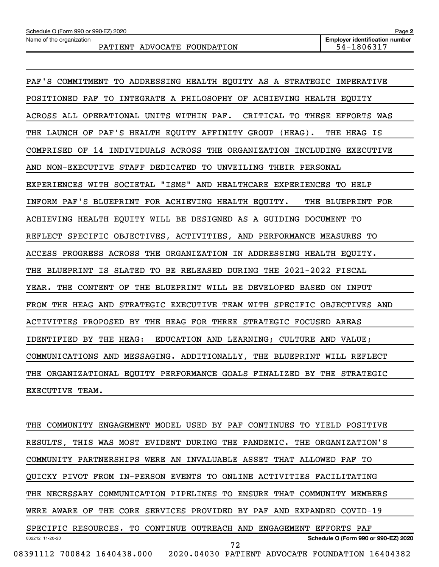Name of the organization

| PAF'S COMMITMENT TO ADDRESSING HEALTH EQUITY AS A STRATEGIC IMPERATIVE  |
|-------------------------------------------------------------------------|
| POSITIONED PAF TO INTEGRATE A PHILOSOPHY OF ACHIEVING HEALTH EQUITY     |
| ACROSS ALL OPERATIONAL UNITS WITHIN PAF. CRITICAL TO THESE EFFORTS WAS  |
| THE LAUNCH OF PAF'S HEALTH EQUITY AFFINITY GROUP (HEAG). THE HEAG IS    |
| COMPRISED OF 14 INDIVIDUALS ACROSS THE ORGANIZATION INCLUDING EXECUTIVE |
| AND NON-EXECUTIVE STAFF DEDICATED TO UNVEILING THEIR PERSONAL           |
| EXPERIENCES WITH SOCIETAL "ISMS" AND HEALTHCARE EXPERIENCES TO HELP     |
| INFORM PAF'S BLUEPRINT FOR ACHIEVING HEALTH EQUITY. THE BLUEPRINT FOR   |
| ACHIEVING HEALTH EQUITY WILL BE DESIGNED AS A GUIDING DOCUMENT TO       |
| REFLECT SPECIFIC OBJECTIVES, ACTIVITIES, AND PERFORMANCE MEASURES TO    |
| ACCESS PROGRESS ACROSS THE ORGANIZATION IN ADDRESSING HEALTH EQUITY.    |
| THE BLUEPRINT IS SLATED TO BE RELEASED DURING THE 2021-2022 FISCAL      |
| YEAR. THE CONTENT OF THE BLUEPRINT WILL BE DEVELOPED BASED ON INPUT     |
| FROM THE HEAG AND STRATEGIC EXECUTIVE TEAM WITH SPECIFIC OBJECTIVES AND |
| ACTIVITIES PROPOSED BY THE HEAG FOR THREE STRATEGIC FOCUSED AREAS       |
| IDENTIFIED BY THE HEAG: EDUCATION AND LEARNING; CULTURE AND VALUE;      |
| COMMUNICATIONS AND MESSAGING. ADDITIONALLY, THE BLUEPRINT WILL REFLECT  |
| THE ORGANIZATIONAL EQUITY PERFORMANCE GOALS FINALIZED BY THE STRATEGIC  |
| EXECUTIVE TEAM.                                                         |
|                                                                         |

032212 11-20-20 **Schedule O (Form 990 or 990-EZ) 2020** THE COMMUNITY ENGAGEMENT MODEL USED BY PAF CONTINUES TO YIELD POSITIVE RESULTS, THIS WAS MOST EVIDENT DURING THE PANDEMIC. THE ORGANIZATION'S COMMUNITY PARTNERSHIPS WERE AN INVALUABLE ASSET THAT ALLOWED PAF TO QUICKY PIVOT FROM IN-PERSON EVENTS TO ONLINE ACTIVITIES FACILITATING THE NECESSARY COMMUNICATION PIPELINES TO ENSURE THAT COMMUNITY MEMBERS WERE AWARE OF THE CORE SERVICES PROVIDED BY PAF AND EXPANDED COVID-19 SPECIFIC RESOURCES. TO CONTINUE OUTREACH AND ENGAGEMENT EFFORTS PAF 08391112 700842 1640438.000 2020.04030 PATIENT ADVOCATE FOUNDATION 16404382 72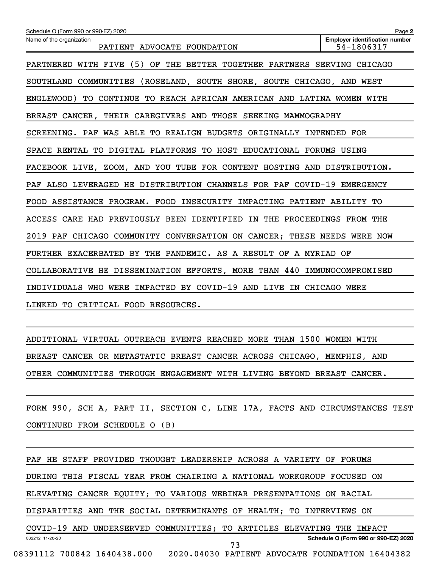| Schedule O (Form 990 or 990-EZ) 2020                                    | Page 2                                              |
|-------------------------------------------------------------------------|-----------------------------------------------------|
| Name of the organization<br>PATIENT ADVOCATE FOUNDATION                 | <b>Employer identification number</b><br>54-1806317 |
| PARTNERED WITH FIVE (5) OF THE BETTER TOGETHER PARTNERS SERVING CHICAGO |                                                     |
| SOUTHLAND COMMUNITIES (ROSELAND, SOUTH SHORE, SOUTH CHICAGO, AND WEST   |                                                     |
| ENGLEWOOD) TO CONTINUE TO REACH AFRICAN AMERICAN AND LATINA WOMEN WITH  |                                                     |
| BREAST CANCER, THEIR CAREGIVERS AND THOSE SEEKING MAMMOGRAPHY           |                                                     |
| SCREENING. PAF WAS ABLE TO REALIGN BUDGETS ORIGINALLY INTENDED FOR      |                                                     |
| SPACE RENTAL TO DIGITAL PLATFORMS TO HOST EDUCATIONAL FORUMS USING      |                                                     |
| FACEBOOK LIVE, ZOOM, AND YOU TUBE FOR CONTENT HOSTING AND DISTRIBUTION. |                                                     |
| PAF ALSO LEVERAGED HE DISTRIBUTION CHANNELS FOR PAF COVID-19 EMERGENCY  |                                                     |
| FOOD ASSISTANCE PROGRAM. FOOD INSECURITY IMPACTING PATIENT ABILITY TO   |                                                     |
| ACCESS CARE HAD PREVIOUSLY BEEN IDENTIFIED IN THE PROCEEDINGS FROM THE  |                                                     |
| 2019 PAF CHICAGO COMMUNITY CONVERSATION ON CANCER; THESE NEEDS WERE NOW |                                                     |
| FURTHER EXACERBATED BY THE PANDEMIC. AS A RESULT OF A MYRIAD OF         |                                                     |
| COLLABORATIVE HE DISSEMINATION EFFORTS, MORE THAN 440 IMMUNOCOMPROMISED |                                                     |
| INDIVIDUALS WHO WERE IMPACTED BY COVID-19 AND LIVE IN CHICAGO WERE      |                                                     |
| LINKED TO CRITICAL FOOD RESOURCES.                                      |                                                     |

ADDITIONAL VIRTUAL OUTREACH EVENTS REACHED MORE THAN 1500 WOMEN WITH BREAST CANCER OR METASTATIC BREAST CANCER ACROSS CHICAGO, MEMPHIS, AND OTHER COMMUNITIES THROUGH ENGAGEMENT WITH LIVING BEYOND BREAST CANCER.

FORM 990, SCH A, PART II, SECTION C, LINE 17A, FACTS AND CIRCUMSTANCES TEST CONTINUED FROM SCHEDULE O (B)

032212 11-20-20 **Schedule O (Form 990 or 990-EZ) 2020** PAF HE STAFF PROVIDED THOUGHT LEADERSHIP ACROSS A VARIETY OF FORUMS DURING THIS FISCAL YEAR FROM CHAIRING A NATIONAL WORKGROUP FOCUSED ON ELEVATING CANCER EQUITY; TO VARIOUS WEBINAR PRESENTATIONS ON RACIAL DISPARITIES AND THE SOCIAL DETERMINANTS OF HEALTH; TO INTERVIEWS ON COVID-19 AND UNDERSERVED COMMUNITIES; TO ARTICLES ELEVATING THE IMPACT 08391112 700842 1640438.000 2020.04030 PATIENT ADVOCATE FOUNDATION 16404382 73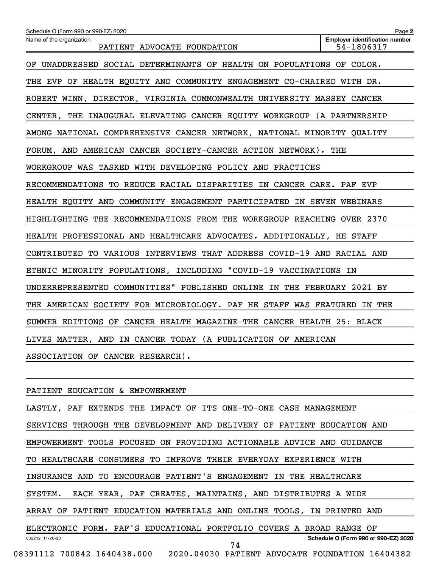| Schedule O (Form 990 or 990-EZ) 2020                                    | Page 2                                              |
|-------------------------------------------------------------------------|-----------------------------------------------------|
| Name of the organization<br>PATIENT ADVOCATE FOUNDATION                 | <b>Employer identification number</b><br>54-1806317 |
| OF UNADDRESSED SOCIAL DETERMINANTS OF HEALTH ON POPULATIONS OF COLOR.   |                                                     |
| THE EVP OF HEALTH EQUITY AND COMMUNITY ENGAGEMENT CO-CHAIRED WITH DR.   |                                                     |
| ROBERT WINN, DIRECTOR, VIRGINIA COMMONWEALTH UNIVERSITY MASSEY CANCER   |                                                     |
| CENTER, THE INAUGURAL ELEVATING CANCER EQUITY WORKGROUP (A PARTNERSHIP  |                                                     |
| AMONG NATIONAL COMPREHENSIVE CANCER NETWORK, NATIONAL MINORITY QUALITY  |                                                     |
| FORUM, AND AMERICAN CANCER SOCIETY-CANCER ACTION NETWORK). THE          |                                                     |
| WORKGROUP WAS TASKED WITH DEVELOPING POLICY AND PRACTICES               |                                                     |
| RECOMMENDATIONS TO REDUCE RACIAL DISPARITIES IN CANCER CARE. PAF EVP    |                                                     |
| HEALTH EQUITY AND COMMUNITY ENGAGEMENT PARTICIPATED IN SEVEN WEBINARS   |                                                     |
| HIGHLIGHTING THE RECOMMENDATIONS FROM THE WORKGROUP REACHING OVER 2370  |                                                     |
| HEALTH PROFESSIONAL AND HEALTHCARE ADVOCATES. ADDITIONALLY, HE STAFF    |                                                     |
| CONTRIBUTED TO VARIOUS INTERVIEWS THAT ADDRESS COVID-19 AND RACIAL AND  |                                                     |
| ETHNIC MINORITY POPULATIONS, INCLUDING "COVID-19 VACCINATIONS IN        |                                                     |
| UNDERREPRESENTED COMMUNITIES" PUBLISHED ONLINE IN THE FEBRUARY 2021 BY  |                                                     |
| THE AMERICAN SOCIETY FOR MICROBIOLOGY. PAF HE STAFF WAS FEATURED IN THE |                                                     |
| SUMMER EDITIONS OF CANCER HEALTH MAGAZINE-THE CANCER HEALTH 25: BLACK   |                                                     |
| LIVES MATTER, AND IN CANCER TODAY (A PUBLICATION OF AMERICAN            |                                                     |
| ASSOCIATION OF CANCER RESEARCH).                                        |                                                     |

PATIENT EDUCATION & EMPOWERMENT

032212 11-20-20 **Schedule O (Form 990 or 990-EZ) 2020** LASTLY, PAF EXTENDS THE IMPACT OF ITS ONE-TO-ONE CASE MANAGEMENT SERVICES THROUGH THE DEVELOPMENT AND DELIVERY OF PATIENT EDUCATION AND EMPOWERMENT TOOLS FOCUSED ON PROVIDING ACTIONABLE ADVICE AND GUIDANCE TO HEALTHCARE CONSUMERS TO IMPROVE THEIR EVERYDAY EXPERIENCE WITH INSURANCE AND TO ENCOURAGE PATIENT'S ENGAGEMENT IN THE HEALTHCARE SYSTEM. EACH YEAR, PAF CREATES, MAINTAINS, AND DISTRIBUTES A WIDE ARRAY OF PATIENT EDUCATION MATERIALS AND ONLINE TOOLS, IN PRINTED AND ELECTRONIC FORM. PAF'S EDUCATIONAL PORTFOLIO COVERS A BROAD RANGE OF 08391112 700842 1640438.000 2020.04030 PATIENT ADVOCATE FOUNDATION 16404382 74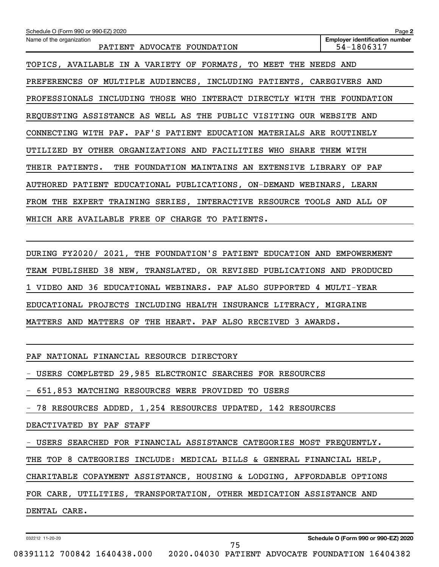| Schedule O (Form 990 or 990-EZ) 2020                                    | Page 2                                              |
|-------------------------------------------------------------------------|-----------------------------------------------------|
| Name of the organization<br>PATIENT ADVOCATE FOUNDATION                 | <b>Employer identification number</b><br>54-1806317 |
| TOPICS, AVAILABLE IN A VARIETY OF FORMATS, TO MEET THE NEEDS AND        |                                                     |
| PREFERENCES OF MULTIPLE AUDIENCES, INCLUDING PATIENTS, CAREGIVERS AND   |                                                     |
| PROFESSIONALS INCLUDING THOSE WHO INTERACT DIRECTLY WITH THE FOUNDATION |                                                     |
| REQUESTING ASSISTANCE AS WELL AS THE PUBLIC VISITING OUR WEBSITE AND    |                                                     |
| CONNECTING WITH PAF. PAF'S PATIENT EDUCATION MATERIALS ARE ROUTINELY    |                                                     |
| UTILIZED BY OTHER ORGANIZATIONS AND FACILITIES WHO SHARE THEM WITH      |                                                     |
| THEIR PATIENTS. THE FOUNDATION MAINTAINS AN EXTENSIVE LIBRARY OF PAF    |                                                     |
| AUTHORED PATIENT EDUCATIONAL PUBLICATIONS, ON-DEMAND WEBINARS, LEARN    |                                                     |
| FROM THE EXPERT TRAINING SERIES, INTERACTIVE RESOURCE TOOLS AND ALL OF  |                                                     |
| WHICH ARE AVAILABLE FREE OF CHARGE TO PATIENTS.                         |                                                     |
|                                                                         |                                                     |
| DURING FY2020/ 2021, THE FOUNDATION'S PATIENT EDUCATION AND EMPOWERMENT |                                                     |
| TEAM PUBLISHED 38 NEW, TRANSLATED, OR REVISED PUBLICATIONS AND PRODUCED |                                                     |

1 VIDEO AND 36 EDUCATIONAL WEBINARS. PAF ALSO SUPPORTED 4 MULTI-YEAR

EDUCATIONAL PROJECTS INCLUDING HEALTH INSURANCE LITERACY, MIGRAINE

MATTERS AND MATTERS OF THE HEART. PAF ALSO RECEIVED 3 AWARDS.

PAF NATIONAL FINANCIAL RESOURCE DIRECTORY

- USERS COMPLETED 29,985 ELECTRONIC SEARCHES FOR RESOURCES

- 651,853 MATCHING RESOURCES WERE PROVIDED TO USERS

- 78 RESOURCES ADDED, 1,254 RESOURCES UPDATED, 142 RESOURCES

DEACTIVATED BY PAF STAFF

- USERS SEARCHED FOR FINANCIAL ASSISTANCE CATEGORIES MOST FREQUENTLY.

THE TOP 8 CATEGORIES INCLUDE: MEDICAL BILLS & GENERAL FINANCIAL HELP,

CHARITABLE COPAYMENT ASSISTANCE, HOUSING & LODGING, AFFORDABLE OPTIONS

75

FOR CARE, UTILITIES, TRANSPORTATION, OTHER MEDICATION ASSISTANCE AND

DENTAL CARE.

032212 11-20-20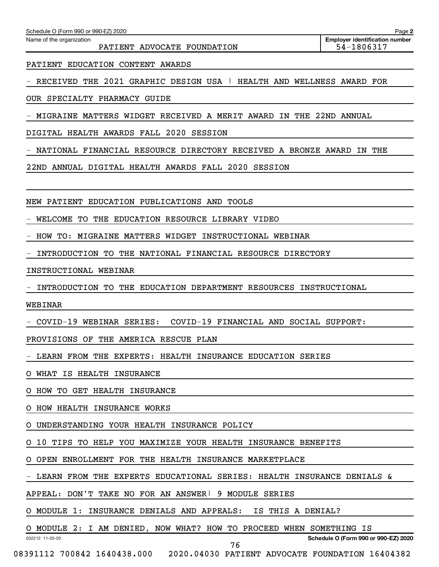Name of the organization

PATIENT ADVOCATE FOUNDATION FOUND 1999 1999

PATIENT EDUCATION CONTENT AWARDS

- RECEIVED THE 2021 GRAPHIC DESIGN USA | HEALTH AND WELLNESS AWARD FOR

OUR SPECIALTY PHARMACY GUIDE

- MIGRAINE MATTERS WIDGET RECEIVED A MERIT AWARD IN THE 22ND ANNUAL

DIGITAL HEALTH AWARDS FALL 2020 SESSION

- NATIONAL FINANCIAL RESOURCE DIRECTORY RECEIVED A BRONZE AWARD IN THE

22ND ANNUAL DIGITAL HEALTH AWARDS FALL 2020 SESSION

NEW PATIENT EDUCATION PUBLICATIONS AND TOOLS

WELCOME TO THE EDUCATION RESOURCE LIBRARY VIDEO

- HOW TO: MIGRAINE MATTERS WIDGET INSTRUCTIONAL WEBINAR

- INTRODUCTION TO THE NATIONAL FINANCIAL RESOURCE DIRECTORY

INSTRUCTIONAL WEBINAR

- INTRODUCTION TO THE EDUCATION DEPARTMENT RESOURCES INSTRUCTIONAL

WEBINAR

032212 11-20-20

- COVID-19 WEBINAR SERIES: COVID-19 FINANCIAL AND SOCIAL SUPPORT:

PROVISIONS OF THE AMERICA RESCUE PLAN

- LEARN FROM THE EXPERTS: HEALTH INSURANCE EDUCATION SERIES

O WHAT IS HEALTH INSURANCE

O HOW TO GET HEALTH INSURANCE

O HOW HEALTH INSURANCE WORKS

O UNDERSTANDING YOUR HEALTH INSURANCE POLICY

O 10 TIPS TO HELP YOU MAXIMIZE YOUR HEALTH INSURANCE BENEFITS

O OPEN ENROLLMENT FOR THE HEALTH INSURANCE MARKETPLACE

- LEARN FROM THE EXPERTS EDUCATIONAL SERIES: HEALTH INSURANCE DENIALS &

APPEAL: DON'T TAKE NO FOR AN ANSWER| 9 MODULE SERIES

O MODULE 1: INSURANCE DENIALS AND APPEALS: IS THIS A DENIAL?

O MODULE 2: I AM DENIED, NOW WHAT? HOW TO PROCEED WHEN SOMETHING IS

**Schedule O (Form 990 or 990-EZ) 2020**

08391112 700842 1640438.000 2020.04030 PATIENT ADVOCATE FOUNDATION 16404382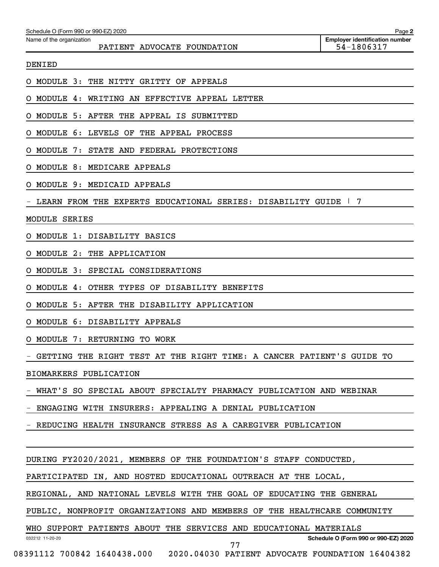| Schedule O (Form 990 or 990-EZ) 2020                                    | Page 2                                              |
|-------------------------------------------------------------------------|-----------------------------------------------------|
| Name of the organization<br>PATIENT ADVOCATE FOUNDATION                 | <b>Employer identification number</b><br>54-1806317 |
| <b>DENIED</b>                                                           |                                                     |
| THE NITTY GRITTY OF APPEALS<br>MODULE 3:                                |                                                     |
| WRITING AN EFFECTIVE APPEAL LETTER<br>MODULE<br>4:                      |                                                     |
| MODULE 5: AFTER THE APPEAL IS<br>SUBMITTED                              |                                                     |
| MODULE 6: LEVELS OF<br>THE APPEAL PROCESS                               |                                                     |
| 7:<br>STATE AND FEDERAL PROTECTIONS<br>MODULE                           |                                                     |
| MODULE 8: MEDICARE APPEALS                                              |                                                     |
| MODULE 9: MEDICAID APPEALS                                              |                                                     |
| LEARN FROM THE EXPERTS EDUCATIONAL SERIES: DISABILITY GUIDE             | 7                                                   |
| MODULE<br><b>SERIES</b>                                                 |                                                     |
| MODULE 1: DISABILITY BASICS                                             |                                                     |
| 2:<br>THE APPLICATION<br>MODULE                                         |                                                     |
| 3:<br>SPECIAL CONSIDERATIONS<br>MODULE                                  |                                                     |
| OTHER<br>TYPES OF<br>DISABILITY BENEFITS<br>MODULE<br>4 :               |                                                     |
| MODULE 5: AFTER<br>THE DISABILITY APPLICATION                           |                                                     |
| <b>MODULE</b><br>6 :<br>DISABILITY APPEALS                              |                                                     |
| MODULE 7: RETURNING TO WORK<br>Ő                                        |                                                     |
| - GETTING THE RIGHT TEST AT THE RIGHT TIME: A CANCER PATIENT'S GUIDE TO |                                                     |
| BIOMARKERS PUBLICATION                                                  |                                                     |
| WHAT'S SO SPECIAL ABOUT SPECIALTY PHARMACY PUBLICATION AND WEBINAR      |                                                     |
| - ENGAGING WITH INSURERS: APPEALING A DENIAL PUBLICATION                |                                                     |
| - REDUCING HEALTH INSURANCE STRESS AS A CAREGIVER PUBLICATION           |                                                     |
|                                                                         |                                                     |
| DURING FY2020/2021, MEMBERS OF THE FOUNDATION'S STAFF CONDUCTED,        |                                                     |
| PARTICIPATED IN, AND HOSTED EDUCATIONAL OUTREACH AT THE LOCAL,          |                                                     |
| REGIONAL, AND NATIONAL LEVELS WITH THE GOAL OF EDUCATING THE GENERAL    |                                                     |
| PUBLIC, NONPROFIT ORGANIZATIONS AND MEMBERS OF THE HEALTHCARE COMMUNITY |                                                     |
| WHO SUPPORT PATIENTS ABOUT THE SERVICES AND EDUCATIONAL MATERIALS       |                                                     |
| 032212 11-20-20<br>77                                                   | Schedule O (Form 990 or 990-EZ) 2020                |

08391112 700842 1640438.000 2020.04030 PATIENT ADVOCATE FOUNDATION 16404382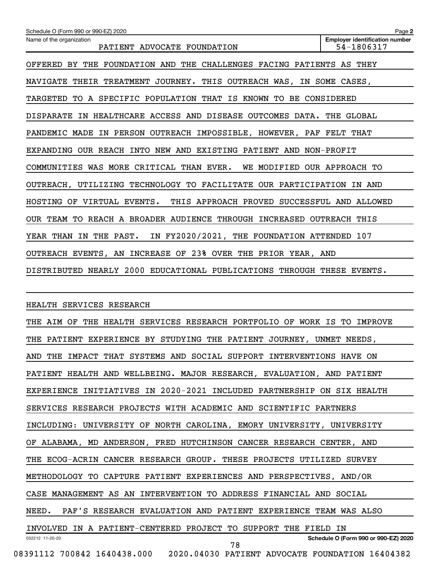| Schedule O (Form 990 or 990-EZ) 2020<br>Page 2                                                                 |
|----------------------------------------------------------------------------------------------------------------|
| <b>Employer identification number</b><br>Name of the organization<br>54-1806317<br>PATIENT ADVOCATE FOUNDATION |
| OFFERED BY THE FOUNDATION AND THE CHALLENGES FACING PATIENTS AS THEY                                           |
| NAVIGATE THEIR TREATMENT JOURNEY.<br>THIS OUTREACH WAS, IN SOME CASES,                                         |
| TARGETED TO A SPECIFIC POPULATION THAT IS KNOWN TO BE CONSIDERED                                               |
| DISPARATE IN HEALTHCARE ACCESS AND DISEASE OUTCOMES DATA.<br>THE GLOBAL                                        |
| PANDEMIC MADE IN PERSON OUTREACH IMPOSSIBLE, HOWEVER, PAF FELT THAT                                            |
| EXPANDING OUR REACH INTO NEW AND EXISTING PATIENT AND NON-PROFIT                                               |
| COMMUNITIES WAS MORE CRITICAL THAN EVER.<br>WE MODIFIED OUR APPROACH TO                                        |
| OUTREACH, UTILIZING TECHNOLOGY TO FACILITATE OUR PARTICIPATION IN AND                                          |
| HOSTING OF VIRTUAL EVENTS.<br>THIS APPROACH PROVED SUCCESSFUL AND ALLOWED                                      |
| OUR TEAM TO REACH A BROADER AUDIENCE THROUGH INCREASED OUTREACH THIS                                           |
| IN FY2020/2021, THE FOUNDATION ATTENDED 107<br>YEAR THAN IN THE PAST.                                          |
| OUTREACH EVENTS, AN INCREASE OF 23% OVER THE PRIOR YEAR, AND                                                   |
| DISTRIBUTED NEARLY 2000 EDUCATIONAL PUBLICATIONS THROUGH THESE EVENTS.                                         |
|                                                                                                                |
| HEALTH SERVICES RESEARCH                                                                                       |
| THE AIM OF THE HEALTH SERVICES RESEARCH PORTFOLIO OF WORK IS TO IMPROVE                                        |
| THE PATIENT EXPERIENCE BY STUDYING THE PATIENT JOURNEY, UNMET NEEDS,                                           |
| AND THE IMPACT THAT SYSTEMS AND SOCIAL SUPPORT INTERVENTIONS HAVE ON                                           |
| PATIENT HEALTH AND WELLBEING. MAJOR RESEARCH, EVALUATION, AND PATIENT                                          |
| EXPERIENCE INITIATIVES IN 2020-2021 INCLUDED PARTNERSHIP ON SIX HEALTH                                         |
| SERVICES RESEARCH PROJECTS WITH ACADEMIC AND SCIENTIFIC PARTNERS                                               |
| INCLUDING: UNIVERSITY OF NORTH CAROLINA, EMORY UNIVERSITY, UNIVERSITY                                          |
| OF ALABAMA, MD ANDERSON, FRED HUTCHINSON CANCER RESEARCH CENTER, AND                                           |
| THE ECOG-ACRIN CANCER RESEARCH GROUP. THESE PROJECTS UTILIZED SURVEY                                           |

METHODOLOGY TO CAPTURE PATIENT EXPERIENCES AND PERSPECTIVES, AND/OR

CASE MANAGEMENT AS AN INTERVENTION TO ADDRESS FINANCIAL AND SOCIAL

NEED. PAF'S RESEARCH EVALUATION AND PATIENT EXPERIENCE TEAM WAS ALSO

032212 11-20-20 **Schedule O (Form 990 or 990-EZ) 2020** INVOLVED IN A PATIENT-CENTERED PROJECT TO SUPPORT THE FIELD IN 78

08391112 700842 1640438.000 2020.04030 PATIENT ADVOCATE FOUNDATION 16404382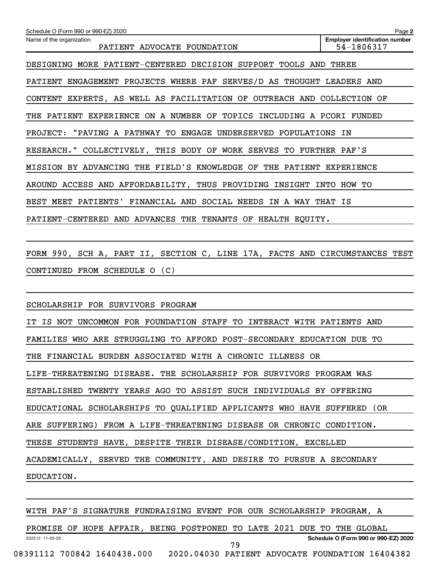| Schedule O (Form 990 or 990-EZ) 2020                                     | Page 2                                              |
|--------------------------------------------------------------------------|-----------------------------------------------------|
| Name of the organization<br>PATIENT ADVOCATE FOUNDATION                  | <b>Employer identification number</b><br>54-1806317 |
| DESIGNING MORE PATIENT-CENTERED DECISION SUPPORT TOOLS AND               | THREE                                               |
| ENGAGEMENT PROJECTS WHERE PAF SERVES/D AS THOUGHT LEADERS AND<br>PATIENT |                                                     |
| CONTENT EXPERTS, AS WELL AS FACILITATION OF OUTREACH AND COLLECTION OF   |                                                     |
| EXPERIENCE ON A NUMBER OF TOPICS INCLUDING A PCORI FUNDED<br>THE PATIENT |                                                     |
| PROJECT: "PAVING A PATHWAY TO ENGAGE UNDERSERVED POPULATIONS IN          |                                                     |
| RESEARCH." COLLECTIVELY, THIS BODY OF WORK SERVES TO FURTHER PAF'S       |                                                     |
| MISSION BY ADVANCING THE FIELD'S KNOWLEDGE OF THE PATIENT EXPERIENCE     |                                                     |
| AROUND ACCESS AND AFFORDABILITY, THUS PROVIDING INSIGHT INTO HOW TO      |                                                     |
| FINANCIAL AND SOCIAL NEEDS IN A WAY THAT IS<br>BEST MEET PATIENTS'       |                                                     |
| PATIENT-CENTERED AND ADVANCES THE TENANTS OF HEALTH EQUITY.              |                                                     |

FORM 990, SCH A, PART II, SECTION C, LINE 17A, FACTS AND CIRCUMSTANCES TEST CONTINUED FROM SCHEDULE O (C)

SCHOLARSHIP FOR SURVIVORS PROGRAM

IT IS NOT UNCOMMON FOR FOUNDATION STAFF TO INTERACT WITH PATIENTS AND FAMILIES WHO ARE STRUGGLING TO AFFORD POST-SECONDARY EDUCATION DUE TO THE FINANCIAL BURDEN ASSOCIATED WITH A CHRONIC ILLNESS OR LIFE-THREATENING DISEASE. THE SCHOLARSHIP FOR SURVIVORS PROGRAM WAS ESTABLISHED TWENTY YEARS AGO TO ASSIST SUCH INDIVIDUALS BY OFFERING EDUCATIONAL SCHOLARSHIPS TO QUALIFIED APPLICANTS WHO HAVE SUFFERED (OR ARE SUFFERING) FROM A LIFE-THREATENING DISEASE OR CHRONIC CONDITION. THESE STUDENTS HAVE, DESPITE THEIR DISEASE/CONDITION, EXCELLED ACADEMICALLY, SERVED THE COMMUNITY, AND DESIRE TO PURSUE A SECONDARY EDUCATION.

WITH PAF'S SIGNATURE FUNDRAISING EVENT FOR OUR SCHOLARSHIP PROGRAM, A

032212 11-20-20 **Schedule O (Form 990 or 990-EZ) 2020** PROMISE OF HOPE AFFAIR, BEING POSTPONED TO LATE 2021 DUE TO THE GLOBAL 08391112 700842 1640438.000 2020.04030 PATIENT ADVOCATE FOUNDATION 16404382 79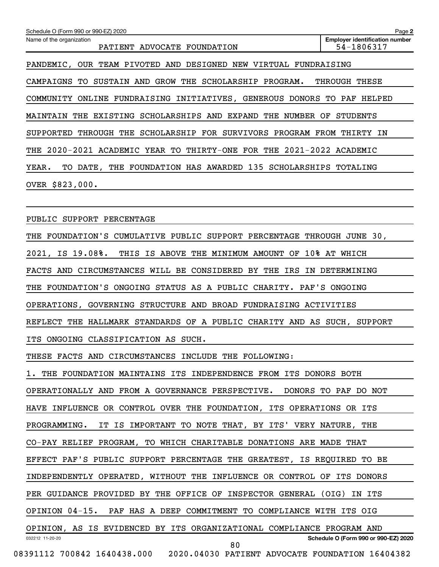| Schedule O (Form 990 or 990-EZ) 2020                                        | Page 2                                              |
|-----------------------------------------------------------------------------|-----------------------------------------------------|
| Name of the organization<br>PATIENT ADVOCATE FOUNDATION                     | <b>Employer identification number</b><br>54-1806317 |
| PANDEMIC, OUR TEAM PIVOTED AND DESIGNED NEW VIRTUAL FUNDRAISING             |                                                     |
| CAMPAIGNS TO SUSTAIN AND GROW THE SCHOLARSHIP PROGRAM. THROUGH THESE        |                                                     |
| COMMUNITY ONLINE FUNDRAISING INITIATIVES, GENEROUS DONORS TO PAF HELPED     |                                                     |
| MAINTAIN THE EXISTING SCHOLARSHIPS AND EXPAND THE NUMBER OF STUDENTS        |                                                     |
| SUPPORTED THROUGH THE SCHOLARSHIP FOR SURVIVORS PROGRAM FROM THIRTY IN      |                                                     |
| THE 2020-2021 ACADEMIC YEAR TO THIRTY-ONE FOR THE 2021-2022 ACADEMIC        |                                                     |
| TO DATE, THE FOUNDATION HAS AWARDED 135 SCHOLARSHIPS TOTALING<br>YEAR.      |                                                     |
| OVER \$823,000.                                                             |                                                     |
|                                                                             |                                                     |
| PUBLIC SUPPORT PERCENTAGE                                                   |                                                     |
| THE FOUNDATION'S CUMULATIVE PUBLIC SUPPORT PERCENTAGE THROUGH JUNE 30,      |                                                     |
| 2021, IS 19.08%. THIS IS ABOVE THE MINIMUM AMOUNT OF 10% AT WHICH           |                                                     |
| FACTS AND CIRCUMSTANCES WILL BE CONSIDERED BY THE IRS IN DETERMINING        |                                                     |
| THE FOUNDATION'S ONGOING STATUS AS A PUBLIC CHARITY. PAF'S ONGOING          |                                                     |
| OPERATIONS, GOVERNING STRUCTURE AND BROAD FUNDRAISING ACTIVITIES            |                                                     |
| REFLECT THE HALLMARK STANDARDS OF A PUBLIC CHARITY AND AS SUCH, SUPPORT     |                                                     |
| ITS ONGOING CLASSIFICATION AS SUCH.                                         |                                                     |
| THESE FACTS AND CIRCUMSTANCES INCLUDE THE FOLLOWING:                        |                                                     |
| 1. THE FOUNDATION MAINTAINS ITS INDEPENDENCE FROM ITS DONORS BOTH           |                                                     |
| OPERATIONALLY AND FROM A GOVERNANCE PERSPECTIVE. DONORS TO PAF DO NOT       |                                                     |
| HAVE INFLUENCE OR CONTROL OVER THE FOUNDATION, ITS OPERATIONS OR ITS        |                                                     |
| IT IS IMPORTANT TO NOTE THAT, BY ITS' VERY NATURE, THE<br>PROGRAMMING.      |                                                     |
| CO-PAY RELIEF PROGRAM, TO WHICH CHARITABLE DONATIONS ARE MADE THAT          |                                                     |
| EFFECT PAF'S PUBLIC SUPPORT PERCENTAGE THE GREATEST, IS REQUIRED TO BE      |                                                     |
| INDEPENDENTLY OPERATED, WITHOUT THE INFLUENCE OR CONTROL OF ITS DONORS      |                                                     |
| PER GUIDANCE PROVIDED BY THE OFFICE OF INSPECTOR GENERAL (OIG) IN ITS       |                                                     |
| OPINION 04-15. PAF HAS A DEEP COMMITMENT TO COMPLIANCE WITH ITS OIG         |                                                     |
| OPINION, AS IS EVIDENCED BY ITS ORGANIZATIONAL COMPLIANCE PROGRAM AND       |                                                     |
| 032212 11-20-20<br>80                                                       | Schedule O (Form 990 or 990-EZ) 2020                |
| 08391112 700842 1640438.000 2020.04030 PATIENT ADVOCATE FOUNDATION 16404382 |                                                     |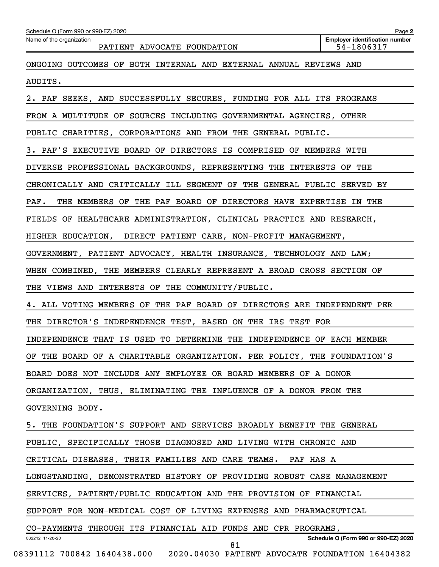| Name of the organization<br>PATIENT ADVOCATE FOUNDATION<br>ONGOING OUTCOMES OF BOTH INTERNAL AND EXTERNAL ANNUAL REVIEWS AND<br>AUDITS.<br>2. PAF SEEKS, AND SUCCESSFULLY SECURES, FUNDING FOR ALL ITS PROGRAMS<br>FROM A MULTITUDE OF SOURCES INCLUDING GOVERNMENTAL AGENCIES, OTHER<br>PUBLIC CHARITIES, CORPORATIONS AND FROM THE GENERAL PUBLIC. | <b>Employer identification number</b><br>54-1806317 |
|------------------------------------------------------------------------------------------------------------------------------------------------------------------------------------------------------------------------------------------------------------------------------------------------------------------------------------------------------|-----------------------------------------------------|
|                                                                                                                                                                                                                                                                                                                                                      |                                                     |
|                                                                                                                                                                                                                                                                                                                                                      |                                                     |
|                                                                                                                                                                                                                                                                                                                                                      |                                                     |
|                                                                                                                                                                                                                                                                                                                                                      |                                                     |
|                                                                                                                                                                                                                                                                                                                                                      |                                                     |
|                                                                                                                                                                                                                                                                                                                                                      |                                                     |
| 3. PAF'S EXECUTIVE BOARD OF DIRECTORS IS COMPRISED OF MEMBERS WITH                                                                                                                                                                                                                                                                                   |                                                     |
| DIVERSE PROFESSIONAL BACKGROUNDS, REPRESENTING THE INTERESTS OF THE                                                                                                                                                                                                                                                                                  |                                                     |
| CHRONICALLY AND CRITICALLY ILL SEGMENT OF THE GENERAL PUBLIC SERVED BY                                                                                                                                                                                                                                                                               |                                                     |
| THE MEMBERS OF THE PAF BOARD OF DIRECTORS HAVE EXPERTISE IN THE<br>$\mathtt{PAF}$ .                                                                                                                                                                                                                                                                  |                                                     |
| FIELDS OF HEALTHCARE ADMINISTRATION, CLINICAL PRACTICE AND RESEARCH,                                                                                                                                                                                                                                                                                 |                                                     |
| HIGHER EDUCATION, DIRECT PATIENT CARE, NON-PROFIT MANAGEMENT,                                                                                                                                                                                                                                                                                        |                                                     |
| GOVERNMENT, PATIENT ADVOCACY, HEALTH INSURANCE, TECHNOLOGY AND LAW;                                                                                                                                                                                                                                                                                  |                                                     |
| WHEN COMBINED, THE MEMBERS CLEARLY REPRESENT A BROAD CROSS SECTION OF                                                                                                                                                                                                                                                                                |                                                     |
| THE VIEWS AND INTERESTS OF THE COMMUNITY/PUBLIC.                                                                                                                                                                                                                                                                                                     |                                                     |
| 4. ALL VOTING MEMBERS OF THE PAF BOARD OF DIRECTORS ARE INDEPENDENT PER                                                                                                                                                                                                                                                                              |                                                     |
| THE DIRECTOR'S INDEPENDENCE TEST, BASED ON THE IRS TEST FOR                                                                                                                                                                                                                                                                                          |                                                     |
| INDEPENDENCE THAT IS USED TO DETERMINE THE INDEPENDENCE OF EACH MEMBER                                                                                                                                                                                                                                                                               |                                                     |
| OF THE BOARD OF A CHARITABLE ORGANIZATION. PER POLICY, THE FOUNDATION'S                                                                                                                                                                                                                                                                              |                                                     |
| BOARD DOES NOT INCLUDE ANY EMPLOYEE OR BOARD MEMBERS OF A DONOR                                                                                                                                                                                                                                                                                      |                                                     |
| ORGANIZATION, THUS, ELIMINATING THE INFLUENCE OF A DONOR FROM THE                                                                                                                                                                                                                                                                                    |                                                     |
| GOVERNING BODY.                                                                                                                                                                                                                                                                                                                                      |                                                     |
| 5. THE FOUNDATION'S SUPPORT AND SERVICES BROADLY BENEFIT THE GENERAL                                                                                                                                                                                                                                                                                 |                                                     |
| PUBLIC, SPECIFICALLY THOSE DIAGNOSED AND LIVING WITH CHRONIC AND                                                                                                                                                                                                                                                                                     |                                                     |
| CRITICAL DISEASES, THEIR FAMILIES AND CARE TEAMS. PAF HAS A                                                                                                                                                                                                                                                                                          |                                                     |
| LONGSTANDING, DEMONSTRATED HISTORY OF PROVIDING ROBUST CASE MANAGEMENT                                                                                                                                                                                                                                                                               |                                                     |
| SERVICES, PATIENT/PUBLIC EDUCATION AND THE PROVISION OF FINANCIAL                                                                                                                                                                                                                                                                                    |                                                     |
| SUPPORT FOR NON-MEDICAL COST OF LIVING EXPENSES AND PHARMACEUTICAL                                                                                                                                                                                                                                                                                   |                                                     |
| CO-PAYMENTS THROUGH ITS FINANCIAL AID FUNDS AND CPR PROGRAMS,                                                                                                                                                                                                                                                                                        |                                                     |
| 032212 11-20-20<br>81<br>08391112 700842 1640438.000 2020.04030 PATIENT ADVOCATE FOUNDATION 16404382                                                                                                                                                                                                                                                 | Schedule O (Form 990 or 990-EZ) 2020                |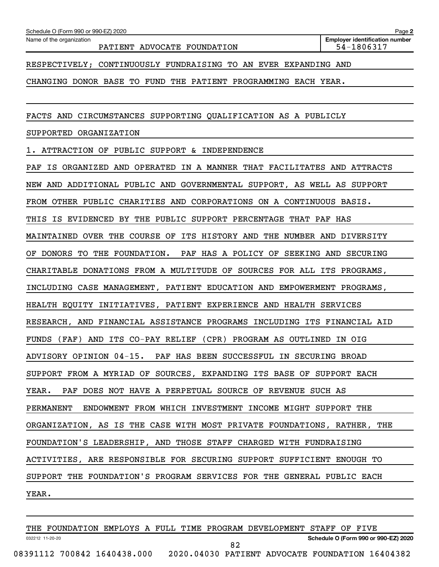Name of the organization

PATIENT ADVOCATE FOUNDATION FOUND 1999 1999

**Employer identification number**

RESPECTIVELY; CONTINUOUSLY FUNDRAISING TO AN EVER EXPANDING AND

CHANGING DONOR BASE TO FUND THE PATIENT PROGRAMMING EACH YEAR.

FACTS AND CIRCUMSTANCES SUPPORTING QUALIFICATION AS A PUBLICLY

SUPPORTED ORGANIZATION

1. ATTRACTION OF PUBLIC SUPPORT & INDEPENDENCE

PAF IS ORGANIZED AND OPERATED IN A MANNER THAT FACILITATES AND ATTRACTS NEW AND ADDITIONAL PUBLIC AND GOVERNMENTAL SUPPORT, AS WELL AS SUPPORT FROM OTHER PUBLIC CHARITIES AND CORPORATIONS ON A CONTINUOUS BASIS. THIS IS EVIDENCED BY THE PUBLIC SUPPORT PERCENTAGE THAT PAF HAS MAINTAINED OVER THE COURSE OF ITS HISTORY AND THE NUMBER AND DIVERSITY OF DONORS TO THE FOUNDATION. PAF HAS A POLICY OF SEEKING AND SECURING CHARITABLE DONATIONS FROM A MULTITUDE OF SOURCES FOR ALL ITS PROGRAMS, INCLUDING CASE MANAGEMENT, PATIENT EDUCATION AND EMPOWERMENT PROGRAMS, HEALTH EQUITY INITIATIVES, PATIENT EXPERIENCE AND HEALTH SERVICES RESEARCH, AND FINANCIAL ASSISTANCE PROGRAMS INCLUDING ITS FINANCIAL AID FUNDS (FAF) AND ITS CO-PAY RELIEF (CPR) PROGRAM AS OUTLINED IN OIG ADVISORY OPINION 04-15. PAF HAS BEEN SUCCESSFUL IN SECURING BROAD SUPPORT FROM A MYRIAD OF SOURCES, EXPANDING ITS BASE OF SUPPORT EACH YEAR. PAF DOES NOT HAVE A PERPETUAL SOURCE OF REVENUE SUCH AS PERMANENT ENDOWMENT FROM WHICH INVESTMENT INCOME MIGHT SUPPORT THE ORGANIZATION, AS IS THE CASE WITH MOST PRIVATE FOUNDATIONS, RATHER, THE FOUNDATION'S LEADERSHIP, AND THOSE STAFF CHARGED WITH FUNDRAISING ACTIVITIES, ARE RESPONSIBLE FOR SECURING SUPPORT SUFFICIENT ENOUGH TO SUPPORT THE FOUNDATION'S PROGRAM SERVICES FOR THE GENERAL PUBLIC EACH YEAR.

032212 11-20-20 **Schedule O (Form 990 or 990-EZ) 2020** THE FOUNDATION EMPLOYS A FULL TIME PROGRAM DEVELOPMENT STAFF OF FIVE 08391112 700842 1640438.000 2020.04030 PATIENT ADVOCATE FOUNDATION 16404382 82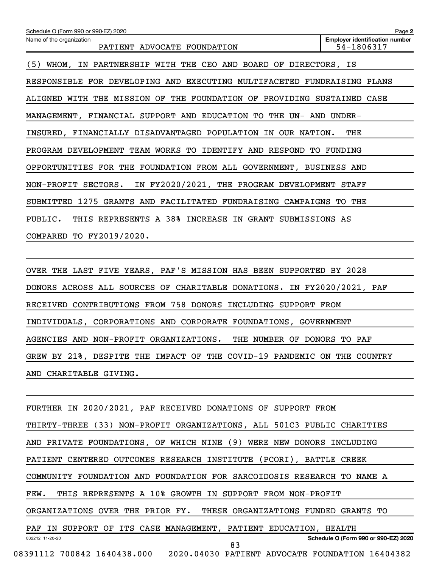| Schedule O (Form 990 or 990-EZ) 2020                                    | Page 2                                              |
|-------------------------------------------------------------------------|-----------------------------------------------------|
| Name of the organization<br>PATIENT ADVOCATE FOUNDATION                 | <b>Employer identification number</b><br>54-1806317 |
| IN PARTNERSHIP WITH THE CEO AND BOARD OF DIRECTORS, IS<br>(5)<br>WHOM,  |                                                     |
| RESPONSIBLE FOR DEVELOPING AND EXECUTING MULTIFACETED FUNDRAISING PLANS |                                                     |
| ALIGNED WITH THE MISSION OF THE FOUNDATION OF PROVIDING SUSTAINED CASE  |                                                     |
| MANAGEMENT, FINANCIAL SUPPORT AND EDUCATION TO<br>THE UN- AND UNDER-    |                                                     |
| INSURED, FINANCIALLY DISADVANTAGED POPULATION IN OUR NATION.            | THE                                                 |
| PROGRAM DEVELOPMENT TEAM WORKS TO IDENTIFY AND RESPOND TO FUNDING       |                                                     |
| OPPORTUNITIES FOR THE FOUNDATION FROM ALL GOVERNMENT, BUSINESS AND      |                                                     |
| NON-PROFIT SECTORS. IN FY2020/2021, THE PROGRAM DEVELOPMENT STAFF       |                                                     |
| SUBMITTED 1275 GRANTS AND FACILITATED FUNDRAISING CAMPAIGNS TO THE      |                                                     |
| PUBLIC. THIS REPRESENTS A 38% INCREASE IN GRANT SUBMISSIONS AS          |                                                     |
| COMPARED TO FY2019/2020.                                                |                                                     |

OVER THE LAST FIVE YEARS, PAF'S MISSION HAS BEEN SUPPORTED BY 2028 DONORS ACROSS ALL SOURCES OF CHARITABLE DONATIONS. IN FY2020/2021, PAF RECEIVED CONTRIBUTIONS FROM 758 DONORS INCLUDING SUPPORT FROM INDIVIDUALS, CORPORATIONS AND CORPORATE FOUNDATIONS, GOVERNMENT AGENCIES AND NON-PROFIT ORGANIZATIONS. THE NUMBER OF DONORS TO PAF GREW BY 21%, DESPITE THE IMPACT OF THE COVID-19 PANDEMIC ON THE COUNTRY AND CHARITABLE GIVING.

032212 11-20-20 **Schedule O (Form 990 or 990-EZ) 2020** FURTHER IN 2020/2021, PAF RECEIVED DONATIONS OF SUPPORT FROM THIRTY-THREE (33) NON-PROFIT ORGANIZATIONS, ALL 501C3 PUBLIC CHARITIES AND PRIVATE FOUNDATIONS, OF WHICH NINE (9) WERE NEW DONORS INCLUDING PATIENT CENTERED OUTCOMES RESEARCH INSTITUTE (PCORI), BATTLE CREEK COMMUNITY FOUNDATION AND FOUNDATION FOR SARCOIDOSIS RESEARCH TO NAME A FEW. THIS REPRESENTS A 10% GROWTH IN SUPPORT FROM NON-PROFIT ORGANIZATIONS OVER THE PRIOR FY. THESE ORGANIZATIONS FUNDED GRANTS TO PAF IN SUPPORT OF ITS CASE MANAGEMENT, PATIENT EDUCATION, HEALTH 08391112 700842 1640438.000 2020.04030 PATIENT ADVOCATE FOUNDATION 16404382 83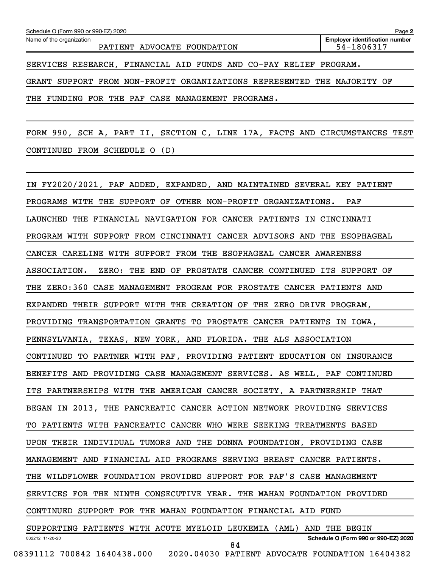Name of the organization

PATIENT ADVOCATE FOUNDATION FOUND 1999 1999

SERVICES RESEARCH, FINANCIAL AID FUNDS AND CO-PAY RELIEF PROGRAM.

GRANT SUPPORT FROM NON-PROFIT ORGANIZATIONS REPRESENTED THE MAJORITY OF

THE FUNDING FOR THE PAF CASE MANAGEMENT PROGRAMS.

FORM 990, SCH A, PART II, SECTION C, LINE 17A, FACTS AND CIRCUMSTANCES TEST CONTINUED FROM SCHEDULE O (D)

032212 11-20-20 **Schedule O (Form 990 or 990-EZ) 2020** IN FY2020/2021, PAF ADDED, EXPANDED, AND MAINTAINED SEVERAL KEY PATIENT PROGRAMS WITH THE SUPPORT OF OTHER NON-PROFIT ORGANIZATIONS. PAF LAUNCHED THE FINANCIAL NAVIGATION FOR CANCER PATIENTS IN CINCINNATI PROGRAM WITH SUPPORT FROM CINCINNATI CANCER ADVISORS AND THE ESOPHAGEAL CANCER CARELINE WITH SUPPORT FROM THE ESOPHAGEAL CANCER AWARENESS ASSOCIATION. ZERO: THE END OF PROSTATE CANCER CONTINUED ITS SUPPORT OF THE ZERO:360 CASE MANAGEMENT PROGRAM FOR PROSTATE CANCER PATIENTS AND EXPANDED THEIR SUPPORT WITH THE CREATION OF THE ZERO DRIVE PROGRAM, PROVIDING TRANSPORTATION GRANTS TO PROSTATE CANCER PATIENTS IN IOWA, PENNSYLVANIA, TEXAS, NEW YORK, AND FLORIDA. THE ALS ASSOCIATION CONTINUED TO PARTNER WITH PAF, PROVIDING PATIENT EDUCATION ON INSURANCE BENEFITS AND PROVIDING CASE MANAGEMENT SERVICES. AS WELL, PAF CONTINUED ITS PARTNERSHIPS WITH THE AMERICAN CANCER SOCIETY, A PARTNERSHIP THAT BEGAN IN 2013, THE PANCREATIC CANCER ACTION NETWORK PROVIDING SERVICES TO PATIENTS WITH PANCREATIC CANCER WHO WERE SEEKING TREATMENTS BASED UPON THEIR INDIVIDUAL TUMORS AND THE DONNA FOUNDATION, PROVIDING CASE MANAGEMENT AND FINANCIAL AID PROGRAMS SERVING BREAST CANCER PATIENTS. THE WILDFLOWER FOUNDATION PROVIDED SUPPORT FOR PAF'S CASE MANAGEMENT SERVICES FOR THE NINTH CONSECUTIVE YEAR. THE MAHAN FOUNDATION PROVIDED CONTINUED SUPPORT FOR THE MAHAN FOUNDATION FINANCIAL AID FUND SUPPORTING PATIENTS WITH ACUTE MYELOID LEUKEMIA (AML) AND THE BEGIN 08391112 700842 1640438.000 2020.04030 PATIENT ADVOCATE FOUNDATION 16404382 84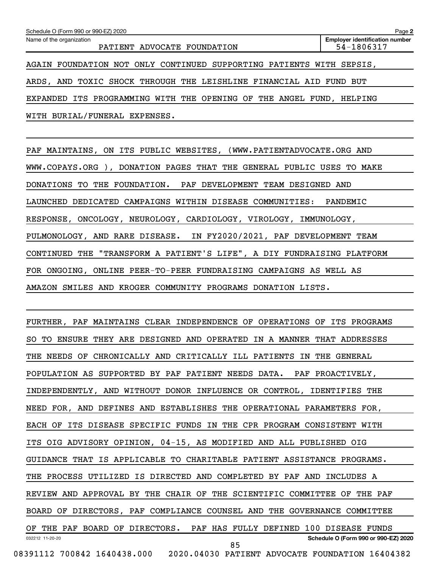| Schedule O (Form 990 or 990-EZ) 2020                                 | Page 2                                              |
|----------------------------------------------------------------------|-----------------------------------------------------|
| Name of the organization<br>PATIENT ADVOCATE FOUNDATION              | <b>Employer identification number</b><br>54-1806317 |
| AGAIN FOUNDATION NOT ONLY CONTINUED SUPPORTING PATIENTS WITH SEPSIS, |                                                     |
| ARDS, AND TOXIC SHOCK THROUGH THE LEISHLINE FINANCIAL AID FUND BUT   |                                                     |
| EXPANDED ITS PROGRAMMING WITH THE OPENING OF THE ANGEL FUND, HELPING |                                                     |
| WITH BURIAL/FUNERAL EXPENSES.                                        |                                                     |

PAF MAINTAINS, ON ITS PUBLIC WEBSITES, (WWW.PATIENTADVOCATE.ORG AND WWW.COPAYS.ORG ), DONATION PAGES THAT THE GENERAL PUBLIC USES TO MAKE DONATIONS TO THE FOUNDATION. PAF DEVELOPMENT TEAM DESIGNED AND LAUNCHED DEDICATED CAMPAIGNS WITHIN DISEASE COMMUNITIES: PANDEMIC RESPONSE, ONCOLOGY, NEUROLOGY, CARDIOLOGY, VIROLOGY, IMMUNOLOGY, PULMONOLOGY, AND RARE DISEASE. IN FY2020/2021, PAF DEVELOPMENT TEAM CONTINUED THE "TRANSFORM A PATIENT'S LIFE", A DIY FUNDRAISING PLATFORM FOR ONGOING, ONLINE PEER-TO-PEER FUNDRAISING CAMPAIGNS AS WELL AS AMAZON SMILES AND KROGER COMMUNITY PROGRAMS DONATION LISTS.

032212 11-20-20 **Schedule O (Form 990 or 990-EZ) 2020** FURTHER, PAF MAINTAINS CLEAR INDEPENDENCE OF OPERATIONS OF ITS PROGRAMS SO TO ENSURE THEY ARE DESIGNED AND OPERATED IN A MANNER THAT ADDRESSES THE NEEDS OF CHRONICALLY AND CRITICALLY ILL PATIENTS IN THE GENERAL POPULATION AS SUPPORTED BY PAF PATIENT NEEDS DATA. PAF PROACTIVELY, INDEPENDENTLY, AND WITHOUT DONOR INFLUENCE OR CONTROL, IDENTIFIES THE NEED FOR, AND DEFINES AND ESTABLISHES THE OPERATIONAL PARAMETERS FOR, EACH OF ITS DISEASE SPECIFIC FUNDS IN THE CPR PROGRAM CONSISTENT WITH ITS OIG ADVISORY OPINION, 04-15, AS MODIFIED AND ALL PUBLISHED OIG GUIDANCE THAT IS APPLICABLE TO CHARITABLE PATIENT ASSISTANCE PROGRAMS. THE PROCESS UTILIZED IS DIRECTED AND COMPLETED BY PAF AND INCLUDES A REVIEW AND APPROVAL BY THE CHAIR OF THE SCIENTIFIC COMMITTEE OF THE PAF BOARD OF DIRECTORS, PAF COMPLIANCE COUNSEL AND THE GOVERNANCE COMMITTEE OF THE PAF BOARD OF DIRECTORS. PAF HAS FULLY DEFINED 100 DISEASE FUNDS 08391112 700842 1640438.000 2020.04030 PATIENT ADVOCATE FOUNDATION 16404382 85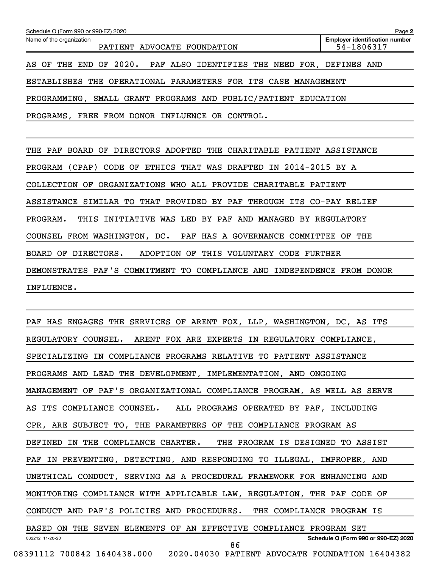| Schedule O (Form 990 or 990-EZ) 2020                           | Page 2                                              |
|----------------------------------------------------------------|-----------------------------------------------------|
| Name of the organization<br>PATIENT ADVOCATE FOUNDATION        | <b>Employer identification number</b><br>54-1806317 |
| AS OF THE END OF 2020. PAF ALSO IDENTIFIES THE NEED FOR,       | DEFINES AND                                         |
| ESTABLISHES THE OPERATIONAL PARAMETERS FOR ITS CASE MANAGEMENT |                                                     |
| PROGRAMMING, SMALL GRANT PROGRAMS AND PUBLIC/PATIENT EDUCATION |                                                     |
| FREE FROM DONOR INFLUENCE OR CONTROL.<br>PROGRAMS,             |                                                     |
|                                                                |                                                     |

THE PAF BOARD OF DIRECTORS ADOPTED THE CHARITABLE PATIENT ASSISTANCE PROGRAM (CPAP) CODE OF ETHICS THAT WAS DRAFTED IN 2014-2015 BY A COLLECTION OF ORGANIZATIONS WHO ALL PROVIDE CHARITABLE PATIENT ASSISTANCE SIMILAR TO THAT PROVIDED BY PAF THROUGH ITS CO-PAY RELIEF PROGRAM. THIS INITIATIVE WAS LED BY PAF AND MANAGED BY REGULATORY COUNSEL FROM WASHINGTON, DC. PAF HAS A GOVERNANCE COMMITTEE OF THE BOARD OF DIRECTORS. ADOPTION OF THIS VOLUNTARY CODE FURTHER DEMONSTRATES PAF'S COMMITMENT TO COMPLIANCE AND INDEPENDENCE FROM DONOR INFLUENCE.

032212 11-20-20 **Schedule O (Form 990 or 990-EZ) 2020** PAF HAS ENGAGES THE SERVICES OF ARENT FOX, LLP, WASHINGTON, DC, AS ITS REGULATORY COUNSEL. ARENT FOX ARE EXPERTS IN REGULATORY COMPLIANCE, SPECIALIZING IN COMPLIANCE PROGRAMS RELATIVE TO PATIENT ASSISTANCE PROGRAMS AND LEAD THE DEVELOPMENT, IMPLEMENTATION, AND ONGOING MANAGEMENT OF PAF'S ORGANIZATIONAL COMPLIANCE PROGRAM, AS WELL AS SERVE AS ITS COMPLIANCE COUNSEL. ALL PROGRAMS OPERATED BY PAF, INCLUDING CPR, ARE SUBJECT TO, THE PARAMETERS OF THE COMPLIANCE PROGRAM AS DEFINED IN THE COMPLIANCE CHARTER. THE PROGRAM IS DESIGNED TO ASSIST PAF IN PREVENTING, DETECTING, AND RESPONDING TO ILLEGAL, IMPROPER, AND UNETHICAL CONDUCT, SERVING AS A PROCEDURAL FRAMEWORK FOR ENHANCING AND MONITORING COMPLIANCE WITH APPLICABLE LAW, REGULATION, THE PAF CODE OF CONDUCT AND PAF'S POLICIES AND PROCEDURES. THE COMPLIANCE PROGRAM IS BASED ON THE SEVEN ELEMENTS OF AN EFFECTIVE COMPLIANCE PROGRAM SET 08391112 700842 1640438.000 2020.04030 PATIENT ADVOCATE FOUNDATION 16404382 86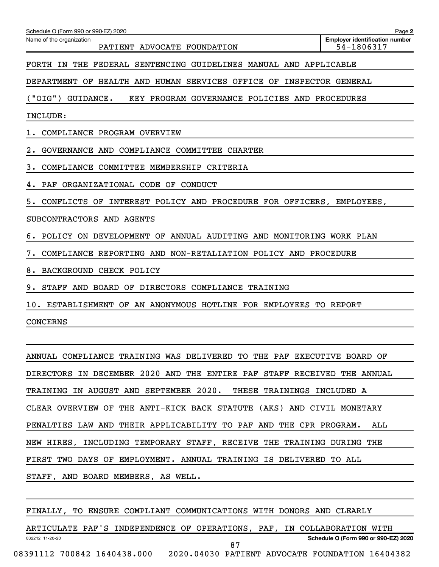| Schedule O (Form 990 or 990-EZ) 2020                                      | Page 2                                              |
|---------------------------------------------------------------------------|-----------------------------------------------------|
| Name of the organization<br>PATIENT ADVOCATE FOUNDATION                   | <b>Employer identification number</b><br>54-1806317 |
| FORTH IN THE<br>FEDERAL SENTENCING GUIDELINES MANUAL AND APPLICABLE       |                                                     |
| DEPARTMENT OF HEALTH AND HUMAN SERVICES OFFICE OF                         | INSPECTOR GENERAL                                   |
| (''OIG'')<br>GUIDANCE.<br>KEY PROGRAM GOVERNANCE POLICIES AND PROCEDURES  |                                                     |
| INCLUDE:                                                                  |                                                     |
| COMPLIANCE PROGRAM OVERVIEW<br>1.                                         |                                                     |
| GOVERNANCE AND COMPLIANCE COMMITTEE CHARTER                               |                                                     |
| з.<br>COMPLIANCE COMMITTEE MEMBERSHIP CRITERIA                            |                                                     |
| 4. PAF ORGANIZATIONAL CODE OF CONDUCT                                     |                                                     |
| CONFLICTS OF INTEREST POLICY AND PROCEDURE FOR OFFICERS, EMPLOYEES,<br>5. |                                                     |
| SUBCONTRACTORS AND AGENTS                                                 |                                                     |
| POLICY ON DEVELOPMENT OF ANNUAL AUDITING AND MONITORING WORK PLAN<br>б.   |                                                     |
| 7.<br>COMPLIANCE REPORTING AND NON-RETALIATION POLICY AND PROCEDURE       |                                                     |
| 8.<br>BACKGROUND CHECK POLICY                                             |                                                     |
| 9. STAFF AND BOARD OF DIRECTORS COMPLIANCE TRAINING                       |                                                     |
| ESTABLISHMENT OF AN ANONYMOUS HOTLINE FOR EMPLOYEES TO REPORT<br>10.      |                                                     |
| <b>CONCERNS</b>                                                           |                                                     |

ANNUAL COMPLIANCE TRAINING WAS DELIVERED TO THE PAF EXECUTIVE BOARD OF DIRECTORS IN DECEMBER 2020 AND THE ENTIRE PAF STAFF RECEIVED THE ANNUAL TRAINING IN AUGUST AND SEPTEMBER 2020. THESE TRAININGS INCLUDED A CLEAR OVERVIEW OF THE ANTI-KICK BACK STATUTE (AKS) AND CIVIL MONETARY PENALTIES LAW AND THEIR APPLICABILITY TO PAF AND THE CPR PROGRAM. ALL NEW HIRES, INCLUDING TEMPORARY STAFF, RECEIVE THE TRAINING DURING THE FIRST TWO DAYS OF EMPLOYMENT. ANNUAL TRAINING IS DELIVERED TO ALL STAFF, AND BOARD MEMBERS, AS WELL.

FINALLY, TO ENSURE COMPLIANT COMMUNICATIONS WITH DONORS AND CLEARLY

032212 11-20-20 **Schedule O (Form 990 or 990-EZ) 2020** ARTICULATE PAF'S INDEPENDENCE OF OPERATIONS, PAF, IN COLLABORATION WITH 08391112 700842 1640438.000 2020.04030 PATIENT ADVOCATE FOUNDATION 16404382 87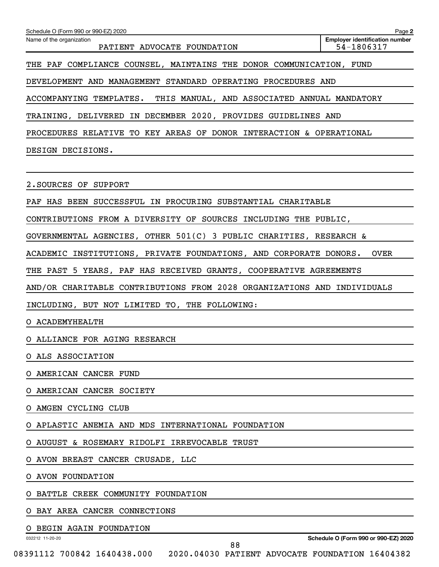| Schedule O (Form 990 or 990-EZ) 2020                                                                 | Page 2                                              |
|------------------------------------------------------------------------------------------------------|-----------------------------------------------------|
| Name of the organization<br>PATIENT ADVOCATE FOUNDATION                                              | <b>Employer identification number</b><br>54-1806317 |
| THE PAF COMPLIANCE COUNSEL, MAINTAINS THE DONOR COMMUNICATION, FUND                                  |                                                     |
| DEVELOPMENT AND MANAGEMENT STANDARD OPERATING PROCEDURES AND                                         |                                                     |
| ACCOMPANYING TEMPLATES. THIS MANUAL, AND ASSOCIATED ANNUAL MANDATORY                                 |                                                     |
| TRAINING, DELIVERED IN DECEMBER 2020, PROVIDES GUIDELINES AND                                        |                                                     |
| PROCEDURES RELATIVE TO KEY AREAS OF DONOR INTERACTION & OPERATIONAL                                  |                                                     |
| DESIGN DECISIONS.                                                                                    |                                                     |
|                                                                                                      |                                                     |
| 2. SOURCES OF SUPPORT                                                                                |                                                     |
| PAF HAS BEEN SUCCESSFUL IN PROCURING SUBSTANTIAL CHARITABLE                                          |                                                     |
| CONTRIBUTIONS FROM A DIVERSITY OF SOURCES INCLUDING THE PUBLIC,                                      |                                                     |
| GOVERNMENTAL AGENCIES, OTHER $501(C)$ 3 PUBLIC CHARITIES, RESEARCH &                                 |                                                     |
| ACADEMIC INSTITUTIONS, PRIVATE FOUNDATIONS, AND CORPORATE DONORS.                                    | <b>OVER</b>                                         |
| THE PAST 5 YEARS, PAF HAS RECEIVED GRANTS, COOPERATIVE AGREEMENTS                                    |                                                     |
| AND/OR CHARITABLE CONTRIBUTIONS FROM 2028 ORGANIZATIONS AND INDIVIDUALS                              |                                                     |
| INCLUDING, BUT NOT LIMITED TO, THE FOLLOWING:                                                        |                                                     |
| O ACADEMYHEALTH                                                                                      |                                                     |
| O ALLIANCE FOR AGING RESEARCH                                                                        |                                                     |
| ALS ASSOCIATION                                                                                      |                                                     |
| AMERICAN CANCER FUND                                                                                 |                                                     |
| AMERICAN CANCER SOCIETY                                                                              |                                                     |
| AMGEN CYCLING CLUB<br>O                                                                              |                                                     |
| APLASTIC ANEMIA AND MDS INTERNATIONAL FOUNDATION                                                     |                                                     |
| AUGUST & ROSEMARY RIDOLFI IRREVOCABLE TRUST                                                          |                                                     |
| AVON BREAST CANCER CRUSADE, LLC                                                                      |                                                     |
| AVON FOUNDATION                                                                                      |                                                     |
| BATTLE CREEK COMMUNITY FOUNDATION                                                                    |                                                     |
| BAY AREA CANCER CONNECTIONS                                                                          |                                                     |
| BEGIN AGAIN FOUNDATION                                                                               |                                                     |
| 032212 11-20-20<br>88<br>08391112 700842 1640438.000 2020.04030 PATIENT ADVOCATE FOUNDATION 16404382 | Schedule O (Form 990 or 990-EZ) 2020                |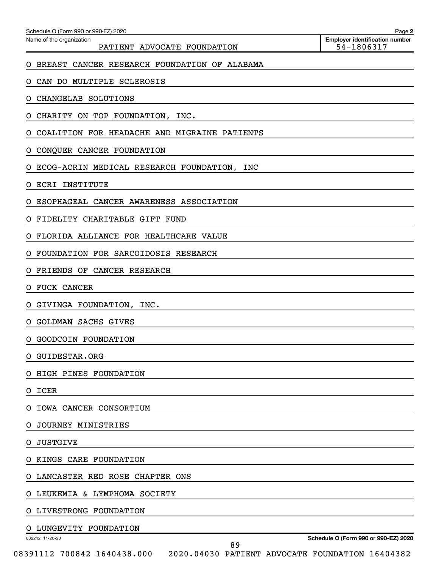| Name of the organization<br>PATIENT ADVOCATE FOUNDATION | <b>Employer identification number</b><br>54-1806317 |
|---------------------------------------------------------|-----------------------------------------------------|
| BREAST CANCER RESEARCH FOUNDATION OF ALABAMA<br>O.      |                                                     |
| CAN DO MULTIPLE SCLEROSIS<br>O.                         |                                                     |
| CHANGELAB SOLUTIONS<br>O.                               |                                                     |
| CHARITY ON TOP FOUNDATION, INC.<br>O.                   |                                                     |
| COALITION FOR HEADACHE AND MIGRAINE PATIENTS<br>O.      |                                                     |
| CONQUER CANCER FOUNDATION<br>O                          |                                                     |
| ECOG-ACRIN MEDICAL RESEARCH FOUNDATION, INC<br>O        |                                                     |
| ECRI INSTITUTE<br>O.                                    |                                                     |
| ESOPHAGEAL CANCER AWARENESS ASSOCIATION<br>O            |                                                     |
| FIDELITY CHARITABLE GIFT FUND<br>O                      |                                                     |
| FLORIDA ALLIANCE FOR HEALTHCARE VALUE<br>O              |                                                     |
| FOUNDATION FOR SARCOIDOSIS RESEARCH<br>O                |                                                     |
| FRIENDS OF CANCER RESEARCH<br>O                         |                                                     |
| <b>FUCK CANCER</b><br>O.                                |                                                     |
| GIVINGA FOUNDATION, INC.<br>O.                          |                                                     |
| O GOLDMAN SACHS GIVES                                   |                                                     |
| O GOODCOIN FOUNDATION                                   |                                                     |
| O GUIDESTAR.ORG                                         |                                                     |
| O HIGH PINES FOUNDATION                                 |                                                     |
| O ICER                                                  |                                                     |
| O IOWA CANCER CONSORTIUM                                |                                                     |
| O JOURNEY MINISTRIES                                    |                                                     |
| JUSTGIVE<br>O.                                          |                                                     |
| O KINGS CARE FOUNDATION                                 |                                                     |
| O LANCASTER RED ROSE CHAPTER ONS                        |                                                     |
| O LEUKEMIA & LYMPHOMA SOCIETY                           |                                                     |
| O LIVESTRONG FOUNDATION                                 |                                                     |
| O LUNGEVITY FOUNDATION                                  |                                                     |
| 032212 11-20-20<br>89                                   | Schedule O (Form 990 or 990-EZ) 2020                |

08391112 700842 1640438.000 2020.04030 PATIENT ADVOCATE FOUNDATION 16404382

Schedule O (Form 990 or 990-EZ) 2020

**2**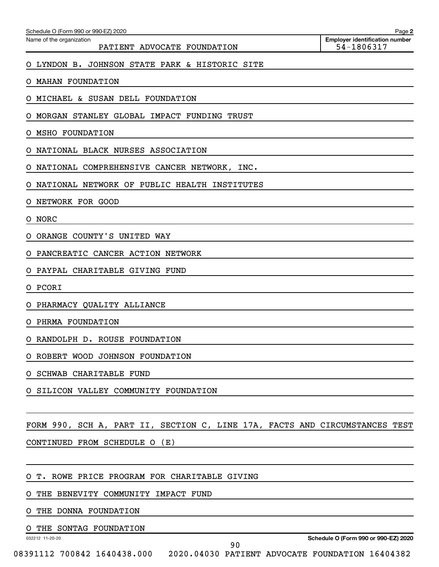| Schedule O (Form 990 or 990-EZ) 2020 | Page |  |  |
|--------------------------------------|------|--|--|
|--------------------------------------|------|--|--|

Name of the organization

PATIENT ADVOCATE FOUNDATION FOUND 1999 1999

O LYNDON B. JOHNSON STATE PARK & HISTORIC SITE

O MAHAN FOUNDATION

O MICHAEL & SUSAN DELL FOUNDATION

O MORGAN STANLEY GLOBAL IMPACT FUNDING TRUST

O MSHO FOUNDATION

O NATIONAL BLACK NURSES ASSOCIATION

O NATIONAL COMPREHENSIVE CANCER NETWORK, INC.

O NATIONAL NETWORK OF PUBLIC HEALTH INSTITUTES

O NETWORK FOR GOOD

O NORC

O ORANGE COUNTY'S UNITED WAY

O PANCREATIC CANCER ACTION NETWORK

O PAYPAL CHARITABLE GIVING FUND

O PCORI

O PHARMACY QUALITY ALLIANCE

O PHRMA FOUNDATION

O RANDOLPH D. ROUSE FOUNDATION

O ROBERT WOOD JOHNSON FOUNDATION

O SCHWAB CHARITABLE FUND

O SILICON VALLEY COMMUNITY FOUNDATION

FORM 990, SCH A, PART II, SECTION C, LINE 17A, FACTS AND CIRCUMSTANCES TEST

CONTINUED FROM SCHEDULE O (E)

O T. ROWE PRICE PROGRAM FOR CHARITABLE GIVING

O THE BENEVITY COMMUNITY IMPACT FUND

O THE DONNA FOUNDATION

THE SONTAG FOUNDATION

032212 11-20-20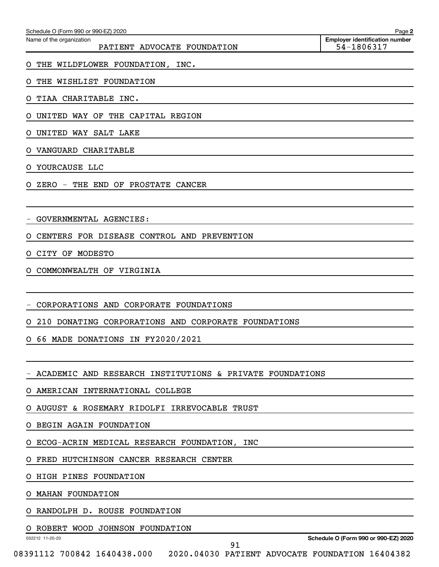| <b>Employer identification number</b><br>54-1806317                                                                 |
|---------------------------------------------------------------------------------------------------------------------|
|                                                                                                                     |
|                                                                                                                     |
|                                                                                                                     |
|                                                                                                                     |
|                                                                                                                     |
|                                                                                                                     |
|                                                                                                                     |
|                                                                                                                     |
|                                                                                                                     |
|                                                                                                                     |
|                                                                                                                     |
|                                                                                                                     |
|                                                                                                                     |
|                                                                                                                     |
|                                                                                                                     |
|                                                                                                                     |
|                                                                                                                     |
|                                                                                                                     |
|                                                                                                                     |
|                                                                                                                     |
|                                                                                                                     |
|                                                                                                                     |
|                                                                                                                     |
|                                                                                                                     |
|                                                                                                                     |
|                                                                                                                     |
|                                                                                                                     |
|                                                                                                                     |
| Schedule O (Form 990 or 990-EZ) 2020<br>08391112 700842 1640438.000 2020.04030 PATIENT ADVOCATE FOUNDATION 16404382 |
|                                                                                                                     |

Schedule O (Form 990 or 990-EZ) 2020

**2**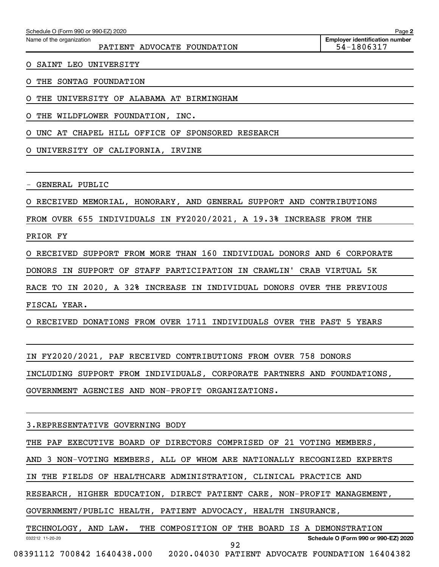| Schedule O (Form 990 or 990-EZ) 2020 |  |                             | Page 2                                |
|--------------------------------------|--|-----------------------------|---------------------------------------|
| Name of the organization             |  |                             | <b>Employer identification number</b> |
|                                      |  | PATIENT ADVOCATE FOUNDATION | 54-1806317                            |
|                                      |  |                             |                                       |

O SAINT LEO UNIVERSITY

O THE SONTAG FOUNDATION

O THE UNIVERSITY OF ALABAMA AT BIRMINGHAM

O THE WILDFLOWER FOUNDATION, INC.

O UNC AT CHAPEL HILL OFFICE OF SPONSORED RESEARCH

O UNIVERSITY OF CALIFORNIA, IRVINE

- GENERAL PUBLIC

O RECEIVED MEMORIAL, HONORARY, AND GENERAL SUPPORT AND CONTRIBUTIONS

FROM OVER 655 INDIVIDUALS IN FY2020/2021, A 19.3% INCREASE FROM THE

PRIOR FY

O RECEIVED SUPPORT FROM MORE THAN 160 INDIVIDUAL DONORS AND 6 CORPORATE

DONORS IN SUPPORT OF STAFF PARTICIPATION IN CRAWLIN' CRAB VIRTUAL 5K

RACE TO IN 2020, A 32% INCREASE IN INDIVIDUAL DONORS OVER THE PREVIOUS

FISCAL YEAR.

O RECEIVED DONATIONS FROM OVER 1711 INDIVIDUALS OVER THE PAST 5 YEARS

IN FY2020/2021, PAF RECEIVED CONTRIBUTIONS FROM OVER 758 DONORS

INCLUDING SUPPORT FROM INDIVIDUALS, CORPORATE PARTNERS AND FOUNDATIONS,

GOVERNMENT AGENCIES AND NON-PROFIT ORGANIZATIONS.

3. REPRESENTATIVE GOVERNING BODY

THE PAF EXECUTIVE BOARD OF DIRECTORS COMPRISED OF 21 VOTING MEMBERS,

AND 3 NON-VOTING MEMBERS, ALL OF WHOM ARE NATIONALLY RECOGNIZED EXPERTS

IN THE FIELDS OF HEALTHCARE ADMINISTRATION, CLINICAL PRACTICE AND

RESEARCH, HIGHER EDUCATION, DIRECT PATIENT CARE, NON-PROFIT MANAGEMENT,

GOVERNMENT/PUBLIC HEALTH, PATIENT ADVOCACY, HEALTH INSURANCE,

032212 11-20-20 **Schedule O (Form 990 or 990-EZ) 2020** TECHNOLOGY, AND LAW. THE COMPOSITION OF THE BOARD IS A DEMONSTRATION 08391112 700842 1640438.000 2020.04030 PATIENT ADVOCATE FOUNDATION 16404382 92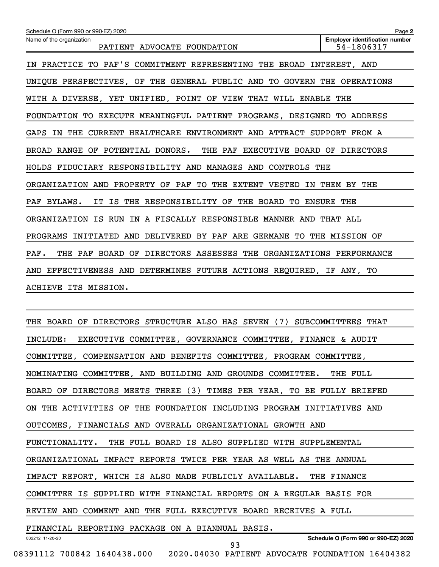| Schedule O (Form 990 or 990-EZ) 2020                                        | Page 2                                              |
|-----------------------------------------------------------------------------|-----------------------------------------------------|
| Name of the organization<br>PATIENT ADVOCATE FOUNDATION                     | <b>Employer identification number</b><br>54-1806317 |
| IN PRACTICE TO PAF'S COMMITMENT REPRESENTING THE BROAD INTEREST, AND        |                                                     |
| UNIQUE PERSPECTIVES, OF THE GENERAL PUBLIC AND TO GOVERN THE OPERATIONS     |                                                     |
| WITH A DIVERSE, YET UNIFIED, POINT OF VIEW THAT WILL ENABLE                 | THE                                                 |
| FOUNDATION TO EXECUTE MEANINGFUL PATIENT PROGRAMS, DESIGNED                 | <b>TO ADDRESS</b>                                   |
| IN THE CURRENT HEALTHCARE ENVIRONMENT AND ATTRACT SUPPORT FROM A<br>GAPS    |                                                     |
| BROAD RANGE OF POTENTIAL DONORS.<br>THE PAF<br>EXECUTIVE BOARD OF DIRECTORS |                                                     |
| HOLDS FIDUCIARY RESPONSIBILITY AND MANAGES AND CONTROLS THE                 |                                                     |
| ORGANIZATION AND PROPERTY OF PAF TO THE EXTENT VESTED<br>IN                 | THEM BY THE                                         |
| IT IS THE RESPONSIBILITY OF THE BOARD TO ENSURE THE<br>PAF BYLAWS.          |                                                     |
| ORGANIZATION IS RUN IN A FISCALLY RESPONSIBLE MANNER AND THAT ALL           |                                                     |
| PROGRAMS INITIATED AND DELIVERED BY PAF ARE GERMANE TO THE MISSION OF       |                                                     |
| PAF.<br>THE PAF BOARD OF DIRECTORS ASSESSES THE ORGANIZATIONS PERFORMANCE   |                                                     |
| AND EFFECTIVENESS AND DETERMINES FUTURE ACTIONS REQUIRED, IF ANY, TO        |                                                     |
| ACHIEVE ITS MISSION.                                                        |                                                     |
|                                                                             |                                                     |
| THE BOARD OF DIRECTORS STRUCTURE ALSO HAS SEVEN (7)                         | SUBCOMMITTEES THAT                                  |
| EXECUTIVE COMMITTEE, GOVERNANCE COMMITTEE, FINANCE & AUDIT<br>INCLUDE:      |                                                     |
| COMMITTEE, COMPENSATION AND BENEFITS COMMITTEE, PROGRAM COMMITTEE,          |                                                     |
| NOMINATING COMMITTEE, AND BUILDING AND GROUNDS COMMITTEE. THE FULL          |                                                     |
| BOARD OF DIRECTORS MEETS THREE (3) TIMES PER YEAR, TO BE FULLY BRIEFED      |                                                     |
| ON THE ACTIVITIES OF THE FOUNDATION INCLUDING PROGRAM INITIATIVES AND       |                                                     |
| OUTCOMES, FINANCIALS AND OVERALL ORGANIZATIONAL GROWTH AND                  |                                                     |
| FUNCTIONALITY. THE FULL BOARD IS ALSO SUPPLIED WITH SUPPLEMENTAL            |                                                     |
| ORGANIZATIONAL IMPACT REPORTS TWICE PER YEAR AS WELL AS THE ANNUAL          |                                                     |
| IMPACT REPORT, WHICH IS ALSO MADE PUBLICLY AVAILABLE. THE FINANCE           |                                                     |
| COMMITTEE IS SUPPLIED WITH FINANCIAL REPORTS ON A REGULAR BASIS FOR         |                                                     |
| REVIEW AND COMMENT AND THE FULL EXECUTIVE BOARD RECEIVES A FULL             |                                                     |
| FINANCIAL REPORTING PACKAGE ON A BIANNUAL BASIS.                            |                                                     |

032212 11-20-20

**Schedule O (Form 990 or 990-EZ) 2020**

93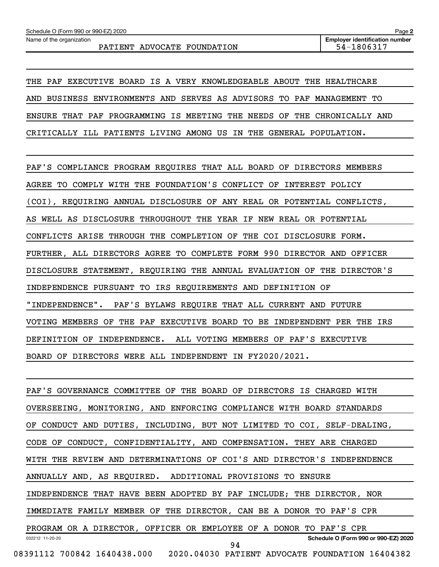THE PAF EXECUTIVE BOARD IS A VERY KNOWLEDGEABLE ABOUT THE HEALTHCARE AND BUSINESS ENVIRONMENTS AND SERVES AS ADVISORS TO PAF MANAGEMENT TO ENSURE THAT PAF PROGRAMMING IS MEETING THE NEEDS OF THE CHRONICALLY AND CRITICALLY ILL PATIENTS LIVING AMONG US IN THE GENERAL POPULATION.

PAF'S COMPLIANCE PROGRAM REQUIRES THAT ALL BOARD OF DIRECTORS MEMBERS AGREE TO COMPLY WITH THE FOUNDATION'S CONFLICT OF INTEREST POLICY (COI), REQUIRING ANNUAL DISCLOSURE OF ANY REAL OR POTENTIAL CONFLICTS, AS WELL AS DISCLOSURE THROUGHOUT THE YEAR IF NEW REAL OR POTENTIAL CONFLICTS ARISE THROUGH THE COMPLETION OF THE COI DISCLOSURE FORM. FURTHER, ALL DIRECTORS AGREE TO COMPLETE FORM 990 DIRECTOR AND OFFICER DISCLOSURE STATEMENT, REQUIRING THE ANNUAL EVALUATION OF THE DIRECTOR'S INDEPENDENCE PURSUANT TO IRS REQUIREMENTS AND DEFINITION OF "INDEPENDENCE". PAF'S BYLAWS REQUIRE THAT ALL CURRENT AND FUTURE VOTING MEMBERS OF THE PAF EXECUTIVE BOARD TO BE INDEPENDENT PER THE IRS DEFINITION OF INDEPENDENCE. ALL VOTING MEMBERS OF PAF'S EXECUTIVE BOARD OF DIRECTORS WERE ALL INDEPENDENT IN FY2020/2021.

032212 11-20-20 **Schedule O (Form 990 or 990-EZ) 2020** PAF'S GOVERNANCE COMMITTEE OF THE BOARD OF DIRECTORS IS CHARGED WITH OVERSEEING, MONITORING, AND ENFORCING COMPLIANCE WITH BOARD STANDARDS OF CONDUCT AND DUTIES, INCLUDING, BUT NOT LIMITED TO COI, SELF-DEALING, CODE OF CONDUCT, CONFIDENTIALITY, AND COMPENSATION. THEY ARE CHARGED WITH THE REVIEW AND DETERMINATIONS OF COI'S AND DIRECTOR'S INDEPENDENCE ANNUALLY AND, AS REQUIRED. ADDITIONAL PROVISIONS TO ENSURE INDEPENDENCE THAT HAVE BEEN ADOPTED BY PAF INCLUDE; THE DIRECTOR, NOR IMMEDIATE FAMILY MEMBER OF THE DIRECTOR, CAN BE A DONOR TO PAF'S CPR PROGRAM OR A DIRECTOR, OFFICER OR EMPLOYEE OF A DONOR TO PAF'S CPR 08391112 700842 1640438.000 2020.04030 PATIENT ADVOCATE FOUNDATION 16404382 94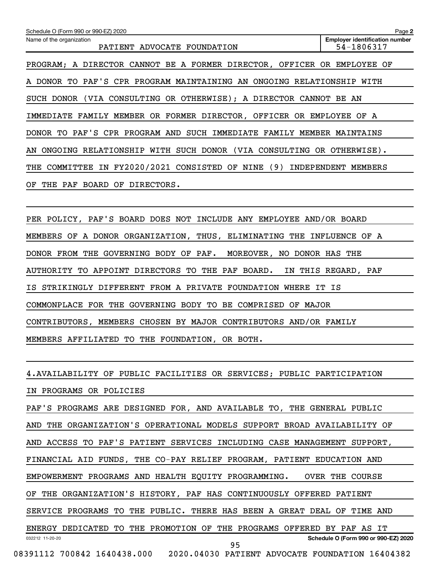| Schedule O (Form 990 or 990-EZ) 2020                                      | Page 2                                              |
|---------------------------------------------------------------------------|-----------------------------------------------------|
| Name of the organization<br>PATIENT<br>ADVOCATE FOUNDATION                | <b>Employer identification number</b><br>54-1806317 |
| PROGRAM; A DIRECTOR CANNOT BE A FORMER DIRECTOR, OFFICER OR EMPLOYEE OF   |                                                     |
| A DONOR TO PAF'S CPR PROGRAM MAINTAINING AN ONGOING RELATIONSHIP          | WITH                                                |
| SUCH DONOR (VIA CONSULTING OR OTHERWISE); A DIRECTOR CANNOT BE AN         |                                                     |
| FAMILY MEMBER OR FORMER DIRECTOR, OFFICER OR EMPLOYEE OF A<br>IMMEDIATE   |                                                     |
| DONOR TO PAF'S CPR PROGRAM AND SUCH IMMEDIATE<br>FAMILY MEMBER            | MAINTAINS                                           |
| AN ONGOING RELATIONSHIP WITH SUCH DONOR (VIA CONSULTING OR OTHERWISE).    |                                                     |
| COMMITTEE IN FY2020/2021 CONSISTED OF NINE (9) INDEPENDENT MEMBERS<br>THE |                                                     |
| THE PAF<br>BOARD OF<br>DIRECTORS.<br>OF                                   |                                                     |
|                                                                           |                                                     |

PER POLICY, PAF'S BOARD DOES NOT INCLUDE ANY EMPLOYEE AND/OR BOARD MEMBERS OF A DONOR ORGANIZATION, THUS, ELIMINATING THE INFLUENCE OF A DONOR FROM THE GOVERNING BODY OF PAF. MOREOVER, NO DONOR HAS THE AUTHORITY TO APPOINT DIRECTORS TO THE PAF BOARD. IN THIS REGARD, PAF IS STRIKINGLY DIFFERENT FROM A PRIVATE FOUNDATION WHERE IT IS COMMONPLACE FOR THE GOVERNING BODY TO BE COMPRISED OF MAJOR CONTRIBUTORS, MEMBERS CHOSEN BY MAJOR CONTRIBUTORS AND/OR FAMILY MEMBERS AFFILIATED TO THE FOUNDATION, OR BOTH.

032212 11-20-20 **Schedule O (Form 990 or 990-EZ) 2020** 4. AVAILABILITY OF PUBLIC FACILITIES OR SERVICES; PUBLIC PARTICIPATION IN PROGRAMS OR POLICIES PAF'S PROGRAMS ARE DESIGNED FOR, AND AVAILABLE TO, THE GENERAL PUBLIC AND THE ORGANIZATION'S OPERATIONAL MODELS SUPPORT BROAD AVAILABILITY OF AND ACCESS TO PAF'S PATIENT SERVICES INCLUDING CASE MANAGEMENT SUPPORT, FINANCIAL AID FUNDS, THE CO-PAY RELIEF PROGRAM, PATIENT EDUCATION AND EMPOWERMENT PROGRAMS AND HEALTH EQUITY PROGRAMMING. OVER THE COURSE OF THE ORGANIZATION'S HISTORY, PAF HAS CONTINUOUSLY OFFERED PATIENT SERVICE PROGRAMS TO THE PUBLIC. THERE HAS BEEN A GREAT DEAL OF TIME AND ENERGY DEDICATED TO THE PROMOTION OF THE PROGRAMS OFFERED BY PAF AS IT 08391112 700842 1640438.000 2020.04030 PATIENT ADVOCATE FOUNDATION 16404382 95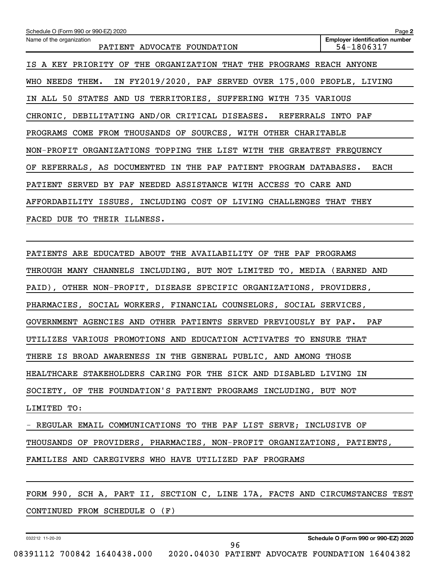| Schedule O (Form 990 or 990-EZ) 2020                                     | Page 2                                              |
|--------------------------------------------------------------------------|-----------------------------------------------------|
| Name of the organization<br>PATIENT ADVOCATE FOUNDATION                  | <b>Employer identification number</b><br>54-1806317 |
| A KEY PRIORITY OF THE ORGANIZATION THAT THE PROGRAMS REACH ANYONE<br>IS. |                                                     |
| WHO NEEDS THEM. IN FY2019/2020, PAF SERVED OVER 175,000 PEOPLE, LIVING   |                                                     |
| IN ALL 50 STATES AND US TERRITORIES, SUFFERING WITH 735 VARIOUS          |                                                     |
| CHRONIC, DEBILITATING AND/OR CRITICAL DISEASES. REFERRALS INTO PAF       |                                                     |
| PROGRAMS COME FROM THOUSANDS OF SOURCES, WITH OTHER CHARITABLE           |                                                     |
| NON-PROFIT ORGANIZATIONS TOPPING THE LIST WITH THE GREATEST FREQUENCY    |                                                     |
| OF REFERRALS, AS DOCUMENTED IN THE PAF PATIENT PROGRAM DATABASES.        | EACH                                                |
| PATIENT SERVED BY PAF NEEDED ASSISTANCE WITH ACCESS TO CARE AND          |                                                     |
| AFFORDABILITY ISSUES, INCLUDING COST OF LIVING CHALLENGES THAT THEY      |                                                     |
| FACED DUE TO THEIR ILLNESS.                                              |                                                     |
|                                                                          |                                                     |
|                                                                          |                                                     |

PATIENTS ARE EDUCATED ABOUT THE AVAILABILITY OF THE PAF PROGRAMS THROUGH MANY CHANNELS INCLUDING, BUT NOT LIMITED TO, MEDIA (EARNED AND PAID), OTHER NON-PROFIT, DISEASE SPECIFIC ORGANIZATIONS, PROVIDERS, PHARMACIES, SOCIAL WORKERS, FINANCIAL COUNSELORS, SOCIAL SERVICES, GOVERNMENT AGENCIES AND OTHER PATIENTS SERVED PREVIOUSLY BY PAF. PAF UTILIZES VARIOUS PROMOTIONS AND EDUCATION ACTIVATES TO ENSURE THAT THERE IS BROAD AWARENESS IN THE GENERAL PUBLIC, AND AMONG THOSE HEALTHCARE STAKEHOLDERS CARING FOR THE SICK AND DISABLED LIVING IN SOCIETY, OF THE FOUNDATION'S PATIENT PROGRAMS INCLUDING, BUT NOT LIMITED TO:

- REGULAR EMAIL COMMUNICATIONS TO THE PAF LIST SERVE; INCLUSIVE OF THOUSANDS OF PROVIDERS, PHARMACIES, NON-PROFIT ORGANIZATIONS, PATIENTS, FAMILIES AND CAREGIVERS WHO HAVE UTILIZED PAF PROGRAMS

FORM 990, SCH A, PART II, SECTION C, LINE 17A, FACTS AND CIRCUMSTANCES TEST

96

CONTINUED FROM SCHEDULE O (F)

032212 11-20-20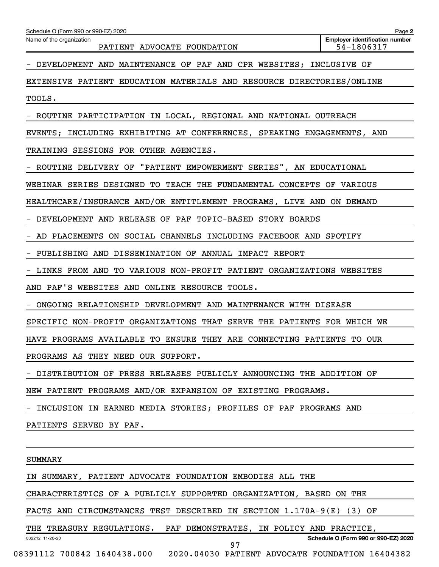| - DEVELOPMENT AND MAINTENANCE OF PAF AND CPR WEBSITES; INCLUSIVE OF         |
|-----------------------------------------------------------------------------|
| EXTENSIVE PATIENT EDUCATION MATERIALS AND RESOURCE DIRECTORIES/ONLINE       |
| TOOLS.                                                                      |
| - ROUTINE PARTICIPATION IN LOCAL, REGIONAL AND NATIONAL OUTREACH            |
| EVENTS; INCLUDING EXHIBITING AT CONFERENCES, SPEAKING ENGAGEMENTS, AND      |
| TRAINING SESSIONS FOR OTHER AGENCIES.                                       |
| - ROUTINE DELIVERY OF "PATIENT EMPOWERMENT SERIES", AN EDUCATIONAL          |
| WEBINAR SERIES DESIGNED TO TEACH THE FUNDAMENTAL CONCEPTS OF VARIOUS        |
| HEALTHCARE/INSURANCE AND/OR ENTITLEMENT PROGRAMS, LIVE AND ON DEMAND        |
| - DEVELOPMENT AND RELEASE OF PAF TOPIC-BASED STORY BOARDS                   |
| - AD PLACEMENTS ON SOCIAL CHANNELS INCLUDING FACEBOOK AND SPOTIFY           |
| - PUBLISHING AND DISSEMINATION OF ANNUAL IMPACT REPORT                      |
| - LINKS FROM AND TO VARIOUS NON-PROFIT PATIENT ORGANIZATIONS WEBSITES       |
| AND PAF'S WEBSITES AND ONLINE RESOURCE TOOLS.                               |
| - ONGOING RELATIONSHIP DEVELOPMENT AND MAINTENANCE WITH DISEASE             |
| SPECIFIC NON-PROFIT ORGANIZATIONS THAT SERVE THE PATIENTS FOR WHICH WE      |
| HAVE PROGRAMS AVAILABLE TO ENSURE THEY ARE CONNECTING PATIENTS TO OUR       |
| PROGRAMS AS THEY NEED OUR SUPPORT.                                          |
| - DISTRIBUTION OF PRESS RELEASES PUBLICLY ANNOUNCING THE ADDITION OF        |
| NEW PATIENT PROGRAMS AND/OR EXPANSION OF EXISTING PROGRAMS.                 |
| INCLUSION IN EARNED MEDIA STORIES; PROFILES OF PAF PROGRAMS AND             |
| PATIENTS SERVED BY PAF.                                                     |
|                                                                             |
| SUMMARY                                                                     |
| IN SUMMARY, PATIENT ADVOCATE FOUNDATION EMBODIES ALL THE                    |
| CHARACTERISTICS OF A PUBLICLY SUPPORTED ORGANIZATION, BASED ON THE          |
| FACTS AND CIRCUMSTANCES TEST DESCRIBED IN SECTION 1.170A-9(E) (3) OF        |
| THE TREASURY REGULATIONS. PAF DEMONSTRATES, IN POLICY AND PRACTICE,         |
| Schedule O (Form 990 or 990-EZ) 2020<br>032212 11-20-20<br>97               |
| 08391112 700842 1640438.000 2020.04030 PATIENT ADVOCATE FOUNDATION 16404382 |

Schedule O (Form 990 or 990-EZ) 2020

PATIENT ADVOCATE FOUNDATION

Name of the organization

**2**

**Employer identification number**<br>54-1806317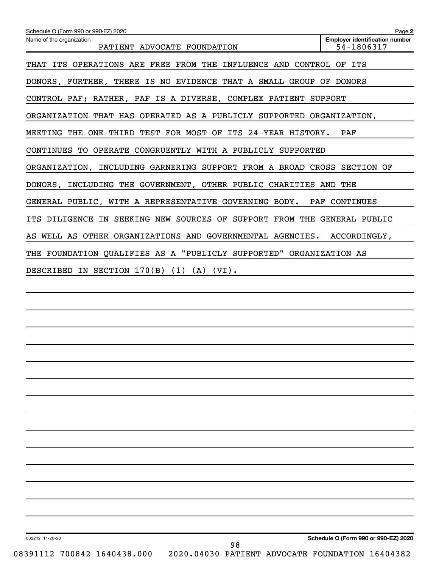| Schedule O (Form 990 or 990-EZ) 2020                                    | Page 2                                              |
|-------------------------------------------------------------------------|-----------------------------------------------------|
| Name of the organization<br>PATIENT ADVOCATE FOUNDATION                 | <b>Employer identification number</b><br>54-1806317 |
| THAT ITS OPERATIONS ARE FREE FROM THE INFLUENCE AND CONTROL OF ITS      |                                                     |
| DONORS, FURTHER, THERE IS NO EVIDENCE THAT A SMALL GROUP OF DONORS      |                                                     |
| CONTROL PAF; RATHER, PAF IS A DIVERSE, COMPLEX PATIENT SUPPORT          |                                                     |
| ORGANIZATION THAT HAS OPERATED AS A PUBLICLY SUPPORTED ORGANIZATION,    |                                                     |
| MEETING THE ONE-THIRD TEST FOR MOST OF ITS 24-YEAR HISTORY.             | PAF                                                 |
| CONTINUES TO OPERATE CONGRUENTLY WITH A PUBLICLY SUPPORTED              |                                                     |
| ORGANIZATION, INCLUDING GARNERING SUPPORT FROM A BROAD CROSS SECTION OF |                                                     |
| DONORS, INCLUDING THE GOVERNMENT, OTHER PUBLIC CHARITIES AND THE        |                                                     |
| GENERAL PUBLIC, WITH A REPRESENTATIVE GOVERNING BODY. PAF CONTINUES     |                                                     |
| ITS DILIGENCE IN SEEKING NEW SOURCES OF SUPPORT FROM THE GENERAL PUBLIC |                                                     |
| AS WELL AS OTHER ORGANIZATIONS AND GOVERNMENTAL AGENCIES. ACCORDINGLY,  |                                                     |
| THE FOUNDATION QUALIFIES AS A "PUBLICLY SUPPORTED" ORGANIZATION AS      |                                                     |
| DESCRIBED IN SECTION 170(B) (1) (A) (VI).                               |                                                     |
|                                                                         |                                                     |
|                                                                         |                                                     |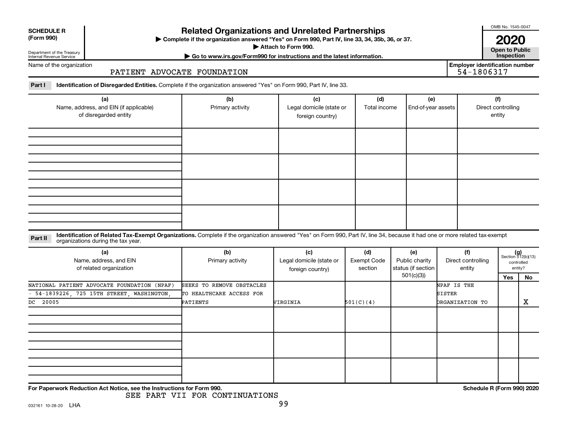| <b>SCHEDULE R</b> |  |
|-------------------|--|
|                   |  |

#### Department of the Treasury Internal Revenue Service

# **Related Organizations and Unrelated Partnerships**

**(Form 990) Complete if the organization answered "Yes" on Form 990, Part IV, line 33, 34, 35b, 36, or 37.** |

■ Attach to Form 990. **Dependent of Attach to Form 990.** Open to Public

**2020**<br>Open to Public

**Employer identification number**

OMB No. 1545-0047

**| Go to www.irs.gov/Form990 for instructions and the latest information. Inspection**

Name of the organization

## PATIENT ADVOCATE FOUNDATION

Part I ldentification of Disregarded Entities. Complete if the organization answered "Yes" on Form 990, Part IV, line 33.

| (a)<br>Name, address, and EIN (if applicable)<br>of disregarded entity | (b)<br>Primary activity | (c)<br>Legal domicile (state or<br>foreign country) | (d)<br>Total income | (e)<br>End-of-year assets | (f)<br>Direct controlling<br>entity |
|------------------------------------------------------------------------|-------------------------|-----------------------------------------------------|---------------------|---------------------------|-------------------------------------|
|                                                                        |                         |                                                     |                     |                           |                                     |
|                                                                        |                         |                                                     |                     |                           |                                     |
|                                                                        |                         |                                                     |                     |                           |                                     |
|                                                                        |                         |                                                     |                     |                           |                                     |

### **Part II** Identification of Related Tax-Exempt Organizations. Complete if the organization answered "Yes" on Form 990, Part IV, line 34, because it had one or more related tax-exempt<br>Part II acconizations during the tax ye organizations during the tax year.

| (a)<br>Name, address, and EIN<br>of related organization | (b)<br>Primary activity   | (c)<br>Legal domicile (state or<br>foreign country) | (d)<br>Exempt Code<br>section | (e)<br>Public charity<br>status (if section | (f)<br>Direct controlling<br>entity | $(g)$<br>Section 512(b)(13) | controlled<br>entity? |
|----------------------------------------------------------|---------------------------|-----------------------------------------------------|-------------------------------|---------------------------------------------|-------------------------------------|-----------------------------|-----------------------|
|                                                          |                           |                                                     |                               | 501(c)(3)                                   |                                     | Yes                         | No                    |
| NATIONAL PATIENT ADVOCATE FOUNDATION (NPAF)              | SEEKS TO REMOVE OBSTACLES |                                                     |                               |                                             | NPAF IS THE                         |                             |                       |
| - 54-1839226, 725 15TH STREET, WASHINGTON,               | TO HEALTHCARE ACCESS FOR  |                                                     |                               |                                             | SISTER                              |                             |                       |
| DC 20005                                                 | PATIENTS                  | VIRGINIA                                            | 501(C)(4)                     |                                             | <b>DRGANIZATION TO</b>              |                             | х                     |
|                                                          |                           |                                                     |                               |                                             |                                     |                             |                       |
|                                                          |                           |                                                     |                               |                                             |                                     |                             |                       |
|                                                          |                           |                                                     |                               |                                             |                                     |                             |                       |

**For Paperwork Reduction Act Notice, see the Instructions for Form 990. Schedule R (Form 990) 2020**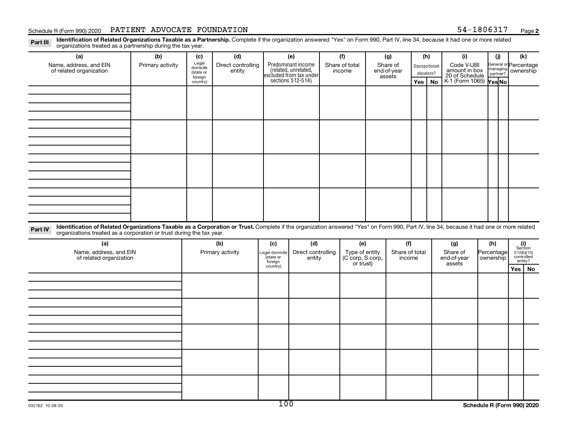## Schedule R (Form 990) 2020 PATIENT ADVOCATE FOUNDATION  $54-1806317$  Page

Part III Identification of Related Organizations Taxable as a Partnership. Complete if the organization answered "Yes" on Form 990, Part IV, line 34, because it had one or more related<br>Read to the organizations tracted as organizations treated as a partnership during the tax year.

| organizations treated as a partnership during the tax year.                                                                                                                              |                  |                      |                    |                             |                                              |  |                                                 |  |             |                |                  |                                                           |                          |                       |                                                                                                                                   |  |  |  |           |  |
|------------------------------------------------------------------------------------------------------------------------------------------------------------------------------------------|------------------|----------------------|--------------------|-----------------------------|----------------------------------------------|--|-------------------------------------------------|--|-------------|----------------|------------------|-----------------------------------------------------------|--------------------------|-----------------------|-----------------------------------------------------------------------------------------------------------------------------------|--|--|--|-----------|--|
| (a)                                                                                                                                                                                      | (b)              | (c)                  | (d)                |                             | (e)                                          |  | (f)                                             |  | (g)         | (h)            |                  | (i)                                                       |                          | (i)                   | (k)                                                                                                                               |  |  |  |           |  |
| Name, address, and EIN                                                                                                                                                                   | Primary activity | Legal<br>domicile    | Direct controlling |                             | Predominant income<br>(related, unrelated,   |  | Share of total                                  |  | Share of    |                | Disproportionate | Code V-UBI                                                |                          | General or Percentage |                                                                                                                                   |  |  |  |           |  |
| of related organization                                                                                                                                                                  |                  | (state or<br>foreign | entity             |                             | excluded from tax under<br>sections 512-514) |  | income                                          |  | end-of-year |                | assets           |                                                           |                          |                       | allocations?                                                                                                                      |  |  |  | ownership |  |
|                                                                                                                                                                                          |                  | country)             |                    |                             |                                              |  |                                                 |  |             | Yes            | <b>No</b>        | amount in box<br>20 of Schedule<br>K-1 (Form 1065) Yes No |                          |                       |                                                                                                                                   |  |  |  |           |  |
|                                                                                                                                                                                          |                  |                      |                    |                             |                                              |  |                                                 |  |             |                |                  |                                                           |                          |                       |                                                                                                                                   |  |  |  |           |  |
|                                                                                                                                                                                          |                  |                      |                    |                             |                                              |  |                                                 |  |             |                |                  |                                                           |                          |                       |                                                                                                                                   |  |  |  |           |  |
|                                                                                                                                                                                          |                  |                      |                    |                             |                                              |  |                                                 |  |             |                |                  |                                                           |                          |                       |                                                                                                                                   |  |  |  |           |  |
|                                                                                                                                                                                          |                  |                      |                    |                             |                                              |  |                                                 |  |             |                |                  |                                                           |                          |                       |                                                                                                                                   |  |  |  |           |  |
|                                                                                                                                                                                          |                  |                      |                    |                             |                                              |  |                                                 |  |             |                |                  |                                                           |                          |                       |                                                                                                                                   |  |  |  |           |  |
|                                                                                                                                                                                          |                  |                      |                    |                             |                                              |  |                                                 |  |             |                |                  |                                                           |                          |                       |                                                                                                                                   |  |  |  |           |  |
|                                                                                                                                                                                          |                  |                      |                    |                             |                                              |  |                                                 |  |             |                |                  |                                                           |                          |                       |                                                                                                                                   |  |  |  |           |  |
|                                                                                                                                                                                          |                  |                      |                    |                             |                                              |  |                                                 |  |             |                |                  |                                                           |                          |                       |                                                                                                                                   |  |  |  |           |  |
|                                                                                                                                                                                          |                  |                      |                    |                             |                                              |  |                                                 |  |             |                |                  |                                                           |                          |                       |                                                                                                                                   |  |  |  |           |  |
|                                                                                                                                                                                          |                  |                      |                    |                             |                                              |  |                                                 |  |             |                |                  |                                                           |                          |                       |                                                                                                                                   |  |  |  |           |  |
|                                                                                                                                                                                          |                  |                      |                    |                             |                                              |  |                                                 |  |             |                |                  |                                                           |                          |                       |                                                                                                                                   |  |  |  |           |  |
|                                                                                                                                                                                          |                  |                      |                    |                             |                                              |  |                                                 |  |             |                |                  |                                                           |                          |                       |                                                                                                                                   |  |  |  |           |  |
|                                                                                                                                                                                          |                  |                      |                    |                             |                                              |  |                                                 |  |             |                |                  |                                                           |                          |                       |                                                                                                                                   |  |  |  |           |  |
|                                                                                                                                                                                          |                  |                      |                    |                             |                                              |  |                                                 |  |             |                |                  |                                                           |                          |                       |                                                                                                                                   |  |  |  |           |  |
|                                                                                                                                                                                          |                  |                      |                    |                             |                                              |  |                                                 |  |             |                |                  |                                                           |                          |                       |                                                                                                                                   |  |  |  |           |  |
|                                                                                                                                                                                          |                  |                      |                    |                             |                                              |  |                                                 |  |             |                |                  |                                                           |                          |                       |                                                                                                                                   |  |  |  |           |  |
| Identification of Related Organizations Taxable as a Corporation or Trust. Complete if the organization answered "Yes" on Form 990, Part IV, line 34, because it had one or more related |                  |                      |                    |                             |                                              |  |                                                 |  |             |                |                  |                                                           |                          |                       |                                                                                                                                   |  |  |  |           |  |
| Part IV<br>organizations treated as a corporation or trust during the tax year.                                                                                                          |                  |                      |                    |                             |                                              |  |                                                 |  |             |                |                  |                                                           |                          |                       |                                                                                                                                   |  |  |  |           |  |
| (a)                                                                                                                                                                                      |                  |                      | (b)                | (c)                         | (d)                                          |  | (e)                                             |  | (f)         |                |                  | (g)                                                       |                          | (h)                   |                                                                                                                                   |  |  |  |           |  |
| Name, address, and EIN                                                                                                                                                                   |                  | Primary activity     |                    |                             | Direct controlling                           |  |                                                 |  |             | Share of total |                  | Share of                                                  | Percentage               |                       | $\begin{array}{c} \textbf{(i)}\\ \text{Section}\\ 5\,12 \text{(b)} \text{(13)}\\ \text{controlled} \\ \text{entity?} \end{array}$ |  |  |  |           |  |
| of related organization                                                                                                                                                                  |                  |                      |                    | Legal domicile<br>(state or | entity<br>foreign                            |  | Type of entity<br>(C corp, S corp,<br>or trust) |  | income      |                |                  |                                                           | end-of-year<br>ownership |                       |                                                                                                                                   |  |  |  |           |  |
|                                                                                                                                                                                          |                  |                      |                    | country)                    |                                              |  |                                                 |  |             |                |                  | assets                                                    |                          |                       | Yes   No                                                                                                                          |  |  |  |           |  |
|                                                                                                                                                                                          |                  |                      |                    |                             |                                              |  |                                                 |  |             |                |                  |                                                           |                          |                       |                                                                                                                                   |  |  |  |           |  |
|                                                                                                                                                                                          |                  |                      |                    |                             |                                              |  |                                                 |  |             |                |                  |                                                           |                          |                       |                                                                                                                                   |  |  |  |           |  |
|                                                                                                                                                                                          |                  |                      |                    |                             |                                              |  |                                                 |  |             |                |                  |                                                           |                          |                       |                                                                                                                                   |  |  |  |           |  |
|                                                                                                                                                                                          |                  |                      |                    |                             |                                              |  |                                                 |  |             |                |                  |                                                           |                          |                       |                                                                                                                                   |  |  |  |           |  |
|                                                                                                                                                                                          |                  |                      |                    |                             |                                              |  |                                                 |  |             |                |                  |                                                           |                          |                       |                                                                                                                                   |  |  |  |           |  |
|                                                                                                                                                                                          |                  |                      |                    |                             |                                              |  |                                                 |  |             |                |                  |                                                           |                          |                       |                                                                                                                                   |  |  |  |           |  |
|                                                                                                                                                                                          |                  |                      |                    |                             |                                              |  |                                                 |  |             |                |                  |                                                           |                          |                       |                                                                                                                                   |  |  |  |           |  |
|                                                                                                                                                                                          |                  |                      |                    |                             |                                              |  |                                                 |  |             |                |                  |                                                           |                          |                       |                                                                                                                                   |  |  |  |           |  |
|                                                                                                                                                                                          |                  |                      |                    |                             |                                              |  |                                                 |  |             |                |                  |                                                           |                          |                       |                                                                                                                                   |  |  |  |           |  |
|                                                                                                                                                                                          |                  |                      |                    |                             |                                              |  |                                                 |  |             |                |                  |                                                           |                          |                       |                                                                                                                                   |  |  |  |           |  |
|                                                                                                                                                                                          |                  |                      |                    |                             |                                              |  |                                                 |  |             |                |                  |                                                           |                          |                       |                                                                                                                                   |  |  |  |           |  |
|                                                                                                                                                                                          |                  |                      |                    |                             |                                              |  |                                                 |  |             |                |                  |                                                           |                          |                       |                                                                                                                                   |  |  |  |           |  |
|                                                                                                                                                                                          |                  |                      |                    |                             |                                              |  |                                                 |  |             |                |                  |                                                           |                          |                       |                                                                                                                                   |  |  |  |           |  |
|                                                                                                                                                                                          |                  |                      |                    |                             |                                              |  |                                                 |  |             |                |                  |                                                           |                          |                       |                                                                                                                                   |  |  |  |           |  |
|                                                                                                                                                                                          |                  |                      |                    |                             |                                              |  |                                                 |  |             |                |                  |                                                           |                          |                       |                                                                                                                                   |  |  |  |           |  |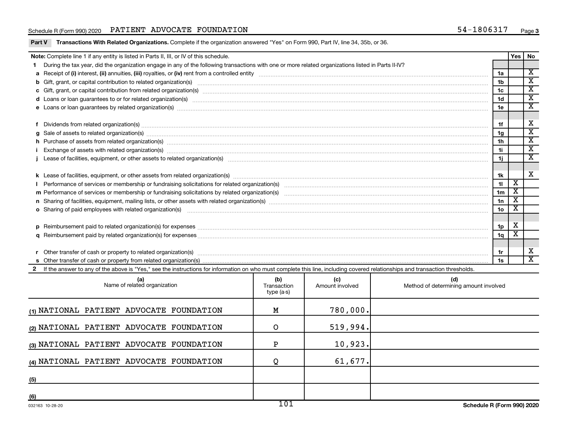## Schedule R (Form 990) 2020 PATIENT ADVOCATE FOUNDATION  $54-1806317$  Page

Part V Transactions With Related Organizations. Complete if the organization answered "Yes" on Form 990, Part IV, line 34, 35b, or 36.

| Note: Complete line 1 if any entity is listed in Parts II, III, or IV of this schedule.                                                                                                                                        |                 | Yes   No                |                             |
|--------------------------------------------------------------------------------------------------------------------------------------------------------------------------------------------------------------------------------|-----------------|-------------------------|-----------------------------|
| During the tax year, did the organization engage in any of the following transactions with one or more related organizations listed in Parts II-IV?                                                                            |                 |                         |                             |
|                                                                                                                                                                                                                                | 1a              |                         | $\mathbf{x}$                |
|                                                                                                                                                                                                                                | 1 <sub>b</sub>  |                         | $\overline{\textnormal{x}}$ |
|                                                                                                                                                                                                                                | 1 <sub>c</sub>  |                         | $\overline{\text{x}}$       |
|                                                                                                                                                                                                                                | 1d              |                         | $\overline{\texttt{x}}$     |
| e Loans or loan guarantees by related organization(s) manufactured content to the content of the content of the content of the content of the content of the content of the content of the content of the content of the conte | 1e              |                         | $\overline{\textbf{X}}$     |
|                                                                                                                                                                                                                                |                 |                         |                             |
| Dividends from related organization(s) manufacture contraction contract to contract and announced contract or contract or contract or contract or contract or contract or contract or contract or contract or contract or cont | 1f              |                         | х                           |
| $g$ Sale of assets to related organization(s) with the contraction control of the control of the control of the control of the control of the control of the control of the control of the control of the control of the cont  | 1g              |                         | х                           |
| h Purchase of assets from related organization(s) manufactured and content to content the content of assets from related organization(s)                                                                                       | 1 <sub>h</sub>  |                         | $\overline{\text{x}}$       |
|                                                                                                                                                                                                                                | 1i.             |                         | $\overline{\texttt{x}}$     |
|                                                                                                                                                                                                                                | 1j              |                         | $\overline{\textbf{X}}$     |
|                                                                                                                                                                                                                                |                 |                         |                             |
|                                                                                                                                                                                                                                | 1k              |                         | $\overline{\mathbf{x}}$     |
|                                                                                                                                                                                                                                | 11              | $\overline{\texttt{x}}$ |                             |
|                                                                                                                                                                                                                                | 1 <sub>m</sub>  | X                       |                             |
| n Sharing of facilities, equipment, mailing lists, or other assets with related organization(s) marror manufactured manufactured contents and the state of facilities, equipment, mailing lists, or other assets with related  | 1n              | Χ                       |                             |
| o Sharing of paid employees with related organization(s) manufaction(s) and contain an example and contained and contained and contained and contained and contained and contained and contained and contained and contained a | 10 <sub>o</sub> |                         |                             |
|                                                                                                                                                                                                                                |                 |                         |                             |
|                                                                                                                                                                                                                                | 1p              | Х                       |                             |
|                                                                                                                                                                                                                                | 1q              | х                       |                             |
|                                                                                                                                                                                                                                |                 |                         |                             |
|                                                                                                                                                                                                                                | 1r              |                         | х                           |
|                                                                                                                                                                                                                                |                 |                         | $\overline{\textbf{x}}$     |
| If the answer to any of the above is "Yes," see the instructions for information on who must complete this line, including covered relationships and transaction thresholds.                                                   |                 |                         |                             |

| (a)<br>Name of related organization      | (b)<br>Transaction<br>type (a-s) | (c)<br>Amount involved | (d)<br>Method of determining amount involved |
|------------------------------------------|----------------------------------|------------------------|----------------------------------------------|
| (1) NATIONAL PATIENT ADVOCATE FOUNDATION | Μ                                | 780,000.               |                                              |
| (2) NATIONAL PATIENT ADVOCATE FOUNDATION | O                                | 519,994.               |                                              |
| (3) NATIONAL PATIENT ADVOCATE FOUNDATION |                                  | 10,923.                |                                              |
| (4) NATIONAL PATIENT ADVOCATE FOUNDATION |                                  | 61,677.                |                                              |
| (5)                                      |                                  |                        |                                              |
| (6)                                      |                                  |                        |                                              |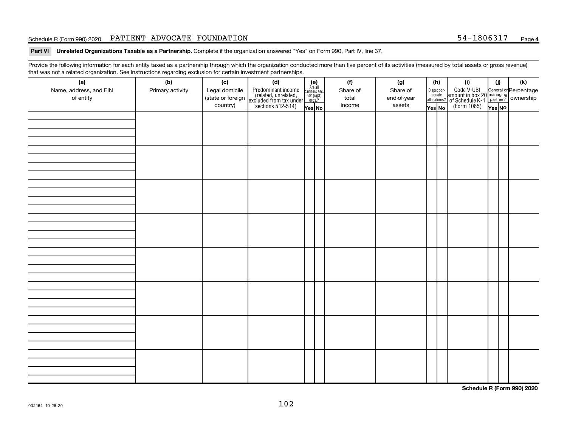## Schedule R (Form 990) 2020 PATIENT ADVOCATE FOUNDATION  $54-1806317$  Page

Part VI Unrelated Organizations Taxable as a Partnership. Complete if the organization answered "Yes" on Form 990, Part IV, line 37.

Provide the following information for each entity taxed as a partnership through which the organization conducted more than five percent of its activities (measured by total assets or gross revenue) that was not a related organization. See instructions regarding exclusion for certain investment partnerships.

| (a)<br>Name, address, and EIN<br>of entity | - - -<br>(b)<br>Primary activity | (c)<br>Legal domicile<br>(state or foreign<br>country) | - - - - <sub>1</sub> - - 1<br>(d)<br>Predominant income<br>(related, unrelated,<br>excluded from tax under<br>sections 512-514) | (e)<br>Are all<br>partners sec.<br>$\frac{501(c)(3)}{0rgs?}$<br>Yes No | (f)<br>Share of<br>total<br>income | (g)<br>Share of<br>end-of-year<br>assets | (h)<br>Dispropor-<br>tionate<br>allocations?<br>Yes No | (i)<br>Code V-UBI<br>amount in box 20 managing<br>of Schedule K-1<br>(Form 1065)<br>$\overline{Y_{\text{res}}}\overline{NQ}$ | (i)<br>Yes NO | (k) |
|--------------------------------------------|----------------------------------|--------------------------------------------------------|---------------------------------------------------------------------------------------------------------------------------------|------------------------------------------------------------------------|------------------------------------|------------------------------------------|--------------------------------------------------------|------------------------------------------------------------------------------------------------------------------------------|---------------|-----|
|                                            |                                  |                                                        |                                                                                                                                 |                                                                        |                                    |                                          |                                                        |                                                                                                                              |               |     |
|                                            |                                  |                                                        |                                                                                                                                 |                                                                        |                                    |                                          |                                                        |                                                                                                                              |               |     |
|                                            |                                  |                                                        |                                                                                                                                 |                                                                        |                                    |                                          |                                                        |                                                                                                                              |               |     |
|                                            |                                  |                                                        |                                                                                                                                 |                                                                        |                                    |                                          |                                                        |                                                                                                                              |               |     |
|                                            |                                  |                                                        |                                                                                                                                 |                                                                        |                                    |                                          |                                                        |                                                                                                                              |               |     |
|                                            |                                  |                                                        |                                                                                                                                 |                                                                        |                                    |                                          |                                                        |                                                                                                                              |               |     |
|                                            |                                  |                                                        |                                                                                                                                 |                                                                        |                                    |                                          |                                                        |                                                                                                                              |               |     |
|                                            |                                  |                                                        |                                                                                                                                 |                                                                        |                                    |                                          |                                                        |                                                                                                                              |               |     |

**Schedule R (Form 990) 2020**